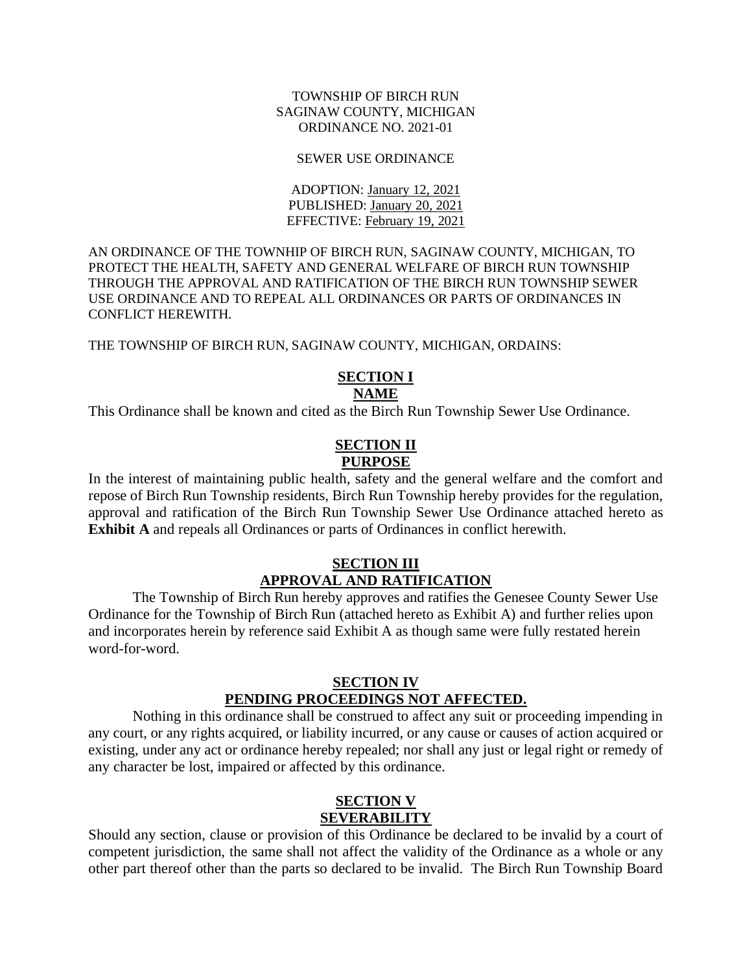#### TOWNSHIP OF BIRCH RUN SAGINAW COUNTY, MICHIGAN ORDINANCE NO. 2021-01

#### SEWER USE ORDINANCE

ADOPTION: January 12, 2021 PUBLISHED: January 20, 2021 EFFECTIVE: February 19, 2021

AN ORDINANCE OF THE TOWNHIP OF BIRCH RUN, SAGINAW COUNTY, MICHIGAN, TO PROTECT THE HEALTH, SAFETY AND GENERAL WELFARE OF BIRCH RUN TOWNSHIP THROUGH THE APPROVAL AND RATIFICATION OF THE BIRCH RUN TOWNSHIP SEWER USE ORDINANCE AND TO REPEAL ALL ORDINANCES OR PARTS OF ORDINANCES IN CONFLICT HEREWITH.

THE TOWNSHIP OF BIRCH RUN, SAGINAW COUNTY, MICHIGAN, ORDAINS:

#### **SECTION I NAME**

This Ordinance shall be known and cited as the Birch Run Township Sewer Use Ordinance.

### **SECTION II PURPOSE**

In the interest of maintaining public health, safety and the general welfare and the comfort and repose of Birch Run Township residents, Birch Run Township hereby provides for the regulation, approval and ratification of the Birch Run Township Sewer Use Ordinance attached hereto as **Exhibit A** and repeals all Ordinances or parts of Ordinances in conflict herewith.

#### **SECTION III APPROVAL AND RATIFICATION**

The Township of Birch Run hereby approves and ratifies the Genesee County Sewer Use Ordinance for the Township of Birch Run (attached hereto as Exhibit A) and further relies upon and incorporates herein by reference said Exhibit A as though same were fully restated herein word-for-word.

#### **SECTION IV PENDING PROCEEDINGS NOT AFFECTED.**

Nothing in this ordinance shall be construed to affect any suit or proceeding impending in any court, or any rights acquired, or liability incurred, or any cause or causes of action acquired or existing, under any act or ordinance hereby repealed; nor shall any just or legal right or remedy of any character be lost, impaired or affected by this ordinance.

### **SECTION V SEVERABILITY**

Should any section, clause or provision of this Ordinance be declared to be invalid by a court of competent jurisdiction, the same shall not affect the validity of the Ordinance as a whole or any other part thereof other than the parts so declared to be invalid. The Birch Run Township Board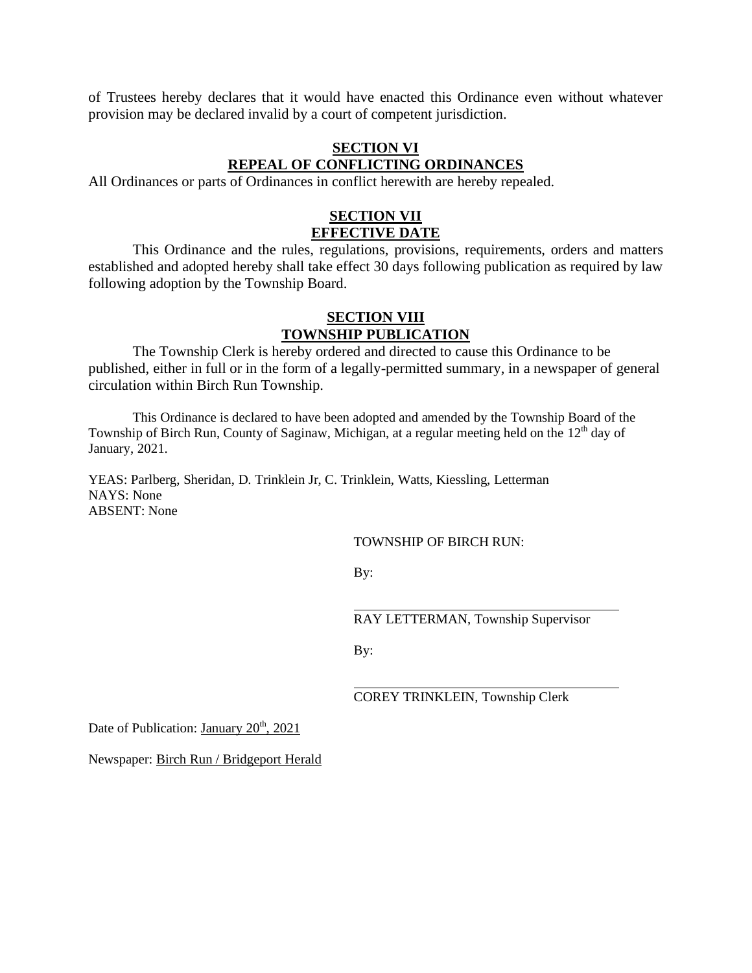of Trustees hereby declares that it would have enacted this Ordinance even without whatever provision may be declared invalid by a court of competent jurisdiction.

### **SECTION VI REPEAL OF CONFLICTING ORDINANCES**

All Ordinances or parts of Ordinances in conflict herewith are hereby repealed.

### **SECTION VII EFFECTIVE DATE**

This Ordinance and the rules, regulations, provisions, requirements, orders and matters established and adopted hereby shall take effect 30 days following publication as required by law following adoption by the Township Board.

### **SECTION VIII TOWNSHIP PUBLICATION**

The Township Clerk is hereby ordered and directed to cause this Ordinance to be published, either in full or in the form of a legally-permitted summary, in a newspaper of general circulation within Birch Run Township.

This Ordinance is declared to have been adopted and amended by the Township Board of the Township of Birch Run, County of Saginaw, Michigan, at a regular meeting held on the 12<sup>th</sup> day of January, 2021.

YEAS: Parlberg, Sheridan, D. Trinklein Jr, C. Trinklein, Watts, Kiessling, Letterman NAYS: None ABSENT: None

TOWNSHIP OF BIRCH RUN:

By:

RAY LETTERMAN, Township Supervisor

By:

COREY TRINKLEIN, Township Clerk

Date of Publication: January  $20<sup>th</sup>$ ,  $2021$ 

Newspaper: Birch Run / Bridgeport Herald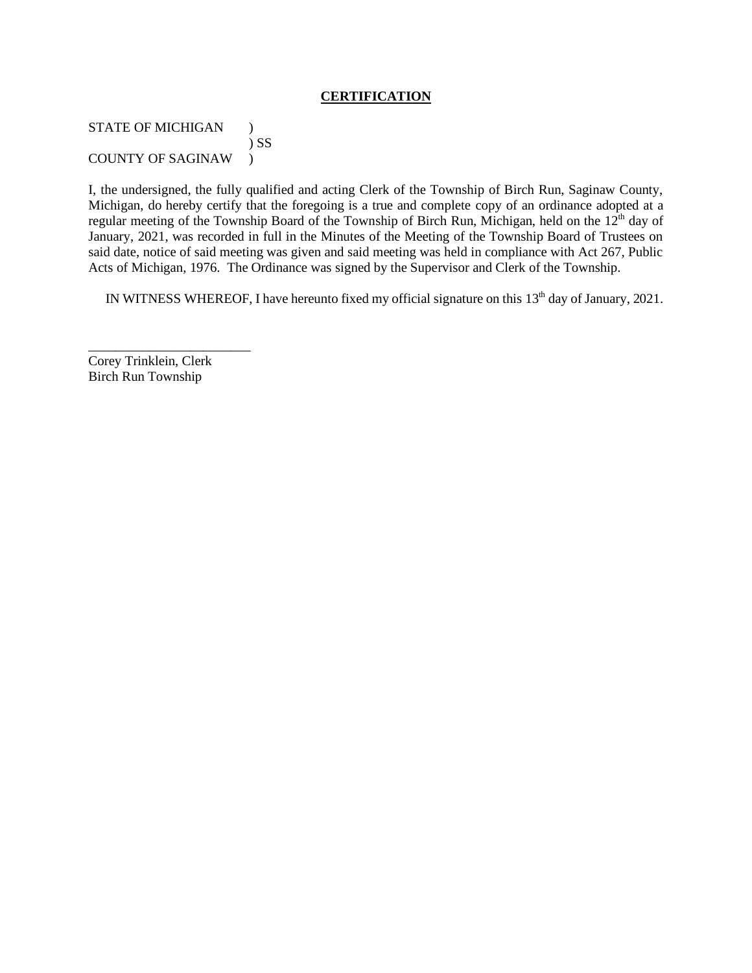#### **CERTIFICATION**

STATE OF MICHIGAN ) ) SS COUNTY OF SAGINAW )

I, the undersigned, the fully qualified and acting Clerk of the Township of Birch Run, Saginaw County, Michigan, do hereby certify that the foregoing is a true and complete copy of an ordinance adopted at a regular meeting of the Township Board of the Township of Birch Run, Michigan, held on the 12<sup>th</sup> day of January, 2021, was recorded in full in the Minutes of the Meeting of the Township Board of Trustees on said date, notice of said meeting was given and said meeting was held in compliance with Act 267, Public Acts of Michigan, 1976. The Ordinance was signed by the Supervisor and Clerk of the Township.

IN WITNESS WHEREOF, I have hereunto fixed my official signature on this 13<sup>th</sup> day of January, 2021.

Corey Trinklein, Clerk Birch Run Township

\_\_\_\_\_\_\_\_\_\_\_\_\_\_\_\_\_\_\_\_\_\_\_\_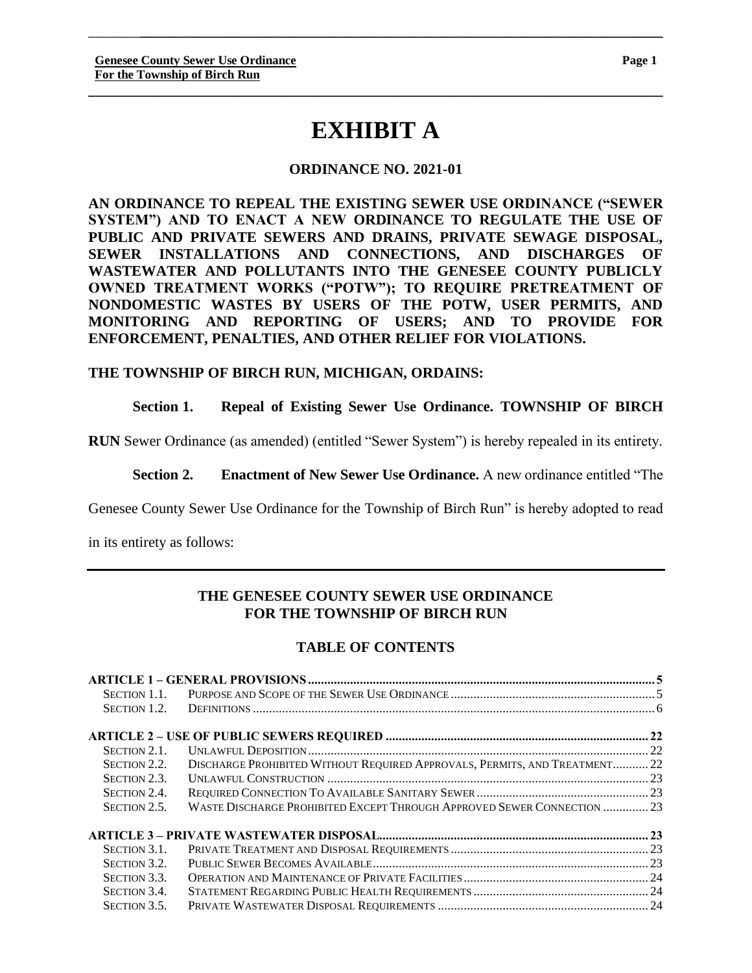\_\_\_\_\_\_\_**\_\_\_\_\_\_\_\_\_\_\_\_\_\_\_\_\_\_\_\_\_\_\_\_\_\_\_\_\_\_\_\_\_\_\_\_\_\_\_\_\_\_\_\_\_\_\_\_\_\_\_\_\_\_\_\_\_\_\_\_\_\_\_\_\_\_\_\_\_\_\_**

### **ORDINANCE NO. 2021-01**

**AN ORDINANCE TO REPEAL THE EXISTING SEWER USE ORDINANCE ("SEWER SYSTEM") AND TO ENACT A NEW ORDINANCE TO REGULATE THE USE OF PUBLIC AND PRIVATE SEWERS AND DRAINS, PRIVATE SEWAGE DISPOSAL, SEWER INSTALLATIONS AND CONNECTIONS, AND DISCHARGES OF WASTEWATER AND POLLUTANTS INTO THE GENESEE COUNTY PUBLICLY OWNED TREATMENT WORKS ("POTW"); TO REQUIRE PRETREATMENT OF NONDOMESTIC WASTES BY USERS OF THE POTW, USER PERMITS, AND MONITORING AND REPORTING OF USERS; AND TO PROVIDE FOR ENFORCEMENT, PENALTIES, AND OTHER RELIEF FOR VIOLATIONS.**

#### **THE TOWNSHIP OF BIRCH RUN, MICHIGAN, ORDAINS:**

#### **Section 1. Repeal of Existing Sewer Use Ordinance. TOWNSHIP OF BIRCH**

**RUN** Sewer Ordinance (as amended) (entitled "Sewer System") is hereby repealed in its entirety.

**Section 2. Enactment of New Sewer Use Ordinance.** A new ordinance entitled "The

Genesee County Sewer Use Ordinance for the Township of Birch Run" is hereby adopted to read

in its entirety as follows:

### **THE GENESEE COUNTY SEWER USE ORDINANCE FOR THE TOWNSHIP OF BIRCH RUN**

### **TABLE OF CONTENTS**

| SECTION 1.1. |                                                                            |  |
|--------------|----------------------------------------------------------------------------|--|
| SECTION 1.2. |                                                                            |  |
|              |                                                                            |  |
| SECTION 2.1. |                                                                            |  |
| SECTION 2.2. | DISCHARGE PROHIBITED WITHOUT REQUIRED APPROVALS, PERMITS, AND TREATMENT 22 |  |
| SECTION 2.3. |                                                                            |  |
| SECTION 2.4. |                                                                            |  |
| SECTION 2.5. | WASTE DISCHARGE PROHIBITED EXCEPT THROUGH APPROVED SEWER CONNECTION  23    |  |
|              |                                                                            |  |
| SECTION 3.1. |                                                                            |  |
| SECTION 3.2. |                                                                            |  |
| SECTION 3.3. |                                                                            |  |
| SECTION 3.4. |                                                                            |  |
| SECTION 3.5. |                                                                            |  |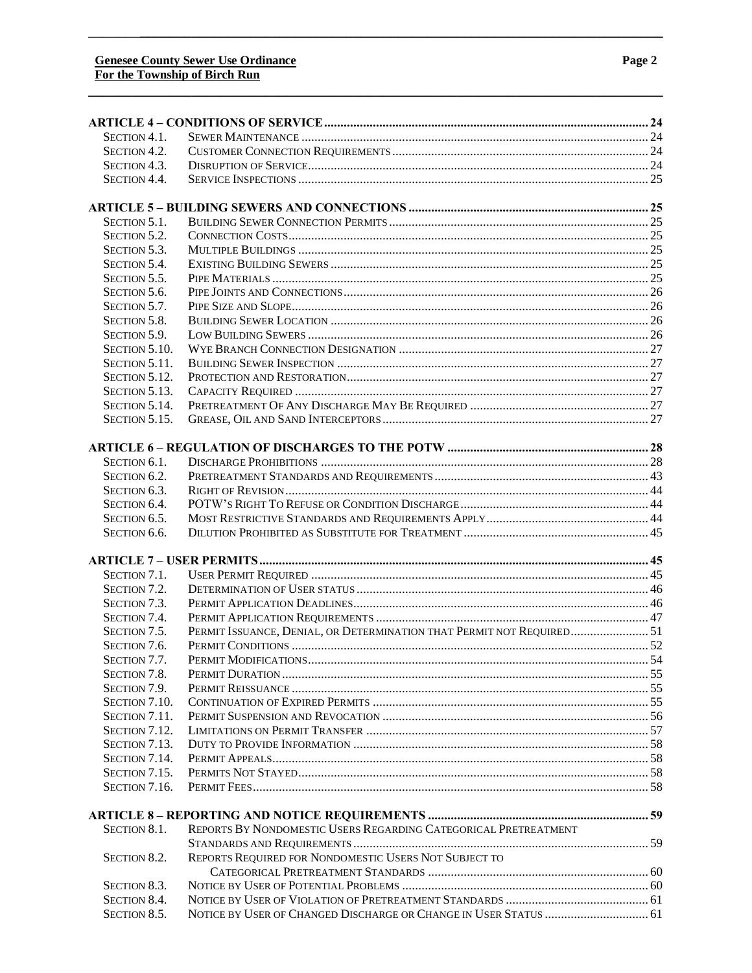| SECTION 4.1.        |                                                                       |  |
|---------------------|-----------------------------------------------------------------------|--|
| SECTION 4.2.        |                                                                       |  |
| SECTION 4.3.        |                                                                       |  |
| SECTION 4.4.        |                                                                       |  |
|                     |                                                                       |  |
|                     |                                                                       |  |
| SECTION 5.1.        |                                                                       |  |
| SECTION 5.2.        |                                                                       |  |
| SECTION 5.3.        |                                                                       |  |
| SECTION 5.4.        |                                                                       |  |
| SECTION 5.5.        |                                                                       |  |
| SECTION 5.6.        |                                                                       |  |
| SECTION 5.7.        |                                                                       |  |
| SECTION 5.8.        |                                                                       |  |
| SECTION 5.9.        |                                                                       |  |
| SECTION 5.10.       |                                                                       |  |
| SECTION 5.11.       |                                                                       |  |
| SECTION 5.12.       |                                                                       |  |
| SECTION 5.13.       |                                                                       |  |
| SECTION 5.14.       |                                                                       |  |
| SECTION 5.15.       |                                                                       |  |
|                     |                                                                       |  |
| SECTION 6.1.        |                                                                       |  |
| SECTION 6.2.        |                                                                       |  |
| SECTION 6.3.        |                                                                       |  |
| SECTION 6.4.        |                                                                       |  |
| SECTION 6.5.        |                                                                       |  |
| SECTION 6.6.        |                                                                       |  |
|                     |                                                                       |  |
|                     |                                                                       |  |
| SECTION 7.1.        |                                                                       |  |
| SECTION 7.2.        |                                                                       |  |
| SECTION 7.3.        |                                                                       |  |
| SECTION 7.4.        |                                                                       |  |
| SECTION 7.5.        | PERMIT ISSUANCE, DENIAL, OR DETERMINATION THAT PERMIT NOT REQUIRED 51 |  |
| SECTION 7.6.        |                                                                       |  |
| SECTION 7.7.        |                                                                       |  |
| SECTION 7.8.        |                                                                       |  |
| SECTION 7.9.        |                                                                       |  |
| SECTION 7.10.       |                                                                       |  |
| SECTION 7.11.       |                                                                       |  |
| SECTION 7.12.       |                                                                       |  |
| SECTION 7.13.       |                                                                       |  |
| SECTION 7.14.       |                                                                       |  |
| SECTION 7.15.       |                                                                       |  |
| SECTION 7.16.       |                                                                       |  |
|                     |                                                                       |  |
|                     |                                                                       |  |
| SECTION 8.1.        | REPORTS BY NONDOMESTIC USERS REGARDING CATEGORICAL PRETREATMENT       |  |
|                     |                                                                       |  |
| SECTION 8.2.        | REPORTS REQUIRED FOR NONDOMESTIC USERS NOT SUBJECT TO                 |  |
| SECTION 8.3.        |                                                                       |  |
| <b>SECTION 8.4.</b> |                                                                       |  |
| SECTION 8.5.        | NOTICE BY USER OF CHANGED DISCHARGE OR CHANGE IN USER STATUS  61      |  |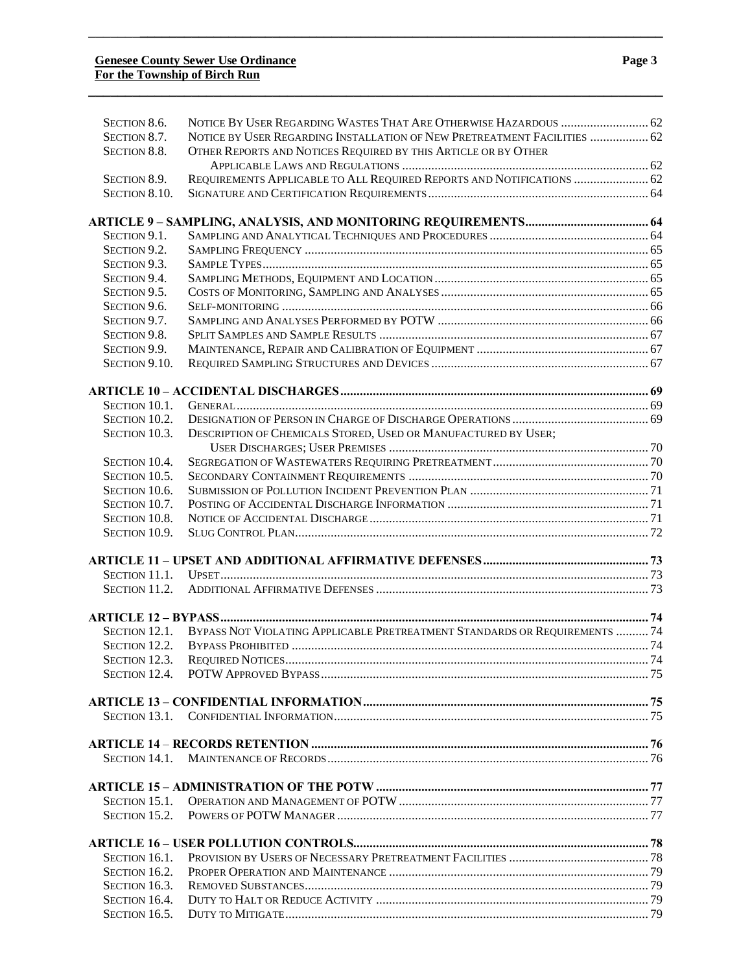| SECTION 8.6.  | NOTICE BY USER REGARDING WASTES THAT ARE OTHERWISE HAZARDOUS  62           |  |
|---------------|----------------------------------------------------------------------------|--|
| SECTION 8.7.  | NOTICE BY USER REGARDING INSTALLATION OF NEW PRETREATMENT FACILITIES  62   |  |
| SECTION 8.8.  | OTHER REPORTS AND NOTICES REQUIRED BY THIS ARTICLE OR BY OTHER             |  |
|               |                                                                            |  |
| SECTION 8.9.  | REQUIREMENTS APPLICABLE TO ALL REQUIRED REPORTS AND NOTIFICATIONS  62      |  |
| SECTION 8.10. |                                                                            |  |
|               |                                                                            |  |
| SECTION 9.1.  |                                                                            |  |
| SECTION 9.2.  |                                                                            |  |
| SECTION 9.3.  |                                                                            |  |
| SECTION 9.4.  |                                                                            |  |
| SECTION 9.5.  |                                                                            |  |
| SECTION 9.6.  |                                                                            |  |
| SECTION 9.7.  |                                                                            |  |
| SECTION 9.8.  |                                                                            |  |
| SECTION 9.9.  |                                                                            |  |
| SECTION 9.10. |                                                                            |  |
|               |                                                                            |  |
| SECTION 10.1. |                                                                            |  |
| SECTION 10.2. |                                                                            |  |
| SECTION 10.3. | DESCRIPTION OF CHEMICALS STORED, USED OR MANUFACTURED BY USER;             |  |
|               |                                                                            |  |
| SECTION 10.4. |                                                                            |  |
| SECTION 10.5. |                                                                            |  |
| SECTION 10.6. |                                                                            |  |
| SECTION 10.7. |                                                                            |  |
| SECTION 10.8. |                                                                            |  |
| SECTION 10.9. |                                                                            |  |
|               |                                                                            |  |
| SECTION 11.1. |                                                                            |  |
| SECTION 11.2. |                                                                            |  |
|               |                                                                            |  |
|               |                                                                            |  |
| SECTION 12.1. | BYPASS NOT VIOLATING APPLICABLE PRETREATMENT STANDARDS OR REQUIREMENTS  74 |  |
| SECTION 12.2. |                                                                            |  |
| SECTION 12.3. |                                                                            |  |
|               |                                                                            |  |
|               |                                                                            |  |
|               |                                                                            |  |
|               |                                                                            |  |
|               |                                                                            |  |
|               |                                                                            |  |
| SECTION 15.1. |                                                                            |  |
| SECTION 15.2. |                                                                            |  |
|               |                                                                            |  |
|               |                                                                            |  |
| SECTION 16.1. |                                                                            |  |
| SECTION 16.2. |                                                                            |  |
| SECTION 16.3. |                                                                            |  |
| SECTION 16.4. |                                                                            |  |
| SECTION 16.5. |                                                                            |  |

**\_\_\_\_\_\_\_\_\_\_\_\_\_\_\_\_\_\_\_\_\_\_\_\_\_\_\_\_\_\_\_\_\_\_\_\_\_\_\_\_\_\_\_\_\_\_\_\_\_\_\_\_\_\_\_\_\_\_\_\_\_\_\_\_\_\_\_\_\_\_\_\_\_\_\_\_\_\_**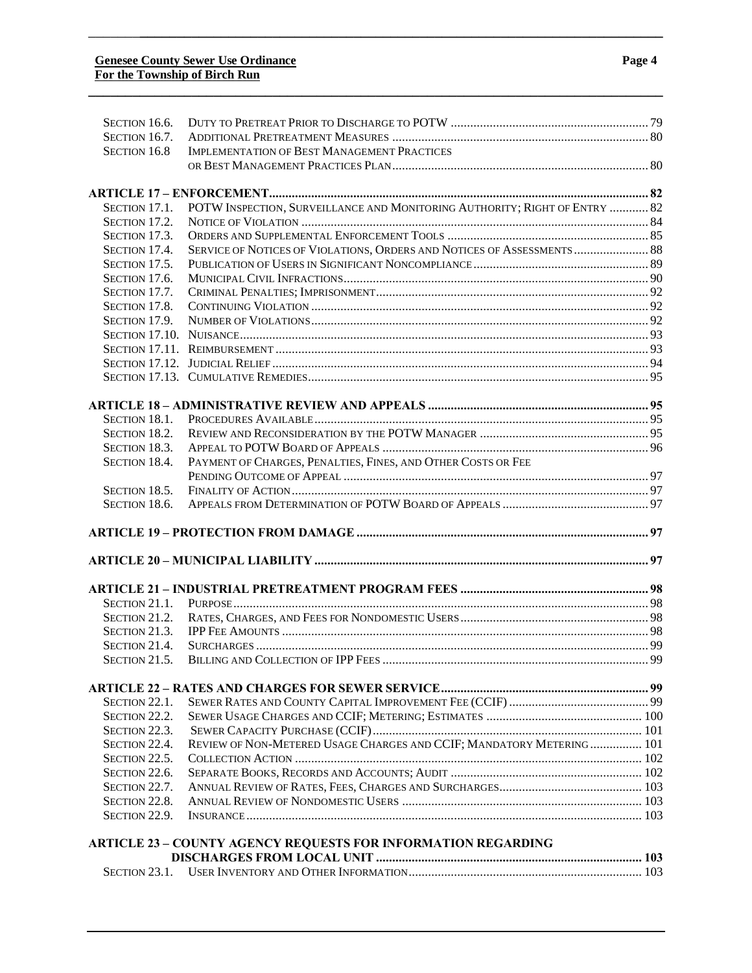| SECTION 16.6. |                                                                            |  |
|---------------|----------------------------------------------------------------------------|--|
| SECTION 16.7. |                                                                            |  |
| SECTION 16.8  | IMPLEMENTATION OF BEST MANAGEMENT PRACTICES                                |  |
|               |                                                                            |  |
|               |                                                                            |  |
| SECTION 17.1. | POTW INSPECTION, SURVEILLANCE AND MONITORING AUTHORITY; RIGHT OF ENTRY  82 |  |
| SECTION 17.2. |                                                                            |  |
| SECTION 17.3. |                                                                            |  |
| SECTION 17.4. | SERVICE OF NOTICES OF VIOLATIONS, ORDERS AND NOTICES OF ASSESSMENTS 88     |  |
| SECTION 17.5. |                                                                            |  |
| SECTION 17.6. |                                                                            |  |
| SECTION 17.7. |                                                                            |  |
| SECTION 17.8. |                                                                            |  |
| SECTION 17.9. |                                                                            |  |
|               |                                                                            |  |
|               |                                                                            |  |
|               |                                                                            |  |
|               |                                                                            |  |
|               |                                                                            |  |
|               |                                                                            |  |
| SECTION 18.1. |                                                                            |  |
| SECTION 18.2. |                                                                            |  |
| SECTION 18.3. |                                                                            |  |
| SECTION 18.4. | PAYMENT OF CHARGES, PENALTIES, FINES, AND OTHER COSTS OR FEE               |  |
|               |                                                                            |  |
| SECTION 18.5. |                                                                            |  |
| SECTION 18.6. |                                                                            |  |
|               |                                                                            |  |
|               |                                                                            |  |
|               |                                                                            |  |
|               |                                                                            |  |
| SECTION 21.1. |                                                                            |  |
| SECTION 21.2. |                                                                            |  |
| SECTION 21.3. |                                                                            |  |
| SECTION 21.4. |                                                                            |  |
| Section 21.5  |                                                                            |  |
|               |                                                                            |  |
| SECTION 22.1. |                                                                            |  |
| SECTION 22.2. |                                                                            |  |
| SECTION 22.3. |                                                                            |  |
| SECTION 22.4. | REVIEW OF NON-METERED USAGE CHARGES AND CCIF; MANDATORY METERING 101       |  |
| SECTION 22.5. |                                                                            |  |
| SECTION 22.6. |                                                                            |  |
| SECTION 22.7. |                                                                            |  |
| SECTION 22.8. |                                                                            |  |
| SECTION 22.9. |                                                                            |  |
|               | <b>ARTICLE 23 - COUNTY AGENCY REQUESTS FOR INFORMATION REGARDING</b>       |  |
|               |                                                                            |  |
| SECTION 23.1. |                                                                            |  |
|               |                                                                            |  |

**\_\_\_\_\_\_\_\_\_\_\_\_\_\_\_\_\_\_\_\_\_\_\_\_\_\_\_\_\_\_\_\_\_\_\_\_\_\_\_\_\_\_\_\_\_\_\_\_\_\_\_\_\_\_\_\_\_\_\_\_\_\_\_\_\_\_\_\_\_\_\_\_\_\_\_\_\_\_**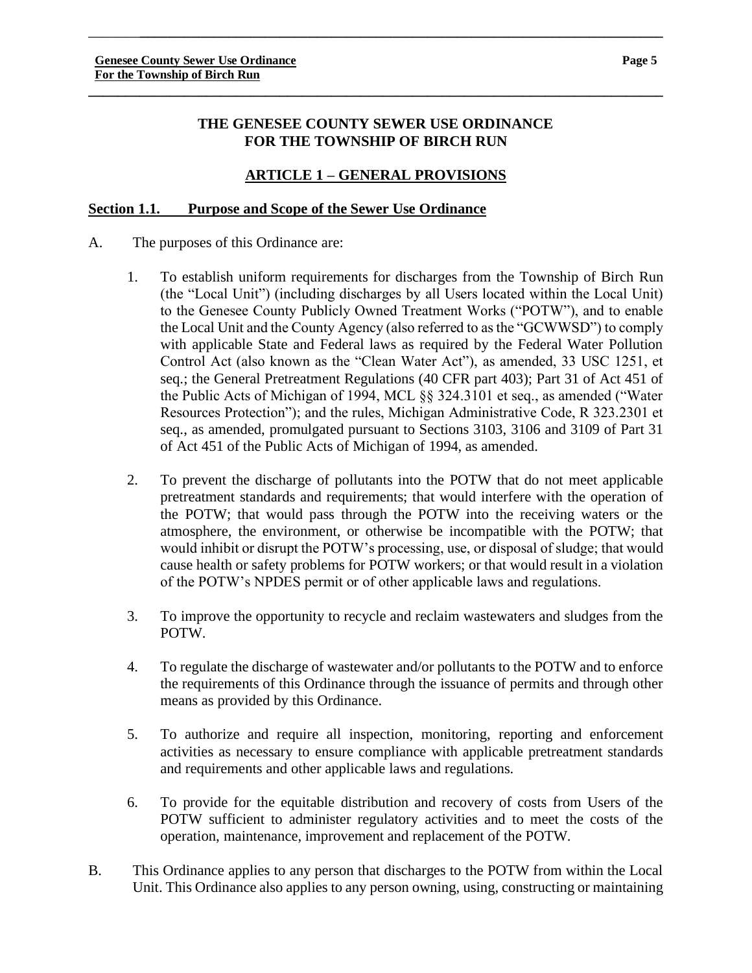### **THE GENESEE COUNTY SEWER USE ORDINANCE FOR THE TOWNSHIP OF BIRCH RUN**

**\_\_\_\_\_\_\_\_\_\_\_\_\_\_\_\_\_\_\_\_\_\_\_\_\_\_\_\_\_\_\_\_\_\_\_\_\_\_\_\_\_\_\_\_\_\_\_\_\_\_\_\_\_\_\_\_\_\_\_\_\_\_\_\_\_\_\_\_\_\_\_\_\_\_\_\_\_\_**

\_\_\_\_\_\_\_**\_\_\_\_\_\_\_\_\_\_\_\_\_\_\_\_\_\_\_\_\_\_\_\_\_\_\_\_\_\_\_\_\_\_\_\_\_\_\_\_\_\_\_\_\_\_\_\_\_\_\_\_\_\_\_\_\_\_\_\_\_\_\_\_\_\_\_\_\_\_\_**

## **ARTICLE 1 – GENERAL PROVISIONS**

### **Section 1.1. Purpose and Scope of the Sewer Use Ordinance**

- A. The purposes of this Ordinance are:
	- 1. To establish uniform requirements for discharges from the Township of Birch Run (the "Local Unit") (including discharges by all Users located within the Local Unit) to the Genesee County Publicly Owned Treatment Works ("POTW"), and to enable the Local Unit and the County Agency (also referred to as the "GCWWSD") to comply with applicable State and Federal laws as required by the Federal Water Pollution Control Act (also known as the "Clean Water Act"), as amended, 33 USC 1251, et seq.; the General Pretreatment Regulations (40 CFR part 403); Part 31 of Act 451 of the Public Acts of Michigan of 1994, MCL §§ 324.3101 et seq., as amended ("Water Resources Protection"); and the rules, Michigan Administrative Code, R 323.2301 et seq., as amended, promulgated pursuant to Sections 3103, 3106 and 3109 of Part 31 of Act 451 of the Public Acts of Michigan of 1994, as amended.
	- 2. To prevent the discharge of pollutants into the POTW that do not meet applicable pretreatment standards and requirements; that would interfere with the operation of the POTW; that would pass through the POTW into the receiving waters or the atmosphere, the environment, or otherwise be incompatible with the POTW; that would inhibit or disrupt the POTW's processing, use, or disposal of sludge; that would cause health or safety problems for POTW workers; or that would result in a violation of the POTW's NPDES permit or of other applicable laws and regulations.
	- 3. To improve the opportunity to recycle and reclaim wastewaters and sludges from the POTW.
	- 4. To regulate the discharge of wastewater and/or pollutants to the POTW and to enforce the requirements of this Ordinance through the issuance of permits and through other means as provided by this Ordinance.
	- 5. To authorize and require all inspection, monitoring, reporting and enforcement activities as necessary to ensure compliance with applicable pretreatment standards and requirements and other applicable laws and regulations.
	- 6. To provide for the equitable distribution and recovery of costs from Users of the POTW sufficient to administer regulatory activities and to meet the costs of the operation, maintenance, improvement and replacement of the POTW.
- B. This Ordinance applies to any person that discharges to the POTW from within the Local Unit. This Ordinance also applies to any person owning, using, constructing or maintaining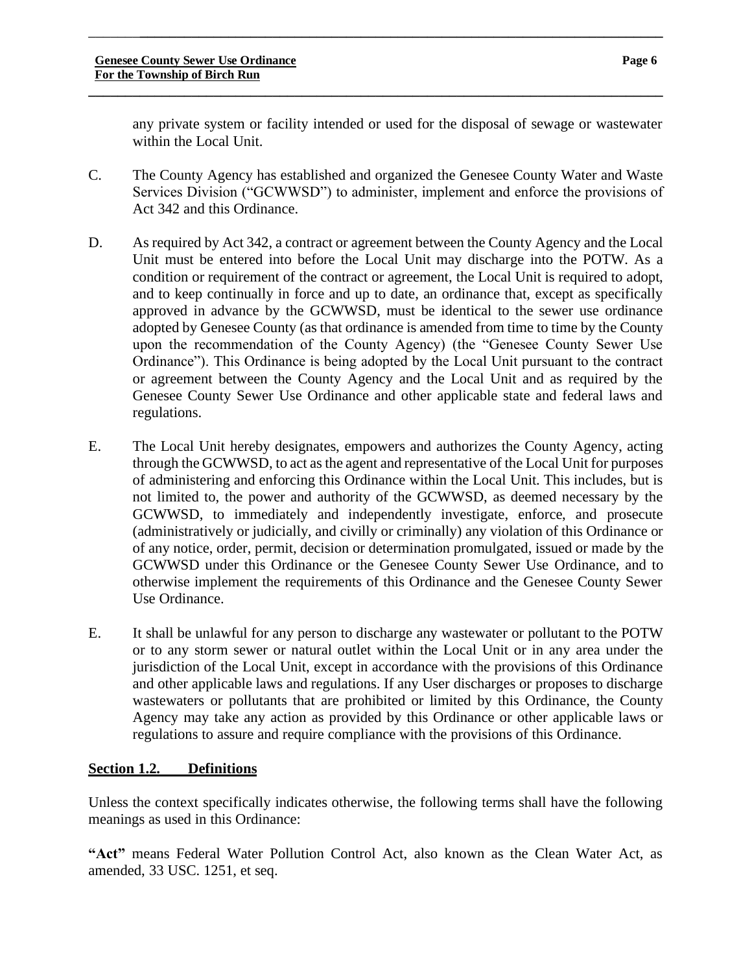any private system or facility intended or used for the disposal of sewage or wastewater within the Local Unit.

C. The County Agency has established and organized the Genesee County Water and Waste Services Division ("GCWWSD") to administer, implement and enforce the provisions of Act 342 and this Ordinance.

\_\_\_\_\_\_\_**\_\_\_\_\_\_\_\_\_\_\_\_\_\_\_\_\_\_\_\_\_\_\_\_\_\_\_\_\_\_\_\_\_\_\_\_\_\_\_\_\_\_\_\_\_\_\_\_\_\_\_\_\_\_\_\_\_\_\_\_\_\_\_\_\_\_\_\_\_\_\_**

**\_\_\_\_\_\_\_\_\_\_\_\_\_\_\_\_\_\_\_\_\_\_\_\_\_\_\_\_\_\_\_\_\_\_\_\_\_\_\_\_\_\_\_\_\_\_\_\_\_\_\_\_\_\_\_\_\_\_\_\_\_\_\_\_\_\_\_\_\_\_\_\_\_\_\_\_\_\_**

- D. As required by Act 342, a contract or agreement between the County Agency and the Local Unit must be entered into before the Local Unit may discharge into the POTW. As a condition or requirement of the contract or agreement, the Local Unit is required to adopt, and to keep continually in force and up to date, an ordinance that, except as specifically approved in advance by the GCWWSD, must be identical to the sewer use ordinance adopted by Genesee County (as that ordinance is amended from time to time by the County upon the recommendation of the County Agency) (the "Genesee County Sewer Use Ordinance"). This Ordinance is being adopted by the Local Unit pursuant to the contract or agreement between the County Agency and the Local Unit and as required by the Genesee County Sewer Use Ordinance and other applicable state and federal laws and regulations.
- E. The Local Unit hereby designates, empowers and authorizes the County Agency, acting through the GCWWSD, to act as the agent and representative of the Local Unit for purposes of administering and enforcing this Ordinance within the Local Unit. This includes, but is not limited to, the power and authority of the GCWWSD, as deemed necessary by the GCWWSD, to immediately and independently investigate, enforce, and prosecute (administratively or judicially, and civilly or criminally) any violation of this Ordinance or of any notice, order, permit, decision or determination promulgated, issued or made by the GCWWSD under this Ordinance or the Genesee County Sewer Use Ordinance, and to otherwise implement the requirements of this Ordinance and the Genesee County Sewer Use Ordinance.
- E. It shall be unlawful for any person to discharge any wastewater or pollutant to the POTW or to any storm sewer or natural outlet within the Local Unit or in any area under the jurisdiction of the Local Unit, except in accordance with the provisions of this Ordinance and other applicable laws and regulations. If any User discharges or proposes to discharge wastewaters or pollutants that are prohibited or limited by this Ordinance, the County Agency may take any action as provided by this Ordinance or other applicable laws or regulations to assure and require compliance with the provisions of this Ordinance.

### **Section 1.2. Definitions**

Unless the context specifically indicates otherwise, the following terms shall have the following meanings as used in this Ordinance:

**"Act"** means Federal Water Pollution Control Act, also known as the Clean Water Act, as amended, 33 USC. 1251, et seq.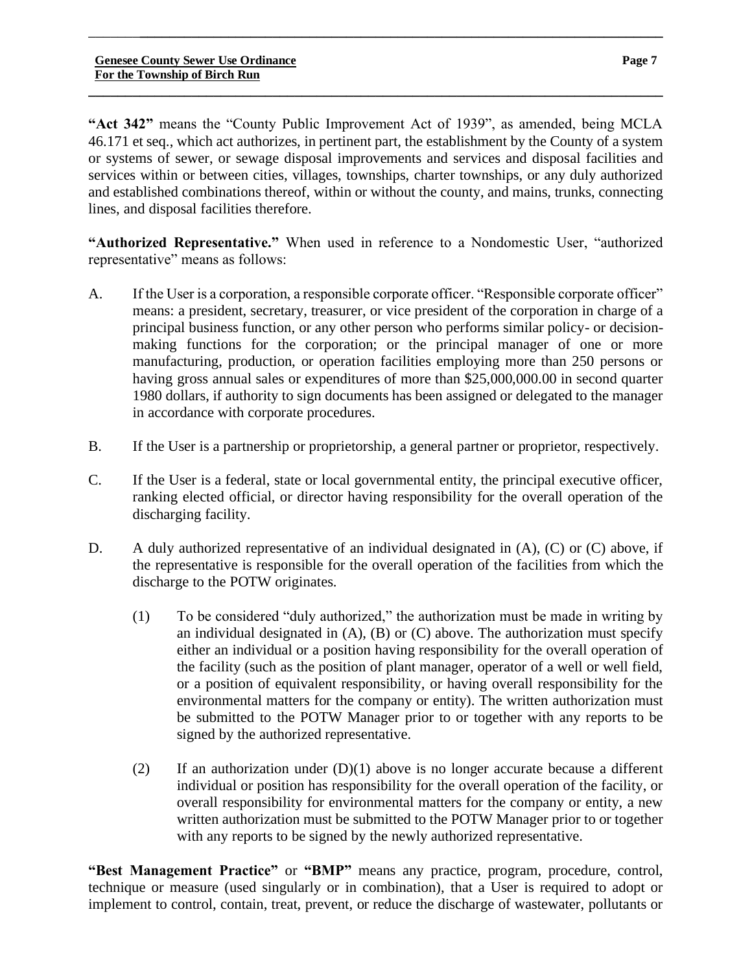**"Act 342"** means the "County Public Improvement Act of 1939", as amended, being MCLA 46.171 et seq., which act authorizes, in pertinent part, the establishment by the County of a system or systems of sewer, or sewage disposal improvements and services and disposal facilities and services within or between cities, villages, townships, charter townships, or any duly authorized and established combinations thereof, within or without the county, and mains, trunks, connecting lines, and disposal facilities therefore.

\_\_\_\_\_\_\_**\_\_\_\_\_\_\_\_\_\_\_\_\_\_\_\_\_\_\_\_\_\_\_\_\_\_\_\_\_\_\_\_\_\_\_\_\_\_\_\_\_\_\_\_\_\_\_\_\_\_\_\_\_\_\_\_\_\_\_\_\_\_\_\_\_\_\_\_\_\_\_**

**\_\_\_\_\_\_\_\_\_\_\_\_\_\_\_\_\_\_\_\_\_\_\_\_\_\_\_\_\_\_\_\_\_\_\_\_\_\_\_\_\_\_\_\_\_\_\_\_\_\_\_\_\_\_\_\_\_\_\_\_\_\_\_\_\_\_\_\_\_\_\_\_\_\_\_\_\_\_**

**"Authorized Representative."** When used in reference to a Nondomestic User, "authorized representative" means as follows:

- A. If the User is a corporation, a responsible corporate officer. "Responsible corporate officer" means: a president, secretary, treasurer, or vice president of the corporation in charge of a principal business function, or any other person who performs similar policy- or decisionmaking functions for the corporation; or the principal manager of one or more manufacturing, production, or operation facilities employing more than 250 persons or having gross annual sales or expenditures of more than \$25,000,000.00 in second quarter 1980 dollars, if authority to sign documents has been assigned or delegated to the manager in accordance with corporate procedures.
- B. If the User is a partnership or proprietorship, a general partner or proprietor, respectively.
- C. If the User is a federal, state or local governmental entity, the principal executive officer, ranking elected official, or director having responsibility for the overall operation of the discharging facility.
- D. A duly authorized representative of an individual designated in (A), (C) or (C) above, if the representative is responsible for the overall operation of the facilities from which the discharge to the POTW originates.
	- (1) To be considered "duly authorized," the authorization must be made in writing by an individual designated in  $(A)$ ,  $(B)$  or  $(C)$  above. The authorization must specify either an individual or a position having responsibility for the overall operation of the facility (such as the position of plant manager, operator of a well or well field, or a position of equivalent responsibility, or having overall responsibility for the environmental matters for the company or entity). The written authorization must be submitted to the POTW Manager prior to or together with any reports to be signed by the authorized representative.
	- (2) If an authorization under (D)(1) above is no longer accurate because a different individual or position has responsibility for the overall operation of the facility, or overall responsibility for environmental matters for the company or entity, a new written authorization must be submitted to the POTW Manager prior to or together with any reports to be signed by the newly authorized representative.

**"Best Management Practice"** or **"BMP"** means any practice, program, procedure, control, technique or measure (used singularly or in combination), that a User is required to adopt or implement to control, contain, treat, prevent, or reduce the discharge of wastewater, pollutants or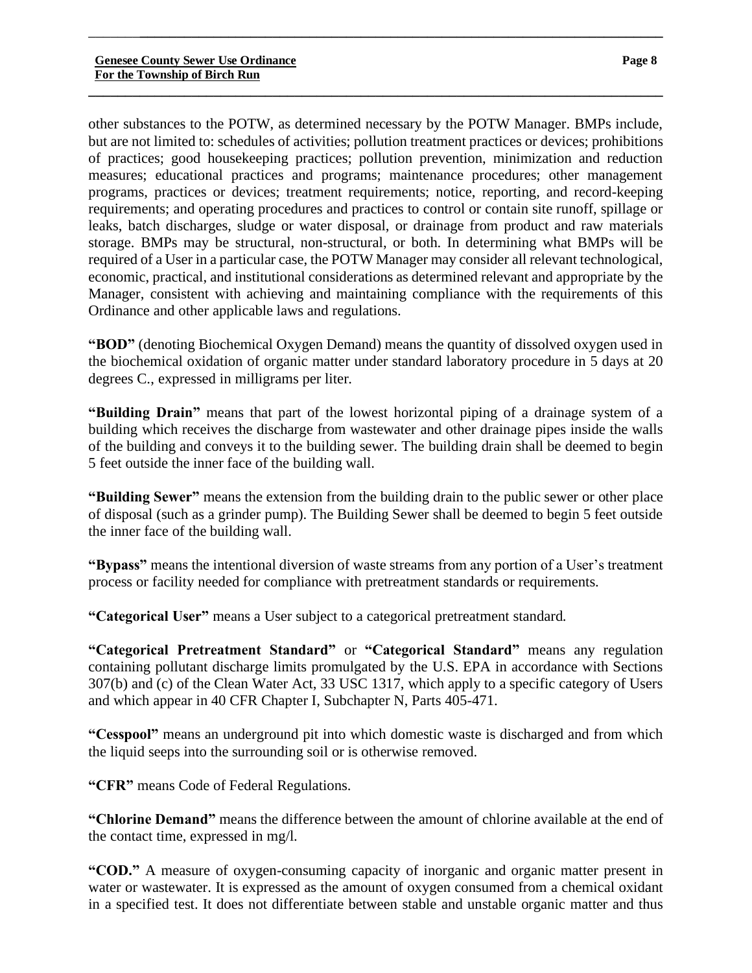other substances to the POTW, as determined necessary by the POTW Manager. BMPs include, but are not limited to: schedules of activities; pollution treatment practices or devices; prohibitions of practices; good housekeeping practices; pollution prevention, minimization and reduction measures; educational practices and programs; maintenance procedures; other management programs, practices or devices; treatment requirements; notice, reporting, and record-keeping requirements; and operating procedures and practices to control or contain site runoff, spillage or leaks, batch discharges, sludge or water disposal, or drainage from product and raw materials storage. BMPs may be structural, non-structural, or both. In determining what BMPs will be required of a User in a particular case, the POTW Manager may consider all relevant technological, economic, practical, and institutional considerations as determined relevant and appropriate by the Manager, consistent with achieving and maintaining compliance with the requirements of this Ordinance and other applicable laws and regulations.

\_\_\_\_\_\_\_**\_\_\_\_\_\_\_\_\_\_\_\_\_\_\_\_\_\_\_\_\_\_\_\_\_\_\_\_\_\_\_\_\_\_\_\_\_\_\_\_\_\_\_\_\_\_\_\_\_\_\_\_\_\_\_\_\_\_\_\_\_\_\_\_\_\_\_\_\_\_\_**

**\_\_\_\_\_\_\_\_\_\_\_\_\_\_\_\_\_\_\_\_\_\_\_\_\_\_\_\_\_\_\_\_\_\_\_\_\_\_\_\_\_\_\_\_\_\_\_\_\_\_\_\_\_\_\_\_\_\_\_\_\_\_\_\_\_\_\_\_\_\_\_\_\_\_\_\_\_\_**

**"BOD"** (denoting Biochemical Oxygen Demand) means the quantity of dissolved oxygen used in the biochemical oxidation of organic matter under standard laboratory procedure in 5 days at 20 degrees C., expressed in milligrams per liter.

**"Building Drain"** means that part of the lowest horizontal piping of a drainage system of a building which receives the discharge from wastewater and other drainage pipes inside the walls of the building and conveys it to the building sewer. The building drain shall be deemed to begin 5 feet outside the inner face of the building wall.

**"Building Sewer"** means the extension from the building drain to the public sewer or other place of disposal (such as a grinder pump). The Building Sewer shall be deemed to begin 5 feet outside the inner face of the building wall.

**"Bypass"** means the intentional diversion of waste streams from any portion of a User's treatment process or facility needed for compliance with pretreatment standards or requirements.

**"Categorical User"** means a User subject to a categorical pretreatment standard.

**"Categorical Pretreatment Standard"** or **"Categorical Standard"** means any regulation containing pollutant discharge limits promulgated by the U.S. EPA in accordance with Sections 307(b) and (c) of the Clean Water Act, 33 USC 1317, which apply to a specific category of Users and which appear in 40 CFR Chapter I, Subchapter N, Parts 405-471.

**"Cesspool"** means an underground pit into which domestic waste is discharged and from which the liquid seeps into the surrounding soil or is otherwise removed.

**"CFR"** means Code of Federal Regulations.

**"Chlorine Demand"** means the difference between the amount of chlorine available at the end of the contact time, expressed in mg/l.

**"COD."** A measure of oxygen-consuming capacity of inorganic and organic matter present in water or wastewater. It is expressed as the amount of oxygen consumed from a chemical oxidant in a specified test. It does not differentiate between stable and unstable organic matter and thus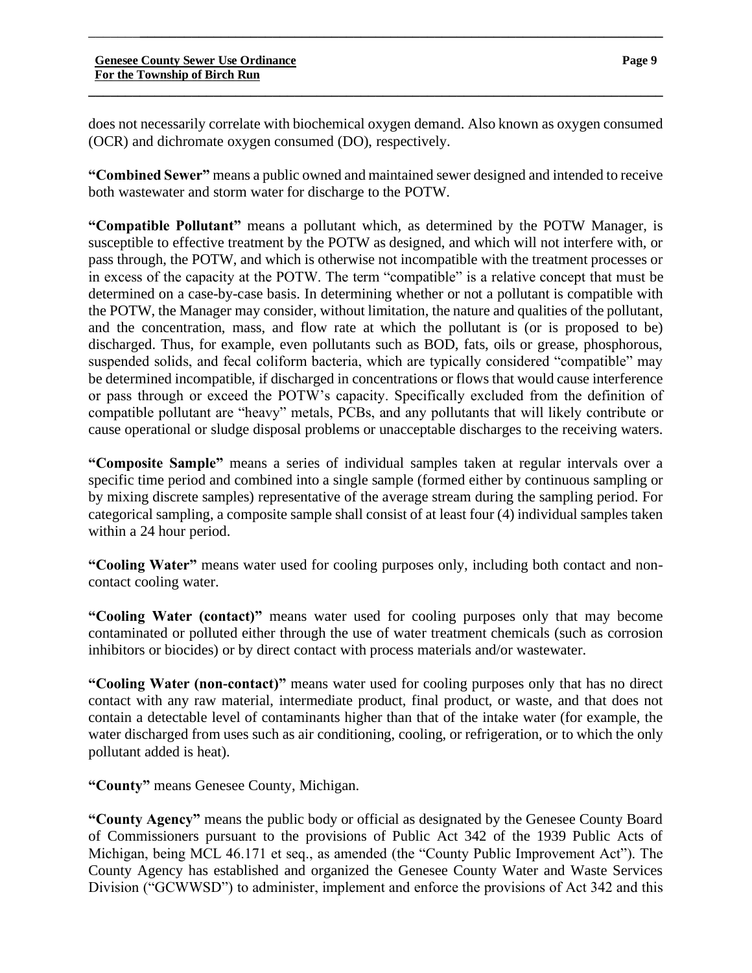does not necessarily correlate with biochemical oxygen demand. Also known as oxygen consumed (OCR) and dichromate oxygen consumed (DO), respectively.

**\_\_\_\_\_\_\_\_\_\_\_\_\_\_\_\_\_\_\_\_\_\_\_\_\_\_\_\_\_\_\_\_\_\_\_\_\_\_\_\_\_\_\_\_\_\_\_\_\_\_\_\_\_\_\_\_\_\_\_\_\_\_\_\_\_\_\_\_\_\_\_\_\_\_\_\_\_\_**

\_\_\_\_\_\_\_**\_\_\_\_\_\_\_\_\_\_\_\_\_\_\_\_\_\_\_\_\_\_\_\_\_\_\_\_\_\_\_\_\_\_\_\_\_\_\_\_\_\_\_\_\_\_\_\_\_\_\_\_\_\_\_\_\_\_\_\_\_\_\_\_\_\_\_\_\_\_\_**

**"Combined Sewer"** means a public owned and maintained sewer designed and intended to receive both wastewater and storm water for discharge to the POTW.

**"Compatible Pollutant"** means a pollutant which, as determined by the POTW Manager, is susceptible to effective treatment by the POTW as designed, and which will not interfere with, or pass through, the POTW, and which is otherwise not incompatible with the treatment processes or in excess of the capacity at the POTW. The term "compatible" is a relative concept that must be determined on a case-by-case basis. In determining whether or not a pollutant is compatible with the POTW, the Manager may consider, without limitation, the nature and qualities of the pollutant, and the concentration, mass, and flow rate at which the pollutant is (or is proposed to be) discharged. Thus, for example, even pollutants such as BOD, fats, oils or grease, phosphorous, suspended solids, and fecal coliform bacteria, which are typically considered "compatible" may be determined incompatible, if discharged in concentrations or flows that would cause interference or pass through or exceed the POTW's capacity. Specifically excluded from the definition of compatible pollutant are "heavy" metals, PCBs, and any pollutants that will likely contribute or cause operational or sludge disposal problems or unacceptable discharges to the receiving waters.

**"Composite Sample"** means a series of individual samples taken at regular intervals over a specific time period and combined into a single sample (formed either by continuous sampling or by mixing discrete samples) representative of the average stream during the sampling period. For categorical sampling, a composite sample shall consist of at least four (4) individual samples taken within a 24 hour period.

**"Cooling Water"** means water used for cooling purposes only, including both contact and noncontact cooling water.

**"Cooling Water (contact)"** means water used for cooling purposes only that may become contaminated or polluted either through the use of water treatment chemicals (such as corrosion inhibitors or biocides) or by direct contact with process materials and/or wastewater.

**"Cooling Water (non-contact)"** means water used for cooling purposes only that has no direct contact with any raw material, intermediate product, final product, or waste, and that does not contain a detectable level of contaminants higher than that of the intake water (for example, the water discharged from uses such as air conditioning, cooling, or refrigeration, or to which the only pollutant added is heat).

**"County"** means Genesee County, Michigan.

**"County Agency"** means the public body or official as designated by the Genesee County Board of Commissioners pursuant to the provisions of Public Act 342 of the 1939 Public Acts of Michigan, being MCL 46.171 et seq., as amended (the "County Public Improvement Act"). The County Agency has established and organized the Genesee County Water and Waste Services Division ("GCWWSD") to administer, implement and enforce the provisions of Act 342 and this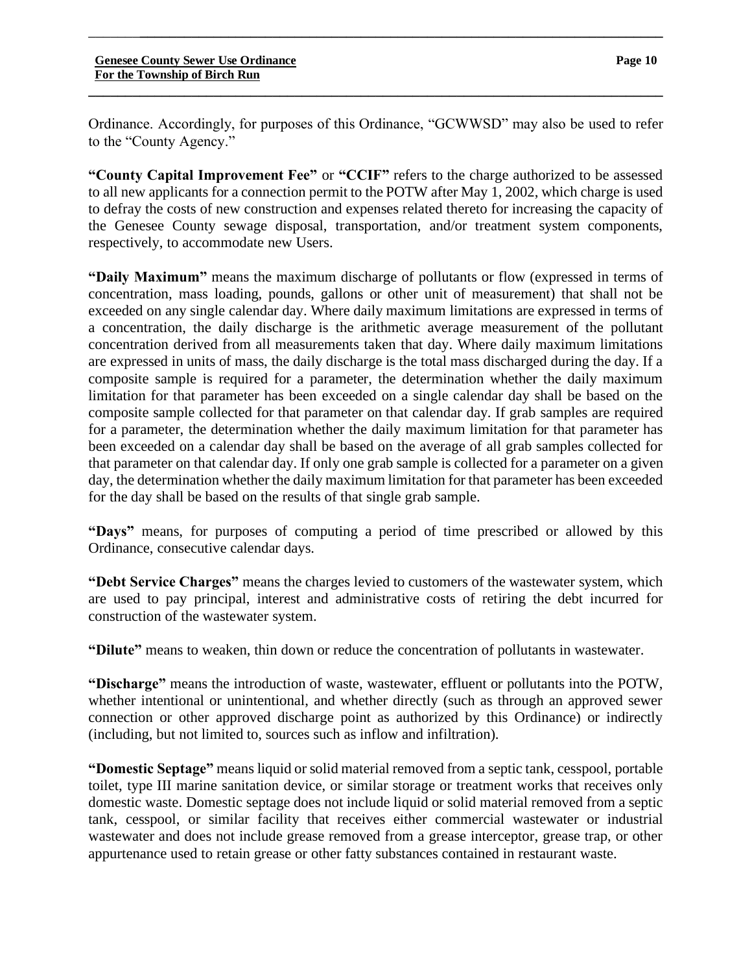Ordinance. Accordingly, for purposes of this Ordinance, "GCWWSD" may also be used to refer to the "County Agency."

**\_\_\_\_\_\_\_\_\_\_\_\_\_\_\_\_\_\_\_\_\_\_\_\_\_\_\_\_\_\_\_\_\_\_\_\_\_\_\_\_\_\_\_\_\_\_\_\_\_\_\_\_\_\_\_\_\_\_\_\_\_\_\_\_\_\_\_\_\_\_\_\_\_\_\_\_\_\_**

\_\_\_\_\_\_\_**\_\_\_\_\_\_\_\_\_\_\_\_\_\_\_\_\_\_\_\_\_\_\_\_\_\_\_\_\_\_\_\_\_\_\_\_\_\_\_\_\_\_\_\_\_\_\_\_\_\_\_\_\_\_\_\_\_\_\_\_\_\_\_\_\_\_\_\_\_\_\_**

**"County Capital Improvement Fee"** or **"CCIF"** refers to the charge authorized to be assessed to all new applicants for a connection permit to the POTW after May 1, 2002, which charge is used to defray the costs of new construction and expenses related thereto for increasing the capacity of the Genesee County sewage disposal, transportation, and/or treatment system components, respectively, to accommodate new Users.

**"Daily Maximum"** means the maximum discharge of pollutants or flow (expressed in terms of concentration, mass loading, pounds, gallons or other unit of measurement) that shall not be exceeded on any single calendar day. Where daily maximum limitations are expressed in terms of a concentration, the daily discharge is the arithmetic average measurement of the pollutant concentration derived from all measurements taken that day. Where daily maximum limitations are expressed in units of mass, the daily discharge is the total mass discharged during the day. If a composite sample is required for a parameter, the determination whether the daily maximum limitation for that parameter has been exceeded on a single calendar day shall be based on the composite sample collected for that parameter on that calendar day. If grab samples are required for a parameter, the determination whether the daily maximum limitation for that parameter has been exceeded on a calendar day shall be based on the average of all grab samples collected for that parameter on that calendar day. If only one grab sample is collected for a parameter on a given day, the determination whether the daily maximum limitation for that parameter has been exceeded for the day shall be based on the results of that single grab sample.

**"Days"** means, for purposes of computing a period of time prescribed or allowed by this Ordinance, consecutive calendar days.

**"Debt Service Charges"** means the charges levied to customers of the wastewater system, which are used to pay principal, interest and administrative costs of retiring the debt incurred for construction of the wastewater system.

**"Dilute"** means to weaken, thin down or reduce the concentration of pollutants in wastewater.

**"Discharge"** means the introduction of waste, wastewater, effluent or pollutants into the POTW, whether intentional or unintentional, and whether directly (such as through an approved sewer connection or other approved discharge point as authorized by this Ordinance) or indirectly (including, but not limited to, sources such as inflow and infiltration).

**"Domestic Septage"** means liquid or solid material removed from a septic tank, cesspool, portable toilet, type III marine sanitation device, or similar storage or treatment works that receives only domestic waste. Domestic septage does not include liquid or solid material removed from a septic tank, cesspool, or similar facility that receives either commercial wastewater or industrial wastewater and does not include grease removed from a grease interceptor, grease trap, or other appurtenance used to retain grease or other fatty substances contained in restaurant waste.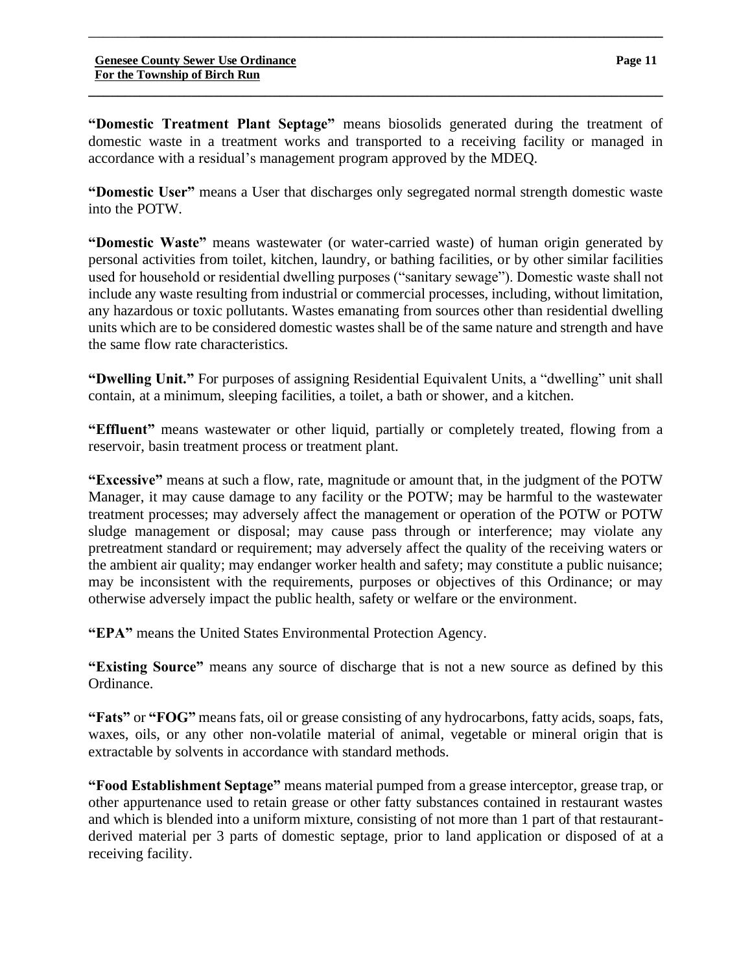**"Domestic Treatment Plant Septage"** means biosolids generated during the treatment of domestic waste in a treatment works and transported to a receiving facility or managed in accordance with a residual's management program approved by the MDEQ.

**\_\_\_\_\_\_\_\_\_\_\_\_\_\_\_\_\_\_\_\_\_\_\_\_\_\_\_\_\_\_\_\_\_\_\_\_\_\_\_\_\_\_\_\_\_\_\_\_\_\_\_\_\_\_\_\_\_\_\_\_\_\_\_\_\_\_\_\_\_\_\_\_\_\_\_\_\_\_**

\_\_\_\_\_\_\_**\_\_\_\_\_\_\_\_\_\_\_\_\_\_\_\_\_\_\_\_\_\_\_\_\_\_\_\_\_\_\_\_\_\_\_\_\_\_\_\_\_\_\_\_\_\_\_\_\_\_\_\_\_\_\_\_\_\_\_\_\_\_\_\_\_\_\_\_\_\_\_**

**"Domestic User"** means a User that discharges only segregated normal strength domestic waste into the POTW.

**"Domestic Waste"** means wastewater (or water-carried waste) of human origin generated by personal activities from toilet, kitchen, laundry, or bathing facilities, or by other similar facilities used for household or residential dwelling purposes ("sanitary sewage"). Domestic waste shall not include any waste resulting from industrial or commercial processes, including, without limitation, any hazardous or toxic pollutants. Wastes emanating from sources other than residential dwelling units which are to be considered domestic wastes shall be of the same nature and strength and have the same flow rate characteristics.

**"Dwelling Unit."** For purposes of assigning Residential Equivalent Units, a "dwelling" unit shall contain, at a minimum, sleeping facilities, a toilet, a bath or shower, and a kitchen.

**"Effluent"** means wastewater or other liquid, partially or completely treated, flowing from a reservoir, basin treatment process or treatment plant.

**"Excessive"** means at such a flow, rate, magnitude or amount that, in the judgment of the POTW Manager, it may cause damage to any facility or the POTW; may be harmful to the wastewater treatment processes; may adversely affect the management or operation of the POTW or POTW sludge management or disposal; may cause pass through or interference; may violate any pretreatment standard or requirement; may adversely affect the quality of the receiving waters or the ambient air quality; may endanger worker health and safety; may constitute a public nuisance; may be inconsistent with the requirements, purposes or objectives of this Ordinance; or may otherwise adversely impact the public health, safety or welfare or the environment.

**"EPA"** means the United States Environmental Protection Agency.

**"Existing Source"** means any source of discharge that is not a new source as defined by this Ordinance.

**"Fats"** or **"FOG"** means fats, oil or grease consisting of any hydrocarbons, fatty acids, soaps, fats, waxes, oils, or any other non-volatile material of animal, vegetable or mineral origin that is extractable by solvents in accordance with standard methods.

**"Food Establishment Septage"** means material pumped from a grease interceptor, grease trap, or other appurtenance used to retain grease or other fatty substances contained in restaurant wastes and which is blended into a uniform mixture, consisting of not more than 1 part of that restaurantderived material per 3 parts of domestic septage, prior to land application or disposed of at a receiving facility.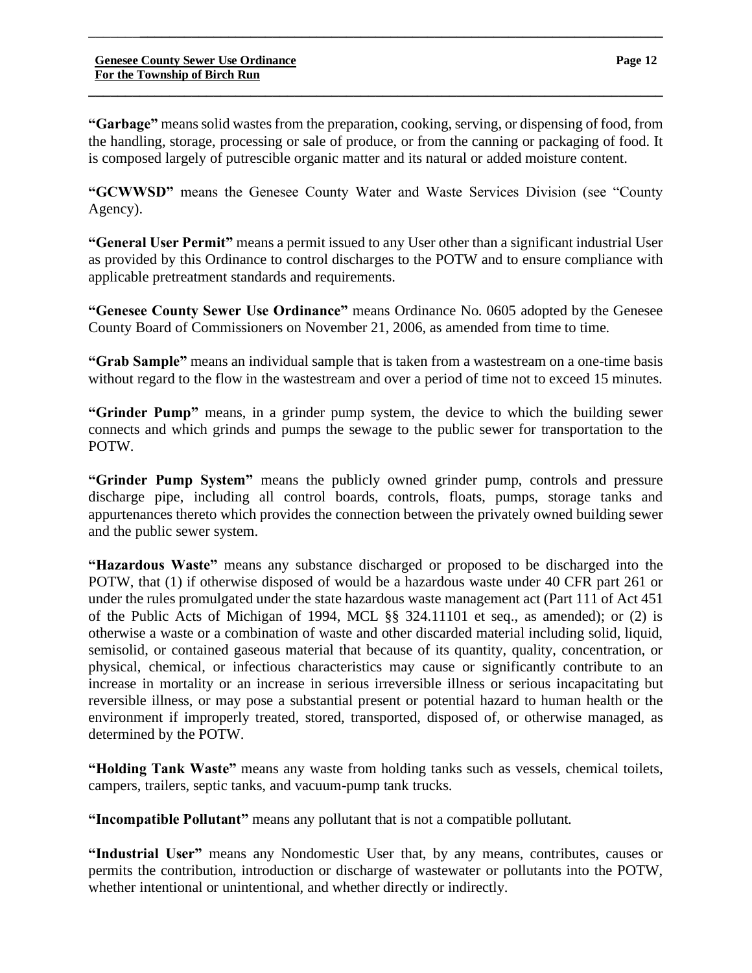**"Garbage"** means solid wastes from the preparation, cooking, serving, or dispensing of food, from the handling, storage, processing or sale of produce, or from the canning or packaging of food. It is composed largely of putrescible organic matter and its natural or added moisture content.

**\_\_\_\_\_\_\_\_\_\_\_\_\_\_\_\_\_\_\_\_\_\_\_\_\_\_\_\_\_\_\_\_\_\_\_\_\_\_\_\_\_\_\_\_\_\_\_\_\_\_\_\_\_\_\_\_\_\_\_\_\_\_\_\_\_\_\_\_\_\_\_\_\_\_\_\_\_\_**

\_\_\_\_\_\_\_**\_\_\_\_\_\_\_\_\_\_\_\_\_\_\_\_\_\_\_\_\_\_\_\_\_\_\_\_\_\_\_\_\_\_\_\_\_\_\_\_\_\_\_\_\_\_\_\_\_\_\_\_\_\_\_\_\_\_\_\_\_\_\_\_\_\_\_\_\_\_\_**

**"GCWWSD"** means the Genesee County Water and Waste Services Division (see "County Agency).

**"General User Permit"** means a permit issued to any User other than a significant industrial User as provided by this Ordinance to control discharges to the POTW and to ensure compliance with applicable pretreatment standards and requirements.

**"Genesee County Sewer Use Ordinance"** means Ordinance No. 0605 adopted by the Genesee County Board of Commissioners on November 21, 2006, as amended from time to time.

**"Grab Sample"** means an individual sample that is taken from a wastestream on a one-time basis without regard to the flow in the wastestream and over a period of time not to exceed 15 minutes.

**"Grinder Pump"** means, in a grinder pump system, the device to which the building sewer connects and which grinds and pumps the sewage to the public sewer for transportation to the POTW.

**"Grinder Pump System"** means the publicly owned grinder pump, controls and pressure discharge pipe, including all control boards, controls, floats, pumps, storage tanks and appurtenances thereto which provides the connection between the privately owned building sewer and the public sewer system.

**"Hazardous Waste"** means any substance discharged or proposed to be discharged into the POTW, that (1) if otherwise disposed of would be a hazardous waste under 40 CFR part 261 or under the rules promulgated under the state hazardous waste management act (Part 111 of Act 451 of the Public Acts of Michigan of 1994, MCL §§ 324.11101 et seq., as amended); or (2) is otherwise a waste or a combination of waste and other discarded material including solid, liquid, semisolid, or contained gaseous material that because of its quantity, quality, concentration, or physical, chemical, or infectious characteristics may cause or significantly contribute to an increase in mortality or an increase in serious irreversible illness or serious incapacitating but reversible illness, or may pose a substantial present or potential hazard to human health or the environment if improperly treated, stored, transported, disposed of, or otherwise managed, as determined by the POTW.

**"Holding Tank Waste"** means any waste from holding tanks such as vessels, chemical toilets, campers, trailers, septic tanks, and vacuum-pump tank trucks.

**"Incompatible Pollutant"** means any pollutant that is not a compatible pollutant.

**"Industrial User"** means any Nondomestic User that, by any means, contributes, causes or permits the contribution, introduction or discharge of wastewater or pollutants into the POTW, whether intentional or unintentional, and whether directly or indirectly.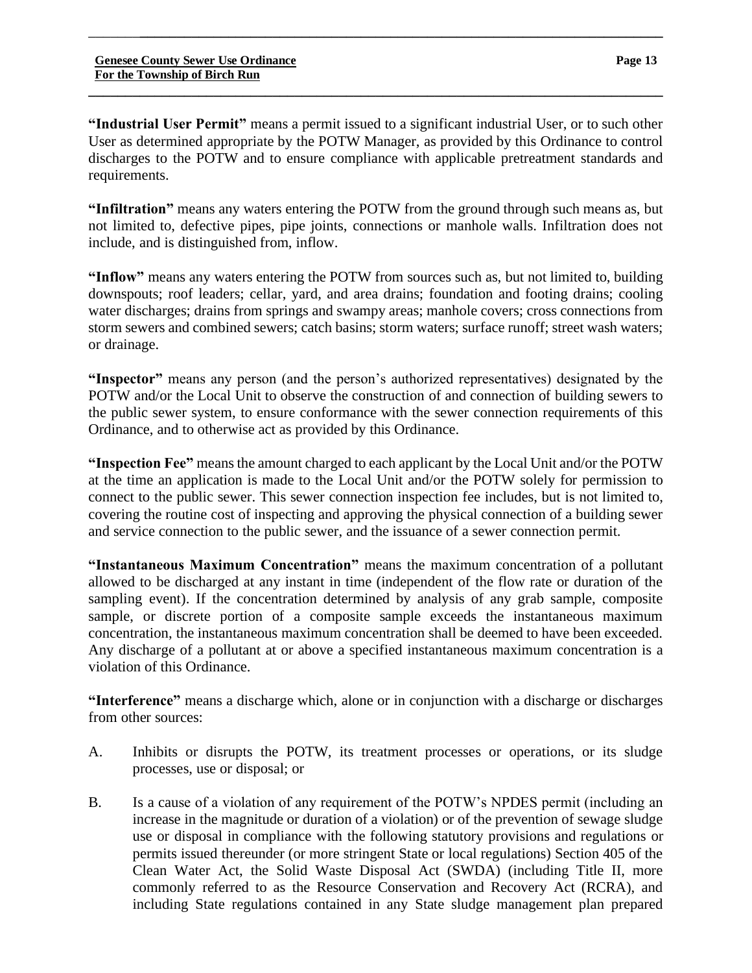**"Industrial User Permit"** means a permit issued to a significant industrial User, or to such other User as determined appropriate by the POTW Manager, as provided by this Ordinance to control discharges to the POTW and to ensure compliance with applicable pretreatment standards and requirements.

\_\_\_\_\_\_\_**\_\_\_\_\_\_\_\_\_\_\_\_\_\_\_\_\_\_\_\_\_\_\_\_\_\_\_\_\_\_\_\_\_\_\_\_\_\_\_\_\_\_\_\_\_\_\_\_\_\_\_\_\_\_\_\_\_\_\_\_\_\_\_\_\_\_\_\_\_\_\_**

**\_\_\_\_\_\_\_\_\_\_\_\_\_\_\_\_\_\_\_\_\_\_\_\_\_\_\_\_\_\_\_\_\_\_\_\_\_\_\_\_\_\_\_\_\_\_\_\_\_\_\_\_\_\_\_\_\_\_\_\_\_\_\_\_\_\_\_\_\_\_\_\_\_\_\_\_\_\_**

**"Infiltration"** means any waters entering the POTW from the ground through such means as, but not limited to, defective pipes, pipe joints, connections or manhole walls. Infiltration does not include, and is distinguished from, inflow.

**"Inflow"** means any waters entering the POTW from sources such as, but not limited to, building downspouts; roof leaders; cellar, yard, and area drains; foundation and footing drains; cooling water discharges; drains from springs and swampy areas; manhole covers; cross connections from storm sewers and combined sewers; catch basins; storm waters; surface runoff; street wash waters; or drainage.

**"Inspector"** means any person (and the person's authorized representatives) designated by the POTW and/or the Local Unit to observe the construction of and connection of building sewers to the public sewer system, to ensure conformance with the sewer connection requirements of this Ordinance, and to otherwise act as provided by this Ordinance.

**"Inspection Fee"** means the amount charged to each applicant by the Local Unit and/or the POTW at the time an application is made to the Local Unit and/or the POTW solely for permission to connect to the public sewer. This sewer connection inspection fee includes, but is not limited to, covering the routine cost of inspecting and approving the physical connection of a building sewer and service connection to the public sewer, and the issuance of a sewer connection permit.

**"Instantaneous Maximum Concentration"** means the maximum concentration of a pollutant allowed to be discharged at any instant in time (independent of the flow rate or duration of the sampling event). If the concentration determined by analysis of any grab sample, composite sample, or discrete portion of a composite sample exceeds the instantaneous maximum concentration, the instantaneous maximum concentration shall be deemed to have been exceeded. Any discharge of a pollutant at or above a specified instantaneous maximum concentration is a violation of this Ordinance.

**"Interference"** means a discharge which, alone or in conjunction with a discharge or discharges from other sources:

- A. Inhibits or disrupts the POTW, its treatment processes or operations, or its sludge processes, use or disposal; or
- B. Is a cause of a violation of any requirement of the POTW's NPDES permit (including an increase in the magnitude or duration of a violation) or of the prevention of sewage sludge use or disposal in compliance with the following statutory provisions and regulations or permits issued thereunder (or more stringent State or local regulations) Section 405 of the Clean Water Act, the Solid Waste Disposal Act (SWDA) (including Title II, more commonly referred to as the Resource Conservation and Recovery Act (RCRA), and including State regulations contained in any State sludge management plan prepared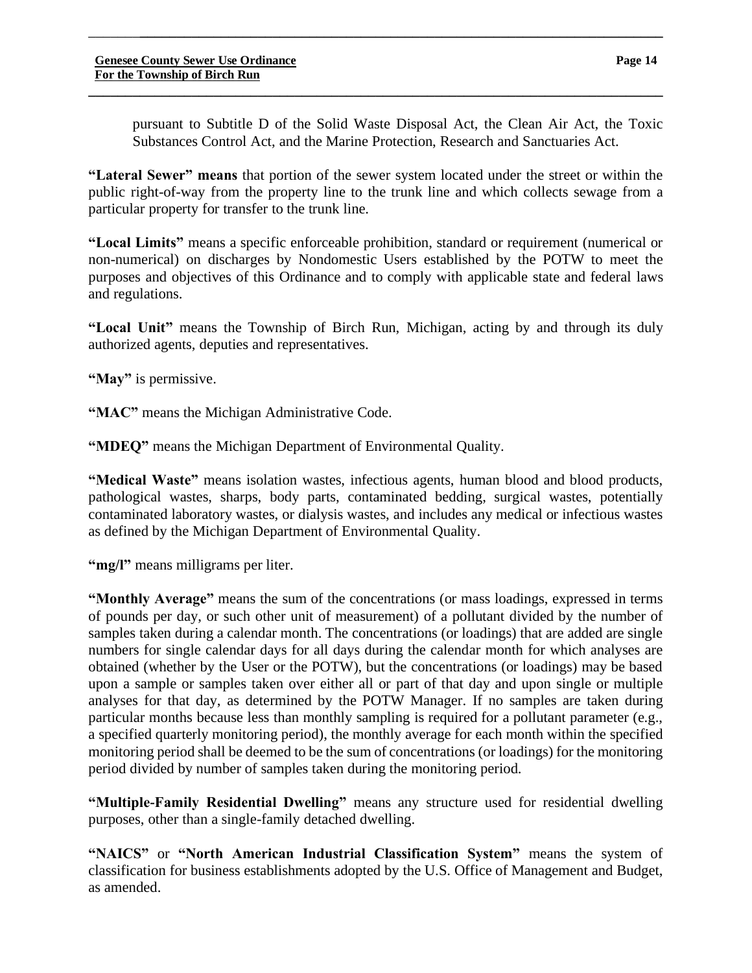pursuant to Subtitle D of the Solid Waste Disposal Act, the Clean Air Act, the Toxic Substances Control Act, and the Marine Protection, Research and Sanctuaries Act.

**"Lateral Sewer" means** that portion of the sewer system located under the street or within the public right-of-way from the property line to the trunk line and which collects sewage from a particular property for transfer to the trunk line.

\_\_\_\_\_\_\_**\_\_\_\_\_\_\_\_\_\_\_\_\_\_\_\_\_\_\_\_\_\_\_\_\_\_\_\_\_\_\_\_\_\_\_\_\_\_\_\_\_\_\_\_\_\_\_\_\_\_\_\_\_\_\_\_\_\_\_\_\_\_\_\_\_\_\_\_\_\_\_**

**\_\_\_\_\_\_\_\_\_\_\_\_\_\_\_\_\_\_\_\_\_\_\_\_\_\_\_\_\_\_\_\_\_\_\_\_\_\_\_\_\_\_\_\_\_\_\_\_\_\_\_\_\_\_\_\_\_\_\_\_\_\_\_\_\_\_\_\_\_\_\_\_\_\_\_\_\_\_**

**"Local Limits"** means a specific enforceable prohibition, standard or requirement (numerical or non-numerical) on discharges by Nondomestic Users established by the POTW to meet the purposes and objectives of this Ordinance and to comply with applicable state and federal laws and regulations.

**"Local Unit"** means the Township of Birch Run, Michigan, acting by and through its duly authorized agents, deputies and representatives.

**"May"** is permissive.

**"MAC"** means the Michigan Administrative Code.

**"MDEQ"** means the Michigan Department of Environmental Quality.

**"Medical Waste"** means isolation wastes, infectious agents, human blood and blood products, pathological wastes, sharps, body parts, contaminated bedding, surgical wastes, potentially contaminated laboratory wastes, or dialysis wastes, and includes any medical or infectious wastes as defined by the Michigan Department of Environmental Quality.

**"mg/l"** means milligrams per liter.

**"Monthly Average"** means the sum of the concentrations (or mass loadings, expressed in terms of pounds per day, or such other unit of measurement) of a pollutant divided by the number of samples taken during a calendar month. The concentrations (or loadings) that are added are single numbers for single calendar days for all days during the calendar month for which analyses are obtained (whether by the User or the POTW), but the concentrations (or loadings) may be based upon a sample or samples taken over either all or part of that day and upon single or multiple analyses for that day, as determined by the POTW Manager. If no samples are taken during particular months because less than monthly sampling is required for a pollutant parameter (e.g., a specified quarterly monitoring period), the monthly average for each month within the specified monitoring period shall be deemed to be the sum of concentrations (or loadings) for the monitoring period divided by number of samples taken during the monitoring period.

**"Multiple-Family Residential Dwelling"** means any structure used for residential dwelling purposes, other than a single-family detached dwelling.

**"NAICS"** or **"North American Industrial Classification System"** means the system of classification for business establishments adopted by the U.S. Office of Management and Budget, as amended.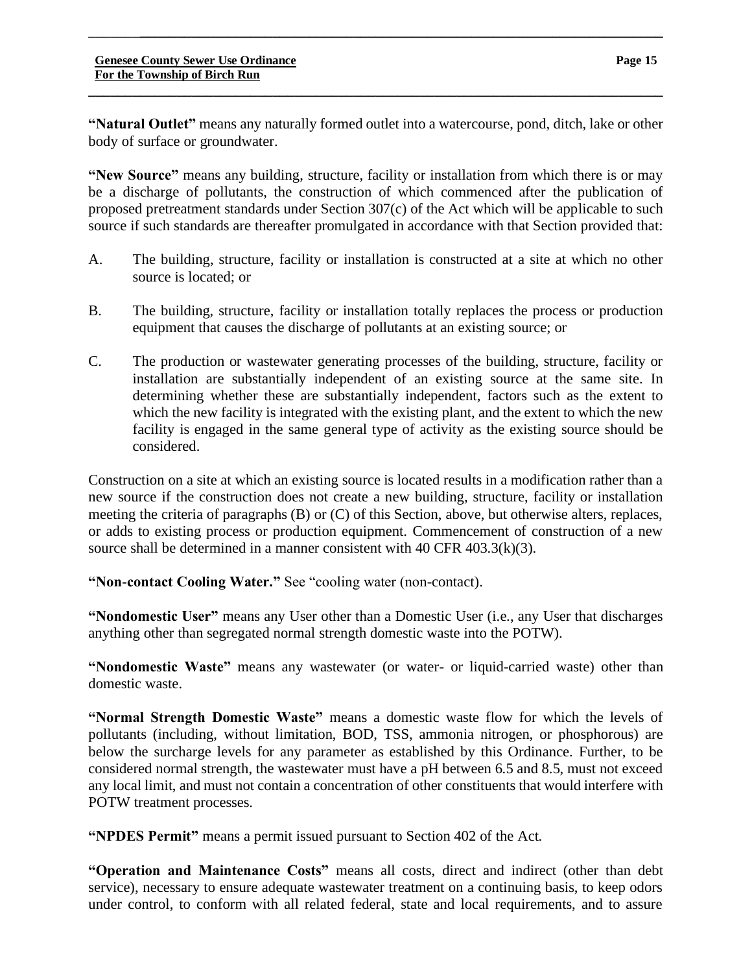**\_\_\_\_\_\_\_\_\_\_\_\_\_\_\_\_\_\_\_\_\_\_\_\_\_\_\_\_\_\_\_\_\_\_\_\_\_\_\_\_\_\_\_\_\_\_\_\_\_\_\_\_\_\_\_\_\_\_\_\_\_\_\_\_\_\_\_\_\_\_\_\_\_\_\_\_\_\_**

**"New Source"** means any building, structure, facility or installation from which there is or may be a discharge of pollutants, the construction of which commenced after the publication of proposed pretreatment standards under Section 307(c) of the Act which will be applicable to such source if such standards are thereafter promulgated in accordance with that Section provided that:

- A. The building, structure, facility or installation is constructed at a site at which no other source is located; or
- B. The building, structure, facility or installation totally replaces the process or production equipment that causes the discharge of pollutants at an existing source; or
- C. The production or wastewater generating processes of the building, structure, facility or installation are substantially independent of an existing source at the same site. In determining whether these are substantially independent, factors such as the extent to which the new facility is integrated with the existing plant, and the extent to which the new facility is engaged in the same general type of activity as the existing source should be considered.

Construction on a site at which an existing source is located results in a modification rather than a new source if the construction does not create a new building, structure, facility or installation meeting the criteria of paragraphs (B) or (C) of this Section, above, but otherwise alters, replaces, or adds to existing process or production equipment. Commencement of construction of a new source shall be determined in a manner consistent with 40 CFR 403.3(k)(3).

**"Non-contact Cooling Water."** See "cooling water (non-contact).

**"Nondomestic User"** means any User other than a Domestic User (i.e., any User that discharges anything other than segregated normal strength domestic waste into the POTW).

**"Nondomestic Waste"** means any wastewater (or water- or liquid-carried waste) other than domestic waste.

**"Normal Strength Domestic Waste"** means a domestic waste flow for which the levels of pollutants (including, without limitation, BOD, TSS, ammonia nitrogen, or phosphorous) are below the surcharge levels for any parameter as established by this Ordinance. Further, to be considered normal strength, the wastewater must have a pH between 6.5 and 8.5, must not exceed any local limit, and must not contain a concentration of other constituents that would interfere with POTW treatment processes.

**"NPDES Permit"** means a permit issued pursuant to Section 402 of the Act.

**"Operation and Maintenance Costs"** means all costs, direct and indirect (other than debt service), necessary to ensure adequate wastewater treatment on a continuing basis, to keep odors under control, to conform with all related federal, state and local requirements, and to assure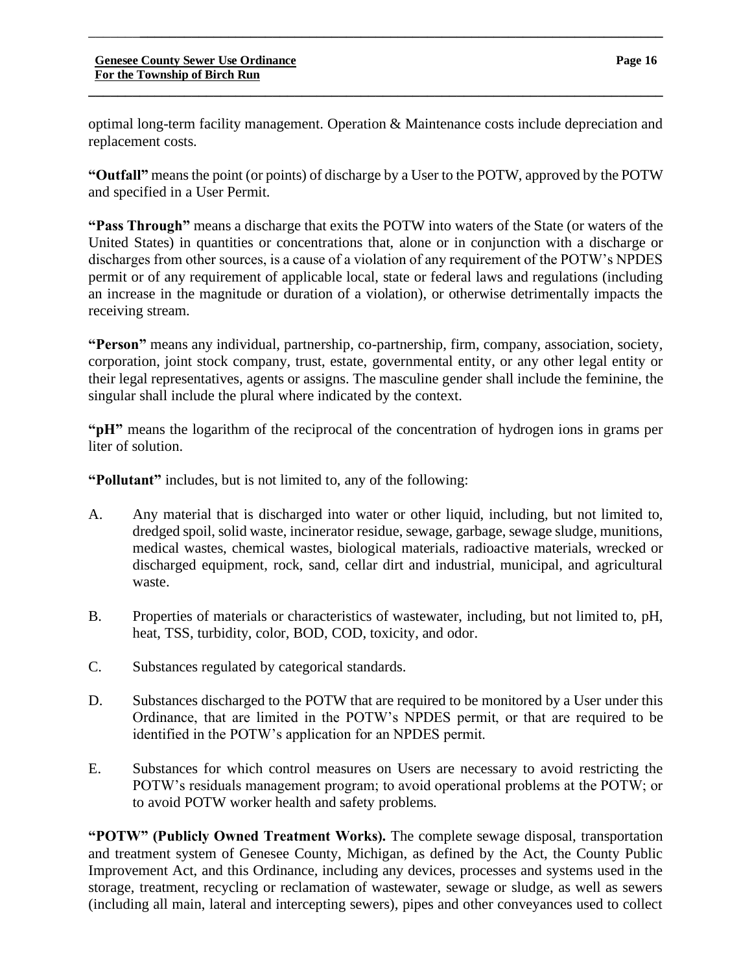optimal long-term facility management. Operation & Maintenance costs include depreciation and replacement costs.

**\_\_\_\_\_\_\_\_\_\_\_\_\_\_\_\_\_\_\_\_\_\_\_\_\_\_\_\_\_\_\_\_\_\_\_\_\_\_\_\_\_\_\_\_\_\_\_\_\_\_\_\_\_\_\_\_\_\_\_\_\_\_\_\_\_\_\_\_\_\_\_\_\_\_\_\_\_\_**

\_\_\_\_\_\_\_**\_\_\_\_\_\_\_\_\_\_\_\_\_\_\_\_\_\_\_\_\_\_\_\_\_\_\_\_\_\_\_\_\_\_\_\_\_\_\_\_\_\_\_\_\_\_\_\_\_\_\_\_\_\_\_\_\_\_\_\_\_\_\_\_\_\_\_\_\_\_\_**

**"Outfall"** means the point (or points) of discharge by a User to the POTW, approved by the POTW and specified in a User Permit.

**"Pass Through"** means a discharge that exits the POTW into waters of the State (or waters of the United States) in quantities or concentrations that, alone or in conjunction with a discharge or discharges from other sources, is a cause of a violation of any requirement of the POTW's NPDES permit or of any requirement of applicable local, state or federal laws and regulations (including an increase in the magnitude or duration of a violation), or otherwise detrimentally impacts the receiving stream.

**"Person"** means any individual, partnership, co-partnership, firm, company, association, society, corporation, joint stock company, trust, estate, governmental entity, or any other legal entity or their legal representatives, agents or assigns. The masculine gender shall include the feminine, the singular shall include the plural where indicated by the context.

**"pH"** means the logarithm of the reciprocal of the concentration of hydrogen ions in grams per liter of solution.

**"Pollutant"** includes, but is not limited to, any of the following:

- A. Any material that is discharged into water or other liquid, including, but not limited to, dredged spoil, solid waste, incinerator residue, sewage, garbage, sewage sludge, munitions, medical wastes, chemical wastes, biological materials, radioactive materials, wrecked or discharged equipment, rock, sand, cellar dirt and industrial, municipal, and agricultural waste.
- B. Properties of materials or characteristics of wastewater, including, but not limited to, pH, heat, TSS, turbidity, color, BOD, COD, toxicity, and odor.
- C. Substances regulated by categorical standards.
- D. Substances discharged to the POTW that are required to be monitored by a User under this Ordinance, that are limited in the POTW's NPDES permit, or that are required to be identified in the POTW's application for an NPDES permit.
- E. Substances for which control measures on Users are necessary to avoid restricting the POTW's residuals management program; to avoid operational problems at the POTW; or to avoid POTW worker health and safety problems.

**"POTW" (Publicly Owned Treatment Works).** The complete sewage disposal, transportation and treatment system of Genesee County, Michigan, as defined by the Act, the County Public Improvement Act, and this Ordinance, including any devices, processes and systems used in the storage, treatment, recycling or reclamation of wastewater, sewage or sludge, as well as sewers (including all main, lateral and intercepting sewers), pipes and other conveyances used to collect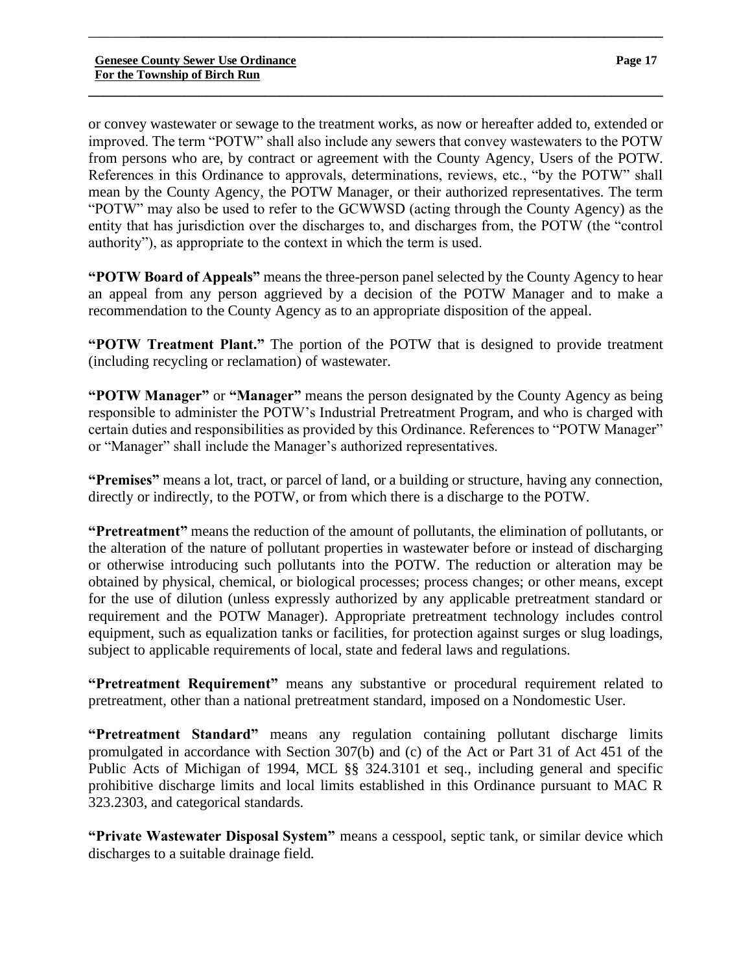or convey wastewater or sewage to the treatment works, as now or hereafter added to, extended or improved. The term "POTW" shall also include any sewers that convey wastewaters to the POTW from persons who are, by contract or agreement with the County Agency, Users of the POTW. References in this Ordinance to approvals, determinations, reviews, etc., "by the POTW" shall mean by the County Agency, the POTW Manager, or their authorized representatives. The term "POTW" may also be used to refer to the GCWWSD (acting through the County Agency) as the entity that has jurisdiction over the discharges to, and discharges from, the POTW (the "control authority"), as appropriate to the context in which the term is used.

\_\_\_\_\_\_\_**\_\_\_\_\_\_\_\_\_\_\_\_\_\_\_\_\_\_\_\_\_\_\_\_\_\_\_\_\_\_\_\_\_\_\_\_\_\_\_\_\_\_\_\_\_\_\_\_\_\_\_\_\_\_\_\_\_\_\_\_\_\_\_\_\_\_\_\_\_\_\_**

**\_\_\_\_\_\_\_\_\_\_\_\_\_\_\_\_\_\_\_\_\_\_\_\_\_\_\_\_\_\_\_\_\_\_\_\_\_\_\_\_\_\_\_\_\_\_\_\_\_\_\_\_\_\_\_\_\_\_\_\_\_\_\_\_\_\_\_\_\_\_\_\_\_\_\_\_\_\_**

**"POTW Board of Appeals"** means the three-person panel selected by the County Agency to hear an appeal from any person aggrieved by a decision of the POTW Manager and to make a recommendation to the County Agency as to an appropriate disposition of the appeal.

**"POTW Treatment Plant."** The portion of the POTW that is designed to provide treatment (including recycling or reclamation) of wastewater.

**"POTW Manager"** or **"Manager"** means the person designated by the County Agency as being responsible to administer the POTW's Industrial Pretreatment Program, and who is charged with certain duties and responsibilities as provided by this Ordinance. References to "POTW Manager" or "Manager" shall include the Manager's authorized representatives.

**"Premises"** means a lot, tract, or parcel of land, or a building or structure, having any connection, directly or indirectly, to the POTW, or from which there is a discharge to the POTW.

**"Pretreatment"** means the reduction of the amount of pollutants, the elimination of pollutants, or the alteration of the nature of pollutant properties in wastewater before or instead of discharging or otherwise introducing such pollutants into the POTW. The reduction or alteration may be obtained by physical, chemical, or biological processes; process changes; or other means, except for the use of dilution (unless expressly authorized by any applicable pretreatment standard or requirement and the POTW Manager). Appropriate pretreatment technology includes control equipment, such as equalization tanks or facilities, for protection against surges or slug loadings, subject to applicable requirements of local, state and federal laws and regulations.

**"Pretreatment Requirement"** means any substantive or procedural requirement related to pretreatment, other than a national pretreatment standard, imposed on a Nondomestic User.

**"Pretreatment Standard"** means any regulation containing pollutant discharge limits promulgated in accordance with Section 307(b) and (c) of the Act or Part 31 of Act 451 of the Public Acts of Michigan of 1994, MCL §§ 324.3101 et seq., including general and specific prohibitive discharge limits and local limits established in this Ordinance pursuant to MAC R 323.2303, and categorical standards.

**"Private Wastewater Disposal System"** means a cesspool, septic tank, or similar device which discharges to a suitable drainage field.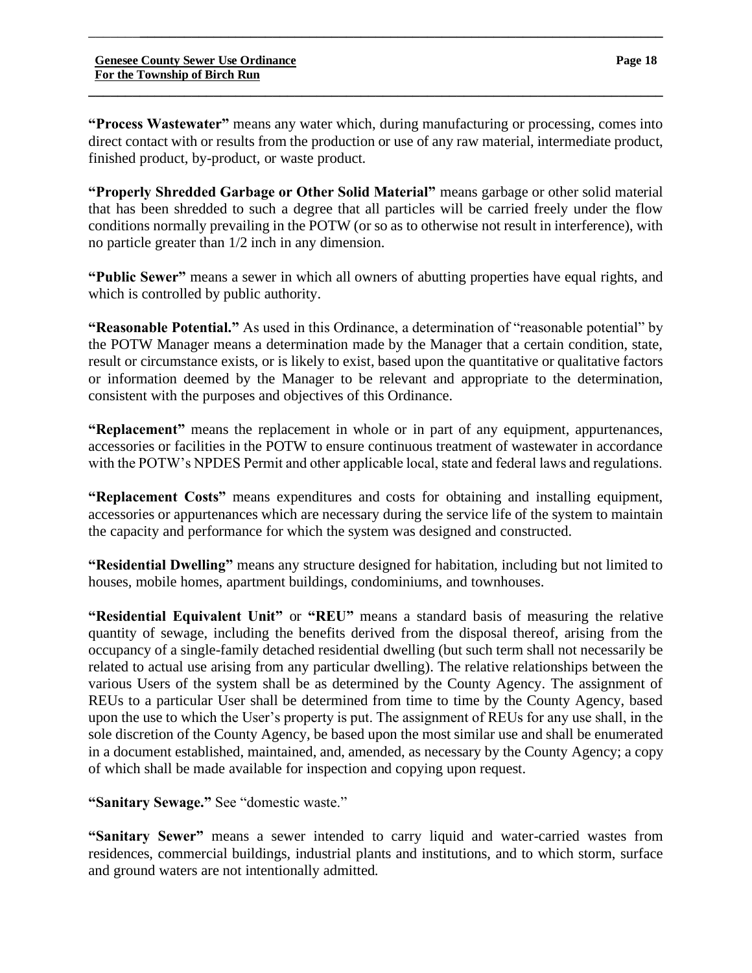**\_\_\_\_\_\_\_\_\_\_\_\_\_\_\_\_\_\_\_\_\_\_\_\_\_\_\_\_\_\_\_\_\_\_\_\_\_\_\_\_\_\_\_\_\_\_\_\_\_\_\_\_\_\_\_\_\_\_\_\_\_\_\_\_\_\_\_\_\_\_\_\_\_\_\_\_\_\_**

**"Properly Shredded Garbage or Other Solid Material"** means garbage or other solid material that has been shredded to such a degree that all particles will be carried freely under the flow conditions normally prevailing in the POTW (or so as to otherwise not result in interference), with no particle greater than 1/2 inch in any dimension.

**"Public Sewer"** means a sewer in which all owners of abutting properties have equal rights, and which is controlled by public authority.

**"Reasonable Potential."** As used in this Ordinance, a determination of "reasonable potential" by the POTW Manager means a determination made by the Manager that a certain condition, state, result or circumstance exists, or is likely to exist, based upon the quantitative or qualitative factors or information deemed by the Manager to be relevant and appropriate to the determination, consistent with the purposes and objectives of this Ordinance.

**"Replacement"** means the replacement in whole or in part of any equipment, appurtenances, accessories or facilities in the POTW to ensure continuous treatment of wastewater in accordance with the POTW's NPDES Permit and other applicable local, state and federal laws and regulations.

**"Replacement Costs"** means expenditures and costs for obtaining and installing equipment, accessories or appurtenances which are necessary during the service life of the system to maintain the capacity and performance for which the system was designed and constructed.

**"Residential Dwelling"** means any structure designed for habitation, including but not limited to houses, mobile homes, apartment buildings, condominiums, and townhouses.

**"Residential Equivalent Unit"** or **"REU"** means a standard basis of measuring the relative quantity of sewage, including the benefits derived from the disposal thereof, arising from the occupancy of a single-family detached residential dwelling (but such term shall not necessarily be related to actual use arising from any particular dwelling). The relative relationships between the various Users of the system shall be as determined by the County Agency. The assignment of REUs to a particular User shall be determined from time to time by the County Agency, based upon the use to which the User's property is put. The assignment of REUs for any use shall, in the sole discretion of the County Agency, be based upon the most similar use and shall be enumerated in a document established, maintained, and, amended, as necessary by the County Agency; a copy of which shall be made available for inspection and copying upon request.

**"Sanitary Sewage."** See "domestic waste."

**"Sanitary Sewer"** means a sewer intended to carry liquid and water-carried wastes from residences, commercial buildings, industrial plants and institutions, and to which storm, surface and ground waters are not intentionally admitted.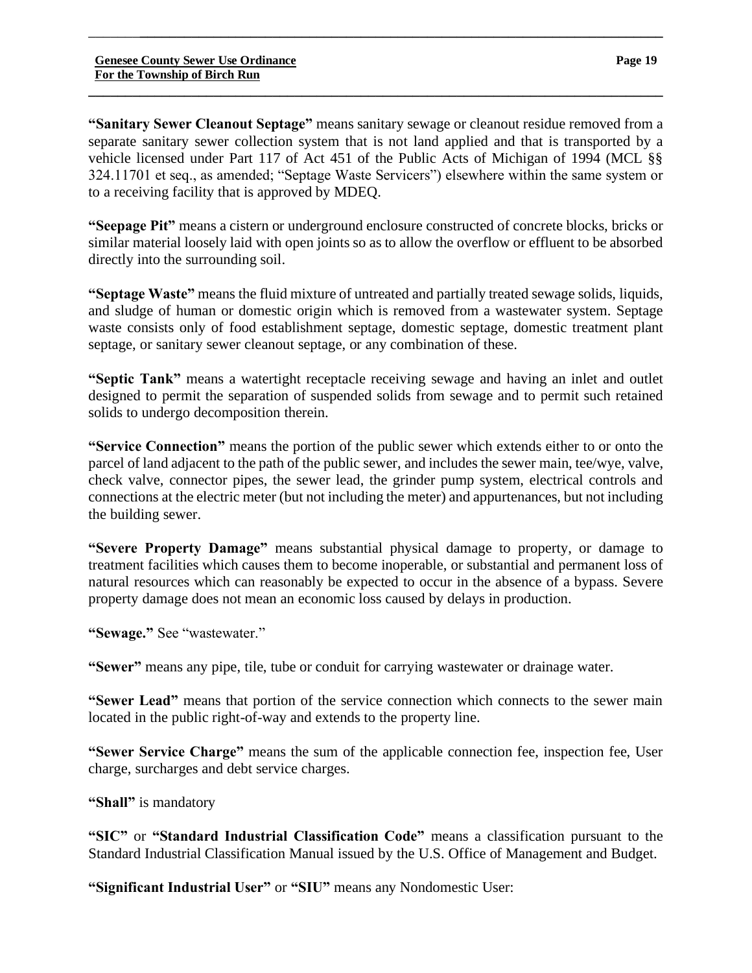**"Sanitary Sewer Cleanout Septage"** means sanitary sewage or cleanout residue removed from a separate sanitary sewer collection system that is not land applied and that is transported by a vehicle licensed under Part 117 of Act 451 of the Public Acts of Michigan of 1994 (MCL §§ 324.11701 et seq., as amended; "Septage Waste Servicers") elsewhere within the same system or to a receiving facility that is approved by MDEQ.

\_\_\_\_\_\_\_**\_\_\_\_\_\_\_\_\_\_\_\_\_\_\_\_\_\_\_\_\_\_\_\_\_\_\_\_\_\_\_\_\_\_\_\_\_\_\_\_\_\_\_\_\_\_\_\_\_\_\_\_\_\_\_\_\_\_\_\_\_\_\_\_\_\_\_\_\_\_\_**

**\_\_\_\_\_\_\_\_\_\_\_\_\_\_\_\_\_\_\_\_\_\_\_\_\_\_\_\_\_\_\_\_\_\_\_\_\_\_\_\_\_\_\_\_\_\_\_\_\_\_\_\_\_\_\_\_\_\_\_\_\_\_\_\_\_\_\_\_\_\_\_\_\_\_\_\_\_\_**

**"Seepage Pit"** means a cistern or underground enclosure constructed of concrete blocks, bricks or similar material loosely laid with open joints so as to allow the overflow or effluent to be absorbed directly into the surrounding soil.

**"Septage Waste"** means the fluid mixture of untreated and partially treated sewage solids, liquids, and sludge of human or domestic origin which is removed from a wastewater system. Septage waste consists only of food establishment septage, domestic septage, domestic treatment plant septage, or sanitary sewer cleanout septage, or any combination of these.

**"Septic Tank"** means a watertight receptacle receiving sewage and having an inlet and outlet designed to permit the separation of suspended solids from sewage and to permit such retained solids to undergo decomposition therein.

**"Service Connection"** means the portion of the public sewer which extends either to or onto the parcel of land adjacent to the path of the public sewer, and includes the sewer main, tee/wye, valve, check valve, connector pipes, the sewer lead, the grinder pump system, electrical controls and connections at the electric meter (but not including the meter) and appurtenances, but not including the building sewer.

**"Severe Property Damage"** means substantial physical damage to property, or damage to treatment facilities which causes them to become inoperable, or substantial and permanent loss of natural resources which can reasonably be expected to occur in the absence of a bypass. Severe property damage does not mean an economic loss caused by delays in production.

**"Sewage."** See "wastewater."

**"Sewer"** means any pipe, tile, tube or conduit for carrying wastewater or drainage water.

**"Sewer Lead"** means that portion of the service connection which connects to the sewer main located in the public right-of-way and extends to the property line.

**"Sewer Service Charge"** means the sum of the applicable connection fee, inspection fee, User charge, surcharges and debt service charges.

**"Shall"** is mandatory

**"SIC"** or **"Standard Industrial Classification Code"** means a classification pursuant to the Standard Industrial Classification Manual issued by the U.S. Office of Management and Budget.

**"Significant Industrial User"** or **"SIU"** means any Nondomestic User: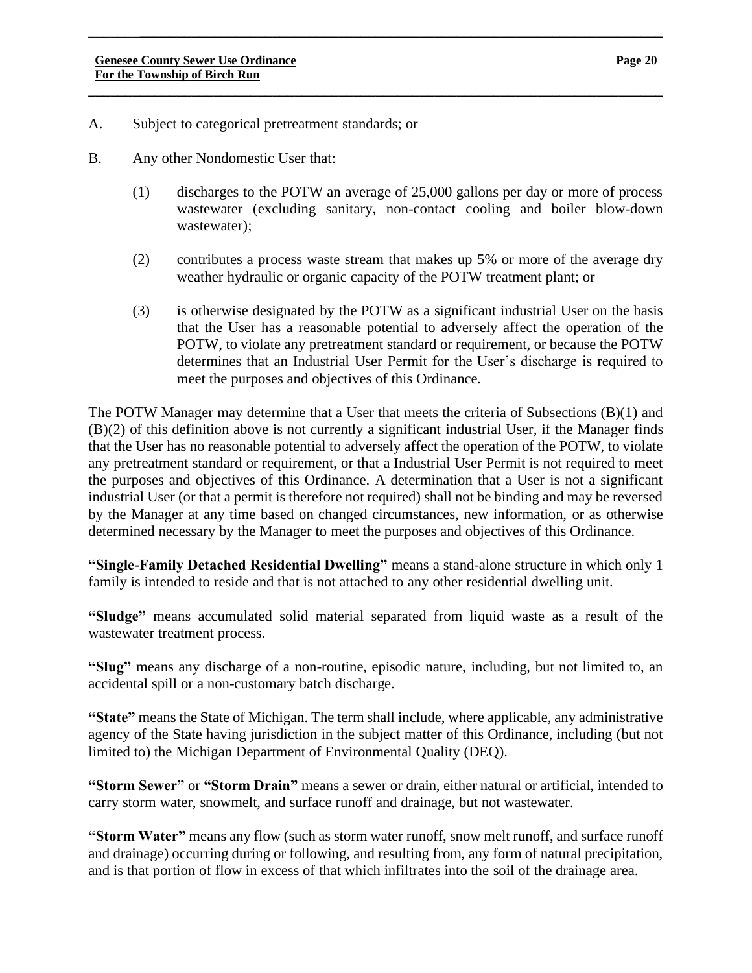- A. Subject to categorical pretreatment standards; or
- B. Any other Nondomestic User that:
	- (1) discharges to the POTW an average of 25,000 gallons per day or more of process wastewater (excluding sanitary, non-contact cooling and boiler blow-down wastewater);

**\_\_\_\_\_\_\_\_\_\_\_\_\_\_\_\_\_\_\_\_\_\_\_\_\_\_\_\_\_\_\_\_\_\_\_\_\_\_\_\_\_\_\_\_\_\_\_\_\_\_\_\_\_\_\_\_\_\_\_\_\_\_\_\_\_\_\_\_\_\_\_\_\_\_\_\_\_\_**

- (2) contributes a process waste stream that makes up 5% or more of the average dry weather hydraulic or organic capacity of the POTW treatment plant; or
- (3) is otherwise designated by the POTW as a significant industrial User on the basis that the User has a reasonable potential to adversely affect the operation of the POTW, to violate any pretreatment standard or requirement, or because the POTW determines that an Industrial User Permit for the User's discharge is required to meet the purposes and objectives of this Ordinance.

The POTW Manager may determine that a User that meets the criteria of Subsections (B)(1) and (B)(2) of this definition above is not currently a significant industrial User, if the Manager finds that the User has no reasonable potential to adversely affect the operation of the POTW, to violate any pretreatment standard or requirement, or that a Industrial User Permit is not required to meet the purposes and objectives of this Ordinance. A determination that a User is not a significant industrial User (or that a permit is therefore not required) shall not be binding and may be reversed by the Manager at any time based on changed circumstances, new information, or as otherwise determined necessary by the Manager to meet the purposes and objectives of this Ordinance.

**"Single-Family Detached Residential Dwelling"** means a stand-alone structure in which only 1 family is intended to reside and that is not attached to any other residential dwelling unit.

**"Sludge"** means accumulated solid material separated from liquid waste as a result of the wastewater treatment process.

**"Slug"** means any discharge of a non-routine, episodic nature, including, but not limited to, an accidental spill or a non-customary batch discharge.

**"State"** means the State of Michigan. The term shall include, where applicable, any administrative agency of the State having jurisdiction in the subject matter of this Ordinance, including (but not limited to) the Michigan Department of Environmental Quality (DEQ).

**"Storm Sewer"** or **"Storm Drain"** means a sewer or drain, either natural or artificial, intended to carry storm water, snowmelt, and surface runoff and drainage, but not wastewater.

**"Storm Water"** means any flow (such as storm water runoff, snow melt runoff, and surface runoff and drainage) occurring during or following, and resulting from, any form of natural precipitation, and is that portion of flow in excess of that which infiltrates into the soil of the drainage area.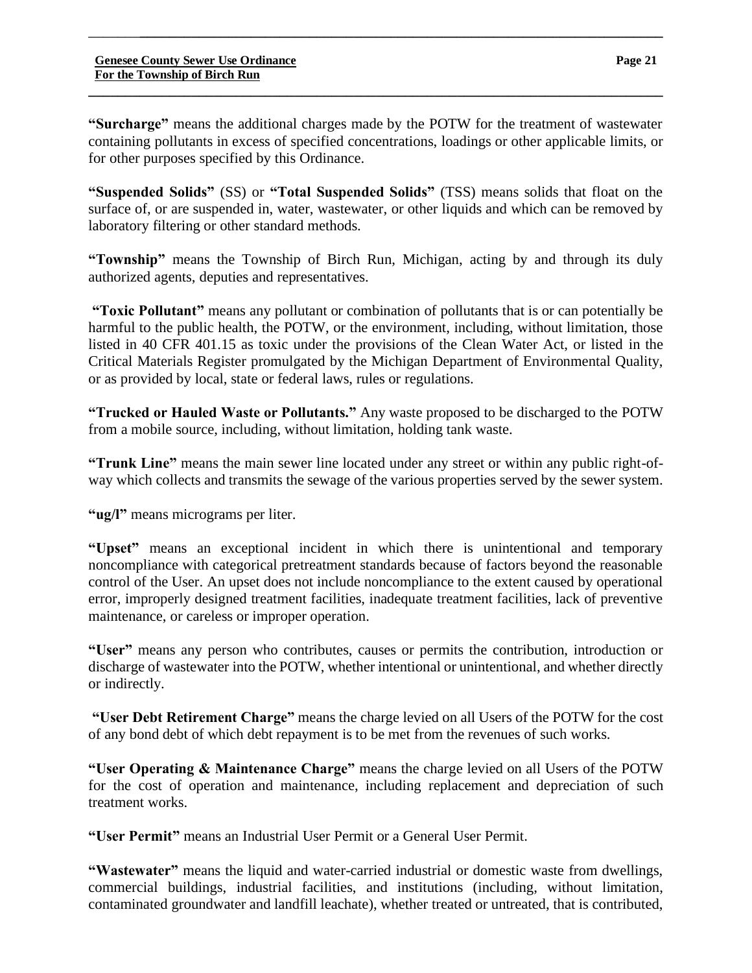**"Surcharge"** means the additional charges made by the POTW for the treatment of wastewater containing pollutants in excess of specified concentrations, loadings or other applicable limits, or for other purposes specified by this Ordinance.

**\_\_\_\_\_\_\_\_\_\_\_\_\_\_\_\_\_\_\_\_\_\_\_\_\_\_\_\_\_\_\_\_\_\_\_\_\_\_\_\_\_\_\_\_\_\_\_\_\_\_\_\_\_\_\_\_\_\_\_\_\_\_\_\_\_\_\_\_\_\_\_\_\_\_\_\_\_\_**

\_\_\_\_\_\_\_**\_\_\_\_\_\_\_\_\_\_\_\_\_\_\_\_\_\_\_\_\_\_\_\_\_\_\_\_\_\_\_\_\_\_\_\_\_\_\_\_\_\_\_\_\_\_\_\_\_\_\_\_\_\_\_\_\_\_\_\_\_\_\_\_\_\_\_\_\_\_\_**

**"Suspended Solids"** (SS) or **"Total Suspended Solids"** (TSS) means solids that float on the surface of, or are suspended in, water, wastewater, or other liquids and which can be removed by laboratory filtering or other standard methods.

**"Township"** means the Township of Birch Run, Michigan, acting by and through its duly authorized agents, deputies and representatives.

**"Toxic Pollutant"** means any pollutant or combination of pollutants that is or can potentially be harmful to the public health, the POTW, or the environment, including, without limitation, those listed in 40 CFR 401.15 as toxic under the provisions of the Clean Water Act, or listed in the Critical Materials Register promulgated by the Michigan Department of Environmental Quality, or as provided by local, state or federal laws, rules or regulations.

**"Trucked or Hauled Waste or Pollutants."** Any waste proposed to be discharged to the POTW from a mobile source, including, without limitation, holding tank waste.

**"Trunk Line"** means the main sewer line located under any street or within any public right-ofway which collects and transmits the sewage of the various properties served by the sewer system.

**"ug/l"** means micrograms per liter.

**"Upset"** means an exceptional incident in which there is unintentional and temporary noncompliance with categorical pretreatment standards because of factors beyond the reasonable control of the User. An upset does not include noncompliance to the extent caused by operational error, improperly designed treatment facilities, inadequate treatment facilities, lack of preventive maintenance, or careless or improper operation.

**"User"** means any person who contributes, causes or permits the contribution, introduction or discharge of wastewater into the POTW, whether intentional or unintentional, and whether directly or indirectly.

**"User Debt Retirement Charge"** means the charge levied on all Users of the POTW for the cost of any bond debt of which debt repayment is to be met from the revenues of such works.

**"User Operating & Maintenance Charge"** means the charge levied on all Users of the POTW for the cost of operation and maintenance, including replacement and depreciation of such treatment works.

**"User Permit"** means an Industrial User Permit or a General User Permit.

**"Wastewater"** means the liquid and water-carried industrial or domestic waste from dwellings, commercial buildings, industrial facilities, and institutions (including, without limitation, contaminated groundwater and landfill leachate), whether treated or untreated, that is contributed,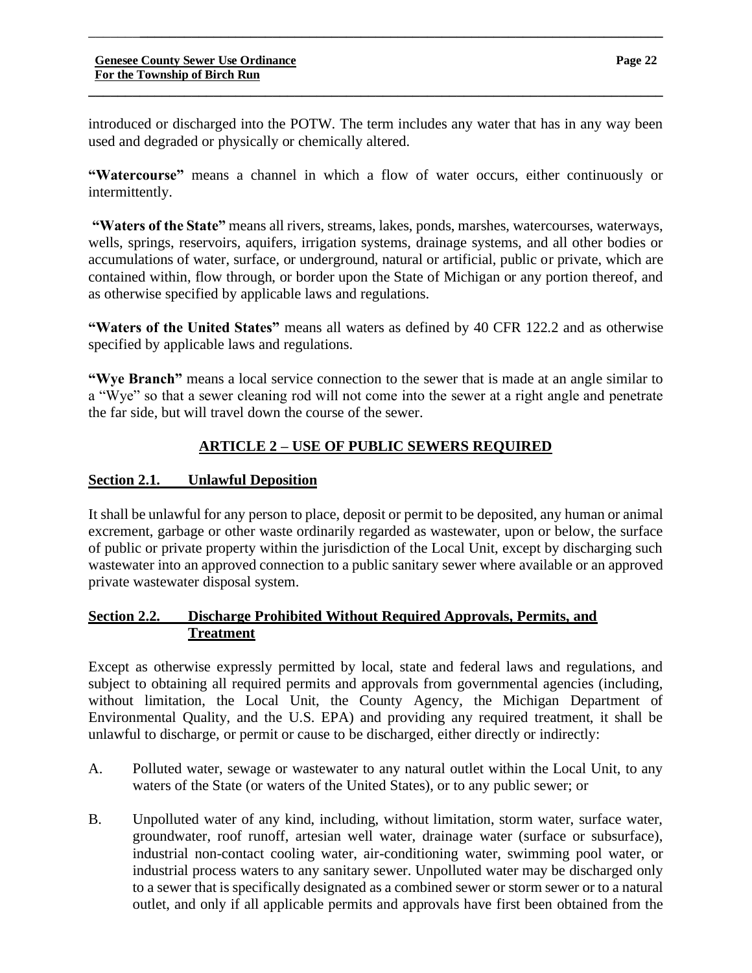introduced or discharged into the POTW. The term includes any water that has in any way been used and degraded or physically or chemically altered.

**\_\_\_\_\_\_\_\_\_\_\_\_\_\_\_\_\_\_\_\_\_\_\_\_\_\_\_\_\_\_\_\_\_\_\_\_\_\_\_\_\_\_\_\_\_\_\_\_\_\_\_\_\_\_\_\_\_\_\_\_\_\_\_\_\_\_\_\_\_\_\_\_\_\_\_\_\_\_**

\_\_\_\_\_\_\_**\_\_\_\_\_\_\_\_\_\_\_\_\_\_\_\_\_\_\_\_\_\_\_\_\_\_\_\_\_\_\_\_\_\_\_\_\_\_\_\_\_\_\_\_\_\_\_\_\_\_\_\_\_\_\_\_\_\_\_\_\_\_\_\_\_\_\_\_\_\_\_**

**"Watercourse"** means a channel in which a flow of water occurs, either continuously or intermittently.

**"Waters of the State"** means all rivers, streams, lakes, ponds, marshes, watercourses, waterways, wells, springs, reservoirs, aquifers, irrigation systems, drainage systems, and all other bodies or accumulations of water, surface, or underground, natural or artificial, public or private, which are contained within, flow through, or border upon the State of Michigan or any portion thereof, and as otherwise specified by applicable laws and regulations.

**"Waters of the United States"** means all waters as defined by 40 CFR 122.2 and as otherwise specified by applicable laws and regulations.

**"Wye Branch"** means a local service connection to the sewer that is made at an angle similar to a "Wye" so that a sewer cleaning rod will not come into the sewer at a right angle and penetrate the far side, but will travel down the course of the sewer.

# **ARTICLE 2 – USE OF PUBLIC SEWERS REQUIRED**

### **Section 2.1. Unlawful Deposition**

It shall be unlawful for any person to place, deposit or permit to be deposited, any human or animal excrement, garbage or other waste ordinarily regarded as wastewater, upon or below, the surface of public or private property within the jurisdiction of the Local Unit, except by discharging such wastewater into an approved connection to a public sanitary sewer where available or an approved private wastewater disposal system.

### **Section 2.2. Discharge Prohibited Without Required Approvals, Permits, and Treatment**

Except as otherwise expressly permitted by local, state and federal laws and regulations, and subject to obtaining all required permits and approvals from governmental agencies (including, without limitation, the Local Unit, the County Agency, the Michigan Department of Environmental Quality, and the U.S. EPA) and providing any required treatment, it shall be unlawful to discharge, or permit or cause to be discharged, either directly or indirectly:

- A. Polluted water, sewage or wastewater to any natural outlet within the Local Unit, to any waters of the State (or waters of the United States), or to any public sewer; or
- B. Unpolluted water of any kind, including, without limitation, storm water, surface water, groundwater, roof runoff, artesian well water, drainage water (surface or subsurface), industrial non-contact cooling water, air-conditioning water, swimming pool water, or industrial process waters to any sanitary sewer. Unpolluted water may be discharged only to a sewer that is specifically designated as a combined sewer or storm sewer or to a natural outlet, and only if all applicable permits and approvals have first been obtained from the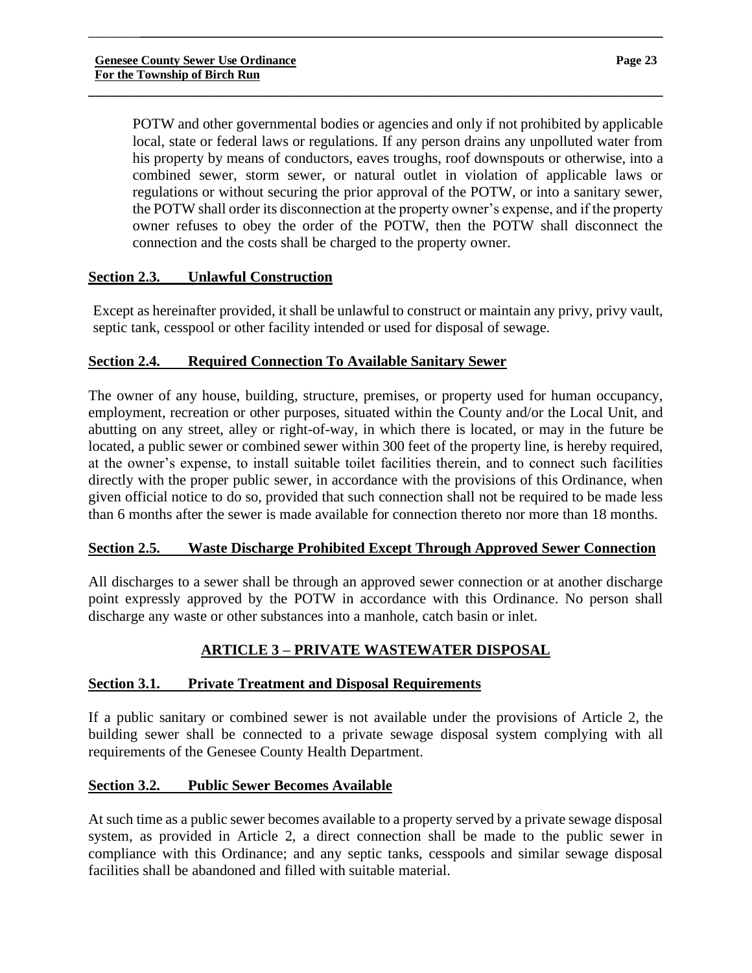POTW and other governmental bodies or agencies and only if not prohibited by applicable local, state or federal laws or regulations. If any person drains any unpolluted water from his property by means of conductors, eaves troughs, roof downspouts or otherwise, into a combined sewer, storm sewer, or natural outlet in violation of applicable laws or regulations or without securing the prior approval of the POTW, or into a sanitary sewer, the POTW shall order its disconnection at the property owner's expense, and if the property owner refuses to obey the order of the POTW, then the POTW shall disconnect the connection and the costs shall be charged to the property owner.

\_\_\_\_\_\_\_**\_\_\_\_\_\_\_\_\_\_\_\_\_\_\_\_\_\_\_\_\_\_\_\_\_\_\_\_\_\_\_\_\_\_\_\_\_\_\_\_\_\_\_\_\_\_\_\_\_\_\_\_\_\_\_\_\_\_\_\_\_\_\_\_\_\_\_\_\_\_\_**

**\_\_\_\_\_\_\_\_\_\_\_\_\_\_\_\_\_\_\_\_\_\_\_\_\_\_\_\_\_\_\_\_\_\_\_\_\_\_\_\_\_\_\_\_\_\_\_\_\_\_\_\_\_\_\_\_\_\_\_\_\_\_\_\_\_\_\_\_\_\_\_\_\_\_\_\_\_\_**

## **Section 2.3. Unlawful Construction**

Except as hereinafter provided, it shall be unlawful to construct or maintain any privy, privy vault, septic tank, cesspool or other facility intended or used for disposal of sewage.

## **Section 2.4. Required Connection To Available Sanitary Sewer**

The owner of any house, building, structure, premises, or property used for human occupancy, employment, recreation or other purposes, situated within the County and/or the Local Unit, and abutting on any street, alley or right-of-way, in which there is located, or may in the future be located, a public sewer or combined sewer within 300 feet of the property line, is hereby required, at the owner's expense, to install suitable toilet facilities therein, and to connect such facilities directly with the proper public sewer, in accordance with the provisions of this Ordinance, when given official notice to do so, provided that such connection shall not be required to be made less than 6 months after the sewer is made available for connection thereto nor more than 18 months.

## **Section 2.5. Waste Discharge Prohibited Except Through Approved Sewer Connection**

All discharges to a sewer shall be through an approved sewer connection or at another discharge point expressly approved by the POTW in accordance with this Ordinance. No person shall discharge any waste or other substances into a manhole, catch basin or inlet.

# **ARTICLE 3 – PRIVATE WASTEWATER DISPOSAL**

## **Section 3.1. Private Treatment and Disposal Requirements**

If a public sanitary or combined sewer is not available under the provisions of Article 2, the building sewer shall be connected to a private sewage disposal system complying with all requirements of the Genesee County Health Department.

## **Section 3.2. Public Sewer Becomes Available**

At such time as a public sewer becomes available to a property served by a private sewage disposal system, as provided in Article 2, a direct connection shall be made to the public sewer in compliance with this Ordinance; and any septic tanks, cesspools and similar sewage disposal facilities shall be abandoned and filled with suitable material.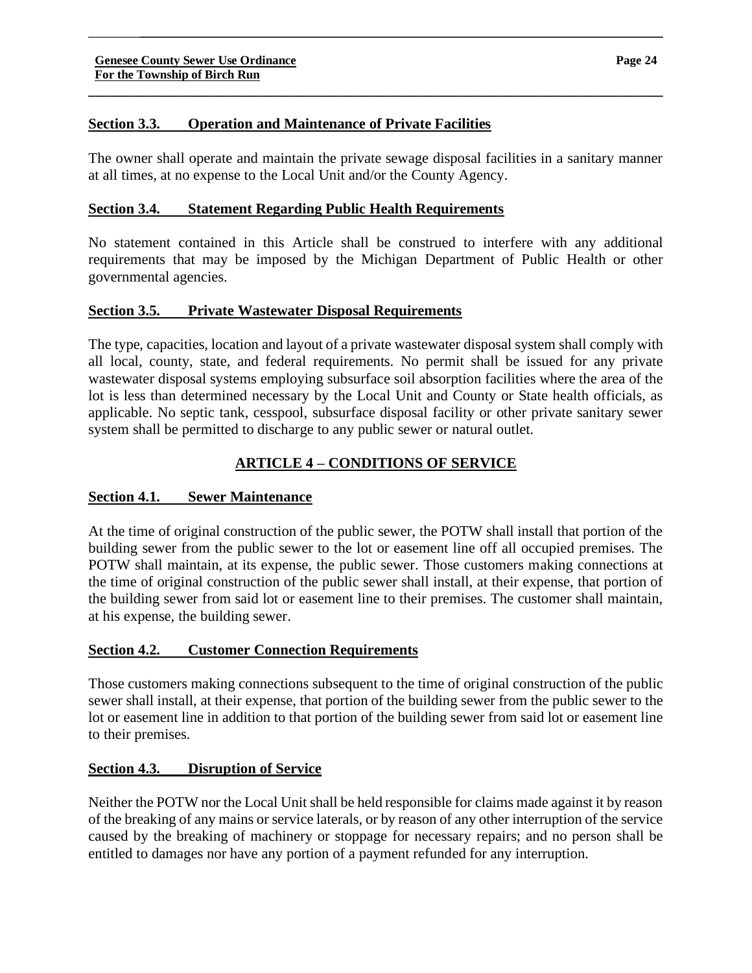### **Section 3.3. Operation and Maintenance of Private Facilities**

The owner shall operate and maintain the private sewage disposal facilities in a sanitary manner at all times, at no expense to the Local Unit and/or the County Agency.

\_\_\_\_\_\_\_**\_\_\_\_\_\_\_\_\_\_\_\_\_\_\_\_\_\_\_\_\_\_\_\_\_\_\_\_\_\_\_\_\_\_\_\_\_\_\_\_\_\_\_\_\_\_\_\_\_\_\_\_\_\_\_\_\_\_\_\_\_\_\_\_\_\_\_\_\_\_\_**

**\_\_\_\_\_\_\_\_\_\_\_\_\_\_\_\_\_\_\_\_\_\_\_\_\_\_\_\_\_\_\_\_\_\_\_\_\_\_\_\_\_\_\_\_\_\_\_\_\_\_\_\_\_\_\_\_\_\_\_\_\_\_\_\_\_\_\_\_\_\_\_\_\_\_\_\_\_\_**

### **Section 3.4. Statement Regarding Public Health Requirements**

No statement contained in this Article shall be construed to interfere with any additional requirements that may be imposed by the Michigan Department of Public Health or other governmental agencies.

### **Section 3.5. Private Wastewater Disposal Requirements**

The type, capacities, location and layout of a private wastewater disposal system shall comply with all local, county, state, and federal requirements. No permit shall be issued for any private wastewater disposal systems employing subsurface soil absorption facilities where the area of the lot is less than determined necessary by the Local Unit and County or State health officials, as applicable. No septic tank, cesspool, subsurface disposal facility or other private sanitary sewer system shall be permitted to discharge to any public sewer or natural outlet.

## **ARTICLE 4 – CONDITIONS OF SERVICE**

### **Section 4.1. Sewer Maintenance**

At the time of original construction of the public sewer, the POTW shall install that portion of the building sewer from the public sewer to the lot or easement line off all occupied premises. The POTW shall maintain, at its expense, the public sewer. Those customers making connections at the time of original construction of the public sewer shall install, at their expense, that portion of the building sewer from said lot or easement line to their premises. The customer shall maintain, at his expense, the building sewer.

### **Section 4.2. Customer Connection Requirements**

Those customers making connections subsequent to the time of original construction of the public sewer shall install, at their expense, that portion of the building sewer from the public sewer to the lot or easement line in addition to that portion of the building sewer from said lot or easement line to their premises.

### **Section 4.3. Disruption of Service**

Neither the POTW nor the Local Unit shall be held responsible for claims made against it by reason of the breaking of any mains or service laterals, or by reason of any other interruption of the service caused by the breaking of machinery or stoppage for necessary repairs; and no person shall be entitled to damages nor have any portion of a payment refunded for any interruption.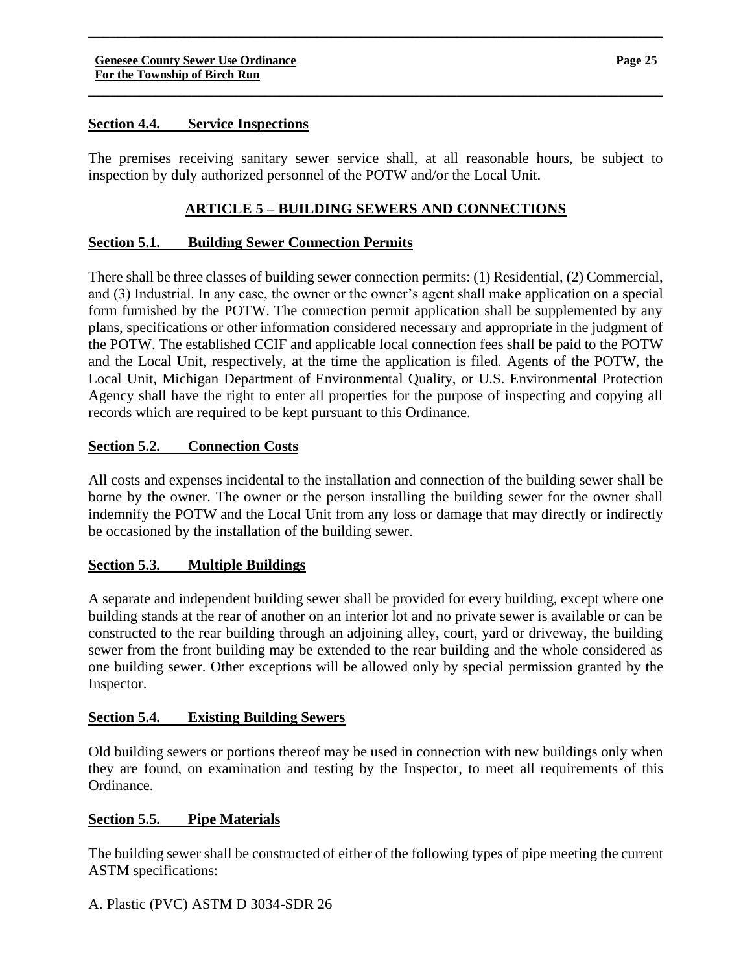### **Section 4.4. Service Inspections**

The premises receiving sanitary sewer service shall, at all reasonable hours, be subject to inspection by duly authorized personnel of the POTW and/or the Local Unit.

\_\_\_\_\_\_\_**\_\_\_\_\_\_\_\_\_\_\_\_\_\_\_\_\_\_\_\_\_\_\_\_\_\_\_\_\_\_\_\_\_\_\_\_\_\_\_\_\_\_\_\_\_\_\_\_\_\_\_\_\_\_\_\_\_\_\_\_\_\_\_\_\_\_\_\_\_\_\_**

**\_\_\_\_\_\_\_\_\_\_\_\_\_\_\_\_\_\_\_\_\_\_\_\_\_\_\_\_\_\_\_\_\_\_\_\_\_\_\_\_\_\_\_\_\_\_\_\_\_\_\_\_\_\_\_\_\_\_\_\_\_\_\_\_\_\_\_\_\_\_\_\_\_\_\_\_\_\_**

### **ARTICLE 5 – BUILDING SEWERS AND CONNECTIONS**

### **Section 5.1. Building Sewer Connection Permits**

There shall be three classes of building sewer connection permits: (1) Residential, (2) Commercial, and (3) Industrial. In any case, the owner or the owner's agent shall make application on a special form furnished by the POTW. The connection permit application shall be supplemented by any plans, specifications or other information considered necessary and appropriate in the judgment of the POTW. The established CCIF and applicable local connection fees shall be paid to the POTW and the Local Unit, respectively, at the time the application is filed. Agents of the POTW, the Local Unit, Michigan Department of Environmental Quality, or U.S. Environmental Protection Agency shall have the right to enter all properties for the purpose of inspecting and copying all records which are required to be kept pursuant to this Ordinance.

### **Section 5.2. Connection Costs**

All costs and expenses incidental to the installation and connection of the building sewer shall be borne by the owner. The owner or the person installing the building sewer for the owner shall indemnify the POTW and the Local Unit from any loss or damage that may directly or indirectly be occasioned by the installation of the building sewer.

### **Section 5.3. Multiple Buildings**

A separate and independent building sewer shall be provided for every building, except where one building stands at the rear of another on an interior lot and no private sewer is available or can be constructed to the rear building through an adjoining alley, court, yard or driveway, the building sewer from the front building may be extended to the rear building and the whole considered as one building sewer. Other exceptions will be allowed only by special permission granted by the Inspector.

### **Section 5.4. Existing Building Sewers**

Old building sewers or portions thereof may be used in connection with new buildings only when they are found, on examination and testing by the Inspector, to meet all requirements of this Ordinance.

### **Section 5.5. Pipe Materials**

The building sewer shall be constructed of either of the following types of pipe meeting the current ASTM specifications: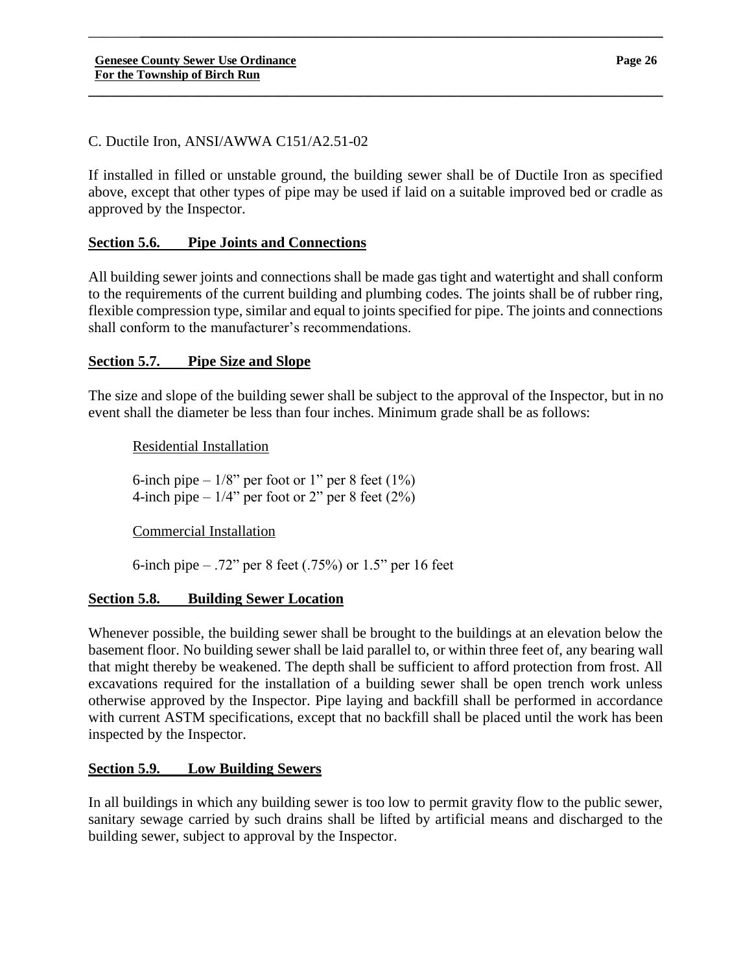### C. Ductile Iron, ANSI/AWWA C151/A2.51-02

If installed in filled or unstable ground, the building sewer shall be of Ductile Iron as specified above, except that other types of pipe may be used if laid on a suitable improved bed or cradle as approved by the Inspector.

\_\_\_\_\_\_\_**\_\_\_\_\_\_\_\_\_\_\_\_\_\_\_\_\_\_\_\_\_\_\_\_\_\_\_\_\_\_\_\_\_\_\_\_\_\_\_\_\_\_\_\_\_\_\_\_\_\_\_\_\_\_\_\_\_\_\_\_\_\_\_\_\_\_\_\_\_\_\_**

**\_\_\_\_\_\_\_\_\_\_\_\_\_\_\_\_\_\_\_\_\_\_\_\_\_\_\_\_\_\_\_\_\_\_\_\_\_\_\_\_\_\_\_\_\_\_\_\_\_\_\_\_\_\_\_\_\_\_\_\_\_\_\_\_\_\_\_\_\_\_\_\_\_\_\_\_\_\_**

### **Section 5.6. Pipe Joints and Connections**

All building sewer joints and connections shall be made gas tight and watertight and shall conform to the requirements of the current building and plumbing codes. The joints shall be of rubber ring, flexible compression type, similar and equal to joints specified for pipe. The joints and connections shall conform to the manufacturer's recommendations.

### **Section 5.7. Pipe Size and Slope**

The size and slope of the building sewer shall be subject to the approval of the Inspector, but in no event shall the diameter be less than four inches. Minimum grade shall be as follows:

Residential Installation

6-inch pipe  $-1/8$ " per foot or 1" per 8 feet (1%) 4-inch pipe  $-1/4$ " per foot or 2" per 8 feet (2%)

Commercial Installation

6-inch pipe – .72" per 8 feet (.75%) or 1.5" per 16 feet

### **Section 5.8. Building Sewer Location**

Whenever possible, the building sewer shall be brought to the buildings at an elevation below the basement floor. No building sewer shall be laid parallel to, or within three feet of, any bearing wall that might thereby be weakened. The depth shall be sufficient to afford protection from frost. All excavations required for the installation of a building sewer shall be open trench work unless otherwise approved by the Inspector. Pipe laying and backfill shall be performed in accordance with current ASTM specifications, except that no backfill shall be placed until the work has been inspected by the Inspector.

## **Section 5.9. Low Building Sewers**

In all buildings in which any building sewer is too low to permit gravity flow to the public sewer, sanitary sewage carried by such drains shall be lifted by artificial means and discharged to the building sewer, subject to approval by the Inspector.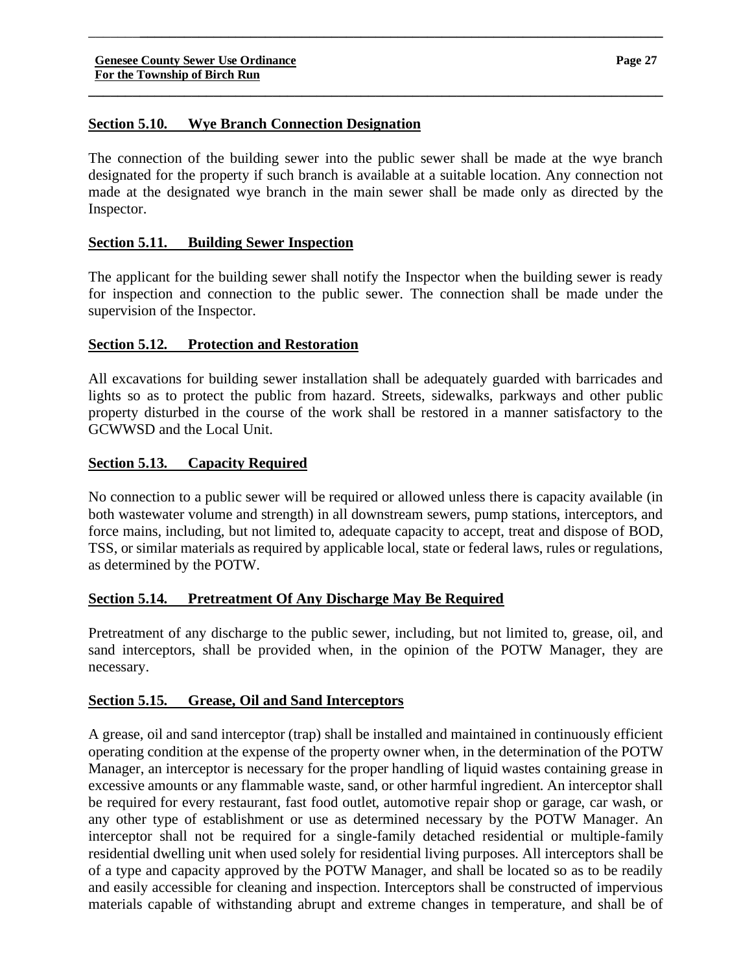### **Section 5.10. Wye Branch Connection Designation**

The connection of the building sewer into the public sewer shall be made at the wye branch designated for the property if such branch is available at a suitable location. Any connection not made at the designated wye branch in the main sewer shall be made only as directed by the Inspector.

\_\_\_\_\_\_\_**\_\_\_\_\_\_\_\_\_\_\_\_\_\_\_\_\_\_\_\_\_\_\_\_\_\_\_\_\_\_\_\_\_\_\_\_\_\_\_\_\_\_\_\_\_\_\_\_\_\_\_\_\_\_\_\_\_\_\_\_\_\_\_\_\_\_\_\_\_\_\_**

**\_\_\_\_\_\_\_\_\_\_\_\_\_\_\_\_\_\_\_\_\_\_\_\_\_\_\_\_\_\_\_\_\_\_\_\_\_\_\_\_\_\_\_\_\_\_\_\_\_\_\_\_\_\_\_\_\_\_\_\_\_\_\_\_\_\_\_\_\_\_\_\_\_\_\_\_\_\_**

### **Section 5.11. Building Sewer Inspection**

The applicant for the building sewer shall notify the Inspector when the building sewer is ready for inspection and connection to the public sewer. The connection shall be made under the supervision of the Inspector.

### **Section 5.12. Protection and Restoration**

All excavations for building sewer installation shall be adequately guarded with barricades and lights so as to protect the public from hazard. Streets, sidewalks, parkways and other public property disturbed in the course of the work shall be restored in a manner satisfactory to the GCWWSD and the Local Unit.

### **Section 5.13. Capacity Required**

No connection to a public sewer will be required or allowed unless there is capacity available (in both wastewater volume and strength) in all downstream sewers, pump stations, interceptors, and force mains, including, but not limited to, adequate capacity to accept, treat and dispose of BOD, TSS, or similar materials as required by applicable local, state or federal laws, rules or regulations, as determined by the POTW.

### **Section 5.14. Pretreatment Of Any Discharge May Be Required**

Pretreatment of any discharge to the public sewer, including, but not limited to, grease, oil, and sand interceptors, shall be provided when, in the opinion of the POTW Manager, they are necessary.

#### **Section 5.15. Grease, Oil and Sand Interceptors**

A grease, oil and sand interceptor (trap) shall be installed and maintained in continuously efficient operating condition at the expense of the property owner when, in the determination of the POTW Manager, an interceptor is necessary for the proper handling of liquid wastes containing grease in excessive amounts or any flammable waste, sand, or other harmful ingredient. An interceptor shall be required for every restaurant, fast food outlet, automotive repair shop or garage, car wash, or any other type of establishment or use as determined necessary by the POTW Manager. An interceptor shall not be required for a single-family detached residential or multiple-family residential dwelling unit when used solely for residential living purposes. All interceptors shall be of a type and capacity approved by the POTW Manager, and shall be located so as to be readily and easily accessible for cleaning and inspection. Interceptors shall be constructed of impervious materials capable of withstanding abrupt and extreme changes in temperature, and shall be of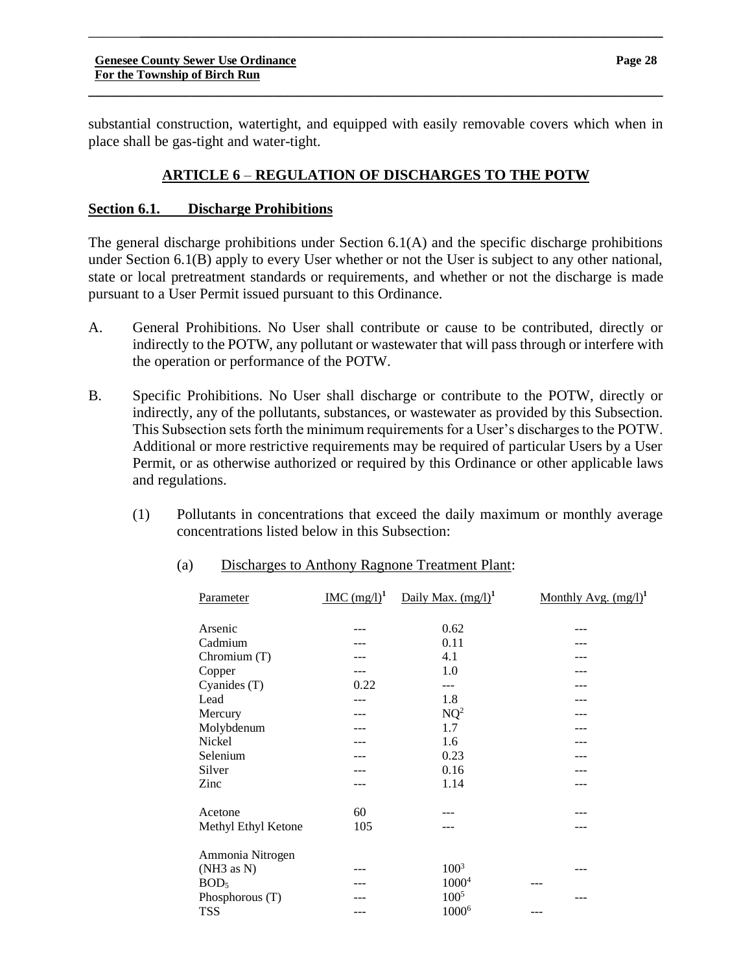substantial construction, watertight, and equipped with easily removable covers which when in place shall be gas-tight and water-tight.

**\_\_\_\_\_\_\_\_\_\_\_\_\_\_\_\_\_\_\_\_\_\_\_\_\_\_\_\_\_\_\_\_\_\_\_\_\_\_\_\_\_\_\_\_\_\_\_\_\_\_\_\_\_\_\_\_\_\_\_\_\_\_\_\_\_\_\_\_\_\_\_\_\_\_\_\_\_\_**

\_\_\_\_\_\_\_**\_\_\_\_\_\_\_\_\_\_\_\_\_\_\_\_\_\_\_\_\_\_\_\_\_\_\_\_\_\_\_\_\_\_\_\_\_\_\_\_\_\_\_\_\_\_\_\_\_\_\_\_\_\_\_\_\_\_\_\_\_\_\_\_\_\_\_\_\_\_\_**

### **ARTICLE 6** – **REGULATION OF DISCHARGES TO THE POTW**

#### **Section 6.1. Discharge Prohibitions**

The general discharge prohibitions under Section 6.1(A) and the specific discharge prohibitions under Section 6.1(B) apply to every User whether or not the User is subject to any other national, state or local pretreatment standards or requirements, and whether or not the discharge is made pursuant to a User Permit issued pursuant to this Ordinance.

- A. General Prohibitions. No User shall contribute or cause to be contributed, directly or indirectly to the POTW, any pollutant or wastewater that will pass through or interfere with the operation or performance of the POTW.
- B. Specific Prohibitions. No User shall discharge or contribute to the POTW, directly or indirectly, any of the pollutants, substances, or wastewater as provided by this Subsection. This Subsection sets forth the minimum requirements for a User's discharges to the POTW. Additional or more restrictive requirements may be required of particular Users by a User Permit, or as otherwise authorized or required by this Ordinance or other applicable laws and regulations.
	- (1) Pollutants in concentrations that exceed the daily maximum or monthly average concentrations listed below in this Subsection:

| Parameter           | $~\text{IMC (mg/l)}^1$ | Daily Max. $(mg/l)^1$ | <u>Monthly Avg. <math>(mg/l)^1</math></u> |
|---------------------|------------------------|-----------------------|-------------------------------------------|
| Arsenic             |                        | 0.62                  |                                           |
| Cadmium             |                        | 0.11                  |                                           |
| Chromium (T)        |                        | 4.1                   |                                           |
| Copper              |                        | 1.0                   |                                           |
| Cyanides (T)        | 0.22                   | ---                   |                                           |
| Lead                |                        | 1.8                   |                                           |
| Mercury             |                        | $NQ^2$                |                                           |
| Molybdenum          |                        | 1.7                   |                                           |
| Nickel              |                        | 1.6                   |                                           |
| Selenium            |                        | 0.23                  |                                           |
| Silver              |                        | 0.16                  |                                           |
| Zinc                |                        | 1.14                  |                                           |
| Acetone             | 60                     |                       |                                           |
| Methyl Ethyl Ketone | 105                    |                       |                                           |
| Ammonia Nitrogen    |                        |                       |                                           |
| (NH3 as N)          |                        | $100^{3}$             |                                           |
| BOD <sub>5</sub>    |                        | 1000 <sup>4</sup>     |                                           |
| Phosphorous $(T)$   |                        | $100^{5}$             |                                           |
| <b>TSS</b>          |                        | 1000 <sup>6</sup>     |                                           |
|                     |                        |                       |                                           |

#### (a) Discharges to Anthony Ragnone Treatment Plant: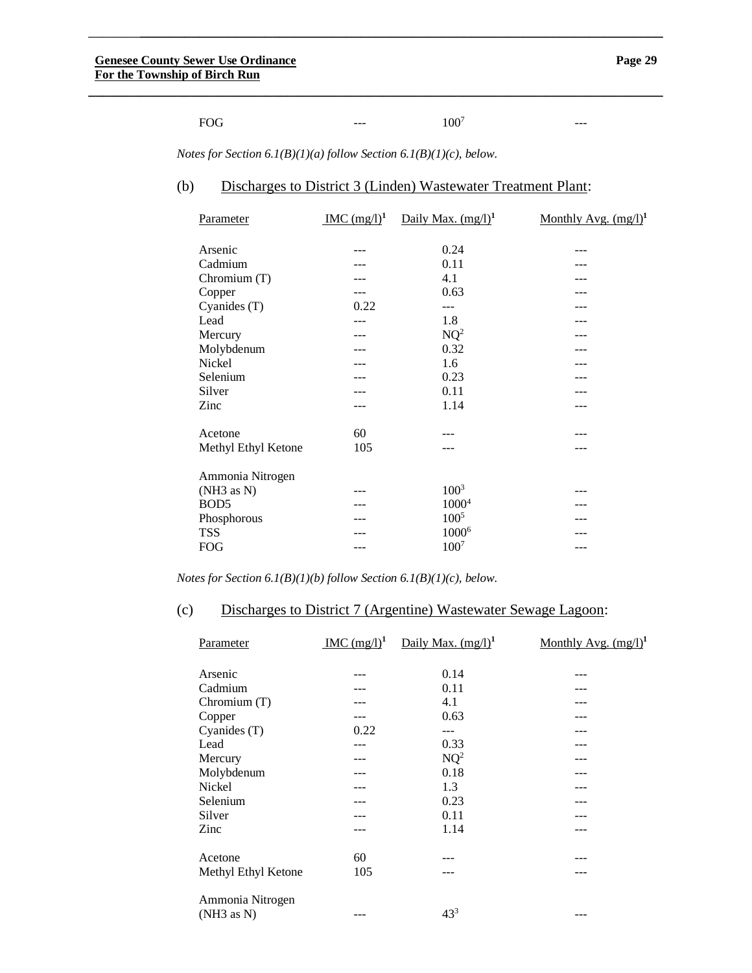---

| 100 <sup>7</sup><br>FOG<br>$- - -$<br>___ |  |
|-------------------------------------------|--|
|-------------------------------------------|--|

**\_\_\_\_\_\_\_\_\_\_\_\_\_\_\_\_\_\_\_\_\_\_\_\_\_\_\_\_\_\_\_\_\_\_\_\_\_\_\_\_\_\_\_\_\_\_\_\_\_\_\_\_\_\_\_\_\_\_\_\_\_\_\_\_\_\_\_\_\_\_\_\_\_\_\_\_\_\_**

\_\_\_\_\_\_\_**\_\_\_\_\_\_\_\_\_\_\_\_\_\_\_\_\_\_\_\_\_\_\_\_\_\_\_\_\_\_\_\_\_\_\_\_\_\_\_\_\_\_\_\_\_\_\_\_\_\_\_\_\_\_\_\_\_\_\_\_\_\_\_\_\_\_\_\_\_\_\_**

*Notes for Section 6.1(B)(1)(a) follow Section 6.1(B)(1)(c), below.*

#### (b) Discharges to District 3 (Linden) Wastewater Treatment Plant:

| Parameter           | MC (mg/l) <sup>1</sup> | Daily Max. $(mg/l)^1$ | <u>Monthly Avg. <math>(mg/l)^1</math></u> |
|---------------------|------------------------|-----------------------|-------------------------------------------|
| Arsenic             |                        | 0.24                  |                                           |
| Cadmium             |                        | 0.11                  |                                           |
| Chromium (T)        |                        | 4.1                   |                                           |
| Copper              |                        | 0.63                  |                                           |
| Cyanides (T)        | 0.22                   |                       |                                           |
| Lead                |                        | 1.8                   |                                           |
| Mercury             |                        | $NQ^2$                |                                           |
| Molybdenum          |                        | 0.32                  |                                           |
| Nickel              |                        | 1.6                   |                                           |
| Selenium            |                        | 0.23                  |                                           |
| Silver              |                        | 0.11                  |                                           |
| Zinc                |                        | 1.14                  |                                           |
| Acetone             | 60                     |                       |                                           |
| Methyl Ethyl Ketone | 105                    |                       |                                           |
| Ammonia Nitrogen    |                        |                       |                                           |
| (NH3 as N)          |                        | $100^{3}$             |                                           |
| BOD <sub>5</sub>    |                        | 1000 <sup>4</sup>     |                                           |
| Phosphorous         |                        | $100^{5}$             |                                           |
| <b>TSS</b>          |                        | 1000 <sup>6</sup>     |                                           |
| <b>FOG</b>          |                        | 100 <sup>7</sup>      |                                           |
|                     |                        |                       |                                           |

*Notes for Section 6.1(B)(1)(b) follow Section 6.1(B)(1)(c), below.*

# (c) Discharges to District 7 (Argentine) Wastewater Sewage Lagoon:

| Parameter                      | $~\mathrm{IMC}~(\mathrm{mg}/l)^1$ | Daily Max. $(mg/l)^1$ | Monthly Avg. $(mg/l)^1$ |
|--------------------------------|-----------------------------------|-----------------------|-------------------------|
| Arsenic                        |                                   | 0.14                  | ---                     |
| Cadmium                        |                                   | 0.11                  |                         |
| Chromium (T)                   |                                   | 4.1                   |                         |
| Copper                         |                                   | 0.63                  |                         |
| Cyanides (T)                   | 0.22                              | $---$                 |                         |
| Lead                           |                                   | 0.33                  |                         |
| Mercury                        |                                   | $NQ^2$                |                         |
| Molybdenum                     |                                   | 0.18                  |                         |
| Nickel                         |                                   | 1.3                   |                         |
| Selenium                       |                                   | 0.23                  |                         |
| Silver                         |                                   | 0.11                  |                         |
| Zinc                           |                                   | 1.14                  |                         |
| Acetone                        | 60                                |                       |                         |
| Methyl Ethyl Ketone            | 105                               |                       |                         |
| Ammonia Nitrogen<br>(NH3 as N) |                                   | $43^{3}$              | $- - -$                 |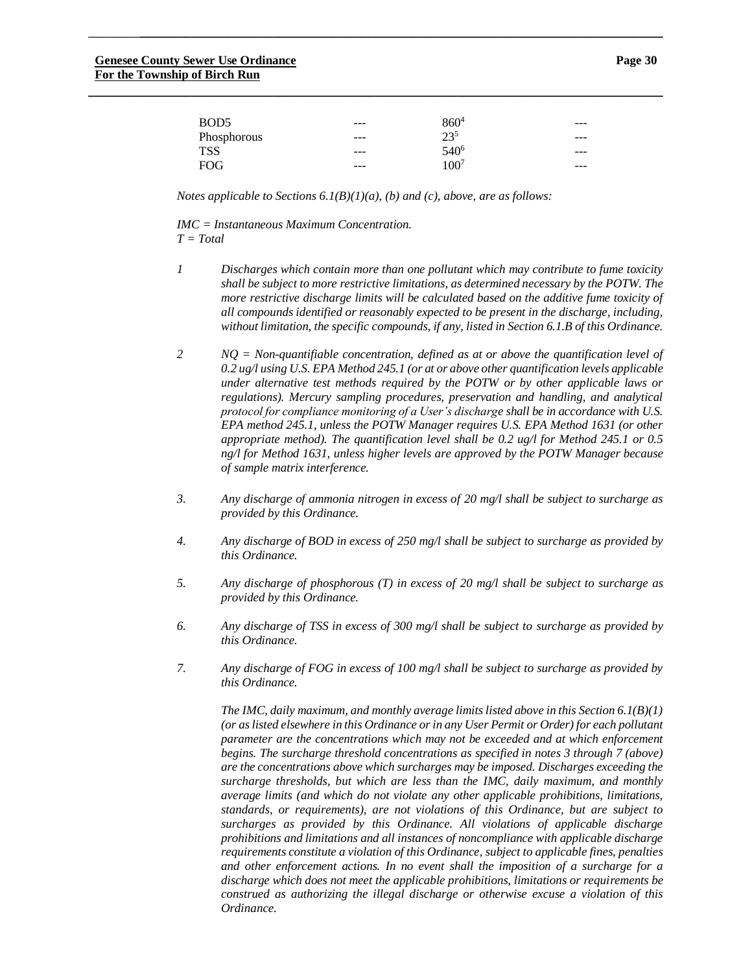| BOD <sub>5</sub> | $- - -$ | 860 <sup>4</sup> | --- |
|------------------|---------|------------------|-----|
| Phosphorous      | $- - -$ | $23^{5}$         | --- |
| <b>TSS</b>       | $- - -$ | 540 <sup>6</sup> | --- |
| <b>FOG</b>       | $- - -$ | $100^7$          | --- |

**\_\_\_\_\_\_\_\_\_\_\_\_\_\_\_\_\_\_\_\_\_\_\_\_\_\_\_\_\_\_\_\_\_\_\_\_\_\_\_\_\_\_\_\_\_\_\_\_\_\_\_\_\_\_\_\_\_\_\_\_\_\_\_\_\_\_\_\_\_\_\_\_\_\_\_\_\_\_**

*Notes applicable to Sections 6.1(B)(1)(a), (b) and (c), above, are as follows:*

*IMC = Instantaneous Maximum Concentration. T = Total*

- *1 Discharges which contain more than one pollutant which may contribute to fume toxicity shall be subject to more restrictive limitations, as determined necessary by the POTW. The more restrictive discharge limits will be calculated based on the additive fume toxicity of all compounds identified or reasonably expected to be present in the discharge, including, without limitation, the specific compounds, if any, listed in Section 6.1.B of this Ordinance.*
- *2 NQ = Non-quantifiable concentration, defined as at or above the quantification level of 0.2 ug/l using U.S. EPA Method 245.1 (or at or above other quantification levels applicable under alternative test methods required by the POTW or by other applicable laws or regulations). Mercury sampling procedures, preservation and handling, and analytical protocol for compliance monitoring of a User's discharge shall be in accordance with U.S. EPA method 245.1, unless the POTW Manager requires U.S. EPA Method 1631 (or other appropriate method). The quantification level shall be 0.2 ug/l for Method 245.1 or 0.5 ng/l for Method 1631, unless higher levels are approved by the POTW Manager because of sample matrix interference.*
- *3. Any discharge of ammonia nitrogen in excess of 20 mg/l shall be subject to surcharge as provided by this Ordinance.*
- *4. Any discharge of BOD in excess of 250 mg/l shall be subject to surcharge as provided by this Ordinance.*
- *5. Any discharge of phosphorous (T) in excess of 20 mg/l shall be subject to surcharge as provided by this Ordinance.*
- *6. Any discharge of TSS in excess of 300 mg/l shall be subject to surcharge as provided by this Ordinance.*
- *7. Any discharge of FOG in excess of 100 mg/l shall be subject to surcharge as provided by this Ordinance.*

*The IMC, daily maximum, and monthly average limits listed above in this Section 6.1(B)(1) (or as listed elsewhere in this Ordinance or in any User Permit or Order) for each pollutant parameter are the concentrations which may not be exceeded and at which enforcement begins. The surcharge threshold concentrations as specified in notes 3 through 7 (above) are the concentrations above which surcharges may be imposed. Discharges exceeding the surcharge thresholds, but which are less than the IMC, daily maximum, and monthly average limits (and which do not violate any other applicable prohibitions, limitations, standards, or requirements), are not violations of this Ordinance, but are subject to surcharges as provided by this Ordinance. All violations of applicable discharge prohibitions and limitations and all instances of noncompliance with applicable discharge requirements constitute a violation of this Ordinance, subject to applicable fines, penalties and other enforcement actions. In no event shall the imposition of a surcharge for a discharge which does not meet the applicable prohibitions, limitations or requirements be construed as authorizing the illegal discharge or otherwise excuse a violation of this Ordinance.*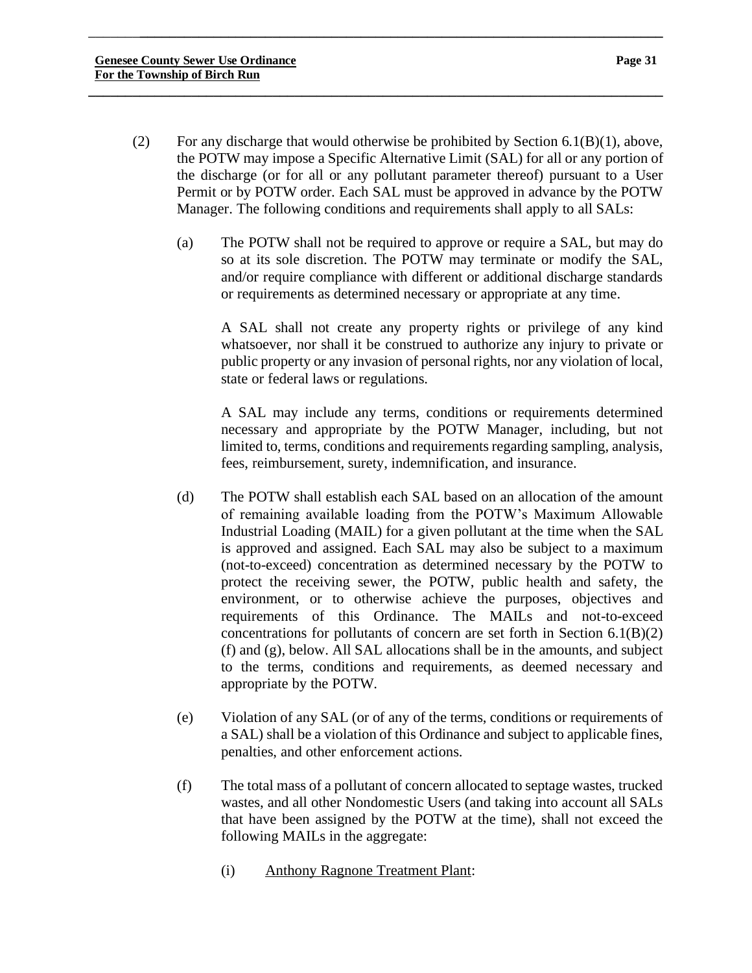(2) For any discharge that would otherwise be prohibited by Section  $6.1(B)(1)$ , above, the POTW may impose a Specific Alternative Limit (SAL) for all or any portion of the discharge (or for all or any pollutant parameter thereof) pursuant to a User Permit or by POTW order. Each SAL must be approved in advance by the POTW Manager. The following conditions and requirements shall apply to all SALs:

\_\_\_\_\_\_\_**\_\_\_\_\_\_\_\_\_\_\_\_\_\_\_\_\_\_\_\_\_\_\_\_\_\_\_\_\_\_\_\_\_\_\_\_\_\_\_\_\_\_\_\_\_\_\_\_\_\_\_\_\_\_\_\_\_\_\_\_\_\_\_\_\_\_\_\_\_\_\_**

**\_\_\_\_\_\_\_\_\_\_\_\_\_\_\_\_\_\_\_\_\_\_\_\_\_\_\_\_\_\_\_\_\_\_\_\_\_\_\_\_\_\_\_\_\_\_\_\_\_\_\_\_\_\_\_\_\_\_\_\_\_\_\_\_\_\_\_\_\_\_\_\_\_\_\_\_\_\_**

(a) The POTW shall not be required to approve or require a SAL, but may do so at its sole discretion. The POTW may terminate or modify the SAL, and/or require compliance with different or additional discharge standards or requirements as determined necessary or appropriate at any time.

A SAL shall not create any property rights or privilege of any kind whatsoever, nor shall it be construed to authorize any injury to private or public property or any invasion of personal rights, nor any violation of local, state or federal laws or regulations.

A SAL may include any terms, conditions or requirements determined necessary and appropriate by the POTW Manager, including, but not limited to, terms, conditions and requirements regarding sampling, analysis, fees, reimbursement, surety, indemnification, and insurance.

- (d) The POTW shall establish each SAL based on an allocation of the amount of remaining available loading from the POTW's Maximum Allowable Industrial Loading (MAIL) for a given pollutant at the time when the SAL is approved and assigned. Each SAL may also be subject to a maximum (not-to-exceed) concentration as determined necessary by the POTW to protect the receiving sewer, the POTW, public health and safety, the environment, or to otherwise achieve the purposes, objectives and requirements of this Ordinance. The MAILs and not-to-exceed concentrations for pollutants of concern are set forth in Section  $6.1(B)(2)$ (f) and (g), below. All SAL allocations shall be in the amounts, and subject to the terms, conditions and requirements, as deemed necessary and appropriate by the POTW.
- (e) Violation of any SAL (or of any of the terms, conditions or requirements of a SAL) shall be a violation of this Ordinance and subject to applicable fines, penalties, and other enforcement actions.
- (f) The total mass of a pollutant of concern allocated to septage wastes, trucked wastes, and all other Nondomestic Users (and taking into account all SALs that have been assigned by the POTW at the time), shall not exceed the following MAILs in the aggregate:
	- (i) Anthony Ragnone Treatment Plant: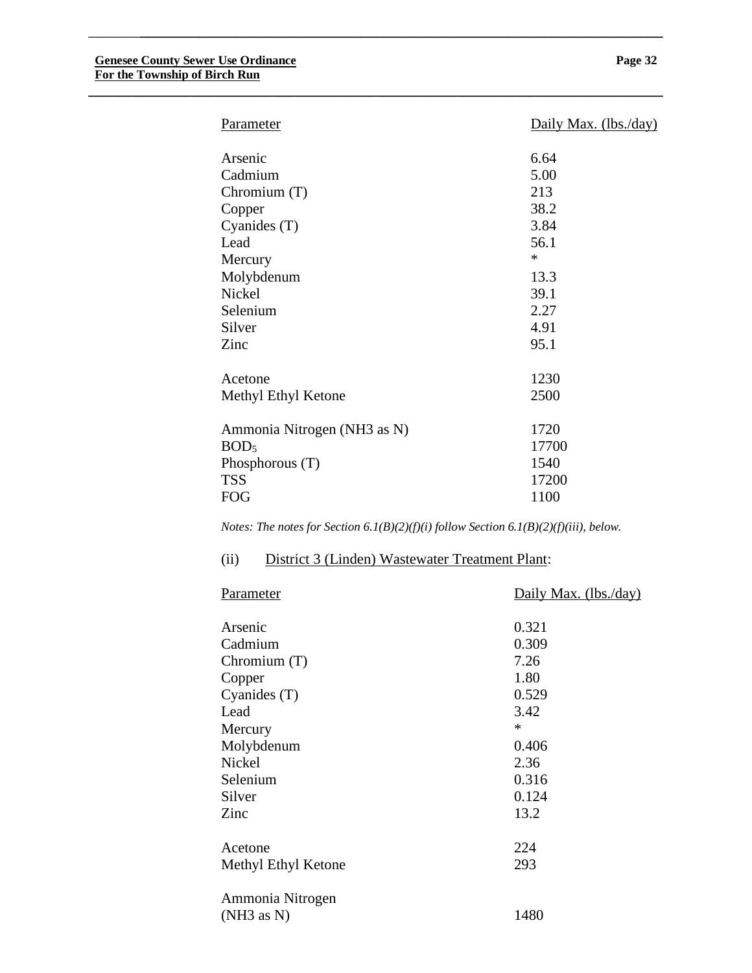| <b>Parameter</b>            | Daily Max. (lbs./day) |
|-----------------------------|-----------------------|
| Arsenic                     | 6.64                  |
| Cadmium                     | 5.00                  |
| Chromium $(T)$              | 213                   |
| Copper                      | 38.2                  |
| Cyanides (T)                | 3.84                  |
| Lead                        | 56.1                  |
| Mercury                     | $\ast$                |
| Molybdenum                  | 13.3                  |
| <b>Nickel</b>               | 39.1                  |
| Selenium                    | 2.27                  |
| Silver                      | 4.91                  |
| Zinc                        | 95.1                  |
| Acetone                     | 1230                  |
| Methyl Ethyl Ketone         | 2500                  |
| Ammonia Nitrogen (NH3 as N) | 1720                  |
| BOD <sub>5</sub>            | 17700                 |
|                             | 1540                  |
| Phosphorous $(T)$           |                       |
| <b>TSS</b>                  | 17200                 |
| <b>FOG</b>                  | 1100                  |

**\_\_\_\_\_\_\_\_\_\_\_\_\_\_\_\_\_\_\_\_\_\_\_\_\_\_\_\_\_\_\_\_\_\_\_\_\_\_\_\_\_\_\_\_\_\_\_\_\_\_\_\_\_\_\_\_\_\_\_\_\_\_\_\_\_\_\_\_\_\_\_\_\_\_\_\_\_\_**

*Notes: The notes for Section 6.1(B)(2)(f)(i) follow Section 6.1(B)(2)(f)(iii), below.*

### (ii) District 3 (Linden) Wastewater Treatment Plant:

| Parameter           | Daily Max. (lbs./day) |
|---------------------|-----------------------|
|                     |                       |
| Arsenic             | 0.321                 |
| Cadmium             | 0.309                 |
| Chromium $(T)$      | 7.26                  |
| Copper              | 1.80                  |
| Cyanides (T)        | 0.529                 |
| Lead                | 3.42                  |
| Mercury             | $\ast$                |
| Molybdenum          | 0.406                 |
| <b>Nickel</b>       | 2.36                  |
| Selenium            | 0.316                 |
| Silver              | 0.124                 |
| Zinc                | 13.2                  |
|                     |                       |
| Acetone             | 224                   |
| Methyl Ethyl Ketone | 293                   |
|                     |                       |
| Ammonia Nitrogen    |                       |
| (NH3 as N)          | 1480                  |
|                     |                       |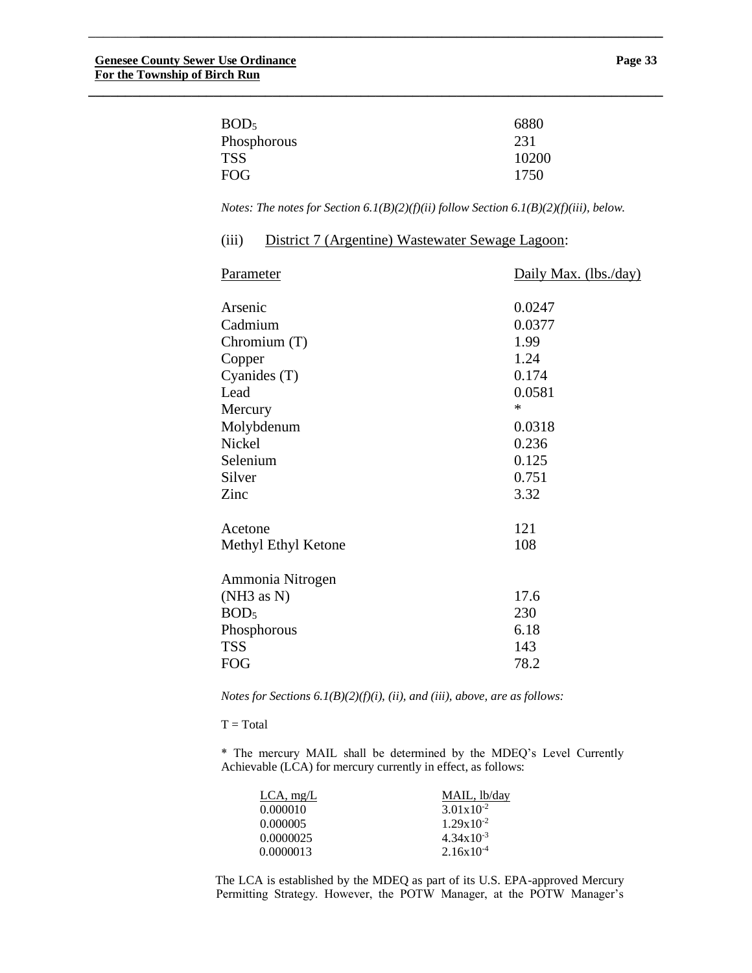| 6880  |
|-------|
| 231   |
| 10200 |
| 1750  |
|       |

**\_\_\_\_\_\_\_\_\_\_\_\_\_\_\_\_\_\_\_\_\_\_\_\_\_\_\_\_\_\_\_\_\_\_\_\_\_\_\_\_\_\_\_\_\_\_\_\_\_\_\_\_\_\_\_\_\_\_\_\_\_\_\_\_\_\_\_\_\_\_\_\_\_\_\_\_\_\_**

*Notes: The notes for Section 6.1(B)(2)(f)(ii) follow Section 6.1(B)(2)(f)(iii), below.*

| (iii) |  | District 7 (Argentine) Wastewater Sewage Lagoon: |  |
|-------|--|--------------------------------------------------|--|
|       |  |                                                  |  |

| <b>Parameter</b>               | Daily Max. (lbs./day) |
|--------------------------------|-----------------------|
| Arsenic                        | 0.0247                |
| Cadmium                        | 0.0377                |
| Chromium $(T)$                 | 1.99                  |
| Copper                         | 1.24                  |
| Cyanides (T)                   | 0.174                 |
| Lead                           | 0.0581                |
| Mercury                        | $\ast$                |
| Molybdenum                     | 0.0318                |
| Nickel                         | 0.236                 |
| Selenium                       | 0.125                 |
| Silver                         | 0.751                 |
| Zinc                           | 3.32                  |
| Acetone                        | 121                   |
| Methyl Ethyl Ketone            | 108                   |
| Ammonia Nitrogen<br>(NH3 as N) | 17.6                  |
| BOD <sub>5</sub>               | 230                   |
| Phosphorous                    | 6.18                  |
| <b>TSS</b>                     | 143                   |
| <b>FOG</b>                     | 78.2                  |

*Notes for Sections 6.1(B)(2)(f)(i), (ii), and (iii), above, are as follows:*

 $T = Total$ 

\* The mercury MAIL shall be determined by the MDEQ's Level Currently Achievable (LCA) for mercury currently in effect, as follows:

| $LCA$ , mg/L | MAIL, lb/day          |  |
|--------------|-----------------------|--|
| 0.000010     | $3.01 \times 10^{-2}$ |  |
| 0.000005     | $1.29x10^{-2}$        |  |
| 0.0000025    | $4.34 \times 10^{-3}$ |  |
| 0.0000013    | $2.16x10^{-4}$        |  |

The LCA is established by the MDEQ as part of its U.S. EPA-approved Mercury Permitting Strategy. However, the POTW Manager, at the POTW Manager's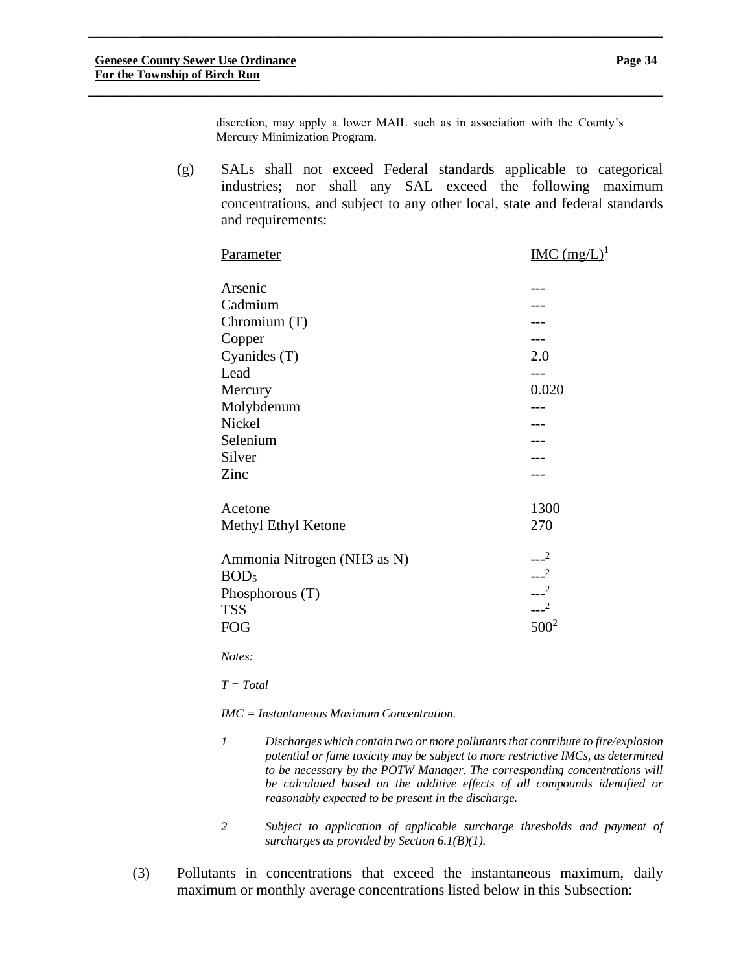discretion, may apply a lower MAIL such as in association with the County's Mercury Minimization Program.

\_\_\_\_\_\_\_**\_\_\_\_\_\_\_\_\_\_\_\_\_\_\_\_\_\_\_\_\_\_\_\_\_\_\_\_\_\_\_\_\_\_\_\_\_\_\_\_\_\_\_\_\_\_\_\_\_\_\_\_\_\_\_\_\_\_\_\_\_\_\_\_\_\_\_\_\_\_\_**

**\_\_\_\_\_\_\_\_\_\_\_\_\_\_\_\_\_\_\_\_\_\_\_\_\_\_\_\_\_\_\_\_\_\_\_\_\_\_\_\_\_\_\_\_\_\_\_\_\_\_\_\_\_\_\_\_\_\_\_\_\_\_\_\_\_\_\_\_\_\_\_\_\_\_\_\_\_\_**

(g) SALs shall not exceed Federal standards applicable to categorical industries; nor shall any SAL exceed the following maximum concentrations, and subject to any other local, state and federal standards and requirements:

| <b>Parameter</b>            | $IMC (mg/L)1$ |
|-----------------------------|---------------|
| Arsenic                     |               |
| Cadmium                     |               |
| Chromium $(T)$              |               |
| Copper                      |               |
| Cyanides $(T)$              | 2.0           |
| Lead                        | ---           |
| Mercury                     | 0.020         |
| Molybdenum                  |               |
| Nickel                      |               |
| Selenium                    |               |
| Silver                      |               |
| Zinc                        |               |
| Acetone                     | 1300          |
| Methyl Ethyl Ketone         | 270           |
| Ammonia Nitrogen (NH3 as N) | $---2$        |
| BOD <sub>5</sub>            | $---2$        |
| Phosphorous (T)             | $\sim$ $2$    |
| <b>TSS</b>                  | $---2$        |
| <b>FOG</b>                  | $500^2$       |
|                             |               |

*Notes:*

*T = Total*

*IMC = Instantaneous Maximum Concentration.*

- *1 Discharges which contain two or more pollutants that contribute to fire/explosion potential or fume toxicity may be subject to more restrictive IMCs, as determined to be necessary by the POTW Manager. The corresponding concentrations will be calculated based on the additive effects of all compounds identified or reasonably expected to be present in the discharge.*
- *2 Subject to application of applicable surcharge thresholds and payment of surcharges as provided by Section 6.1(B)(1).*
- (3) Pollutants in concentrations that exceed the instantaneous maximum, daily maximum or monthly average concentrations listed below in this Subsection: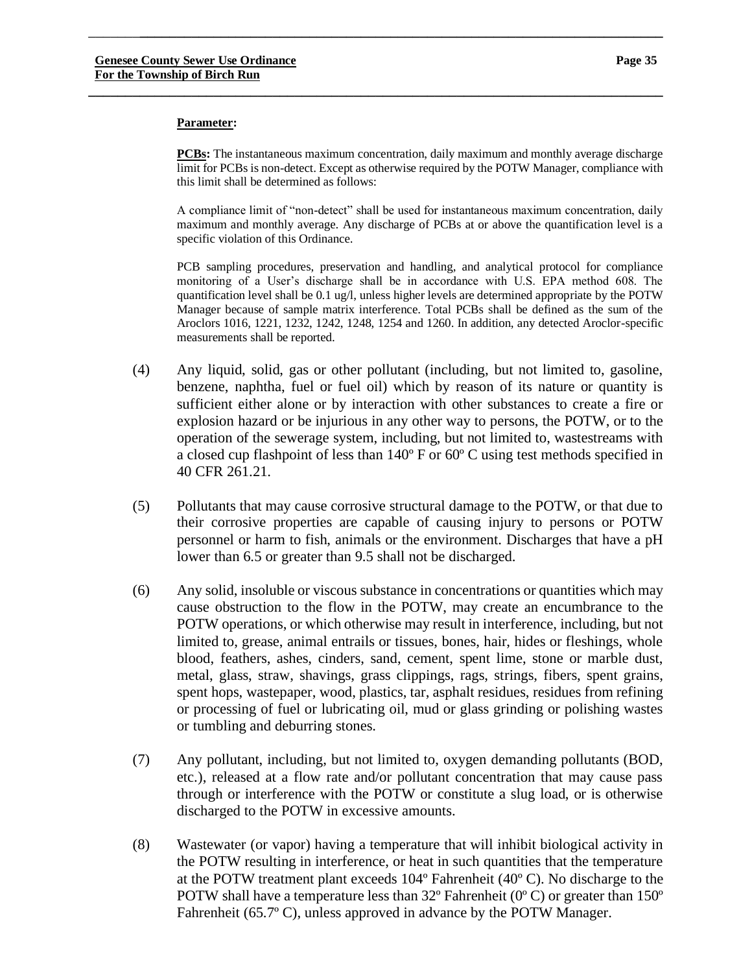#### **Parameter:**

**PCBs:** The instantaneous maximum concentration, daily maximum and monthly average discharge limit for PCBs is non-detect. Except as otherwise required by the POTW Manager, compliance with this limit shall be determined as follows:

\_\_\_\_\_\_\_**\_\_\_\_\_\_\_\_\_\_\_\_\_\_\_\_\_\_\_\_\_\_\_\_\_\_\_\_\_\_\_\_\_\_\_\_\_\_\_\_\_\_\_\_\_\_\_\_\_\_\_\_\_\_\_\_\_\_\_\_\_\_\_\_\_\_\_\_\_\_\_**

**\_\_\_\_\_\_\_\_\_\_\_\_\_\_\_\_\_\_\_\_\_\_\_\_\_\_\_\_\_\_\_\_\_\_\_\_\_\_\_\_\_\_\_\_\_\_\_\_\_\_\_\_\_\_\_\_\_\_\_\_\_\_\_\_\_\_\_\_\_\_\_\_\_\_\_\_\_\_**

A compliance limit of "non-detect" shall be used for instantaneous maximum concentration, daily maximum and monthly average. Any discharge of PCBs at or above the quantification level is a specific violation of this Ordinance.

PCB sampling procedures, preservation and handling, and analytical protocol for compliance monitoring of a User's discharge shall be in accordance with U.S. EPA method 608. The quantification level shall be 0.1 ug/l, unless higher levels are determined appropriate by the POTW Manager because of sample matrix interference. Total PCBs shall be defined as the sum of the Aroclors 1016, 1221, 1232, 1242, 1248, 1254 and 1260. In addition, any detected Aroclor-specific measurements shall be reported.

- (4) Any liquid, solid, gas or other pollutant (including, but not limited to, gasoline, benzene, naphtha, fuel or fuel oil) which by reason of its nature or quantity is sufficient either alone or by interaction with other substances to create a fire or explosion hazard or be injurious in any other way to persons, the POTW, or to the operation of the sewerage system, including, but not limited to, wastestreams with a closed cup flashpoint of less than 140º F or 60º C using test methods specified in 40 CFR 261.21.
- (5) Pollutants that may cause corrosive structural damage to the POTW, or that due to their corrosive properties are capable of causing injury to persons or POTW personnel or harm to fish, animals or the environment. Discharges that have a pH lower than 6.5 or greater than 9.5 shall not be discharged.
- (6) Any solid, insoluble or viscous substance in concentrations or quantities which may cause obstruction to the flow in the POTW, may create an encumbrance to the POTW operations, or which otherwise may result in interference, including, but not limited to, grease, animal entrails or tissues, bones, hair, hides or fleshings, whole blood, feathers, ashes, cinders, sand, cement, spent lime, stone or marble dust, metal, glass, straw, shavings, grass clippings, rags, strings, fibers, spent grains, spent hops, wastepaper, wood, plastics, tar, asphalt residues, residues from refining or processing of fuel or lubricating oil, mud or glass grinding or polishing wastes or tumbling and deburring stones.
- (7) Any pollutant, including, but not limited to, oxygen demanding pollutants (BOD, etc.), released at a flow rate and/or pollutant concentration that may cause pass through or interference with the POTW or constitute a slug load, or is otherwise discharged to the POTW in excessive amounts.
- (8) Wastewater (or vapor) having a temperature that will inhibit biological activity in the POTW resulting in interference, or heat in such quantities that the temperature at the POTW treatment plant exceeds 104º Fahrenheit (40º C). No discharge to the POTW shall have a temperature less than  $32^{\circ}$  Fahrenheit (0 $^{\circ}$ C) or greater than  $150^{\circ}$ Fahrenheit (65.7º C), unless approved in advance by the POTW Manager.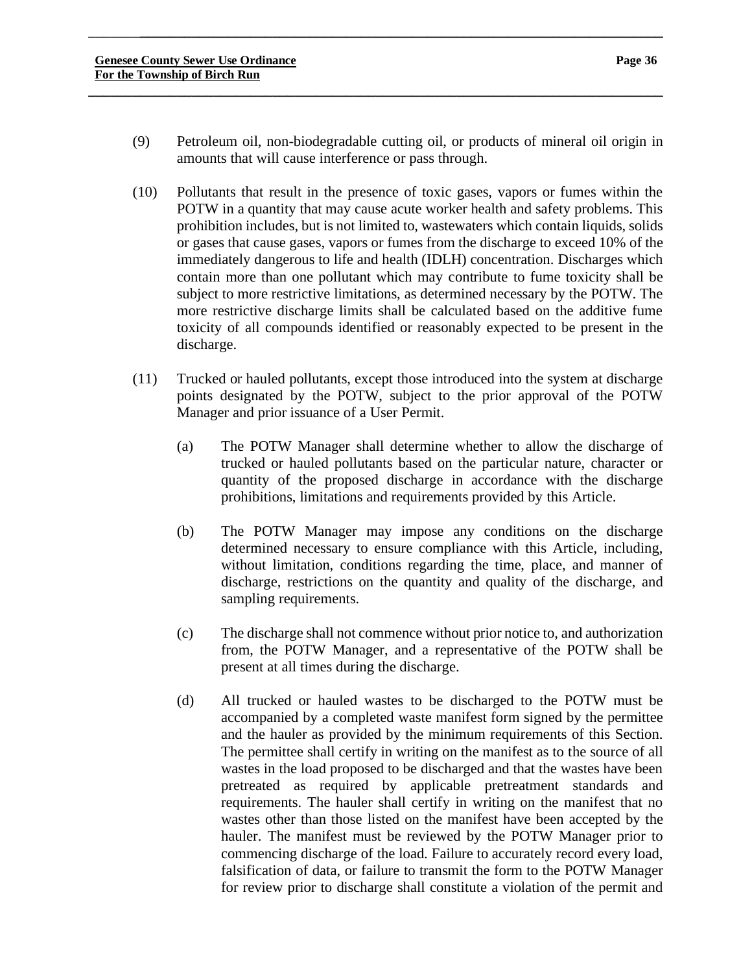(9) Petroleum oil, non-biodegradable cutting oil, or products of mineral oil origin in amounts that will cause interference or pass through.

\_\_\_\_\_\_\_**\_\_\_\_\_\_\_\_\_\_\_\_\_\_\_\_\_\_\_\_\_\_\_\_\_\_\_\_\_\_\_\_\_\_\_\_\_\_\_\_\_\_\_\_\_\_\_\_\_\_\_\_\_\_\_\_\_\_\_\_\_\_\_\_\_\_\_\_\_\_\_**

- (10) Pollutants that result in the presence of toxic gases, vapors or fumes within the POTW in a quantity that may cause acute worker health and safety problems. This prohibition includes, but is not limited to, wastewaters which contain liquids, solids or gases that cause gases, vapors or fumes from the discharge to exceed 10% of the immediately dangerous to life and health (IDLH) concentration. Discharges which contain more than one pollutant which may contribute to fume toxicity shall be subject to more restrictive limitations, as determined necessary by the POTW. The more restrictive discharge limits shall be calculated based on the additive fume toxicity of all compounds identified or reasonably expected to be present in the discharge.
- (11) Trucked or hauled pollutants, except those introduced into the system at discharge points designated by the POTW, subject to the prior approval of the POTW Manager and prior issuance of a User Permit.
	- (a) The POTW Manager shall determine whether to allow the discharge of trucked or hauled pollutants based on the particular nature, character or quantity of the proposed discharge in accordance with the discharge prohibitions, limitations and requirements provided by this Article.
	- (b) The POTW Manager may impose any conditions on the discharge determined necessary to ensure compliance with this Article, including, without limitation, conditions regarding the time, place, and manner of discharge, restrictions on the quantity and quality of the discharge, and sampling requirements.
	- (c) The discharge shall not commence without prior notice to, and authorization from, the POTW Manager, and a representative of the POTW shall be present at all times during the discharge.
	- (d) All trucked or hauled wastes to be discharged to the POTW must be accompanied by a completed waste manifest form signed by the permittee and the hauler as provided by the minimum requirements of this Section. The permittee shall certify in writing on the manifest as to the source of all wastes in the load proposed to be discharged and that the wastes have been pretreated as required by applicable pretreatment standards and requirements. The hauler shall certify in writing on the manifest that no wastes other than those listed on the manifest have been accepted by the hauler. The manifest must be reviewed by the POTW Manager prior to commencing discharge of the load. Failure to accurately record every load, falsification of data, or failure to transmit the form to the POTW Manager for review prior to discharge shall constitute a violation of the permit and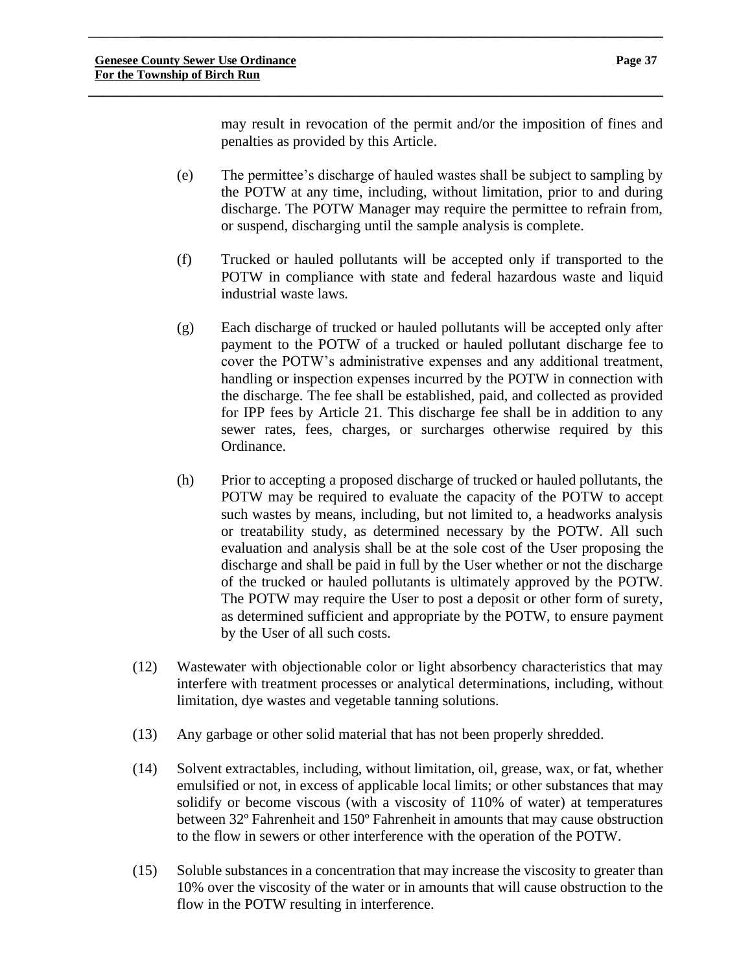may result in revocation of the permit and/or the imposition of fines and penalties as provided by this Article.

(e) The permittee's discharge of hauled wastes shall be subject to sampling by the POTW at any time, including, without limitation, prior to and during discharge. The POTW Manager may require the permittee to refrain from, or suspend, discharging until the sample analysis is complete.

\_\_\_\_\_\_\_**\_\_\_\_\_\_\_\_\_\_\_\_\_\_\_\_\_\_\_\_\_\_\_\_\_\_\_\_\_\_\_\_\_\_\_\_\_\_\_\_\_\_\_\_\_\_\_\_\_\_\_\_\_\_\_\_\_\_\_\_\_\_\_\_\_\_\_\_\_\_\_**

- (f) Trucked or hauled pollutants will be accepted only if transported to the POTW in compliance with state and federal hazardous waste and liquid industrial waste laws.
- (g) Each discharge of trucked or hauled pollutants will be accepted only after payment to the POTW of a trucked or hauled pollutant discharge fee to cover the POTW's administrative expenses and any additional treatment, handling or inspection expenses incurred by the POTW in connection with the discharge. The fee shall be established, paid, and collected as provided for IPP fees by Article 21. This discharge fee shall be in addition to any sewer rates, fees, charges, or surcharges otherwise required by this Ordinance.
- (h) Prior to accepting a proposed discharge of trucked or hauled pollutants, the POTW may be required to evaluate the capacity of the POTW to accept such wastes by means, including, but not limited to, a headworks analysis or treatability study, as determined necessary by the POTW. All such evaluation and analysis shall be at the sole cost of the User proposing the discharge and shall be paid in full by the User whether or not the discharge of the trucked or hauled pollutants is ultimately approved by the POTW. The POTW may require the User to post a deposit or other form of surety, as determined sufficient and appropriate by the POTW, to ensure payment by the User of all such costs.
- (12) Wastewater with objectionable color or light absorbency characteristics that may interfere with treatment processes or analytical determinations, including, without limitation, dye wastes and vegetable tanning solutions.
- (13) Any garbage or other solid material that has not been properly shredded.
- (14) Solvent extractables, including, without limitation, oil, grease, wax, or fat, whether emulsified or not, in excess of applicable local limits; or other substances that may solidify or become viscous (with a viscosity of 110% of water) at temperatures between 32º Fahrenheit and 150º Fahrenheit in amounts that may cause obstruction to the flow in sewers or other interference with the operation of the POTW.
- (15) Soluble substances in a concentration that may increase the viscosity to greater than 10% over the viscosity of the water or in amounts that will cause obstruction to the flow in the POTW resulting in interference.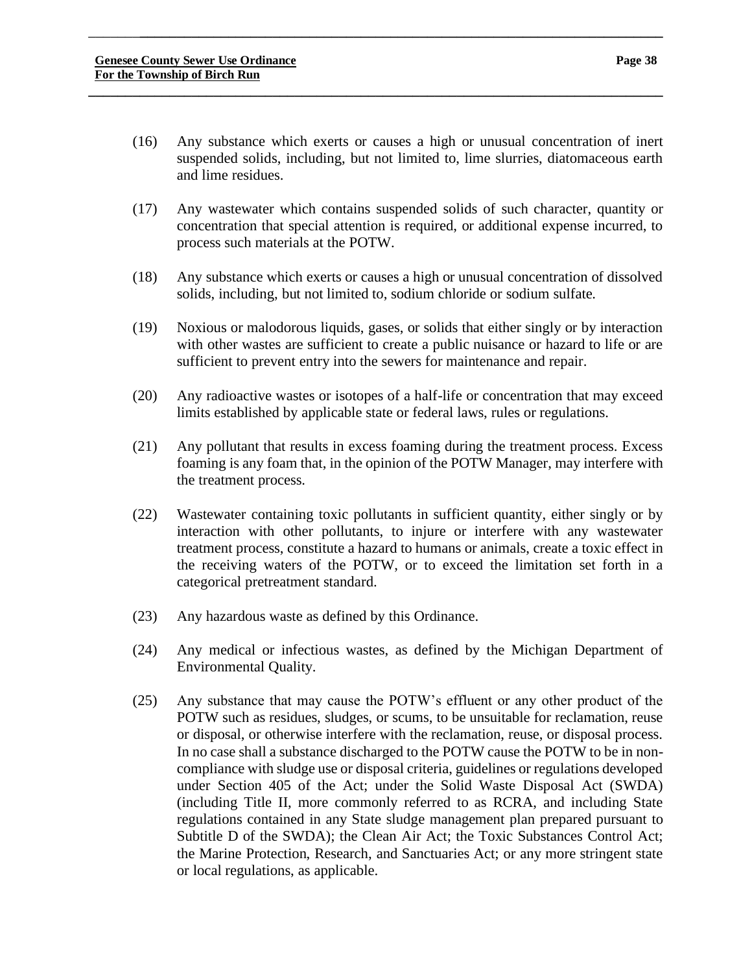(16) Any substance which exerts or causes a high or unusual concentration of inert suspended solids, including, but not limited to, lime slurries, diatomaceous earth and lime residues.

\_\_\_\_\_\_\_**\_\_\_\_\_\_\_\_\_\_\_\_\_\_\_\_\_\_\_\_\_\_\_\_\_\_\_\_\_\_\_\_\_\_\_\_\_\_\_\_\_\_\_\_\_\_\_\_\_\_\_\_\_\_\_\_\_\_\_\_\_\_\_\_\_\_\_\_\_\_\_**

- (17) Any wastewater which contains suspended solids of such character, quantity or concentration that special attention is required, or additional expense incurred, to process such materials at the POTW.
- (18) Any substance which exerts or causes a high or unusual concentration of dissolved solids, including, but not limited to, sodium chloride or sodium sulfate.
- (19) Noxious or malodorous liquids, gases, or solids that either singly or by interaction with other wastes are sufficient to create a public nuisance or hazard to life or are sufficient to prevent entry into the sewers for maintenance and repair.
- (20) Any radioactive wastes or isotopes of a half-life or concentration that may exceed limits established by applicable state or federal laws, rules or regulations.
- (21) Any pollutant that results in excess foaming during the treatment process. Excess foaming is any foam that, in the opinion of the POTW Manager, may interfere with the treatment process.
- (22) Wastewater containing toxic pollutants in sufficient quantity, either singly or by interaction with other pollutants, to injure or interfere with any wastewater treatment process, constitute a hazard to humans or animals, create a toxic effect in the receiving waters of the POTW, or to exceed the limitation set forth in a categorical pretreatment standard.
- (23) Any hazardous waste as defined by this Ordinance.
- (24) Any medical or infectious wastes, as defined by the Michigan Department of Environmental Quality.
- (25) Any substance that may cause the POTW's effluent or any other product of the POTW such as residues, sludges, or scums, to be unsuitable for reclamation, reuse or disposal, or otherwise interfere with the reclamation, reuse, or disposal process. In no case shall a substance discharged to the POTW cause the POTW to be in noncompliance with sludge use or disposal criteria, guidelines or regulations developed under Section 405 of the Act; under the Solid Waste Disposal Act (SWDA) (including Title II, more commonly referred to as RCRA, and including State regulations contained in any State sludge management plan prepared pursuant to Subtitle D of the SWDA); the Clean Air Act; the Toxic Substances Control Act; the Marine Protection, Research, and Sanctuaries Act; or any more stringent state or local regulations, as applicable.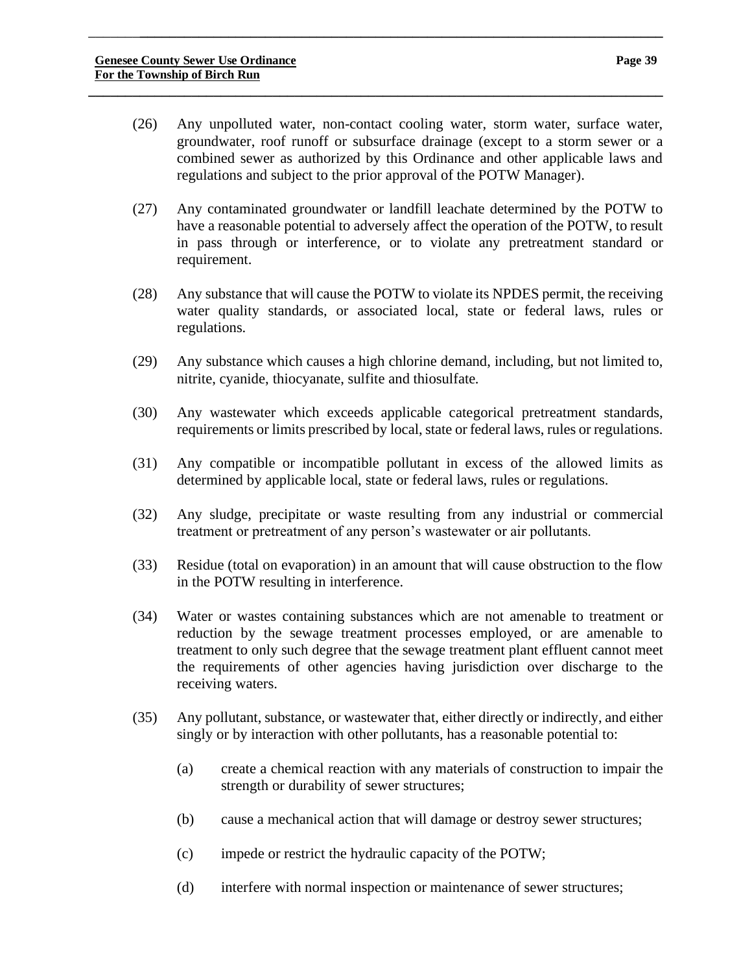(26) Any unpolluted water, non-contact cooling water, storm water, surface water, groundwater, roof runoff or subsurface drainage (except to a storm sewer or a combined sewer as authorized by this Ordinance and other applicable laws and regulations and subject to the prior approval of the POTW Manager).

\_\_\_\_\_\_\_**\_\_\_\_\_\_\_\_\_\_\_\_\_\_\_\_\_\_\_\_\_\_\_\_\_\_\_\_\_\_\_\_\_\_\_\_\_\_\_\_\_\_\_\_\_\_\_\_\_\_\_\_\_\_\_\_\_\_\_\_\_\_\_\_\_\_\_\_\_\_\_**

- (27) Any contaminated groundwater or landfill leachate determined by the POTW to have a reasonable potential to adversely affect the operation of the POTW, to result in pass through or interference, or to violate any pretreatment standard or requirement.
- (28) Any substance that will cause the POTW to violate its NPDES permit, the receiving water quality standards, or associated local, state or federal laws, rules or regulations.
- (29) Any substance which causes a high chlorine demand, including, but not limited to, nitrite, cyanide, thiocyanate, sulfite and thiosulfate.
- (30) Any wastewater which exceeds applicable categorical pretreatment standards, requirements or limits prescribed by local, state or federal laws, rules or regulations.
- (31) Any compatible or incompatible pollutant in excess of the allowed limits as determined by applicable local, state or federal laws, rules or regulations.
- (32) Any sludge, precipitate or waste resulting from any industrial or commercial treatment or pretreatment of any person's wastewater or air pollutants.
- (33) Residue (total on evaporation) in an amount that will cause obstruction to the flow in the POTW resulting in interference.
- (34) Water or wastes containing substances which are not amenable to treatment or reduction by the sewage treatment processes employed, or are amenable to treatment to only such degree that the sewage treatment plant effluent cannot meet the requirements of other agencies having jurisdiction over discharge to the receiving waters.
- (35) Any pollutant, substance, or wastewater that, either directly or indirectly, and either singly or by interaction with other pollutants, has a reasonable potential to:
	- (a) create a chemical reaction with any materials of construction to impair the strength or durability of sewer structures;
	- (b) cause a mechanical action that will damage or destroy sewer structures;
	- (c) impede or restrict the hydraulic capacity of the POTW;
	- (d) interfere with normal inspection or maintenance of sewer structures;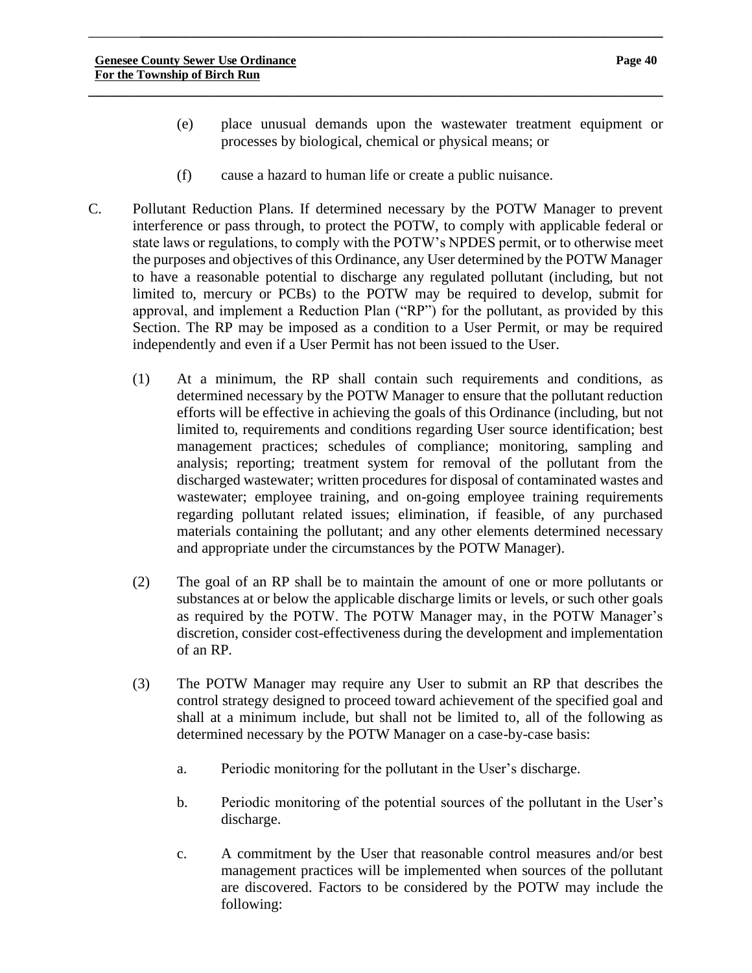- (e) place unusual demands upon the wastewater treatment equipment or processes by biological, chemical or physical means; or
- (f) cause a hazard to human life or create a public nuisance.

\_\_\_\_\_\_\_**\_\_\_\_\_\_\_\_\_\_\_\_\_\_\_\_\_\_\_\_\_\_\_\_\_\_\_\_\_\_\_\_\_\_\_\_\_\_\_\_\_\_\_\_\_\_\_\_\_\_\_\_\_\_\_\_\_\_\_\_\_\_\_\_\_\_\_\_\_\_\_**

- C. Pollutant Reduction Plans. If determined necessary by the POTW Manager to prevent interference or pass through, to protect the POTW, to comply with applicable federal or state laws or regulations, to comply with the POTW's NPDES permit, or to otherwise meet the purposes and objectives of this Ordinance, any User determined by the POTW Manager to have a reasonable potential to discharge any regulated pollutant (including, but not limited to, mercury or PCBs) to the POTW may be required to develop, submit for approval, and implement a Reduction Plan ("RP") for the pollutant, as provided by this Section. The RP may be imposed as a condition to a User Permit, or may be required independently and even if a User Permit has not been issued to the User.
	- (1) At a minimum, the RP shall contain such requirements and conditions, as determined necessary by the POTW Manager to ensure that the pollutant reduction efforts will be effective in achieving the goals of this Ordinance (including, but not limited to, requirements and conditions regarding User source identification; best management practices; schedules of compliance; monitoring, sampling and analysis; reporting; treatment system for removal of the pollutant from the discharged wastewater; written procedures for disposal of contaminated wastes and wastewater; employee training, and on-going employee training requirements regarding pollutant related issues; elimination, if feasible, of any purchased materials containing the pollutant; and any other elements determined necessary and appropriate under the circumstances by the POTW Manager).
	- (2) The goal of an RP shall be to maintain the amount of one or more pollutants or substances at or below the applicable discharge limits or levels, or such other goals as required by the POTW. The POTW Manager may, in the POTW Manager's discretion, consider cost-effectiveness during the development and implementation of an RP.
	- (3) The POTW Manager may require any User to submit an RP that describes the control strategy designed to proceed toward achievement of the specified goal and shall at a minimum include, but shall not be limited to, all of the following as determined necessary by the POTW Manager on a case-by-case basis:
		- a. Periodic monitoring for the pollutant in the User's discharge.
		- b. Periodic monitoring of the potential sources of the pollutant in the User's discharge.
		- c. A commitment by the User that reasonable control measures and/or best management practices will be implemented when sources of the pollutant are discovered. Factors to be considered by the POTW may include the following: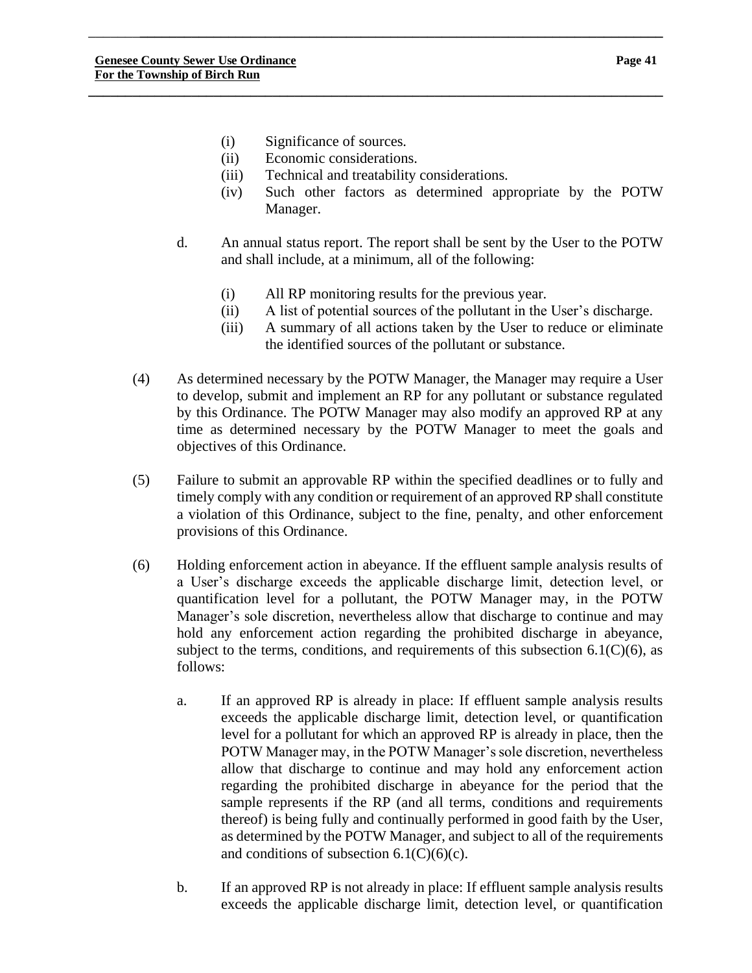- (i) Significance of sources.
- (ii) Economic considerations.
- (iii) Technical and treatability considerations.

\_\_\_\_\_\_\_**\_\_\_\_\_\_\_\_\_\_\_\_\_\_\_\_\_\_\_\_\_\_\_\_\_\_\_\_\_\_\_\_\_\_\_\_\_\_\_\_\_\_\_\_\_\_\_\_\_\_\_\_\_\_\_\_\_\_\_\_\_\_\_\_\_\_\_\_\_\_\_**

- (iv) Such other factors as determined appropriate by the POTW Manager.
- d. An annual status report. The report shall be sent by the User to the POTW and shall include, at a minimum, all of the following:
	- (i) All RP monitoring results for the previous year.
	- (ii) A list of potential sources of the pollutant in the User's discharge.
	- (iii) A summary of all actions taken by the User to reduce or eliminate the identified sources of the pollutant or substance.
- (4) As determined necessary by the POTW Manager, the Manager may require a User to develop, submit and implement an RP for any pollutant or substance regulated by this Ordinance. The POTW Manager may also modify an approved RP at any time as determined necessary by the POTW Manager to meet the goals and objectives of this Ordinance.
- (5) Failure to submit an approvable RP within the specified deadlines or to fully and timely comply with any condition or requirement of an approved RP shall constitute a violation of this Ordinance, subject to the fine, penalty, and other enforcement provisions of this Ordinance.
- (6) Holding enforcement action in abeyance. If the effluent sample analysis results of a User's discharge exceeds the applicable discharge limit, detection level, or quantification level for a pollutant, the POTW Manager may, in the POTW Manager's sole discretion, nevertheless allow that discharge to continue and may hold any enforcement action regarding the prohibited discharge in abeyance, subject to the terms, conditions, and requirements of this subsection  $6.1(C)(6)$ , as follows:
	- a. If an approved RP is already in place: If effluent sample analysis results exceeds the applicable discharge limit, detection level, or quantification level for a pollutant for which an approved RP is already in place, then the POTW Manager may, in the POTW Manager's sole discretion, nevertheless allow that discharge to continue and may hold any enforcement action regarding the prohibited discharge in abeyance for the period that the sample represents if the RP (and all terms, conditions and requirements thereof) is being fully and continually performed in good faith by the User, as determined by the POTW Manager, and subject to all of the requirements and conditions of subsection  $6.1(C)(6)(c)$ .
	- b. If an approved RP is not already in place: If effluent sample analysis results exceeds the applicable discharge limit, detection level, or quantification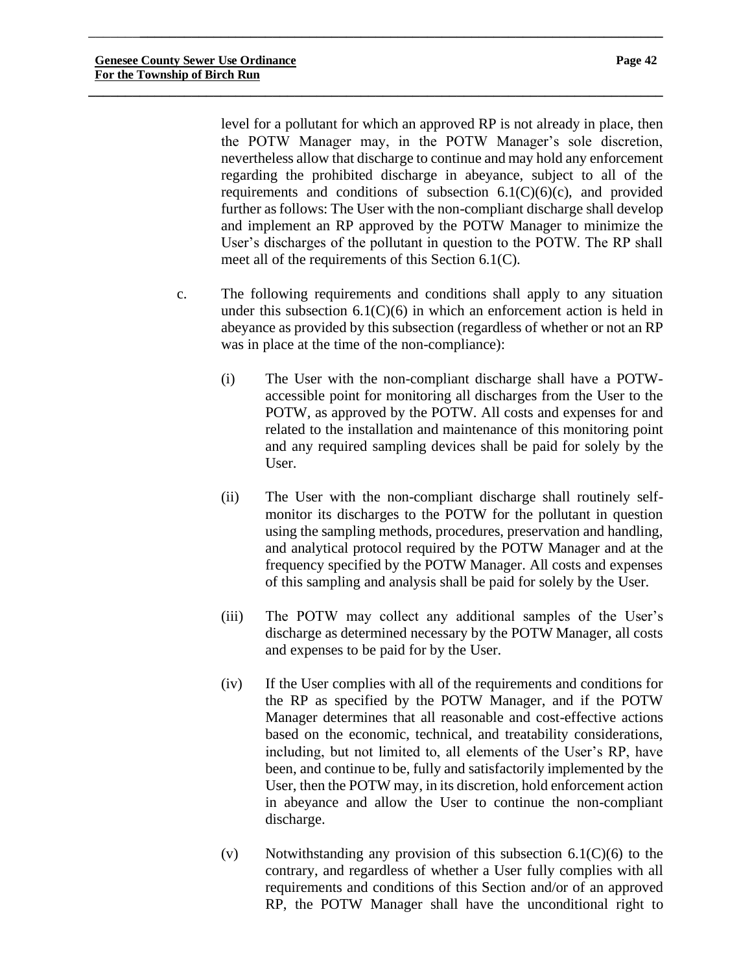level for a pollutant for which an approved RP is not already in place, then the POTW Manager may, in the POTW Manager's sole discretion, nevertheless allow that discharge to continue and may hold any enforcement regarding the prohibited discharge in abeyance, subject to all of the requirements and conditions of subsection  $6.1(C)(6)(c)$ , and provided further as follows: The User with the non-compliant discharge shall develop and implement an RP approved by the POTW Manager to minimize the User's discharges of the pollutant in question to the POTW. The RP shall meet all of the requirements of this Section 6.1(C).

\_\_\_\_\_\_\_**\_\_\_\_\_\_\_\_\_\_\_\_\_\_\_\_\_\_\_\_\_\_\_\_\_\_\_\_\_\_\_\_\_\_\_\_\_\_\_\_\_\_\_\_\_\_\_\_\_\_\_\_\_\_\_\_\_\_\_\_\_\_\_\_\_\_\_\_\_\_\_**

- c. The following requirements and conditions shall apply to any situation under this subsection  $6.1(C)(6)$  in which an enforcement action is held in abeyance as provided by this subsection (regardless of whether or not an RP was in place at the time of the non-compliance):
	- (i) The User with the non-compliant discharge shall have a POTWaccessible point for monitoring all discharges from the User to the POTW, as approved by the POTW. All costs and expenses for and related to the installation and maintenance of this monitoring point and any required sampling devices shall be paid for solely by the User.
	- (ii) The User with the non-compliant discharge shall routinely selfmonitor its discharges to the POTW for the pollutant in question using the sampling methods, procedures, preservation and handling, and analytical protocol required by the POTW Manager and at the frequency specified by the POTW Manager. All costs and expenses of this sampling and analysis shall be paid for solely by the User.
	- (iii) The POTW may collect any additional samples of the User's discharge as determined necessary by the POTW Manager, all costs and expenses to be paid for by the User.
	- (iv) If the User complies with all of the requirements and conditions for the RP as specified by the POTW Manager, and if the POTW Manager determines that all reasonable and cost-effective actions based on the economic, technical, and treatability considerations, including, but not limited to, all elements of the User's RP, have been, and continue to be, fully and satisfactorily implemented by the User, then the POTW may, in its discretion, hold enforcement action in abeyance and allow the User to continue the non-compliant discharge.
	- (v) Notwithstanding any provision of this subsection  $6.1(C)(6)$  to the contrary, and regardless of whether a User fully complies with all requirements and conditions of this Section and/or of an approved RP, the POTW Manager shall have the unconditional right to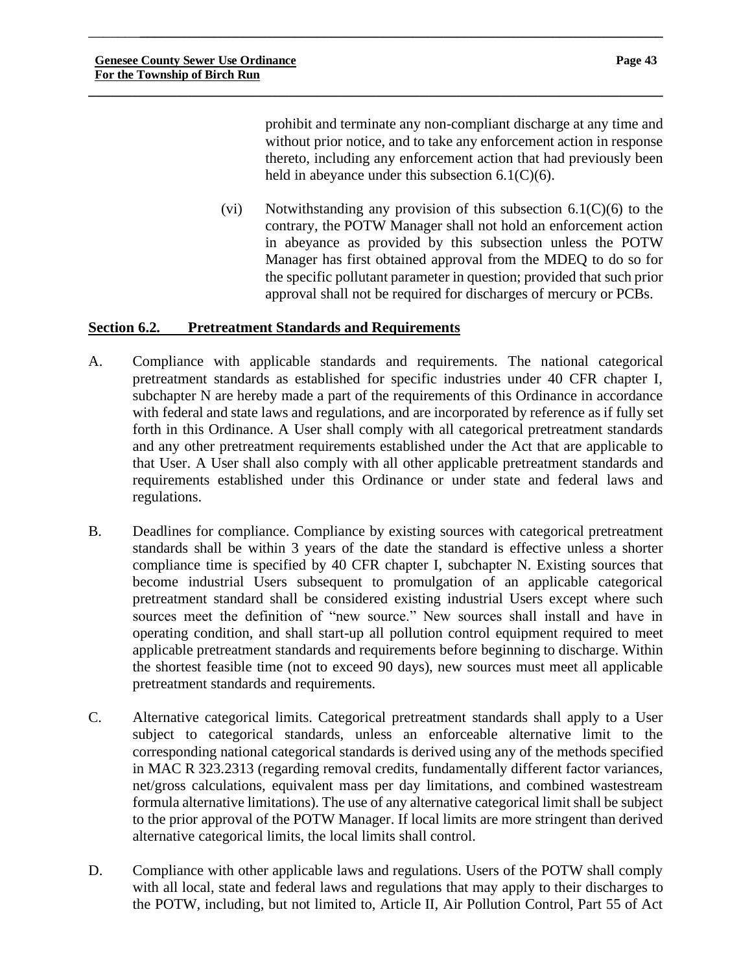prohibit and terminate any non-compliant discharge at any time and without prior notice, and to take any enforcement action in response thereto, including any enforcement action that had previously been held in abeyance under this subsection  $6.1(C)(6)$ .

(vi) Notwithstanding any provision of this subsection  $6.1(C)(6)$  to the contrary, the POTW Manager shall not hold an enforcement action in abeyance as provided by this subsection unless the POTW Manager has first obtained approval from the MDEQ to do so for the specific pollutant parameter in question; provided that such prior approval shall not be required for discharges of mercury or PCBs.

# **Section 6.2. Pretreatment Standards and Requirements**

A. Compliance with applicable standards and requirements. The national categorical pretreatment standards as established for specific industries under 40 CFR chapter I, subchapter N are hereby made a part of the requirements of this Ordinance in accordance with federal and state laws and regulations, and are incorporated by reference as if fully set forth in this Ordinance. A User shall comply with all categorical pretreatment standards and any other pretreatment requirements established under the Act that are applicable to that User. A User shall also comply with all other applicable pretreatment standards and requirements established under this Ordinance or under state and federal laws and regulations.

\_\_\_\_\_\_\_**\_\_\_\_\_\_\_\_\_\_\_\_\_\_\_\_\_\_\_\_\_\_\_\_\_\_\_\_\_\_\_\_\_\_\_\_\_\_\_\_\_\_\_\_\_\_\_\_\_\_\_\_\_\_\_\_\_\_\_\_\_\_\_\_\_\_\_\_\_\_\_**

- B. Deadlines for compliance. Compliance by existing sources with categorical pretreatment standards shall be within 3 years of the date the standard is effective unless a shorter compliance time is specified by 40 CFR chapter I, subchapter N. Existing sources that become industrial Users subsequent to promulgation of an applicable categorical pretreatment standard shall be considered existing industrial Users except where such sources meet the definition of "new source." New sources shall install and have in operating condition, and shall start-up all pollution control equipment required to meet applicable pretreatment standards and requirements before beginning to discharge. Within the shortest feasible time (not to exceed 90 days), new sources must meet all applicable pretreatment standards and requirements.
- C. Alternative categorical limits. Categorical pretreatment standards shall apply to a User subject to categorical standards, unless an enforceable alternative limit to the corresponding national categorical standards is derived using any of the methods specified in MAC R 323.2313 (regarding removal credits, fundamentally different factor variances, net/gross calculations, equivalent mass per day limitations, and combined wastestream formula alternative limitations). The use of any alternative categorical limit shall be subject to the prior approval of the POTW Manager. If local limits are more stringent than derived alternative categorical limits, the local limits shall control.
- D. Compliance with other applicable laws and regulations. Users of the POTW shall comply with all local, state and federal laws and regulations that may apply to their discharges to the POTW, including, but not limited to, Article II, Air Pollution Control, Part 55 of Act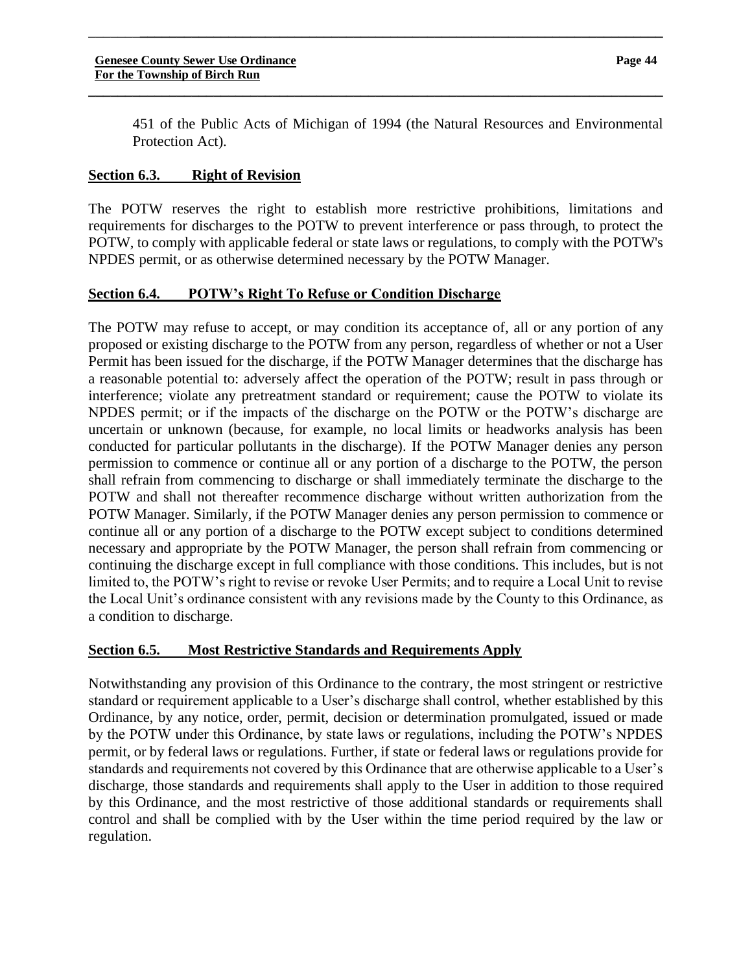451 of the Public Acts of Michigan of 1994 (the Natural Resources and Environmental Protection Act).

#### **Section 6.3. Right of Revision**

The POTW reserves the right to establish more restrictive prohibitions, limitations and requirements for discharges to the POTW to prevent interference or pass through, to protect the POTW, to comply with applicable federal or state laws or regulations, to comply with the POTW's NPDES permit, or as otherwise determined necessary by the POTW Manager.

\_\_\_\_\_\_\_**\_\_\_\_\_\_\_\_\_\_\_\_\_\_\_\_\_\_\_\_\_\_\_\_\_\_\_\_\_\_\_\_\_\_\_\_\_\_\_\_\_\_\_\_\_\_\_\_\_\_\_\_\_\_\_\_\_\_\_\_\_\_\_\_\_\_\_\_\_\_\_**

**\_\_\_\_\_\_\_\_\_\_\_\_\_\_\_\_\_\_\_\_\_\_\_\_\_\_\_\_\_\_\_\_\_\_\_\_\_\_\_\_\_\_\_\_\_\_\_\_\_\_\_\_\_\_\_\_\_\_\_\_\_\_\_\_\_\_\_\_\_\_\_\_\_\_\_\_\_\_**

# **Section 6.4. POTW's Right To Refuse or Condition Discharge**

The POTW may refuse to accept, or may condition its acceptance of, all or any portion of any proposed or existing discharge to the POTW from any person, regardless of whether or not a User Permit has been issued for the discharge, if the POTW Manager determines that the discharge has a reasonable potential to: adversely affect the operation of the POTW; result in pass through or interference; violate any pretreatment standard or requirement; cause the POTW to violate its NPDES permit; or if the impacts of the discharge on the POTW or the POTW's discharge are uncertain or unknown (because, for example, no local limits or headworks analysis has been conducted for particular pollutants in the discharge). If the POTW Manager denies any person permission to commence or continue all or any portion of a discharge to the POTW, the person shall refrain from commencing to discharge or shall immediately terminate the discharge to the POTW and shall not thereafter recommence discharge without written authorization from the POTW Manager. Similarly, if the POTW Manager denies any person permission to commence or continue all or any portion of a discharge to the POTW except subject to conditions determined necessary and appropriate by the POTW Manager, the person shall refrain from commencing or continuing the discharge except in full compliance with those conditions. This includes, but is not limited to, the POTW's right to revise or revoke User Permits; and to require a Local Unit to revise the Local Unit's ordinance consistent with any revisions made by the County to this Ordinance, as a condition to discharge.

# **Section 6.5. Most Restrictive Standards and Requirements Apply**

Notwithstanding any provision of this Ordinance to the contrary, the most stringent or restrictive standard or requirement applicable to a User's discharge shall control, whether established by this Ordinance, by any notice, order, permit, decision or determination promulgated, issued or made by the POTW under this Ordinance, by state laws or regulations, including the POTW's NPDES permit, or by federal laws or regulations. Further, if state or federal laws or regulations provide for standards and requirements not covered by this Ordinance that are otherwise applicable to a User's discharge, those standards and requirements shall apply to the User in addition to those required by this Ordinance, and the most restrictive of those additional standards or requirements shall control and shall be complied with by the User within the time period required by the law or regulation.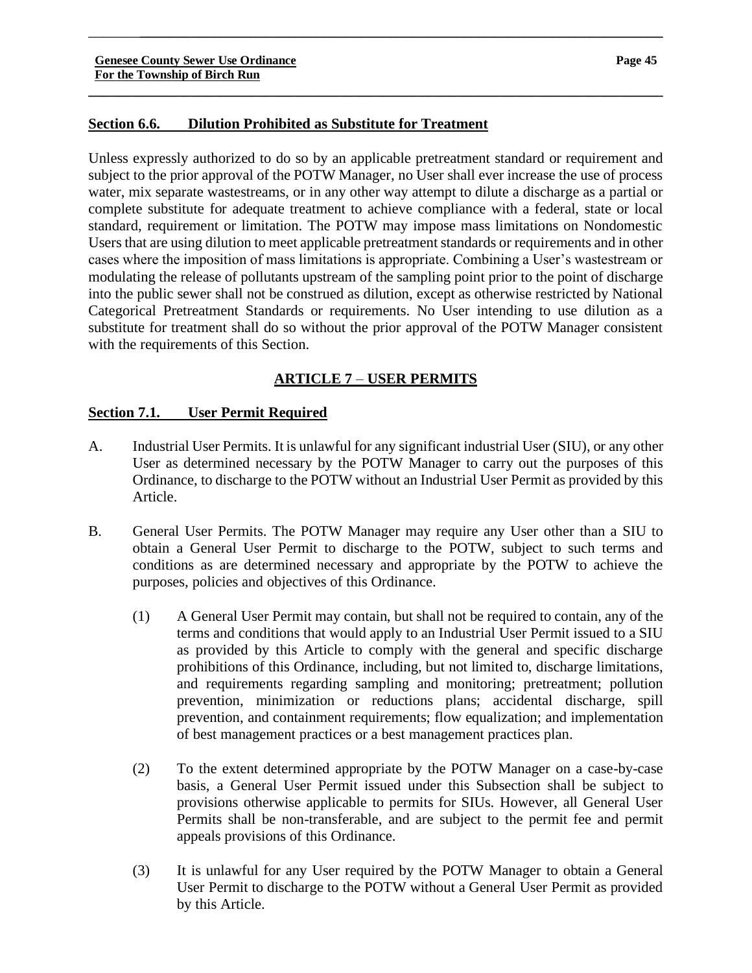# **Section 6.6. Dilution Prohibited as Substitute for Treatment**

Unless expressly authorized to do so by an applicable pretreatment standard or requirement and subject to the prior approval of the POTW Manager, no User shall ever increase the use of process water, mix separate wastestreams, or in any other way attempt to dilute a discharge as a partial or complete substitute for adequate treatment to achieve compliance with a federal, state or local standard, requirement or limitation. The POTW may impose mass limitations on Nondomestic Users that are using dilution to meet applicable pretreatment standards or requirements and in other cases where the imposition of mass limitations is appropriate. Combining a User's wastestream or modulating the release of pollutants upstream of the sampling point prior to the point of discharge into the public sewer shall not be construed as dilution, except as otherwise restricted by National Categorical Pretreatment Standards or requirements. No User intending to use dilution as a substitute for treatment shall do so without the prior approval of the POTW Manager consistent with the requirements of this Section.

\_\_\_\_\_\_\_**\_\_\_\_\_\_\_\_\_\_\_\_\_\_\_\_\_\_\_\_\_\_\_\_\_\_\_\_\_\_\_\_\_\_\_\_\_\_\_\_\_\_\_\_\_\_\_\_\_\_\_\_\_\_\_\_\_\_\_\_\_\_\_\_\_\_\_\_\_\_\_**

**\_\_\_\_\_\_\_\_\_\_\_\_\_\_\_\_\_\_\_\_\_\_\_\_\_\_\_\_\_\_\_\_\_\_\_\_\_\_\_\_\_\_\_\_\_\_\_\_\_\_\_\_\_\_\_\_\_\_\_\_\_\_\_\_\_\_\_\_\_\_\_\_\_\_\_\_\_\_**

# **ARTICLE 7** – **USER PERMITS**

# **Section 7.1. User Permit Required**

- A. Industrial User Permits. It is unlawful for any significant industrial User (SIU), or any other User as determined necessary by the POTW Manager to carry out the purposes of this Ordinance, to discharge to the POTW without an Industrial User Permit as provided by this Article.
- B. General User Permits. The POTW Manager may require any User other than a SIU to obtain a General User Permit to discharge to the POTW, subject to such terms and conditions as are determined necessary and appropriate by the POTW to achieve the purposes, policies and objectives of this Ordinance.
	- (1) A General User Permit may contain, but shall not be required to contain, any of the terms and conditions that would apply to an Industrial User Permit issued to a SIU as provided by this Article to comply with the general and specific discharge prohibitions of this Ordinance, including, but not limited to, discharge limitations, and requirements regarding sampling and monitoring; pretreatment; pollution prevention, minimization or reductions plans; accidental discharge, spill prevention, and containment requirements; flow equalization; and implementation of best management practices or a best management practices plan.
	- (2) To the extent determined appropriate by the POTW Manager on a case-by-case basis, a General User Permit issued under this Subsection shall be subject to provisions otherwise applicable to permits for SIUs. However, all General User Permits shall be non-transferable, and are subject to the permit fee and permit appeals provisions of this Ordinance.
	- (3) It is unlawful for any User required by the POTW Manager to obtain a General User Permit to discharge to the POTW without a General User Permit as provided by this Article.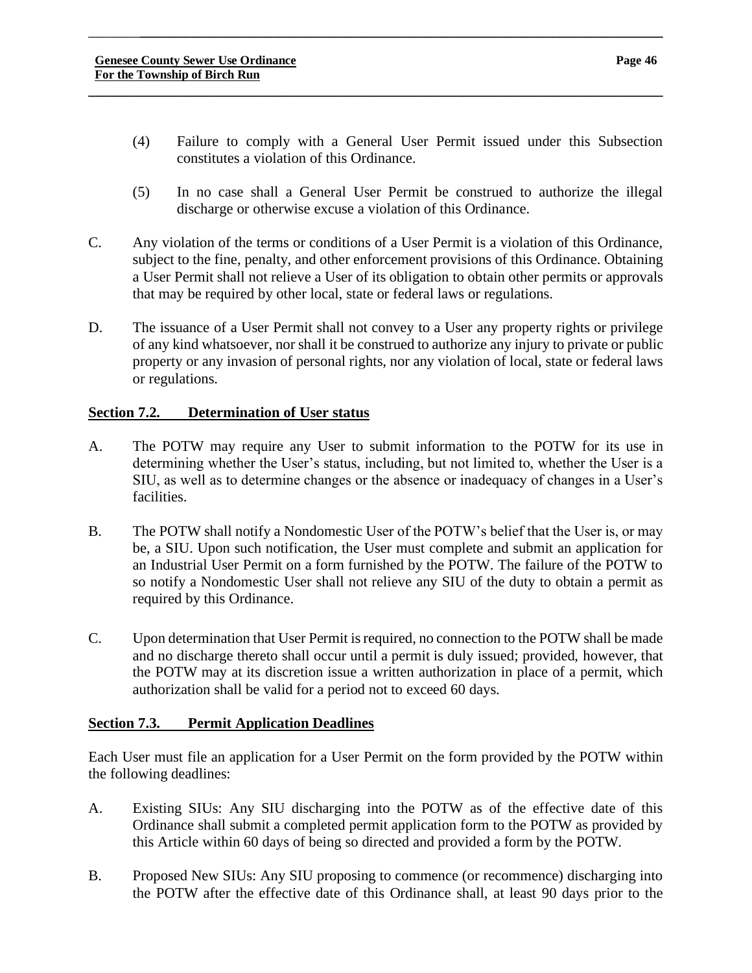(4) Failure to comply with a General User Permit issued under this Subsection constitutes a violation of this Ordinance.

\_\_\_\_\_\_\_**\_\_\_\_\_\_\_\_\_\_\_\_\_\_\_\_\_\_\_\_\_\_\_\_\_\_\_\_\_\_\_\_\_\_\_\_\_\_\_\_\_\_\_\_\_\_\_\_\_\_\_\_\_\_\_\_\_\_\_\_\_\_\_\_\_\_\_\_\_\_\_**

**\_\_\_\_\_\_\_\_\_\_\_\_\_\_\_\_\_\_\_\_\_\_\_\_\_\_\_\_\_\_\_\_\_\_\_\_\_\_\_\_\_\_\_\_\_\_\_\_\_\_\_\_\_\_\_\_\_\_\_\_\_\_\_\_\_\_\_\_\_\_\_\_\_\_\_\_\_\_**

- (5) In no case shall a General User Permit be construed to authorize the illegal discharge or otherwise excuse a violation of this Ordinance.
- C. Any violation of the terms or conditions of a User Permit is a violation of this Ordinance, subject to the fine, penalty, and other enforcement provisions of this Ordinance. Obtaining a User Permit shall not relieve a User of its obligation to obtain other permits or approvals that may be required by other local, state or federal laws or regulations.
- D. The issuance of a User Permit shall not convey to a User any property rights or privilege of any kind whatsoever, nor shall it be construed to authorize any injury to private or public property or any invasion of personal rights, nor any violation of local, state or federal laws or regulations.

# **Section 7.2. Determination of User status**

- A. The POTW may require any User to submit information to the POTW for its use in determining whether the User's status, including, but not limited to, whether the User is a SIU, as well as to determine changes or the absence or inadequacy of changes in a User's facilities.
- B. The POTW shall notify a Nondomestic User of the POTW's belief that the User is, or may be, a SIU. Upon such notification, the User must complete and submit an application for an Industrial User Permit on a form furnished by the POTW. The failure of the POTW to so notify a Nondomestic User shall not relieve any SIU of the duty to obtain a permit as required by this Ordinance.
- C. Upon determination that User Permit is required, no connection to the POTW shall be made and no discharge thereto shall occur until a permit is duly issued; provided, however, that the POTW may at its discretion issue a written authorization in place of a permit, which authorization shall be valid for a period not to exceed 60 days.

# **Section 7.3. Permit Application Deadlines**

Each User must file an application for a User Permit on the form provided by the POTW within the following deadlines:

- A. Existing SIUs: Any SIU discharging into the POTW as of the effective date of this Ordinance shall submit a completed permit application form to the POTW as provided by this Article within 60 days of being so directed and provided a form by the POTW.
- B. Proposed New SIUs: Any SIU proposing to commence (or recommence) discharging into the POTW after the effective date of this Ordinance shall, at least 90 days prior to the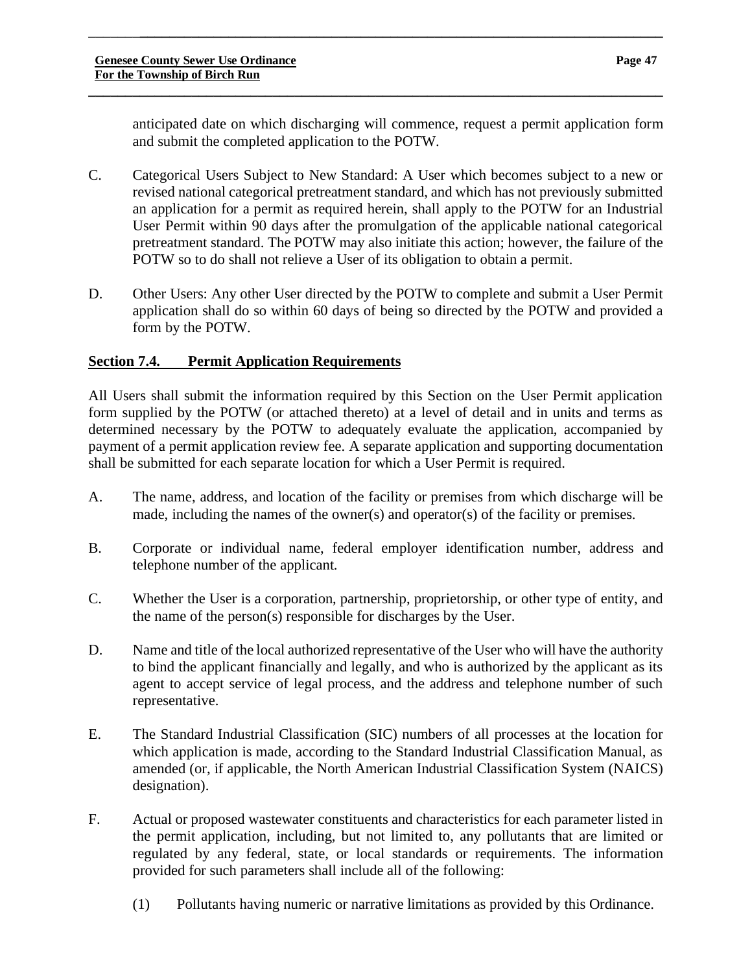anticipated date on which discharging will commence, request a permit application form and submit the completed application to the POTW.

C. Categorical Users Subject to New Standard: A User which becomes subject to a new or revised national categorical pretreatment standard, and which has not previously submitted an application for a permit as required herein, shall apply to the POTW for an Industrial User Permit within 90 days after the promulgation of the applicable national categorical pretreatment standard. The POTW may also initiate this action; however, the failure of the POTW so to do shall not relieve a User of its obligation to obtain a permit.

\_\_\_\_\_\_\_**\_\_\_\_\_\_\_\_\_\_\_\_\_\_\_\_\_\_\_\_\_\_\_\_\_\_\_\_\_\_\_\_\_\_\_\_\_\_\_\_\_\_\_\_\_\_\_\_\_\_\_\_\_\_\_\_\_\_\_\_\_\_\_\_\_\_\_\_\_\_\_**

**\_\_\_\_\_\_\_\_\_\_\_\_\_\_\_\_\_\_\_\_\_\_\_\_\_\_\_\_\_\_\_\_\_\_\_\_\_\_\_\_\_\_\_\_\_\_\_\_\_\_\_\_\_\_\_\_\_\_\_\_\_\_\_\_\_\_\_\_\_\_\_\_\_\_\_\_\_\_**

D. Other Users: Any other User directed by the POTW to complete and submit a User Permit application shall do so within 60 days of being so directed by the POTW and provided a form by the POTW.

# **Section 7.4. Permit Application Requirements**

All Users shall submit the information required by this Section on the User Permit application form supplied by the POTW (or attached thereto) at a level of detail and in units and terms as determined necessary by the POTW to adequately evaluate the application, accompanied by payment of a permit application review fee. A separate application and supporting documentation shall be submitted for each separate location for which a User Permit is required.

- A. The name, address, and location of the facility or premises from which discharge will be made, including the names of the owner(s) and operator(s) of the facility or premises.
- B. Corporate or individual name, federal employer identification number, address and telephone number of the applicant.
- C. Whether the User is a corporation, partnership, proprietorship, or other type of entity, and the name of the person(s) responsible for discharges by the User.
- D. Name and title of the local authorized representative of the User who will have the authority to bind the applicant financially and legally, and who is authorized by the applicant as its agent to accept service of legal process, and the address and telephone number of such representative.
- E. The Standard Industrial Classification (SIC) numbers of all processes at the location for which application is made, according to the Standard Industrial Classification Manual, as amended (or, if applicable, the North American Industrial Classification System (NAICS) designation).
- F. Actual or proposed wastewater constituents and characteristics for each parameter listed in the permit application, including, but not limited to, any pollutants that are limited or regulated by any federal, state, or local standards or requirements. The information provided for such parameters shall include all of the following:
	- (1) Pollutants having numeric or narrative limitations as provided by this Ordinance.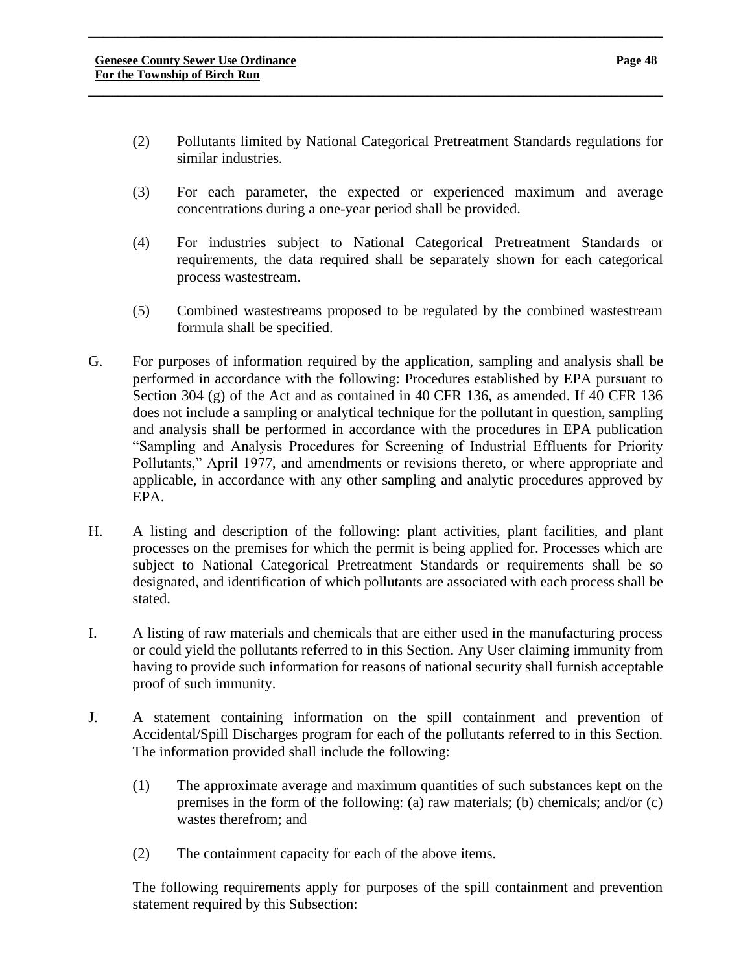(2) Pollutants limited by National Categorical Pretreatment Standards regulations for similar industries.

\_\_\_\_\_\_\_**\_\_\_\_\_\_\_\_\_\_\_\_\_\_\_\_\_\_\_\_\_\_\_\_\_\_\_\_\_\_\_\_\_\_\_\_\_\_\_\_\_\_\_\_\_\_\_\_\_\_\_\_\_\_\_\_\_\_\_\_\_\_\_\_\_\_\_\_\_\_\_**

**\_\_\_\_\_\_\_\_\_\_\_\_\_\_\_\_\_\_\_\_\_\_\_\_\_\_\_\_\_\_\_\_\_\_\_\_\_\_\_\_\_\_\_\_\_\_\_\_\_\_\_\_\_\_\_\_\_\_\_\_\_\_\_\_\_\_\_\_\_\_\_\_\_\_\_\_\_\_**

- (3) For each parameter, the expected or experienced maximum and average concentrations during a one-year period shall be provided.
- (4) For industries subject to National Categorical Pretreatment Standards or requirements, the data required shall be separately shown for each categorical process wastestream.
- (5) Combined wastestreams proposed to be regulated by the combined wastestream formula shall be specified.
- G. For purposes of information required by the application, sampling and analysis shall be performed in accordance with the following: Procedures established by EPA pursuant to Section 304 (g) of the Act and as contained in 40 CFR 136, as amended. If 40 CFR 136 does not include a sampling or analytical technique for the pollutant in question, sampling and analysis shall be performed in accordance with the procedures in EPA publication "Sampling and Analysis Procedures for Screening of Industrial Effluents for Priority Pollutants," April 1977, and amendments or revisions thereto, or where appropriate and applicable, in accordance with any other sampling and analytic procedures approved by EPA.
- H. A listing and description of the following: plant activities, plant facilities, and plant processes on the premises for which the permit is being applied for. Processes which are subject to National Categorical Pretreatment Standards or requirements shall be so designated, and identification of which pollutants are associated with each process shall be stated.
- I. A listing of raw materials and chemicals that are either used in the manufacturing process or could yield the pollutants referred to in this Section. Any User claiming immunity from having to provide such information for reasons of national security shall furnish acceptable proof of such immunity.
- J. A statement containing information on the spill containment and prevention of Accidental/Spill Discharges program for each of the pollutants referred to in this Section. The information provided shall include the following:
	- (1) The approximate average and maximum quantities of such substances kept on the premises in the form of the following: (a) raw materials; (b) chemicals; and/or (c) wastes therefrom; and
	- (2) The containment capacity for each of the above items.

The following requirements apply for purposes of the spill containment and prevention statement required by this Subsection: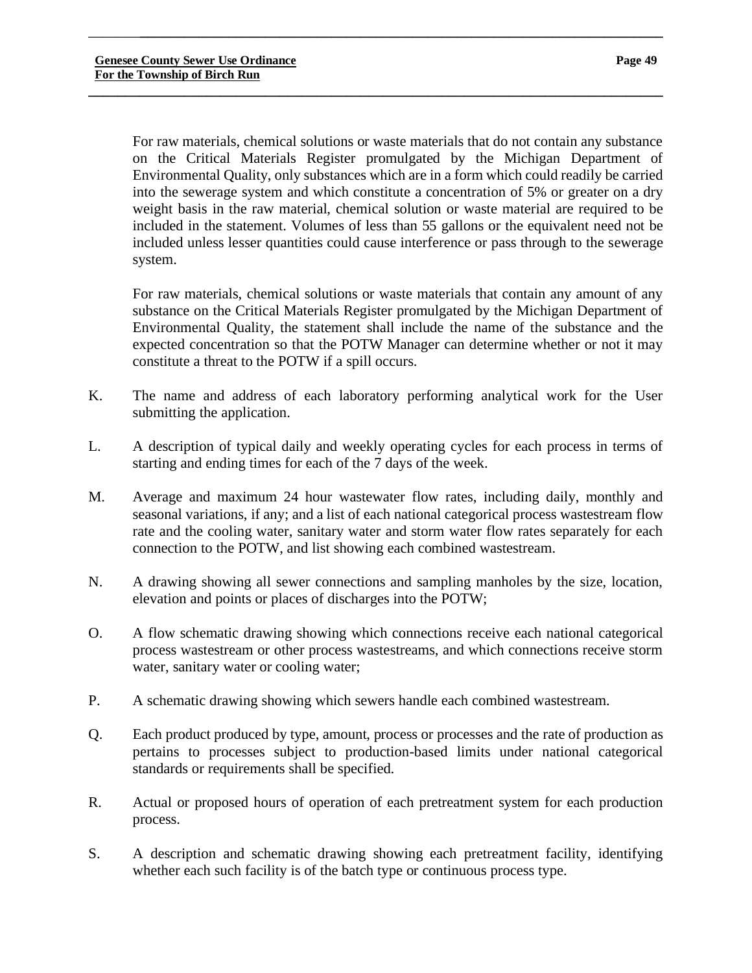For raw materials, chemical solutions or waste materials that do not contain any substance on the Critical Materials Register promulgated by the Michigan Department of Environmental Quality, only substances which are in a form which could readily be carried into the sewerage system and which constitute a concentration of 5% or greater on a dry weight basis in the raw material, chemical solution or waste material are required to be included in the statement. Volumes of less than 55 gallons or the equivalent need not be included unless lesser quantities could cause interference or pass through to the sewerage system.

\_\_\_\_\_\_\_**\_\_\_\_\_\_\_\_\_\_\_\_\_\_\_\_\_\_\_\_\_\_\_\_\_\_\_\_\_\_\_\_\_\_\_\_\_\_\_\_\_\_\_\_\_\_\_\_\_\_\_\_\_\_\_\_\_\_\_\_\_\_\_\_\_\_\_\_\_\_\_**

**\_\_\_\_\_\_\_\_\_\_\_\_\_\_\_\_\_\_\_\_\_\_\_\_\_\_\_\_\_\_\_\_\_\_\_\_\_\_\_\_\_\_\_\_\_\_\_\_\_\_\_\_\_\_\_\_\_\_\_\_\_\_\_\_\_\_\_\_\_\_\_\_\_\_\_\_\_\_**

For raw materials, chemical solutions or waste materials that contain any amount of any substance on the Critical Materials Register promulgated by the Michigan Department of Environmental Quality, the statement shall include the name of the substance and the expected concentration so that the POTW Manager can determine whether or not it may constitute a threat to the POTW if a spill occurs.

- K. The name and address of each laboratory performing analytical work for the User submitting the application.
- L. A description of typical daily and weekly operating cycles for each process in terms of starting and ending times for each of the 7 days of the week.
- M. Average and maximum 24 hour wastewater flow rates, including daily, monthly and seasonal variations, if any; and a list of each national categorical process wastestream flow rate and the cooling water, sanitary water and storm water flow rates separately for each connection to the POTW, and list showing each combined wastestream.
- N. A drawing showing all sewer connections and sampling manholes by the size, location, elevation and points or places of discharges into the POTW;
- O. A flow schematic drawing showing which connections receive each national categorical process wastestream or other process wastestreams, and which connections receive storm water, sanitary water or cooling water;
- P. A schematic drawing showing which sewers handle each combined wastestream.
- Q. Each product produced by type, amount, process or processes and the rate of production as pertains to processes subject to production-based limits under national categorical standards or requirements shall be specified.
- R. Actual or proposed hours of operation of each pretreatment system for each production process.
- S. A description and schematic drawing showing each pretreatment facility, identifying whether each such facility is of the batch type or continuous process type.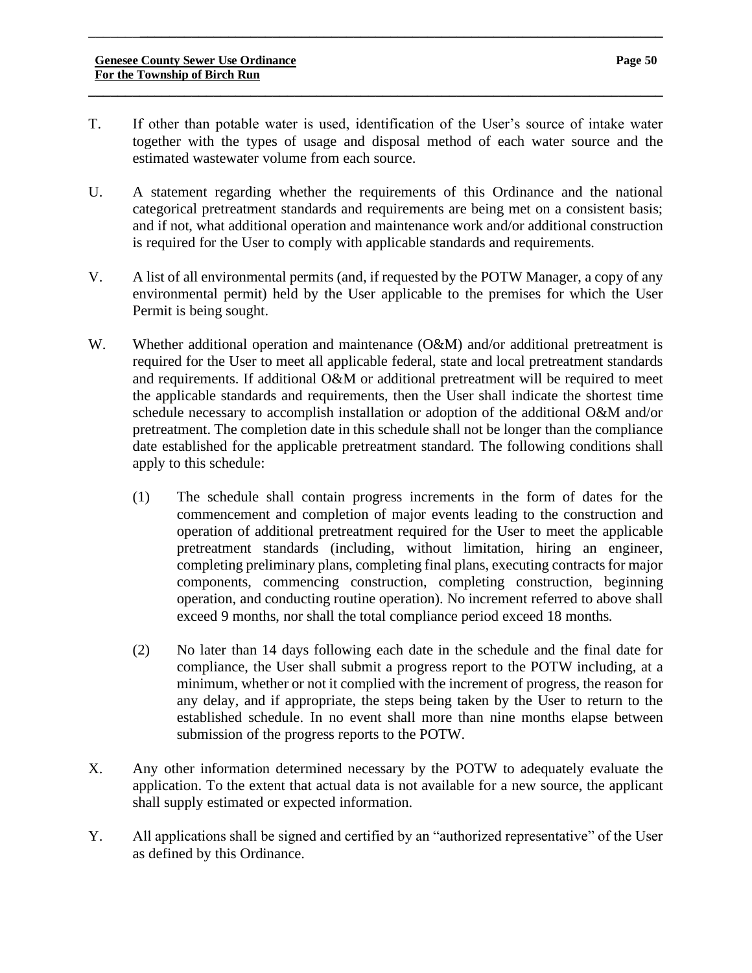T. If other than potable water is used, identification of the User's source of intake water together with the types of usage and disposal method of each water source and the estimated wastewater volume from each source.

**\_\_\_\_\_\_\_\_\_\_\_\_\_\_\_\_\_\_\_\_\_\_\_\_\_\_\_\_\_\_\_\_\_\_\_\_\_\_\_\_\_\_\_\_\_\_\_\_\_\_\_\_\_\_\_\_\_\_\_\_\_\_\_\_\_\_\_\_\_\_\_\_\_\_\_\_\_\_**

- U. A statement regarding whether the requirements of this Ordinance and the national categorical pretreatment standards and requirements are being met on a consistent basis; and if not, what additional operation and maintenance work and/or additional construction is required for the User to comply with applicable standards and requirements.
- V. A list of all environmental permits (and, if requested by the POTW Manager, a copy of any environmental permit) held by the User applicable to the premises for which the User Permit is being sought.
- W. Whether additional operation and maintenance (O&M) and/or additional pretreatment is required for the User to meet all applicable federal, state and local pretreatment standards and requirements. If additional O&M or additional pretreatment will be required to meet the applicable standards and requirements, then the User shall indicate the shortest time schedule necessary to accomplish installation or adoption of the additional O&M and/or pretreatment. The completion date in this schedule shall not be longer than the compliance date established for the applicable pretreatment standard. The following conditions shall apply to this schedule:
	- (1) The schedule shall contain progress increments in the form of dates for the commencement and completion of major events leading to the construction and operation of additional pretreatment required for the User to meet the applicable pretreatment standards (including, without limitation, hiring an engineer, completing preliminary plans, completing final plans, executing contracts for major components, commencing construction, completing construction, beginning operation, and conducting routine operation). No increment referred to above shall exceed 9 months, nor shall the total compliance period exceed 18 months.
	- (2) No later than 14 days following each date in the schedule and the final date for compliance, the User shall submit a progress report to the POTW including, at a minimum, whether or not it complied with the increment of progress, the reason for any delay, and if appropriate, the steps being taken by the User to return to the established schedule. In no event shall more than nine months elapse between submission of the progress reports to the POTW.
- X. Any other information determined necessary by the POTW to adequately evaluate the application. To the extent that actual data is not available for a new source, the applicant shall supply estimated or expected information.
- Y. All applications shall be signed and certified by an "authorized representative" of the User as defined by this Ordinance.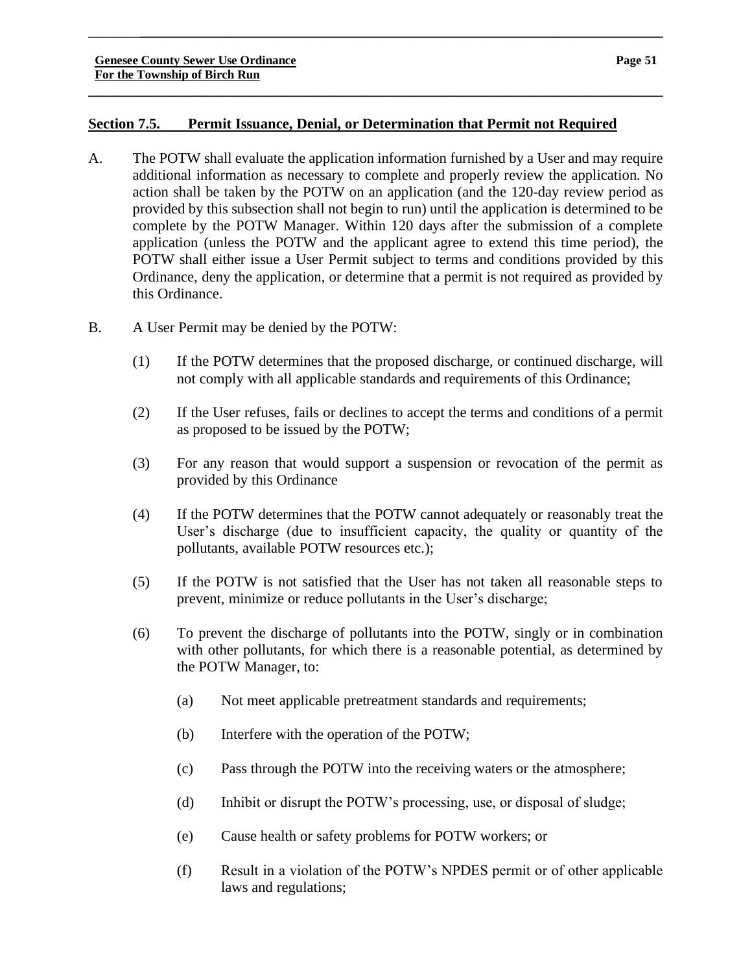# **Section 7.5. Permit Issuance, Denial, or Determination that Permit not Required**

\_\_\_\_\_\_\_**\_\_\_\_\_\_\_\_\_\_\_\_\_\_\_\_\_\_\_\_\_\_\_\_\_\_\_\_\_\_\_\_\_\_\_\_\_\_\_\_\_\_\_\_\_\_\_\_\_\_\_\_\_\_\_\_\_\_\_\_\_\_\_\_\_\_\_\_\_\_\_**

- A. The POTW shall evaluate the application information furnished by a User and may require additional information as necessary to complete and properly review the application. No action shall be taken by the POTW on an application (and the 120-day review period as provided by this subsection shall not begin to run) until the application is determined to be complete by the POTW Manager. Within 120 days after the submission of a complete application (unless the POTW and the applicant agree to extend this time period), the POTW shall either issue a User Permit subject to terms and conditions provided by this Ordinance, deny the application, or determine that a permit is not required as provided by this Ordinance.
- B. A User Permit may be denied by the POTW:
	- (1) If the POTW determines that the proposed discharge, or continued discharge, will not comply with all applicable standards and requirements of this Ordinance;
	- (2) If the User refuses, fails or declines to accept the terms and conditions of a permit as proposed to be issued by the POTW;
	- (3) For any reason that would support a suspension or revocation of the permit as provided by this Ordinance
	- (4) If the POTW determines that the POTW cannot adequately or reasonably treat the User's discharge (due to insufficient capacity, the quality or quantity of the pollutants, available POTW resources etc.);
	- (5) If the POTW is not satisfied that the User has not taken all reasonable steps to prevent, minimize or reduce pollutants in the User's discharge;
	- (6) To prevent the discharge of pollutants into the POTW, singly or in combination with other pollutants, for which there is a reasonable potential, as determined by the POTW Manager, to:
		- (a) Not meet applicable pretreatment standards and requirements;
		- (b) Interfere with the operation of the POTW;
		- (c) Pass through the POTW into the receiving waters or the atmosphere;
		- (d) Inhibit or disrupt the POTW's processing, use, or disposal of sludge;
		- (e) Cause health or safety problems for POTW workers; or
		- (f) Result in a violation of the POTW's NPDES permit or of other applicable laws and regulations;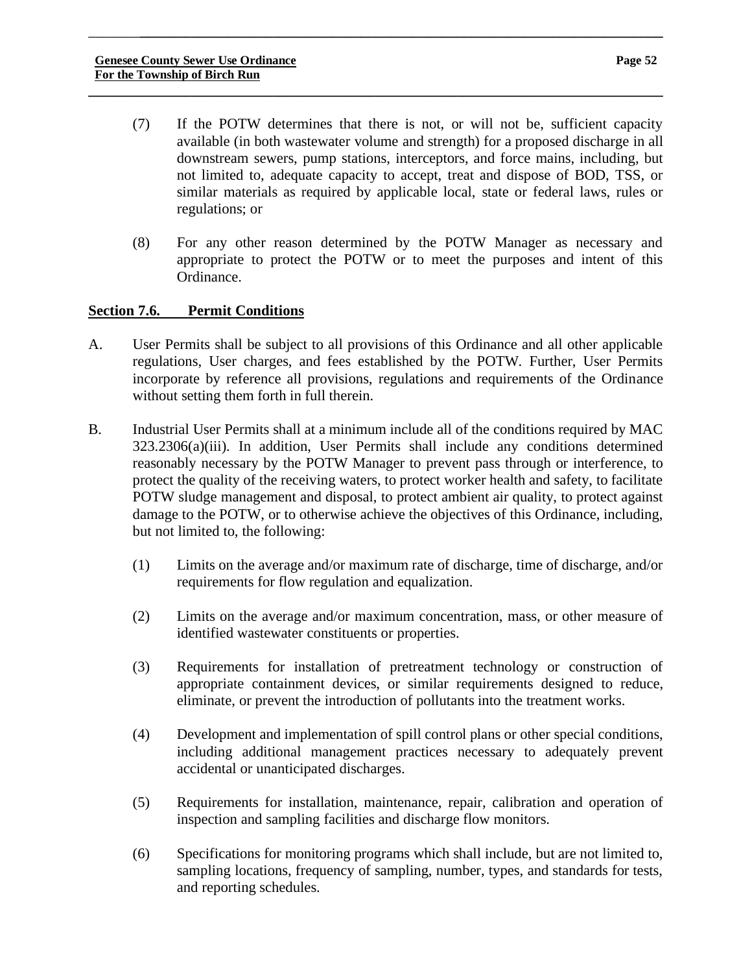(7) If the POTW determines that there is not, or will not be, sufficient capacity available (in both wastewater volume and strength) for a proposed discharge in all downstream sewers, pump stations, interceptors, and force mains, including, but not limited to, adequate capacity to accept, treat and dispose of BOD, TSS, or similar materials as required by applicable local, state or federal laws, rules or regulations; or

\_\_\_\_\_\_\_**\_\_\_\_\_\_\_\_\_\_\_\_\_\_\_\_\_\_\_\_\_\_\_\_\_\_\_\_\_\_\_\_\_\_\_\_\_\_\_\_\_\_\_\_\_\_\_\_\_\_\_\_\_\_\_\_\_\_\_\_\_\_\_\_\_\_\_\_\_\_\_**

**\_\_\_\_\_\_\_\_\_\_\_\_\_\_\_\_\_\_\_\_\_\_\_\_\_\_\_\_\_\_\_\_\_\_\_\_\_\_\_\_\_\_\_\_\_\_\_\_\_\_\_\_\_\_\_\_\_\_\_\_\_\_\_\_\_\_\_\_\_\_\_\_\_\_\_\_\_\_**

(8) For any other reason determined by the POTW Manager as necessary and appropriate to protect the POTW or to meet the purposes and intent of this Ordinance.

# **Section 7.6. Permit Conditions**

- A. User Permits shall be subject to all provisions of this Ordinance and all other applicable regulations, User charges, and fees established by the POTW. Further, User Permits incorporate by reference all provisions, regulations and requirements of the Ordinance without setting them forth in full therein.
- B. Industrial User Permits shall at a minimum include all of the conditions required by MAC 323.2306(a)(iii). In addition, User Permits shall include any conditions determined reasonably necessary by the POTW Manager to prevent pass through or interference, to protect the quality of the receiving waters, to protect worker health and safety, to facilitate POTW sludge management and disposal, to protect ambient air quality, to protect against damage to the POTW, or to otherwise achieve the objectives of this Ordinance, including, but not limited to, the following:
	- (1) Limits on the average and/or maximum rate of discharge, time of discharge, and/or requirements for flow regulation and equalization.
	- (2) Limits on the average and/or maximum concentration, mass, or other measure of identified wastewater constituents or properties.
	- (3) Requirements for installation of pretreatment technology or construction of appropriate containment devices, or similar requirements designed to reduce, eliminate, or prevent the introduction of pollutants into the treatment works.
	- (4) Development and implementation of spill control plans or other special conditions, including additional management practices necessary to adequately prevent accidental or unanticipated discharges.
	- (5) Requirements for installation, maintenance, repair, calibration and operation of inspection and sampling facilities and discharge flow monitors.
	- (6) Specifications for monitoring programs which shall include, but are not limited to, sampling locations, frequency of sampling, number, types, and standards for tests, and reporting schedules.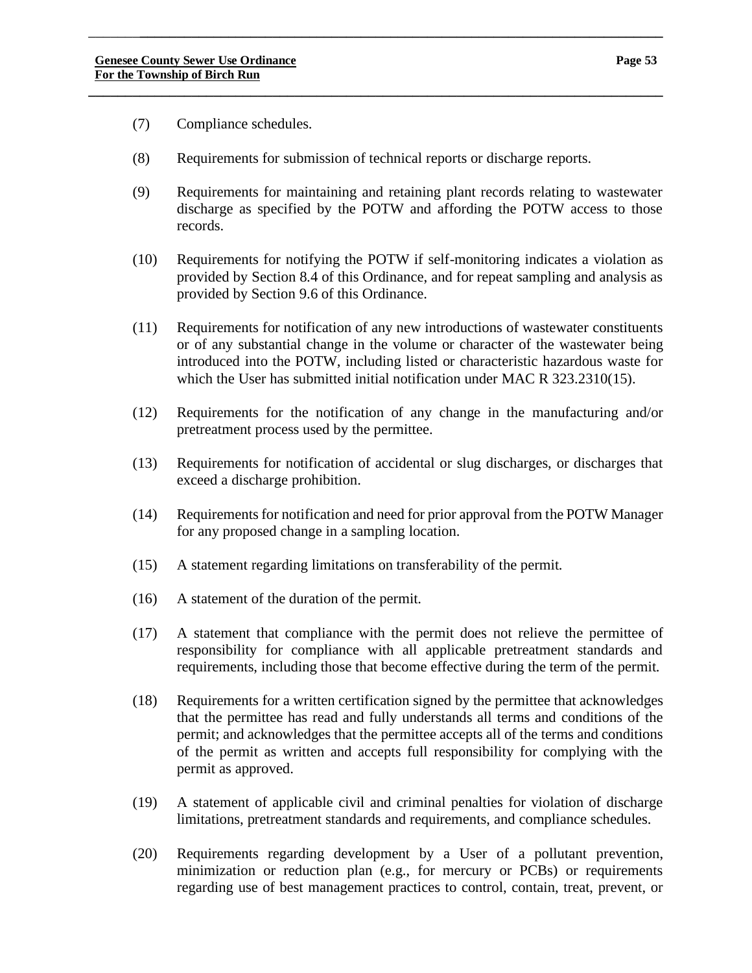- (7) Compliance schedules.
- (8) Requirements for submission of technical reports or discharge reports.

\_\_\_\_\_\_\_**\_\_\_\_\_\_\_\_\_\_\_\_\_\_\_\_\_\_\_\_\_\_\_\_\_\_\_\_\_\_\_\_\_\_\_\_\_\_\_\_\_\_\_\_\_\_\_\_\_\_\_\_\_\_\_\_\_\_\_\_\_\_\_\_\_\_\_\_\_\_\_**

- (9) Requirements for maintaining and retaining plant records relating to wastewater discharge as specified by the POTW and affording the POTW access to those records.
- (10) Requirements for notifying the POTW if self-monitoring indicates a violation as provided by Section 8.4 of this Ordinance, and for repeat sampling and analysis as provided by Section 9.6 of this Ordinance.
- (11) Requirements for notification of any new introductions of wastewater constituents or of any substantial change in the volume or character of the wastewater being introduced into the POTW, including listed or characteristic hazardous waste for which the User has submitted initial notification under MAC R 323.2310(15).
- (12) Requirements for the notification of any change in the manufacturing and/or pretreatment process used by the permittee.
- (13) Requirements for notification of accidental or slug discharges, or discharges that exceed a discharge prohibition.
- (14) Requirements for notification and need for prior approval from the POTW Manager for any proposed change in a sampling location.
- (15) A statement regarding limitations on transferability of the permit.
- (16) A statement of the duration of the permit.
- (17) A statement that compliance with the permit does not relieve the permittee of responsibility for compliance with all applicable pretreatment standards and requirements, including those that become effective during the term of the permit.
- (18) Requirements for a written certification signed by the permittee that acknowledges that the permittee has read and fully understands all terms and conditions of the permit; and acknowledges that the permittee accepts all of the terms and conditions of the permit as written and accepts full responsibility for complying with the permit as approved.
- (19) A statement of applicable civil and criminal penalties for violation of discharge limitations, pretreatment standards and requirements, and compliance schedules.
- (20) Requirements regarding development by a User of a pollutant prevention, minimization or reduction plan (e.g., for mercury or PCBs) or requirements regarding use of best management practices to control, contain, treat, prevent, or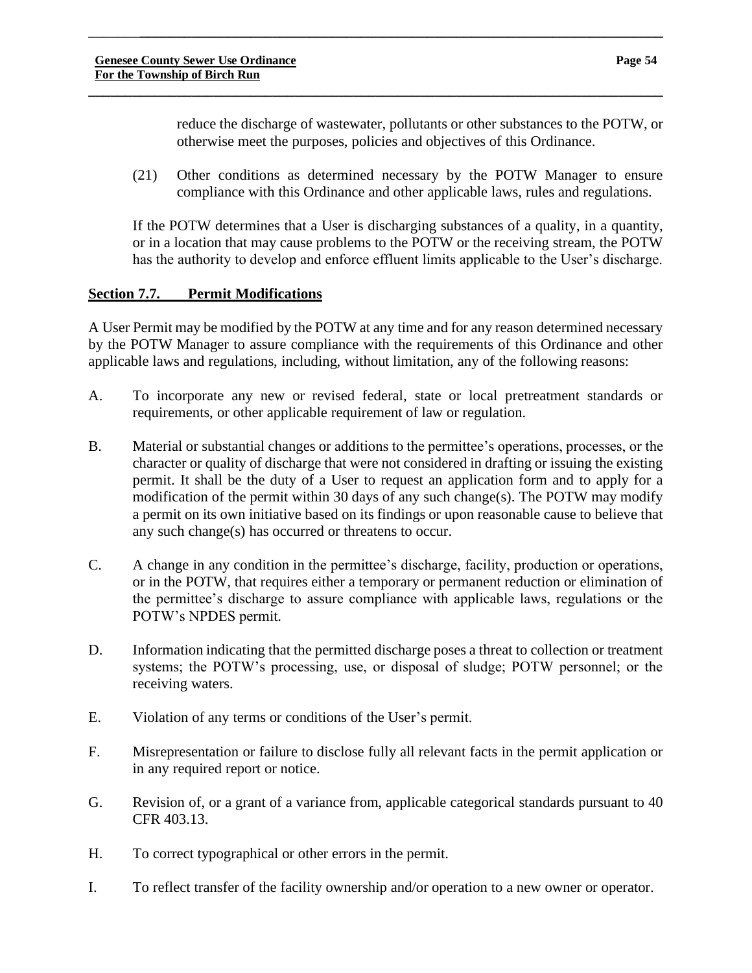reduce the discharge of wastewater, pollutants or other substances to the POTW, or otherwise meet the purposes, policies and objectives of this Ordinance.

(21) Other conditions as determined necessary by the POTW Manager to ensure compliance with this Ordinance and other applicable laws, rules and regulations.

\_\_\_\_\_\_\_**\_\_\_\_\_\_\_\_\_\_\_\_\_\_\_\_\_\_\_\_\_\_\_\_\_\_\_\_\_\_\_\_\_\_\_\_\_\_\_\_\_\_\_\_\_\_\_\_\_\_\_\_\_\_\_\_\_\_\_\_\_\_\_\_\_\_\_\_\_\_\_**

**\_\_\_\_\_\_\_\_\_\_\_\_\_\_\_\_\_\_\_\_\_\_\_\_\_\_\_\_\_\_\_\_\_\_\_\_\_\_\_\_\_\_\_\_\_\_\_\_\_\_\_\_\_\_\_\_\_\_\_\_\_\_\_\_\_\_\_\_\_\_\_\_\_\_\_\_\_\_**

If the POTW determines that a User is discharging substances of a quality, in a quantity, or in a location that may cause problems to the POTW or the receiving stream, the POTW has the authority to develop and enforce effluent limits applicable to the User's discharge.

# **Section 7.7. Permit Modifications**

A User Permit may be modified by the POTW at any time and for any reason determined necessary by the POTW Manager to assure compliance with the requirements of this Ordinance and other applicable laws and regulations, including, without limitation, any of the following reasons:

- A. To incorporate any new or revised federal, state or local pretreatment standards or requirements, or other applicable requirement of law or regulation.
- B. Material or substantial changes or additions to the permittee's operations, processes, or the character or quality of discharge that were not considered in drafting or issuing the existing permit. It shall be the duty of a User to request an application form and to apply for a modification of the permit within 30 days of any such change(s). The POTW may modify a permit on its own initiative based on its findings or upon reasonable cause to believe that any such change(s) has occurred or threatens to occur.
- C. A change in any condition in the permittee's discharge, facility, production or operations, or in the POTW, that requires either a temporary or permanent reduction or elimination of the permittee's discharge to assure compliance with applicable laws, regulations or the POTW's NPDES permit.
- D. Information indicating that the permitted discharge poses a threat to collection or treatment systems; the POTW's processing, use, or disposal of sludge; POTW personnel; or the receiving waters.
- E. Violation of any terms or conditions of the User's permit.
- F. Misrepresentation or failure to disclose fully all relevant facts in the permit application or in any required report or notice.
- G. Revision of, or a grant of a variance from, applicable categorical standards pursuant to 40 CFR 403.13.
- H. To correct typographical or other errors in the permit.
- I. To reflect transfer of the facility ownership and/or operation to a new owner or operator.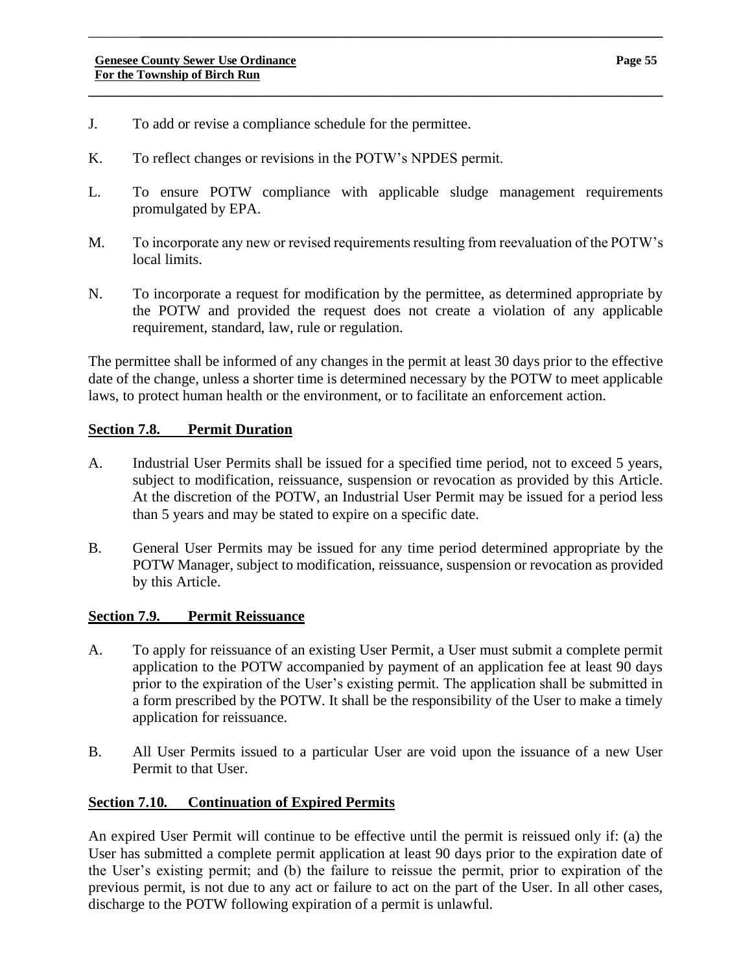- J. To add or revise a compliance schedule for the permittee.
- K. To reflect changes or revisions in the POTW's NPDES permit.
- L. To ensure POTW compliance with applicable sludge management requirements promulgated by EPA.

\_\_\_\_\_\_\_**\_\_\_\_\_\_\_\_\_\_\_\_\_\_\_\_\_\_\_\_\_\_\_\_\_\_\_\_\_\_\_\_\_\_\_\_\_\_\_\_\_\_\_\_\_\_\_\_\_\_\_\_\_\_\_\_\_\_\_\_\_\_\_\_\_\_\_\_\_\_\_**

**\_\_\_\_\_\_\_\_\_\_\_\_\_\_\_\_\_\_\_\_\_\_\_\_\_\_\_\_\_\_\_\_\_\_\_\_\_\_\_\_\_\_\_\_\_\_\_\_\_\_\_\_\_\_\_\_\_\_\_\_\_\_\_\_\_\_\_\_\_\_\_\_\_\_\_\_\_\_**

- M. To incorporate any new or revised requirements resulting from reevaluation of the POTW's local limits.
- N. To incorporate a request for modification by the permittee, as determined appropriate by the POTW and provided the request does not create a violation of any applicable requirement, standard, law, rule or regulation.

The permittee shall be informed of any changes in the permit at least 30 days prior to the effective date of the change, unless a shorter time is determined necessary by the POTW to meet applicable laws, to protect human health or the environment, or to facilitate an enforcement action.

#### **Section 7.8. Permit Duration**

- A. Industrial User Permits shall be issued for a specified time period, not to exceed 5 years, subject to modification, reissuance, suspension or revocation as provided by this Article. At the discretion of the POTW, an Industrial User Permit may be issued for a period less than 5 years and may be stated to expire on a specific date.
- B. General User Permits may be issued for any time period determined appropriate by the POTW Manager, subject to modification, reissuance, suspension or revocation as provided by this Article.

#### **Section 7.9. Permit Reissuance**

- A. To apply for reissuance of an existing User Permit, a User must submit a complete permit application to the POTW accompanied by payment of an application fee at least 90 days prior to the expiration of the User's existing permit. The application shall be submitted in a form prescribed by the POTW. It shall be the responsibility of the User to make a timely application for reissuance.
- B. All User Permits issued to a particular User are void upon the issuance of a new User Permit to that User.

#### **Section 7.10. Continuation of Expired Permits**

An expired User Permit will continue to be effective until the permit is reissued only if: (a) the User has submitted a complete permit application at least 90 days prior to the expiration date of the User's existing permit; and (b) the failure to reissue the permit, prior to expiration of the previous permit, is not due to any act or failure to act on the part of the User. In all other cases, discharge to the POTW following expiration of a permit is unlawful.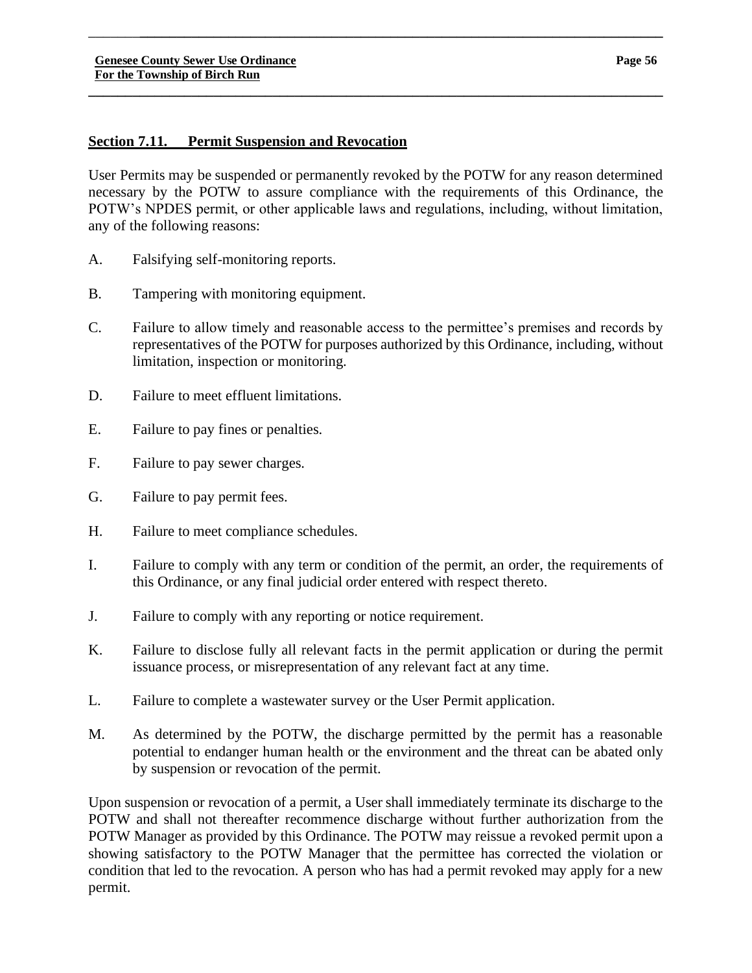# **Section 7.11. Permit Suspension and Revocation**

User Permits may be suspended or permanently revoked by the POTW for any reason determined necessary by the POTW to assure compliance with the requirements of this Ordinance, the POTW's NPDES permit, or other applicable laws and regulations, including, without limitation, any of the following reasons:

\_\_\_\_\_\_\_**\_\_\_\_\_\_\_\_\_\_\_\_\_\_\_\_\_\_\_\_\_\_\_\_\_\_\_\_\_\_\_\_\_\_\_\_\_\_\_\_\_\_\_\_\_\_\_\_\_\_\_\_\_\_\_\_\_\_\_\_\_\_\_\_\_\_\_\_\_\_\_**

**\_\_\_\_\_\_\_\_\_\_\_\_\_\_\_\_\_\_\_\_\_\_\_\_\_\_\_\_\_\_\_\_\_\_\_\_\_\_\_\_\_\_\_\_\_\_\_\_\_\_\_\_\_\_\_\_\_\_\_\_\_\_\_\_\_\_\_\_\_\_\_\_\_\_\_\_\_\_**

- A. Falsifying self-monitoring reports.
- B. Tampering with monitoring equipment.
- C. Failure to allow timely and reasonable access to the permittee's premises and records by representatives of the POTW for purposes authorized by this Ordinance, including, without limitation, inspection or monitoring.
- D. Failure to meet effluent limitations.
- E. Failure to pay fines or penalties.
- F. Failure to pay sewer charges.
- G. Failure to pay permit fees.
- H. Failure to meet compliance schedules.
- I. Failure to comply with any term or condition of the permit, an order, the requirements of this Ordinance, or any final judicial order entered with respect thereto.
- J. Failure to comply with any reporting or notice requirement.
- K. Failure to disclose fully all relevant facts in the permit application or during the permit issuance process, or misrepresentation of any relevant fact at any time.
- L. Failure to complete a wastewater survey or the User Permit application.
- M. As determined by the POTW, the discharge permitted by the permit has a reasonable potential to endanger human health or the environment and the threat can be abated only by suspension or revocation of the permit.

Upon suspension or revocation of a permit, a User shall immediately terminate its discharge to the POTW and shall not thereafter recommence discharge without further authorization from the POTW Manager as provided by this Ordinance. The POTW may reissue a revoked permit upon a showing satisfactory to the POTW Manager that the permittee has corrected the violation or condition that led to the revocation. A person who has had a permit revoked may apply for a new permit.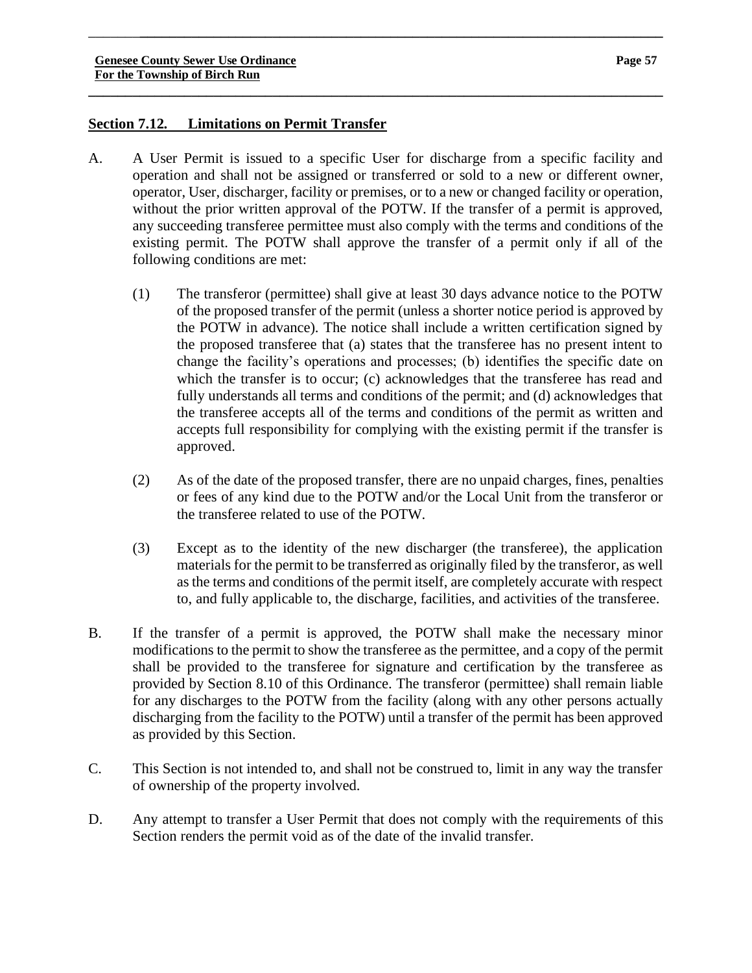#### **Page 57**

# **Section 7.12. Limitations on Permit Transfer**

A. A User Permit is issued to a specific User for discharge from a specific facility and operation and shall not be assigned or transferred or sold to a new or different owner, operator, User, discharger, facility or premises, or to a new or changed facility or operation, without the prior written approval of the POTW. If the transfer of a permit is approved, any succeeding transferee permittee must also comply with the terms and conditions of the existing permit. The POTW shall approve the transfer of a permit only if all of the following conditions are met:

\_\_\_\_\_\_\_**\_\_\_\_\_\_\_\_\_\_\_\_\_\_\_\_\_\_\_\_\_\_\_\_\_\_\_\_\_\_\_\_\_\_\_\_\_\_\_\_\_\_\_\_\_\_\_\_\_\_\_\_\_\_\_\_\_\_\_\_\_\_\_\_\_\_\_\_\_\_\_**

- (1) The transferor (permittee) shall give at least 30 days advance notice to the POTW of the proposed transfer of the permit (unless a shorter notice period is approved by the POTW in advance). The notice shall include a written certification signed by the proposed transferee that (a) states that the transferee has no present intent to change the facility's operations and processes; (b) identifies the specific date on which the transfer is to occur; (c) acknowledges that the transferee has read and fully understands all terms and conditions of the permit; and (d) acknowledges that the transferee accepts all of the terms and conditions of the permit as written and accepts full responsibility for complying with the existing permit if the transfer is approved.
- (2) As of the date of the proposed transfer, there are no unpaid charges, fines, penalties or fees of any kind due to the POTW and/or the Local Unit from the transferor or the transferee related to use of the POTW.
- (3) Except as to the identity of the new discharger (the transferee), the application materials for the permit to be transferred as originally filed by the transferor, as well as the terms and conditions of the permit itself, are completely accurate with respect to, and fully applicable to, the discharge, facilities, and activities of the transferee.
- B. If the transfer of a permit is approved, the POTW shall make the necessary minor modifications to the permit to show the transferee as the permittee, and a copy of the permit shall be provided to the transferee for signature and certification by the transferee as provided by Section 8.10 of this Ordinance. The transferor (permittee) shall remain liable for any discharges to the POTW from the facility (along with any other persons actually discharging from the facility to the POTW) until a transfer of the permit has been approved as provided by this Section.
- C. This Section is not intended to, and shall not be construed to, limit in any way the transfer of ownership of the property involved.
- D. Any attempt to transfer a User Permit that does not comply with the requirements of this Section renders the permit void as of the date of the invalid transfer.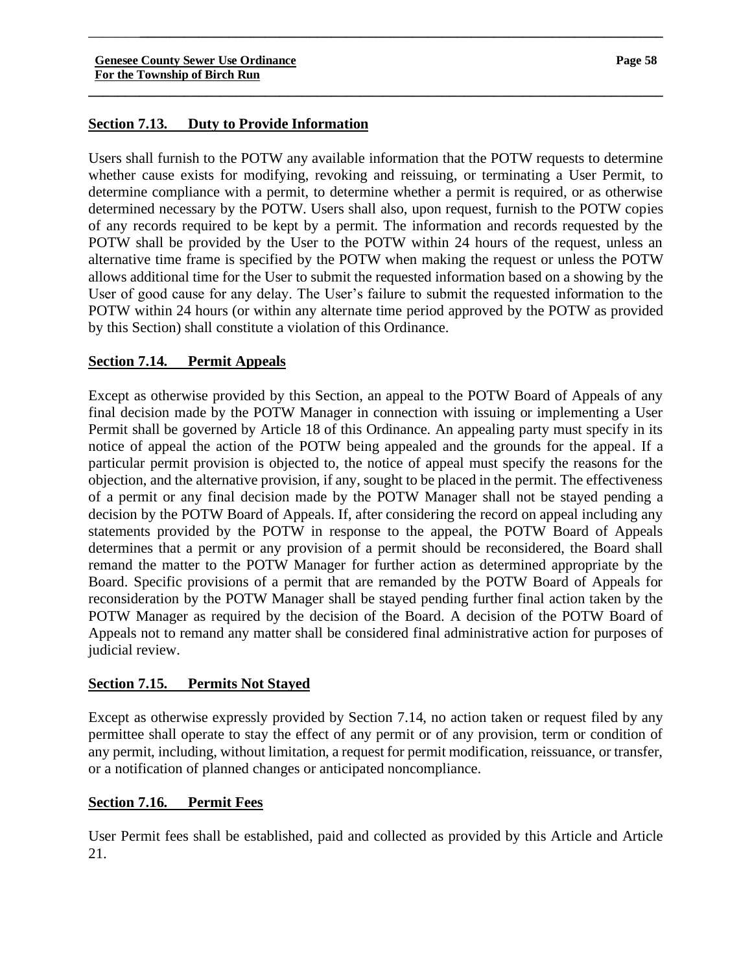# **Section 7.13. Duty to Provide Information**

Users shall furnish to the POTW any available information that the POTW requests to determine whether cause exists for modifying, revoking and reissuing, or terminating a User Permit, to determine compliance with a permit, to determine whether a permit is required, or as otherwise determined necessary by the POTW. Users shall also, upon request, furnish to the POTW copies of any records required to be kept by a permit. The information and records requested by the POTW shall be provided by the User to the POTW within 24 hours of the request, unless an alternative time frame is specified by the POTW when making the request or unless the POTW allows additional time for the User to submit the requested information based on a showing by the User of good cause for any delay. The User's failure to submit the requested information to the POTW within 24 hours (or within any alternate time period approved by the POTW as provided by this Section) shall constitute a violation of this Ordinance.

\_\_\_\_\_\_\_**\_\_\_\_\_\_\_\_\_\_\_\_\_\_\_\_\_\_\_\_\_\_\_\_\_\_\_\_\_\_\_\_\_\_\_\_\_\_\_\_\_\_\_\_\_\_\_\_\_\_\_\_\_\_\_\_\_\_\_\_\_\_\_\_\_\_\_\_\_\_\_**

**\_\_\_\_\_\_\_\_\_\_\_\_\_\_\_\_\_\_\_\_\_\_\_\_\_\_\_\_\_\_\_\_\_\_\_\_\_\_\_\_\_\_\_\_\_\_\_\_\_\_\_\_\_\_\_\_\_\_\_\_\_\_\_\_\_\_\_\_\_\_\_\_\_\_\_\_\_\_**

# **Section 7.14. Permit Appeals**

Except as otherwise provided by this Section, an appeal to the POTW Board of Appeals of any final decision made by the POTW Manager in connection with issuing or implementing a User Permit shall be governed by Article 18 of this Ordinance. An appealing party must specify in its notice of appeal the action of the POTW being appealed and the grounds for the appeal. If a particular permit provision is objected to, the notice of appeal must specify the reasons for the objection, and the alternative provision, if any, sought to be placed in the permit. The effectiveness of a permit or any final decision made by the POTW Manager shall not be stayed pending a decision by the POTW Board of Appeals. If, after considering the record on appeal including any statements provided by the POTW in response to the appeal, the POTW Board of Appeals determines that a permit or any provision of a permit should be reconsidered, the Board shall remand the matter to the POTW Manager for further action as determined appropriate by the Board. Specific provisions of a permit that are remanded by the POTW Board of Appeals for reconsideration by the POTW Manager shall be stayed pending further final action taken by the POTW Manager as required by the decision of the Board. A decision of the POTW Board of Appeals not to remand any matter shall be considered final administrative action for purposes of judicial review.

# **Section 7.15. Permits Not Stayed**

Except as otherwise expressly provided by Section 7.14, no action taken or request filed by any permittee shall operate to stay the effect of any permit or of any provision, term or condition of any permit, including, without limitation, a request for permit modification, reissuance, or transfer, or a notification of planned changes or anticipated noncompliance.

# **Section 7.16. Permit Fees**

User Permit fees shall be established, paid and collected as provided by this Article and Article 21.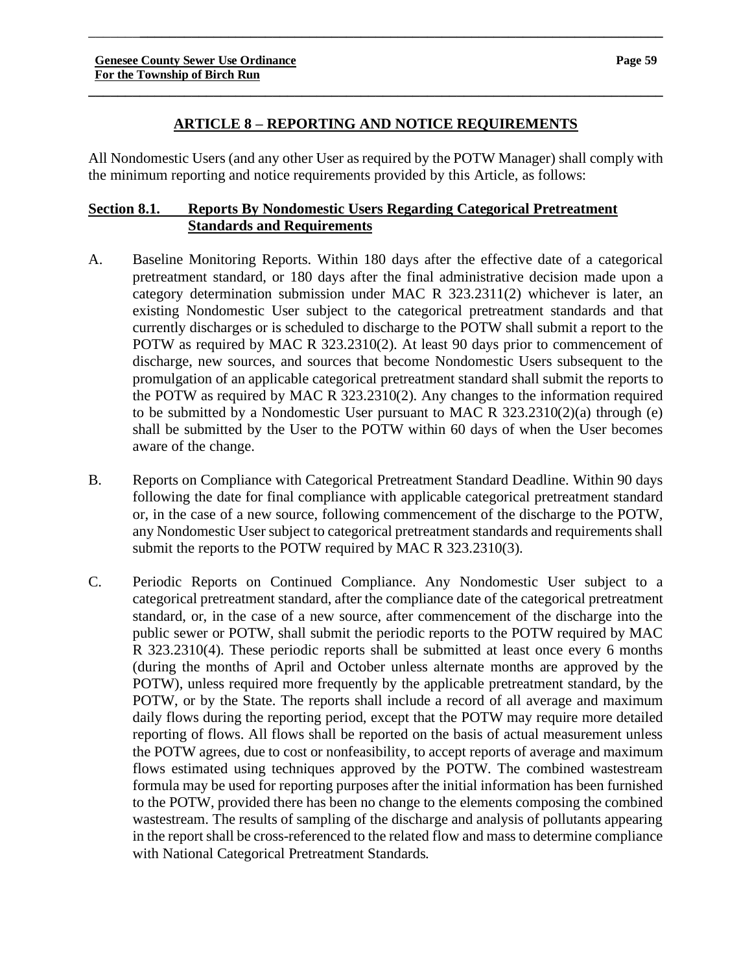#### **ARTICLE 8 – REPORTING AND NOTICE REQUIREMENTS**

**\_\_\_\_\_\_\_\_\_\_\_\_\_\_\_\_\_\_\_\_\_\_\_\_\_\_\_\_\_\_\_\_\_\_\_\_\_\_\_\_\_\_\_\_\_\_\_\_\_\_\_\_\_\_\_\_\_\_\_\_\_\_\_\_\_\_\_\_\_\_\_\_\_\_\_\_\_\_**

\_\_\_\_\_\_\_**\_\_\_\_\_\_\_\_\_\_\_\_\_\_\_\_\_\_\_\_\_\_\_\_\_\_\_\_\_\_\_\_\_\_\_\_\_\_\_\_\_\_\_\_\_\_\_\_\_\_\_\_\_\_\_\_\_\_\_\_\_\_\_\_\_\_\_\_\_\_\_**

All Nondomestic Users (and any other User as required by the POTW Manager) shall comply with the minimum reporting and notice requirements provided by this Article, as follows:

# **Section 8.1. Reports By Nondomestic Users Regarding Categorical Pretreatment Standards and Requirements**

- A. Baseline Monitoring Reports. Within 180 days after the effective date of a categorical pretreatment standard, or 180 days after the final administrative decision made upon a category determination submission under MAC R 323.2311(2) whichever is later, an existing Nondomestic User subject to the categorical pretreatment standards and that currently discharges or is scheduled to discharge to the POTW shall submit a report to the POTW as required by MAC R 323.2310(2). At least 90 days prior to commencement of discharge, new sources, and sources that become Nondomestic Users subsequent to the promulgation of an applicable categorical pretreatment standard shall submit the reports to the POTW as required by MAC R 323.2310(2). Any changes to the information required to be submitted by a Nondomestic User pursuant to MAC R 323.2310(2)(a) through (e) shall be submitted by the User to the POTW within 60 days of when the User becomes aware of the change.
- B. Reports on Compliance with Categorical Pretreatment Standard Deadline. Within 90 days following the date for final compliance with applicable categorical pretreatment standard or, in the case of a new source, following commencement of the discharge to the POTW, any Nondomestic User subject to categorical pretreatment standards and requirements shall submit the reports to the POTW required by MAC R 323.2310(3).
- C. Periodic Reports on Continued Compliance. Any Nondomestic User subject to a categorical pretreatment standard, after the compliance date of the categorical pretreatment standard, or, in the case of a new source, after commencement of the discharge into the public sewer or POTW, shall submit the periodic reports to the POTW required by MAC R 323.2310(4). These periodic reports shall be submitted at least once every 6 months (during the months of April and October unless alternate months are approved by the POTW), unless required more frequently by the applicable pretreatment standard, by the POTW, or by the State. The reports shall include a record of all average and maximum daily flows during the reporting period, except that the POTW may require more detailed reporting of flows. All flows shall be reported on the basis of actual measurement unless the POTW agrees, due to cost or nonfeasibility, to accept reports of average and maximum flows estimated using techniques approved by the POTW. The combined wastestream formula may be used for reporting purposes after the initial information has been furnished to the POTW, provided there has been no change to the elements composing the combined wastestream. The results of sampling of the discharge and analysis of pollutants appearing in the report shall be cross-referenced to the related flow and mass to determine compliance with National Categorical Pretreatment Standards.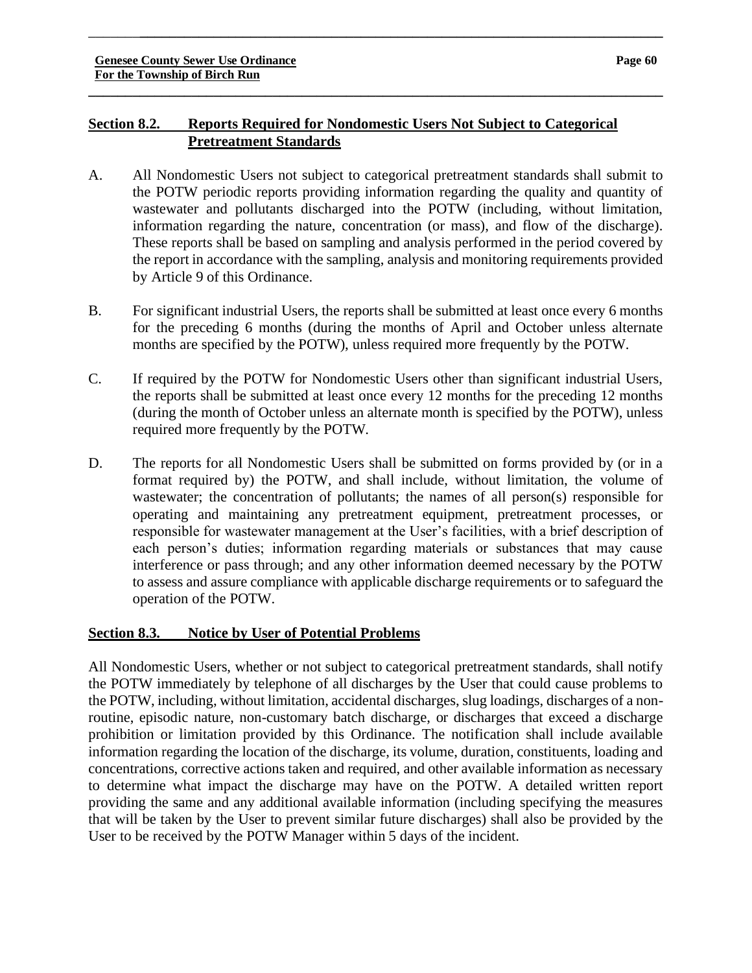# **Section 8.2. Reports Required for Nondomestic Users Not Subject to Categorical Pretreatment Standards**

A. All Nondomestic Users not subject to categorical pretreatment standards shall submit to the POTW periodic reports providing information regarding the quality and quantity of wastewater and pollutants discharged into the POTW (including, without limitation, information regarding the nature, concentration (or mass), and flow of the discharge). These reports shall be based on sampling and analysis performed in the period covered by the report in accordance with the sampling, analysis and monitoring requirements provided by Article 9 of this Ordinance.

\_\_\_\_\_\_\_**\_\_\_\_\_\_\_\_\_\_\_\_\_\_\_\_\_\_\_\_\_\_\_\_\_\_\_\_\_\_\_\_\_\_\_\_\_\_\_\_\_\_\_\_\_\_\_\_\_\_\_\_\_\_\_\_\_\_\_\_\_\_\_\_\_\_\_\_\_\_\_**

**\_\_\_\_\_\_\_\_\_\_\_\_\_\_\_\_\_\_\_\_\_\_\_\_\_\_\_\_\_\_\_\_\_\_\_\_\_\_\_\_\_\_\_\_\_\_\_\_\_\_\_\_\_\_\_\_\_\_\_\_\_\_\_\_\_\_\_\_\_\_\_\_\_\_\_\_\_\_**

- B. For significant industrial Users, the reports shall be submitted at least once every 6 months for the preceding 6 months (during the months of April and October unless alternate months are specified by the POTW), unless required more frequently by the POTW.
- C. If required by the POTW for Nondomestic Users other than significant industrial Users, the reports shall be submitted at least once every 12 months for the preceding 12 months (during the month of October unless an alternate month is specified by the POTW), unless required more frequently by the POTW.
- D. The reports for all Nondomestic Users shall be submitted on forms provided by (or in a format required by) the POTW, and shall include, without limitation, the volume of wastewater; the concentration of pollutants; the names of all person(s) responsible for operating and maintaining any pretreatment equipment, pretreatment processes, or responsible for wastewater management at the User's facilities, with a brief description of each person's duties; information regarding materials or substances that may cause interference or pass through; and any other information deemed necessary by the POTW to assess and assure compliance with applicable discharge requirements or to safeguard the operation of the POTW.

# **Section 8.3. Notice by User of Potential Problems**

All Nondomestic Users, whether or not subject to categorical pretreatment standards, shall notify the POTW immediately by telephone of all discharges by the User that could cause problems to the POTW, including, without limitation, accidental discharges, slug loadings, discharges of a nonroutine, episodic nature, non-customary batch discharge, or discharges that exceed a discharge prohibition or limitation provided by this Ordinance. The notification shall include available information regarding the location of the discharge, its volume, duration, constituents, loading and concentrations, corrective actions taken and required, and other available information as necessary to determine what impact the discharge may have on the POTW. A detailed written report providing the same and any additional available information (including specifying the measures that will be taken by the User to prevent similar future discharges) shall also be provided by the User to be received by the POTW Manager within 5 days of the incident.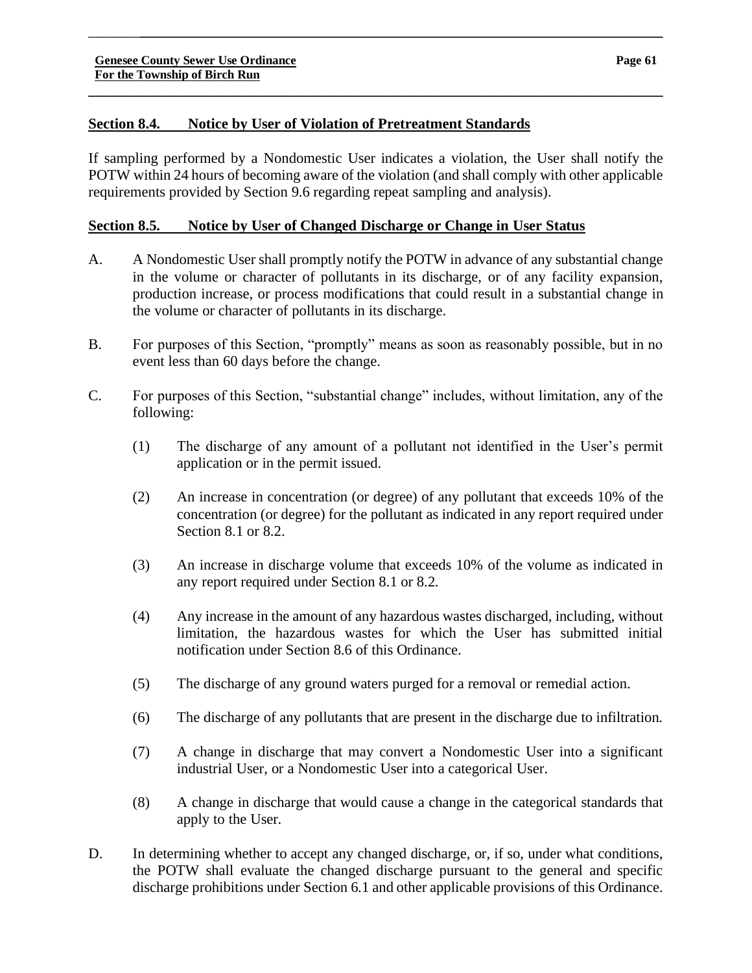# **Section 8.4. Notice by User of Violation of Pretreatment Standards**

If sampling performed by a Nondomestic User indicates a violation, the User shall notify the POTW within 24 hours of becoming aware of the violation (and shall comply with other applicable requirements provided by Section 9.6 regarding repeat sampling and analysis).

\_\_\_\_\_\_\_**\_\_\_\_\_\_\_\_\_\_\_\_\_\_\_\_\_\_\_\_\_\_\_\_\_\_\_\_\_\_\_\_\_\_\_\_\_\_\_\_\_\_\_\_\_\_\_\_\_\_\_\_\_\_\_\_\_\_\_\_\_\_\_\_\_\_\_\_\_\_\_**

**\_\_\_\_\_\_\_\_\_\_\_\_\_\_\_\_\_\_\_\_\_\_\_\_\_\_\_\_\_\_\_\_\_\_\_\_\_\_\_\_\_\_\_\_\_\_\_\_\_\_\_\_\_\_\_\_\_\_\_\_\_\_\_\_\_\_\_\_\_\_\_\_\_\_\_\_\_\_**

# **Section 8.5. Notice by User of Changed Discharge or Change in User Status**

- A. A Nondomestic User shall promptly notify the POTW in advance of any substantial change in the volume or character of pollutants in its discharge, or of any facility expansion, production increase, or process modifications that could result in a substantial change in the volume or character of pollutants in its discharge.
- B. For purposes of this Section, "promptly" means as soon as reasonably possible, but in no event less than 60 days before the change.
- C. For purposes of this Section, "substantial change" includes, without limitation, any of the following:
	- (1) The discharge of any amount of a pollutant not identified in the User's permit application or in the permit issued.
	- (2) An increase in concentration (or degree) of any pollutant that exceeds 10% of the concentration (or degree) for the pollutant as indicated in any report required under Section 8.1 or 8.2.
	- (3) An increase in discharge volume that exceeds 10% of the volume as indicated in any report required under Section 8.1 or 8.2.
	- (4) Any increase in the amount of any hazardous wastes discharged, including, without limitation, the hazardous wastes for which the User has submitted initial notification under Section 8.6 of this Ordinance.
	- (5) The discharge of any ground waters purged for a removal or remedial action.
	- (6) The discharge of any pollutants that are present in the discharge due to infiltration.
	- (7) A change in discharge that may convert a Nondomestic User into a significant industrial User, or a Nondomestic User into a categorical User.
	- (8) A change in discharge that would cause a change in the categorical standards that apply to the User.
- D. In determining whether to accept any changed discharge, or, if so, under what conditions, the POTW shall evaluate the changed discharge pursuant to the general and specific discharge prohibitions under Section 6.1 and other applicable provisions of this Ordinance.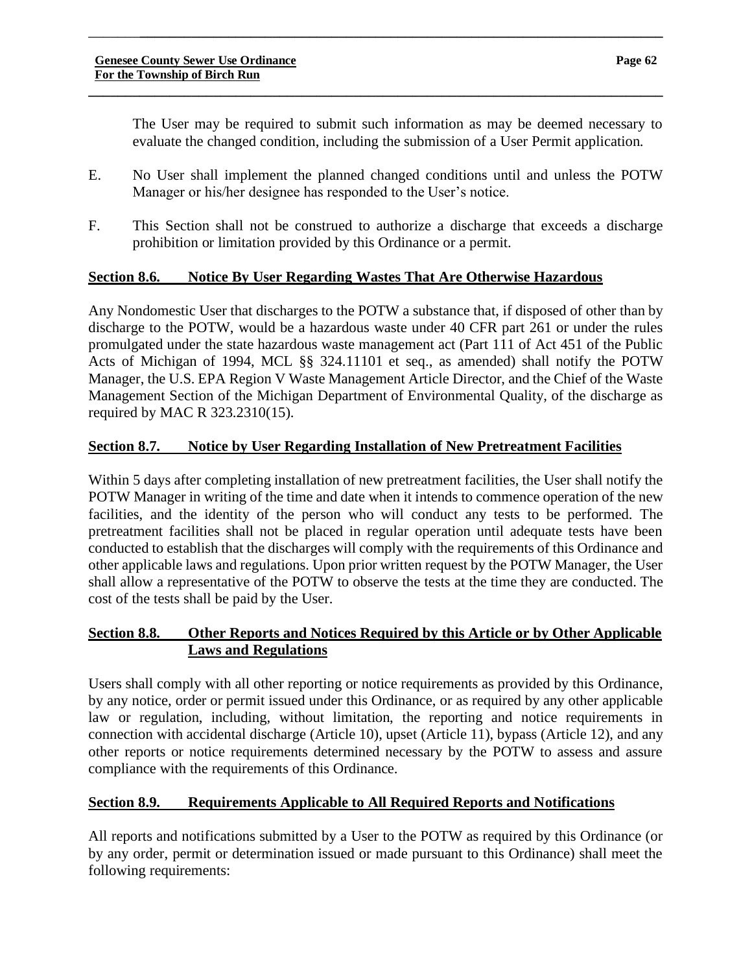The User may be required to submit such information as may be deemed necessary to evaluate the changed condition, including the submission of a User Permit application.

E. No User shall implement the planned changed conditions until and unless the POTW Manager or his/her designee has responded to the User's notice.

\_\_\_\_\_\_\_**\_\_\_\_\_\_\_\_\_\_\_\_\_\_\_\_\_\_\_\_\_\_\_\_\_\_\_\_\_\_\_\_\_\_\_\_\_\_\_\_\_\_\_\_\_\_\_\_\_\_\_\_\_\_\_\_\_\_\_\_\_\_\_\_\_\_\_\_\_\_\_**

**\_\_\_\_\_\_\_\_\_\_\_\_\_\_\_\_\_\_\_\_\_\_\_\_\_\_\_\_\_\_\_\_\_\_\_\_\_\_\_\_\_\_\_\_\_\_\_\_\_\_\_\_\_\_\_\_\_\_\_\_\_\_\_\_\_\_\_\_\_\_\_\_\_\_\_\_\_\_**

F. This Section shall not be construed to authorize a discharge that exceeds a discharge prohibition or limitation provided by this Ordinance or a permit.

# **Section 8.6. Notice By User Regarding Wastes That Are Otherwise Hazardous**

Any Nondomestic User that discharges to the POTW a substance that, if disposed of other than by discharge to the POTW, would be a hazardous waste under 40 CFR part 261 or under the rules promulgated under the state hazardous waste management act (Part 111 of Act 451 of the Public Acts of Michigan of 1994, MCL §§ 324.11101 et seq., as amended) shall notify the POTW Manager, the U.S. EPA Region V Waste Management Article Director, and the Chief of the Waste Management Section of the Michigan Department of Environmental Quality, of the discharge as required by MAC R 323.2310(15).

# **Section 8.7. Notice by User Regarding Installation of New Pretreatment Facilities**

Within 5 days after completing installation of new pretreatment facilities, the User shall notify the POTW Manager in writing of the time and date when it intends to commence operation of the new facilities, and the identity of the person who will conduct any tests to be performed. The pretreatment facilities shall not be placed in regular operation until adequate tests have been conducted to establish that the discharges will comply with the requirements of this Ordinance and other applicable laws and regulations. Upon prior written request by the POTW Manager, the User shall allow a representative of the POTW to observe the tests at the time they are conducted. The cost of the tests shall be paid by the User.

# **Section 8.8. Other Reports and Notices Required by this Article or by Other Applicable Laws and Regulations**

Users shall comply with all other reporting or notice requirements as provided by this Ordinance, by any notice, order or permit issued under this Ordinance, or as required by any other applicable law or regulation, including, without limitation, the reporting and notice requirements in connection with accidental discharge (Article 10), upset (Article 11), bypass (Article 12), and any other reports or notice requirements determined necessary by the POTW to assess and assure compliance with the requirements of this Ordinance.

# **Section 8.9. Requirements Applicable to All Required Reports and Notifications**

All reports and notifications submitted by a User to the POTW as required by this Ordinance (or by any order, permit or determination issued or made pursuant to this Ordinance) shall meet the following requirements: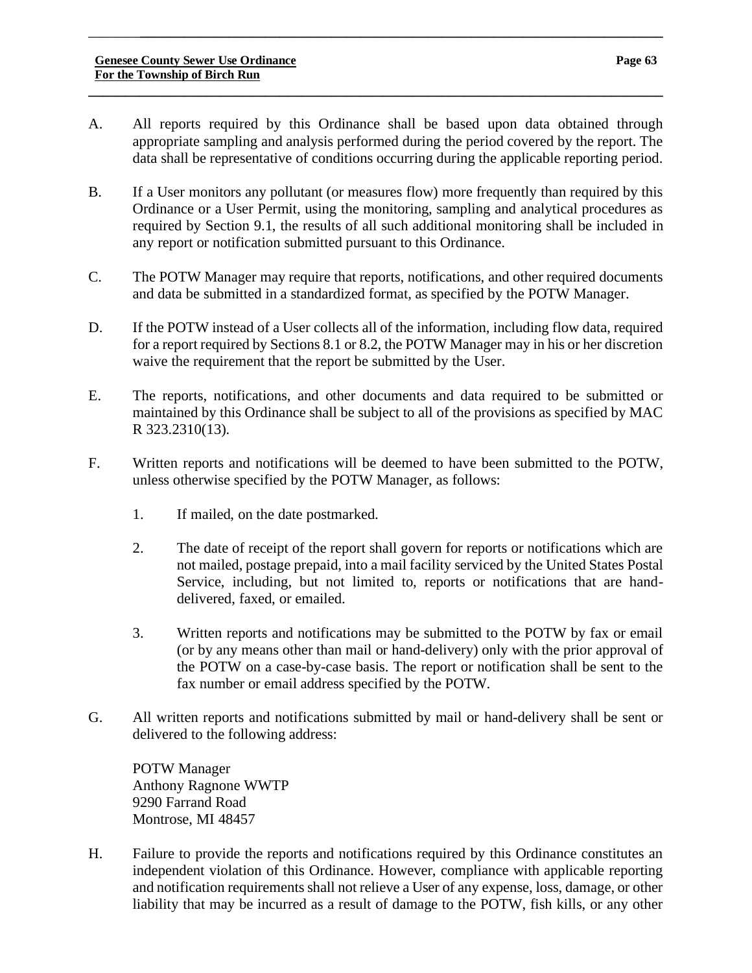A. All reports required by this Ordinance shall be based upon data obtained through appropriate sampling and analysis performed during the period covered by the report. The data shall be representative of conditions occurring during the applicable reporting period.

**\_\_\_\_\_\_\_\_\_\_\_\_\_\_\_\_\_\_\_\_\_\_\_\_\_\_\_\_\_\_\_\_\_\_\_\_\_\_\_\_\_\_\_\_\_\_\_\_\_\_\_\_\_\_\_\_\_\_\_\_\_\_\_\_\_\_\_\_\_\_\_\_\_\_\_\_\_\_**

\_\_\_\_\_\_\_**\_\_\_\_\_\_\_\_\_\_\_\_\_\_\_\_\_\_\_\_\_\_\_\_\_\_\_\_\_\_\_\_\_\_\_\_\_\_\_\_\_\_\_\_\_\_\_\_\_\_\_\_\_\_\_\_\_\_\_\_\_\_\_\_\_\_\_\_\_\_\_**

- B. If a User monitors any pollutant (or measures flow) more frequently than required by this Ordinance or a User Permit, using the monitoring, sampling and analytical procedures as required by Section 9.1, the results of all such additional monitoring shall be included in any report or notification submitted pursuant to this Ordinance.
- C. The POTW Manager may require that reports, notifications, and other required documents and data be submitted in a standardized format, as specified by the POTW Manager.
- D. If the POTW instead of a User collects all of the information, including flow data, required for a report required by Sections 8.1 or 8.2, the POTW Manager may in his or her discretion waive the requirement that the report be submitted by the User.
- E. The reports, notifications, and other documents and data required to be submitted or maintained by this Ordinance shall be subject to all of the provisions as specified by MAC R 323.2310(13).
- F. Written reports and notifications will be deemed to have been submitted to the POTW, unless otherwise specified by the POTW Manager, as follows:
	- 1. If mailed, on the date postmarked.
	- 2. The date of receipt of the report shall govern for reports or notifications which are not mailed, postage prepaid, into a mail facility serviced by the United States Postal Service, including, but not limited to, reports or notifications that are handdelivered, faxed, or emailed.
	- 3. Written reports and notifications may be submitted to the POTW by fax or email (or by any means other than mail or hand-delivery) only with the prior approval of the POTW on a case-by-case basis. The report or notification shall be sent to the fax number or email address specified by the POTW.
- G. All written reports and notifications submitted by mail or hand-delivery shall be sent or delivered to the following address:

POTW Manager Anthony Ragnone WWTP 9290 Farrand Road Montrose, MI 48457

H. Failure to provide the reports and notifications required by this Ordinance constitutes an independent violation of this Ordinance. However, compliance with applicable reporting and notification requirements shall not relieve a User of any expense, loss, damage, or other liability that may be incurred as a result of damage to the POTW, fish kills, or any other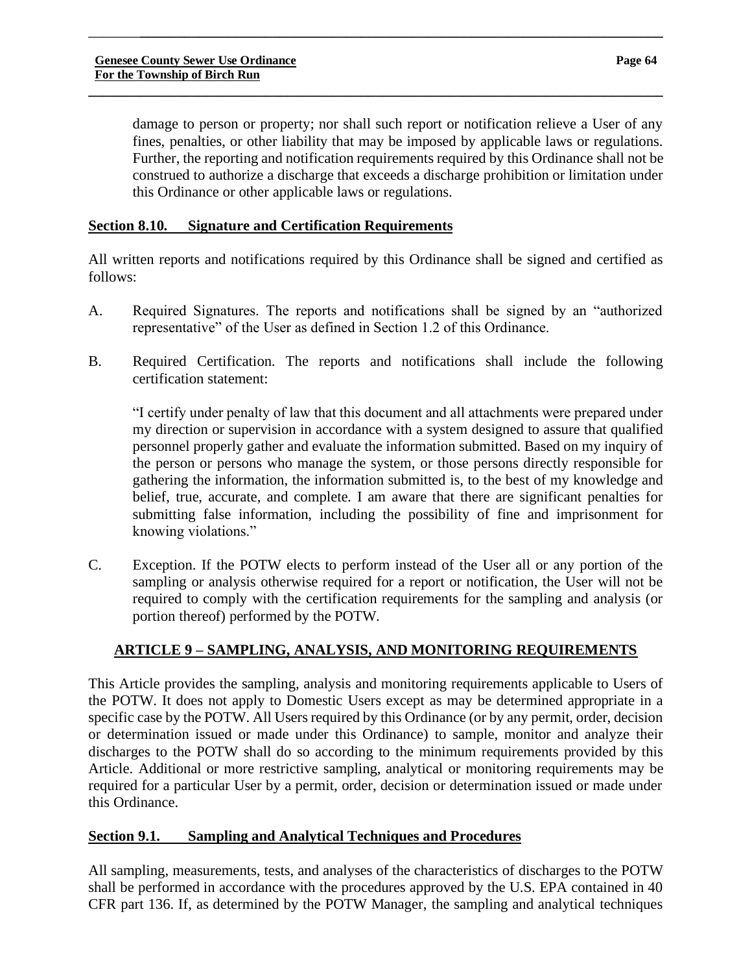damage to person or property; nor shall such report or notification relieve a User of any fines, penalties, or other liability that may be imposed by applicable laws or regulations. Further, the reporting and notification requirements required by this Ordinance shall not be construed to authorize a discharge that exceeds a discharge prohibition or limitation under this Ordinance or other applicable laws or regulations.

#### **Section 8.10. Signature and Certification Requirements**

All written reports and notifications required by this Ordinance shall be signed and certified as follows:

\_\_\_\_\_\_\_**\_\_\_\_\_\_\_\_\_\_\_\_\_\_\_\_\_\_\_\_\_\_\_\_\_\_\_\_\_\_\_\_\_\_\_\_\_\_\_\_\_\_\_\_\_\_\_\_\_\_\_\_\_\_\_\_\_\_\_\_\_\_\_\_\_\_\_\_\_\_\_**

**\_\_\_\_\_\_\_\_\_\_\_\_\_\_\_\_\_\_\_\_\_\_\_\_\_\_\_\_\_\_\_\_\_\_\_\_\_\_\_\_\_\_\_\_\_\_\_\_\_\_\_\_\_\_\_\_\_\_\_\_\_\_\_\_\_\_\_\_\_\_\_\_\_\_\_\_\_\_**

- A. Required Signatures. The reports and notifications shall be signed by an "authorized representative" of the User as defined in Section 1.2 of this Ordinance.
- B. Required Certification. The reports and notifications shall include the following certification statement:

"I certify under penalty of law that this document and all attachments were prepared under my direction or supervision in accordance with a system designed to assure that qualified personnel properly gather and evaluate the information submitted. Based on my inquiry of the person or persons who manage the system, or those persons directly responsible for gathering the information, the information submitted is, to the best of my knowledge and belief, true, accurate, and complete. I am aware that there are significant penalties for submitting false information, including the possibility of fine and imprisonment for knowing violations."

C. Exception. If the POTW elects to perform instead of the User all or any portion of the sampling or analysis otherwise required for a report or notification, the User will not be required to comply with the certification requirements for the sampling and analysis (or portion thereof) performed by the POTW.

# **ARTICLE 9 – SAMPLING, ANALYSIS, AND MONITORING REQUIREMENTS**

This Article provides the sampling, analysis and monitoring requirements applicable to Users of the POTW. It does not apply to Domestic Users except as may be determined appropriate in a specific case by the POTW. All Users required by this Ordinance (or by any permit, order, decision or determination issued or made under this Ordinance) to sample, monitor and analyze their discharges to the POTW shall do so according to the minimum requirements provided by this Article. Additional or more restrictive sampling, analytical or monitoring requirements may be required for a particular User by a permit, order, decision or determination issued or made under this Ordinance.

# **Section 9.1. Sampling and Analytical Techniques and Procedures**

All sampling, measurements, tests, and analyses of the characteristics of discharges to the POTW shall be performed in accordance with the procedures approved by the U.S. EPA contained in 40 CFR part 136. If, as determined by the POTW Manager, the sampling and analytical techniques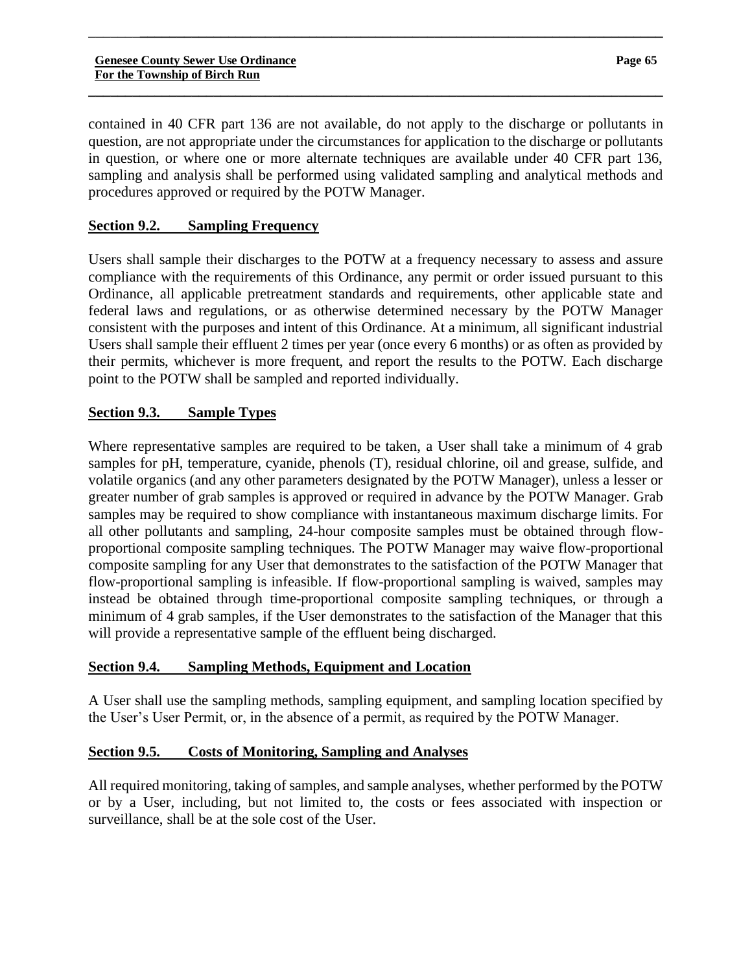contained in 40 CFR part 136 are not available, do not apply to the discharge or pollutants in question, are not appropriate under the circumstances for application to the discharge or pollutants in question, or where one or more alternate techniques are available under 40 CFR part 136, sampling and analysis shall be performed using validated sampling and analytical methods and procedures approved or required by the POTW Manager.

\_\_\_\_\_\_\_**\_\_\_\_\_\_\_\_\_\_\_\_\_\_\_\_\_\_\_\_\_\_\_\_\_\_\_\_\_\_\_\_\_\_\_\_\_\_\_\_\_\_\_\_\_\_\_\_\_\_\_\_\_\_\_\_\_\_\_\_\_\_\_\_\_\_\_\_\_\_\_**

**\_\_\_\_\_\_\_\_\_\_\_\_\_\_\_\_\_\_\_\_\_\_\_\_\_\_\_\_\_\_\_\_\_\_\_\_\_\_\_\_\_\_\_\_\_\_\_\_\_\_\_\_\_\_\_\_\_\_\_\_\_\_\_\_\_\_\_\_\_\_\_\_\_\_\_\_\_\_**

# **Section 9.2. Sampling Frequency**

Users shall sample their discharges to the POTW at a frequency necessary to assess and assure compliance with the requirements of this Ordinance, any permit or order issued pursuant to this Ordinance, all applicable pretreatment standards and requirements, other applicable state and federal laws and regulations, or as otherwise determined necessary by the POTW Manager consistent with the purposes and intent of this Ordinance. At a minimum, all significant industrial Users shall sample their effluent 2 times per year (once every 6 months) or as often as provided by their permits, whichever is more frequent, and report the results to the POTW. Each discharge point to the POTW shall be sampled and reported individually.

# **Section 9.3. Sample Types**

Where representative samples are required to be taken, a User shall take a minimum of 4 grab samples for pH, temperature, cyanide, phenols (T), residual chlorine, oil and grease, sulfide, and volatile organics (and any other parameters designated by the POTW Manager), unless a lesser or greater number of grab samples is approved or required in advance by the POTW Manager. Grab samples may be required to show compliance with instantaneous maximum discharge limits. For all other pollutants and sampling, 24-hour composite samples must be obtained through flowproportional composite sampling techniques. The POTW Manager may waive flow-proportional composite sampling for any User that demonstrates to the satisfaction of the POTW Manager that flow-proportional sampling is infeasible. If flow-proportional sampling is waived, samples may instead be obtained through time-proportional composite sampling techniques, or through a minimum of 4 grab samples, if the User demonstrates to the satisfaction of the Manager that this will provide a representative sample of the effluent being discharged.

# **Section 9.4. Sampling Methods, Equipment and Location**

A User shall use the sampling methods, sampling equipment, and sampling location specified by the User's User Permit, or, in the absence of a permit, as required by the POTW Manager.

# **Section 9.5. Costs of Monitoring, Sampling and Analyses**

All required monitoring, taking of samples, and sample analyses, whether performed by the POTW or by a User, including, but not limited to, the costs or fees associated with inspection or surveillance, shall be at the sole cost of the User.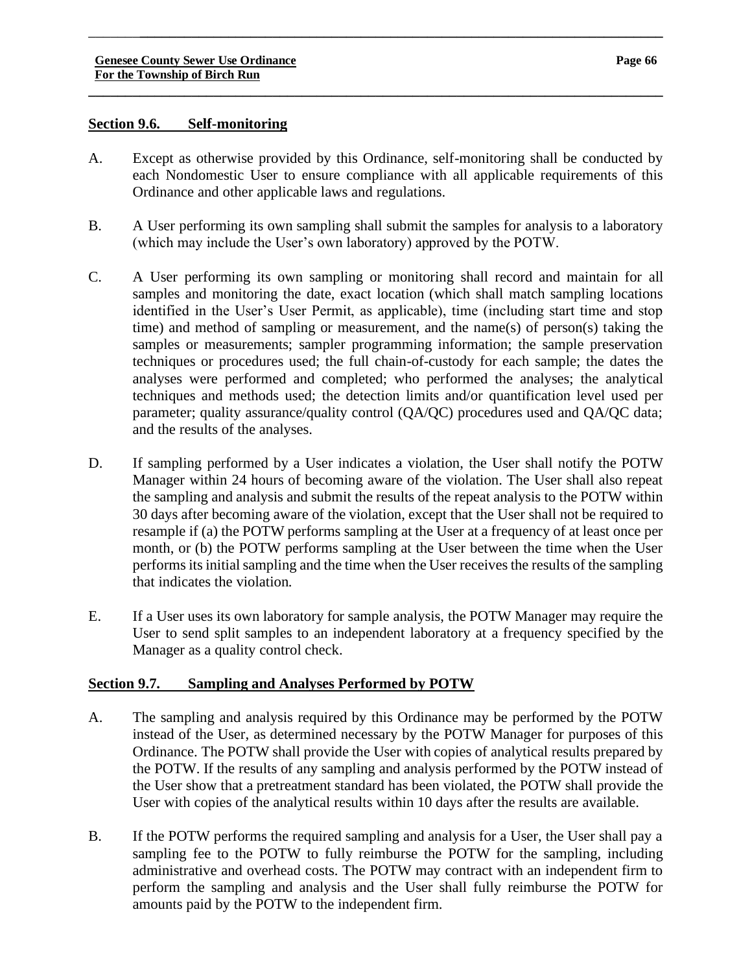#### **Section 9.6. Self-monitoring**

A. Except as otherwise provided by this Ordinance, self-monitoring shall be conducted by each Nondomestic User to ensure compliance with all applicable requirements of this Ordinance and other applicable laws and regulations.

\_\_\_\_\_\_\_**\_\_\_\_\_\_\_\_\_\_\_\_\_\_\_\_\_\_\_\_\_\_\_\_\_\_\_\_\_\_\_\_\_\_\_\_\_\_\_\_\_\_\_\_\_\_\_\_\_\_\_\_\_\_\_\_\_\_\_\_\_\_\_\_\_\_\_\_\_\_\_**

**\_\_\_\_\_\_\_\_\_\_\_\_\_\_\_\_\_\_\_\_\_\_\_\_\_\_\_\_\_\_\_\_\_\_\_\_\_\_\_\_\_\_\_\_\_\_\_\_\_\_\_\_\_\_\_\_\_\_\_\_\_\_\_\_\_\_\_\_\_\_\_\_\_\_\_\_\_\_**

- B. A User performing its own sampling shall submit the samples for analysis to a laboratory (which may include the User's own laboratory) approved by the POTW.
- C. A User performing its own sampling or monitoring shall record and maintain for all samples and monitoring the date, exact location (which shall match sampling locations identified in the User's User Permit, as applicable), time (including start time and stop time) and method of sampling or measurement, and the name(s) of person(s) taking the samples or measurements; sampler programming information; the sample preservation techniques or procedures used; the full chain-of-custody for each sample; the dates the analyses were performed and completed; who performed the analyses; the analytical techniques and methods used; the detection limits and/or quantification level used per parameter; quality assurance/quality control (QA/QC) procedures used and QA/QC data; and the results of the analyses.
- D. If sampling performed by a User indicates a violation, the User shall notify the POTW Manager within 24 hours of becoming aware of the violation. The User shall also repeat the sampling and analysis and submit the results of the repeat analysis to the POTW within 30 days after becoming aware of the violation, except that the User shall not be required to resample if (a) the POTW performs sampling at the User at a frequency of at least once per month, or (b) the POTW performs sampling at the User between the time when the User performs its initial sampling and the time when the User receives the results of the sampling that indicates the violation.
- E. If a User uses its own laboratory for sample analysis, the POTW Manager may require the User to send split samples to an independent laboratory at a frequency specified by the Manager as a quality control check.

# **Section 9.7. Sampling and Analyses Performed by POTW**

- A. The sampling and analysis required by this Ordinance may be performed by the POTW instead of the User, as determined necessary by the POTW Manager for purposes of this Ordinance. The POTW shall provide the User with copies of analytical results prepared by the POTW. If the results of any sampling and analysis performed by the POTW instead of the User show that a pretreatment standard has been violated, the POTW shall provide the User with copies of the analytical results within 10 days after the results are available.
- B. If the POTW performs the required sampling and analysis for a User, the User shall pay a sampling fee to the POTW to fully reimburse the POTW for the sampling, including administrative and overhead costs. The POTW may contract with an independent firm to perform the sampling and analysis and the User shall fully reimburse the POTW for amounts paid by the POTW to the independent firm.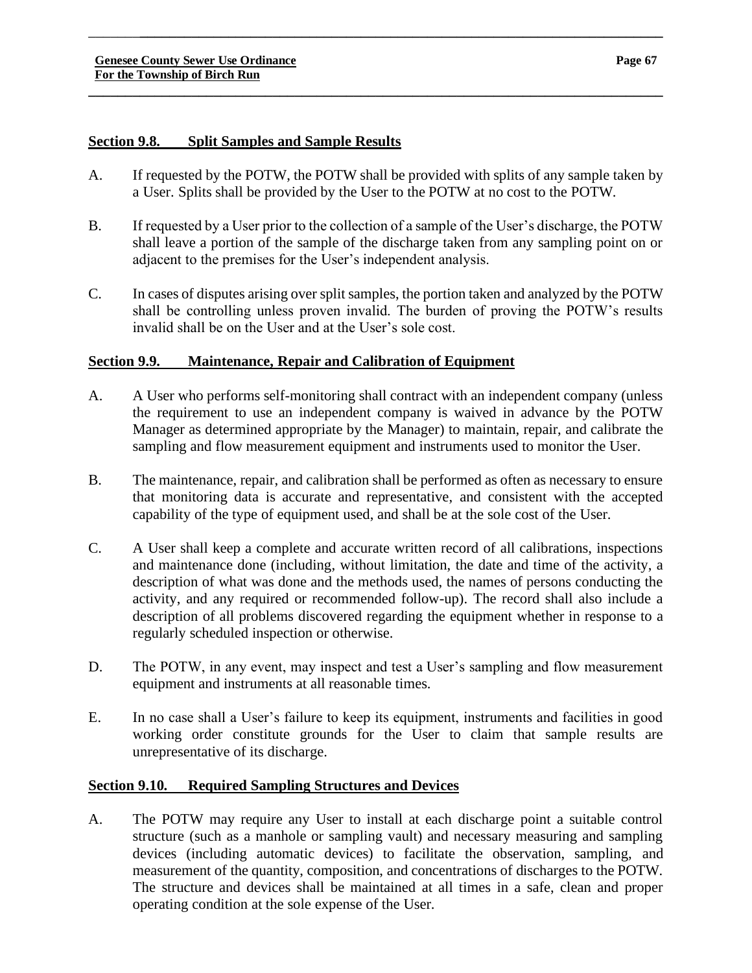#### **Section 9.8. Split Samples and Sample Results**

A. If requested by the POTW, the POTW shall be provided with splits of any sample taken by a User. Splits shall be provided by the User to the POTW at no cost to the POTW.

\_\_\_\_\_\_\_**\_\_\_\_\_\_\_\_\_\_\_\_\_\_\_\_\_\_\_\_\_\_\_\_\_\_\_\_\_\_\_\_\_\_\_\_\_\_\_\_\_\_\_\_\_\_\_\_\_\_\_\_\_\_\_\_\_\_\_\_\_\_\_\_\_\_\_\_\_\_\_**

**\_\_\_\_\_\_\_\_\_\_\_\_\_\_\_\_\_\_\_\_\_\_\_\_\_\_\_\_\_\_\_\_\_\_\_\_\_\_\_\_\_\_\_\_\_\_\_\_\_\_\_\_\_\_\_\_\_\_\_\_\_\_\_\_\_\_\_\_\_\_\_\_\_\_\_\_\_\_**

- B. If requested by a User prior to the collection of a sample of the User's discharge, the POTW shall leave a portion of the sample of the discharge taken from any sampling point on or adjacent to the premises for the User's independent analysis.
- C. In cases of disputes arising over split samples, the portion taken and analyzed by the POTW shall be controlling unless proven invalid. The burden of proving the POTW's results invalid shall be on the User and at the User's sole cost.

# **Section 9.9. Maintenance, Repair and Calibration of Equipment**

- A. A User who performs self-monitoring shall contract with an independent company (unless the requirement to use an independent company is waived in advance by the POTW Manager as determined appropriate by the Manager) to maintain, repair, and calibrate the sampling and flow measurement equipment and instruments used to monitor the User.
- B. The maintenance, repair, and calibration shall be performed as often as necessary to ensure that monitoring data is accurate and representative, and consistent with the accepted capability of the type of equipment used, and shall be at the sole cost of the User.
- C. A User shall keep a complete and accurate written record of all calibrations, inspections and maintenance done (including, without limitation, the date and time of the activity, a description of what was done and the methods used, the names of persons conducting the activity, and any required or recommended follow-up). The record shall also include a description of all problems discovered regarding the equipment whether in response to a regularly scheduled inspection or otherwise.
- D. The POTW, in any event, may inspect and test a User's sampling and flow measurement equipment and instruments at all reasonable times.
- E. In no case shall a User's failure to keep its equipment, instruments and facilities in good working order constitute grounds for the User to claim that sample results are unrepresentative of its discharge.

# **Section 9.10. Required Sampling Structures and Devices**

A. The POTW may require any User to install at each discharge point a suitable control structure (such as a manhole or sampling vault) and necessary measuring and sampling devices (including automatic devices) to facilitate the observation, sampling, and measurement of the quantity, composition, and concentrations of discharges to the POTW. The structure and devices shall be maintained at all times in a safe, clean and proper operating condition at the sole expense of the User.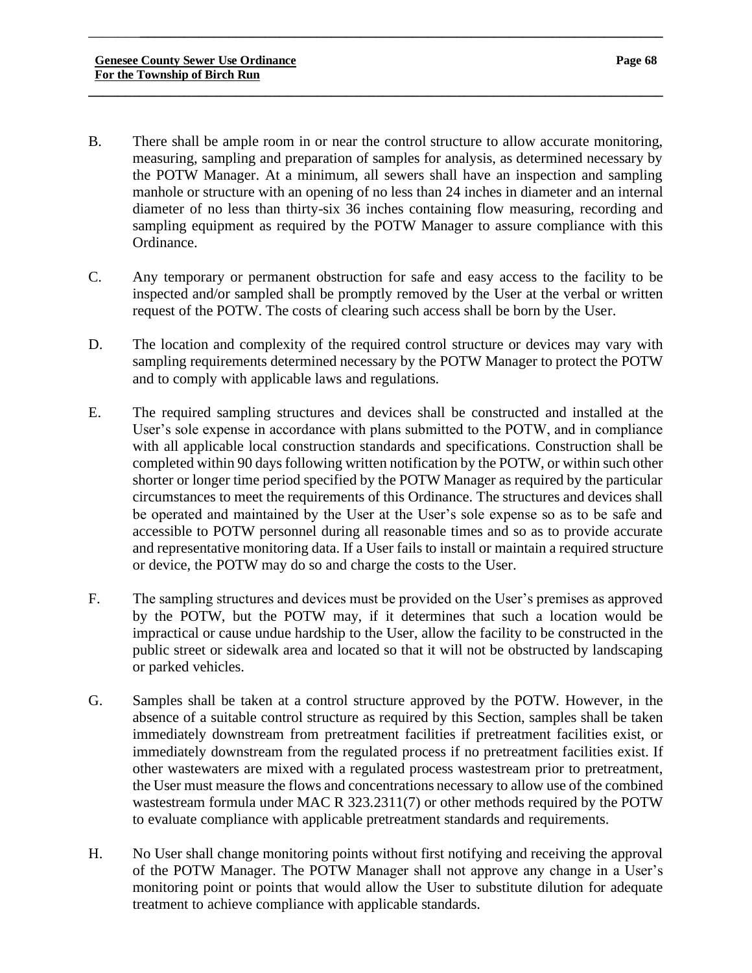B. There shall be ample room in or near the control structure to allow accurate monitoring, measuring, sampling and preparation of samples for analysis, as determined necessary by the POTW Manager. At a minimum, all sewers shall have an inspection and sampling manhole or structure with an opening of no less than 24 inches in diameter and an internal diameter of no less than thirty-six 36 inches containing flow measuring, recording and sampling equipment as required by the POTW Manager to assure compliance with this Ordinance.

\_\_\_\_\_\_\_**\_\_\_\_\_\_\_\_\_\_\_\_\_\_\_\_\_\_\_\_\_\_\_\_\_\_\_\_\_\_\_\_\_\_\_\_\_\_\_\_\_\_\_\_\_\_\_\_\_\_\_\_\_\_\_\_\_\_\_\_\_\_\_\_\_\_\_\_\_\_\_**

- C. Any temporary or permanent obstruction for safe and easy access to the facility to be inspected and/or sampled shall be promptly removed by the User at the verbal or written request of the POTW. The costs of clearing such access shall be born by the User.
- D. The location and complexity of the required control structure or devices may vary with sampling requirements determined necessary by the POTW Manager to protect the POTW and to comply with applicable laws and regulations.
- E. The required sampling structures and devices shall be constructed and installed at the User's sole expense in accordance with plans submitted to the POTW, and in compliance with all applicable local construction standards and specifications. Construction shall be completed within 90 days following written notification by the POTW, or within such other shorter or longer time period specified by the POTW Manager as required by the particular circumstances to meet the requirements of this Ordinance. The structures and devices shall be operated and maintained by the User at the User's sole expense so as to be safe and accessible to POTW personnel during all reasonable times and so as to provide accurate and representative monitoring data. If a User fails to install or maintain a required structure or device, the POTW may do so and charge the costs to the User.
- F. The sampling structures and devices must be provided on the User's premises as approved by the POTW, but the POTW may, if it determines that such a location would be impractical or cause undue hardship to the User, allow the facility to be constructed in the public street or sidewalk area and located so that it will not be obstructed by landscaping or parked vehicles.
- G. Samples shall be taken at a control structure approved by the POTW. However, in the absence of a suitable control structure as required by this Section, samples shall be taken immediately downstream from pretreatment facilities if pretreatment facilities exist, or immediately downstream from the regulated process if no pretreatment facilities exist. If other wastewaters are mixed with a regulated process wastestream prior to pretreatment, the User must measure the flows and concentrations necessary to allow use of the combined wastestream formula under MAC R 323.2311(7) or other methods required by the POTW to evaluate compliance with applicable pretreatment standards and requirements.
- H. No User shall change monitoring points without first notifying and receiving the approval of the POTW Manager. The POTW Manager shall not approve any change in a User's monitoring point or points that would allow the User to substitute dilution for adequate treatment to achieve compliance with applicable standards.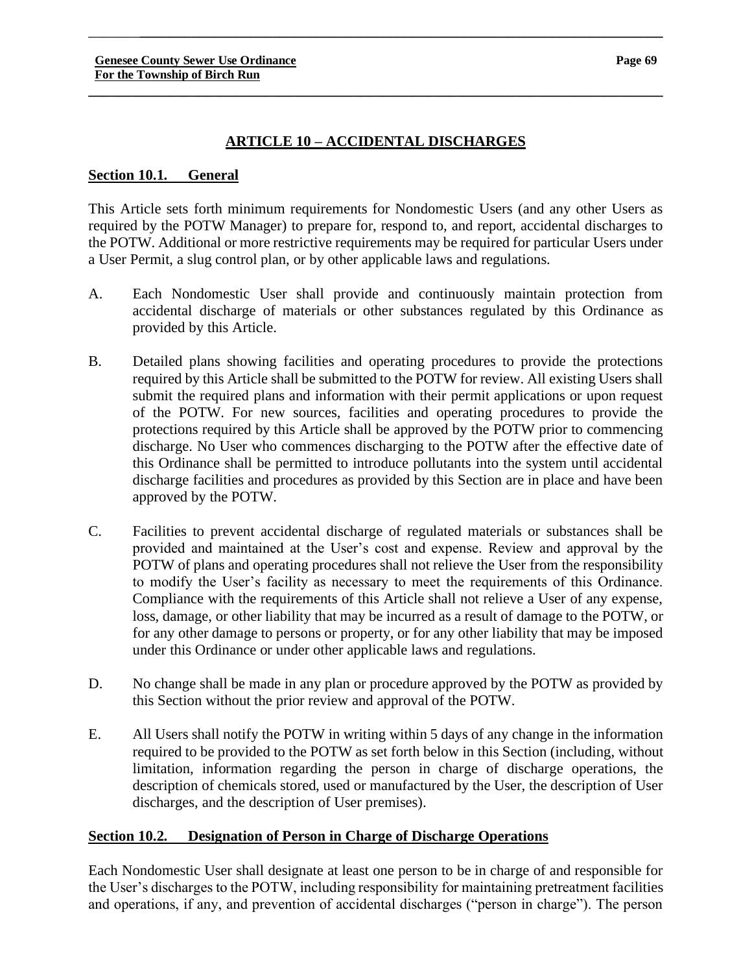# **ARTICLE 10 – ACCIDENTAL DISCHARGES**

\_\_\_\_\_\_\_**\_\_\_\_\_\_\_\_\_\_\_\_\_\_\_\_\_\_\_\_\_\_\_\_\_\_\_\_\_\_\_\_\_\_\_\_\_\_\_\_\_\_\_\_\_\_\_\_\_\_\_\_\_\_\_\_\_\_\_\_\_\_\_\_\_\_\_\_\_\_\_**

**\_\_\_\_\_\_\_\_\_\_\_\_\_\_\_\_\_\_\_\_\_\_\_\_\_\_\_\_\_\_\_\_\_\_\_\_\_\_\_\_\_\_\_\_\_\_\_\_\_\_\_\_\_\_\_\_\_\_\_\_\_\_\_\_\_\_\_\_\_\_\_\_\_\_\_\_\_\_**

#### **Section 10.1. General**

This Article sets forth minimum requirements for Nondomestic Users (and any other Users as required by the POTW Manager) to prepare for, respond to, and report, accidental discharges to the POTW. Additional or more restrictive requirements may be required for particular Users under a User Permit, a slug control plan, or by other applicable laws and regulations.

- A. Each Nondomestic User shall provide and continuously maintain protection from accidental discharge of materials or other substances regulated by this Ordinance as provided by this Article.
- B. Detailed plans showing facilities and operating procedures to provide the protections required by this Article shall be submitted to the POTW for review. All existing Users shall submit the required plans and information with their permit applications or upon request of the POTW. For new sources, facilities and operating procedures to provide the protections required by this Article shall be approved by the POTW prior to commencing discharge. No User who commences discharging to the POTW after the effective date of this Ordinance shall be permitted to introduce pollutants into the system until accidental discharge facilities and procedures as provided by this Section are in place and have been approved by the POTW.
- C. Facilities to prevent accidental discharge of regulated materials or substances shall be provided and maintained at the User's cost and expense. Review and approval by the POTW of plans and operating procedures shall not relieve the User from the responsibility to modify the User's facility as necessary to meet the requirements of this Ordinance. Compliance with the requirements of this Article shall not relieve a User of any expense, loss, damage, or other liability that may be incurred as a result of damage to the POTW, or for any other damage to persons or property, or for any other liability that may be imposed under this Ordinance or under other applicable laws and regulations.
- D. No change shall be made in any plan or procedure approved by the POTW as provided by this Section without the prior review and approval of the POTW.
- E. All Users shall notify the POTW in writing within 5 days of any change in the information required to be provided to the POTW as set forth below in this Section (including, without limitation, information regarding the person in charge of discharge operations, the description of chemicals stored, used or manufactured by the User, the description of User discharges, and the description of User premises).

# **Section 10.2. Designation of Person in Charge of Discharge Operations**

Each Nondomestic User shall designate at least one person to be in charge of and responsible for the User's discharges to the POTW, including responsibility for maintaining pretreatment facilities and operations, if any, and prevention of accidental discharges ("person in charge"). The person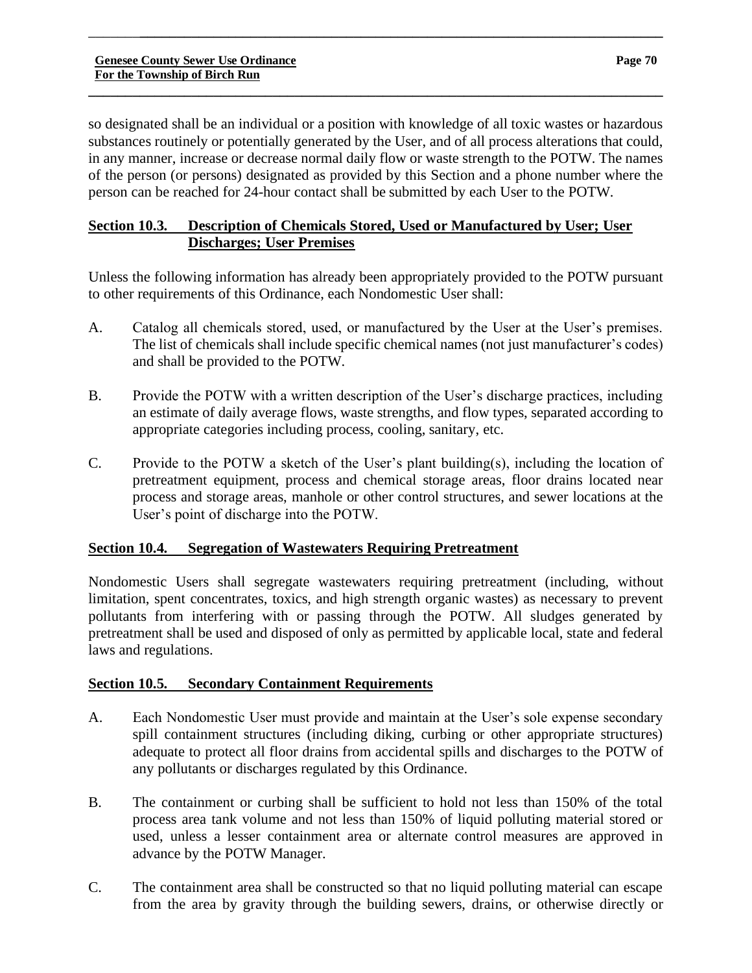so designated shall be an individual or a position with knowledge of all toxic wastes or hazardous substances routinely or potentially generated by the User, and of all process alterations that could, in any manner, increase or decrease normal daily flow or waste strength to the POTW. The names of the person (or persons) designated as provided by this Section and a phone number where the person can be reached for 24-hour contact shall be submitted by each User to the POTW.

\_\_\_\_\_\_\_**\_\_\_\_\_\_\_\_\_\_\_\_\_\_\_\_\_\_\_\_\_\_\_\_\_\_\_\_\_\_\_\_\_\_\_\_\_\_\_\_\_\_\_\_\_\_\_\_\_\_\_\_\_\_\_\_\_\_\_\_\_\_\_\_\_\_\_\_\_\_\_**

**\_\_\_\_\_\_\_\_\_\_\_\_\_\_\_\_\_\_\_\_\_\_\_\_\_\_\_\_\_\_\_\_\_\_\_\_\_\_\_\_\_\_\_\_\_\_\_\_\_\_\_\_\_\_\_\_\_\_\_\_\_\_\_\_\_\_\_\_\_\_\_\_\_\_\_\_\_\_**

# **Section 10.3. Description of Chemicals Stored, Used or Manufactured by User; User Discharges; User Premises**

Unless the following information has already been appropriately provided to the POTW pursuant to other requirements of this Ordinance, each Nondomestic User shall:

- A. Catalog all chemicals stored, used, or manufactured by the User at the User's premises. The list of chemicals shall include specific chemical names (not just manufacturer's codes) and shall be provided to the POTW.
- B. Provide the POTW with a written description of the User's discharge practices, including an estimate of daily average flows, waste strengths, and flow types, separated according to appropriate categories including process, cooling, sanitary, etc.
- C. Provide to the POTW a sketch of the User's plant building(s), including the location of pretreatment equipment, process and chemical storage areas, floor drains located near process and storage areas, manhole or other control structures, and sewer locations at the User's point of discharge into the POTW.

# **Section 10.4. Segregation of Wastewaters Requiring Pretreatment**

Nondomestic Users shall segregate wastewaters requiring pretreatment (including, without limitation, spent concentrates, toxics, and high strength organic wastes) as necessary to prevent pollutants from interfering with or passing through the POTW. All sludges generated by pretreatment shall be used and disposed of only as permitted by applicable local, state and federal laws and regulations.

# **Section 10.5. Secondary Containment Requirements**

- A. Each Nondomestic User must provide and maintain at the User's sole expense secondary spill containment structures (including diking, curbing or other appropriate structures) adequate to protect all floor drains from accidental spills and discharges to the POTW of any pollutants or discharges regulated by this Ordinance.
- B. The containment or curbing shall be sufficient to hold not less than 150% of the total process area tank volume and not less than 150% of liquid polluting material stored or used, unless a lesser containment area or alternate control measures are approved in advance by the POTW Manager.
- C. The containment area shall be constructed so that no liquid polluting material can escape from the area by gravity through the building sewers, drains, or otherwise directly or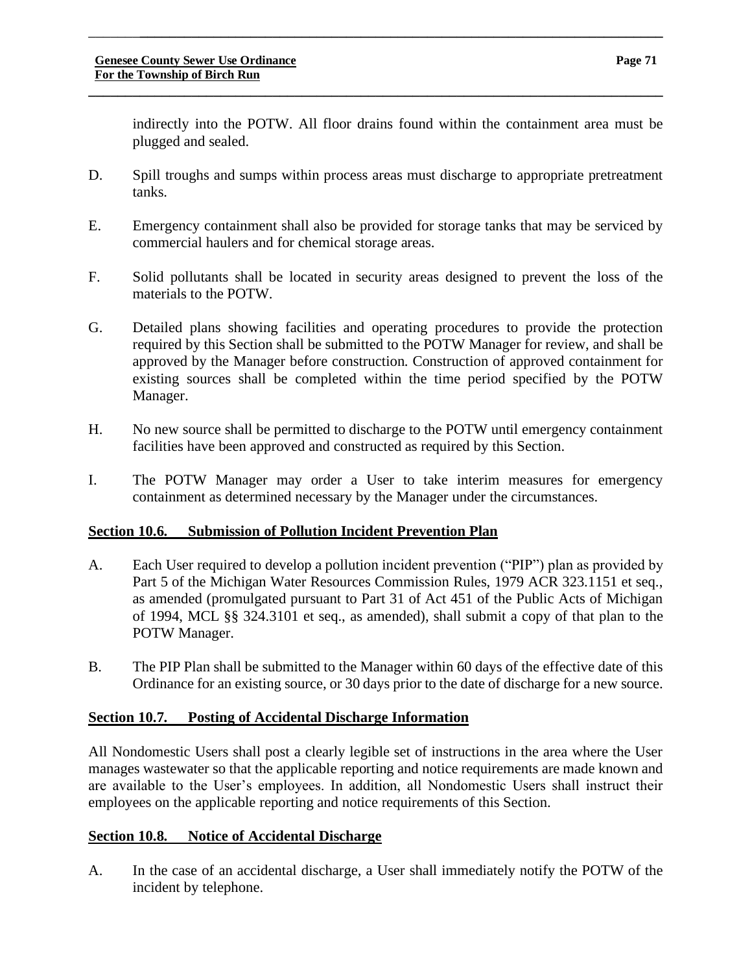indirectly into the POTW. All floor drains found within the containment area must be plugged and sealed.

D. Spill troughs and sumps within process areas must discharge to appropriate pretreatment tanks.

\_\_\_\_\_\_\_**\_\_\_\_\_\_\_\_\_\_\_\_\_\_\_\_\_\_\_\_\_\_\_\_\_\_\_\_\_\_\_\_\_\_\_\_\_\_\_\_\_\_\_\_\_\_\_\_\_\_\_\_\_\_\_\_\_\_\_\_\_\_\_\_\_\_\_\_\_\_\_**

**\_\_\_\_\_\_\_\_\_\_\_\_\_\_\_\_\_\_\_\_\_\_\_\_\_\_\_\_\_\_\_\_\_\_\_\_\_\_\_\_\_\_\_\_\_\_\_\_\_\_\_\_\_\_\_\_\_\_\_\_\_\_\_\_\_\_\_\_\_\_\_\_\_\_\_\_\_\_**

- E. Emergency containment shall also be provided for storage tanks that may be serviced by commercial haulers and for chemical storage areas.
- F. Solid pollutants shall be located in security areas designed to prevent the loss of the materials to the POTW.
- G. Detailed plans showing facilities and operating procedures to provide the protection required by this Section shall be submitted to the POTW Manager for review, and shall be approved by the Manager before construction. Construction of approved containment for existing sources shall be completed within the time period specified by the POTW Manager.
- H. No new source shall be permitted to discharge to the POTW until emergency containment facilities have been approved and constructed as required by this Section.
- I. The POTW Manager may order a User to take interim measures for emergency containment as determined necessary by the Manager under the circumstances.

# **Section 10.6. Submission of Pollution Incident Prevention Plan**

- A. Each User required to develop a pollution incident prevention ("PIP") plan as provided by Part 5 of the Michigan Water Resources Commission Rules, 1979 ACR 323.1151 et seq., as amended (promulgated pursuant to Part 31 of Act 451 of the Public Acts of Michigan of 1994, MCL §§ 324.3101 et seq., as amended), shall submit a copy of that plan to the POTW Manager.
- B. The PIP Plan shall be submitted to the Manager within 60 days of the effective date of this Ordinance for an existing source, or 30 days prior to the date of discharge for a new source.

# **Section 10.7. Posting of Accidental Discharge Information**

All Nondomestic Users shall post a clearly legible set of instructions in the area where the User manages wastewater so that the applicable reporting and notice requirements are made known and are available to the User's employees. In addition, all Nondomestic Users shall instruct their employees on the applicable reporting and notice requirements of this Section.

# **Section 10.8. Notice of Accidental Discharge**

A. In the case of an accidental discharge, a User shall immediately notify the POTW of the incident by telephone.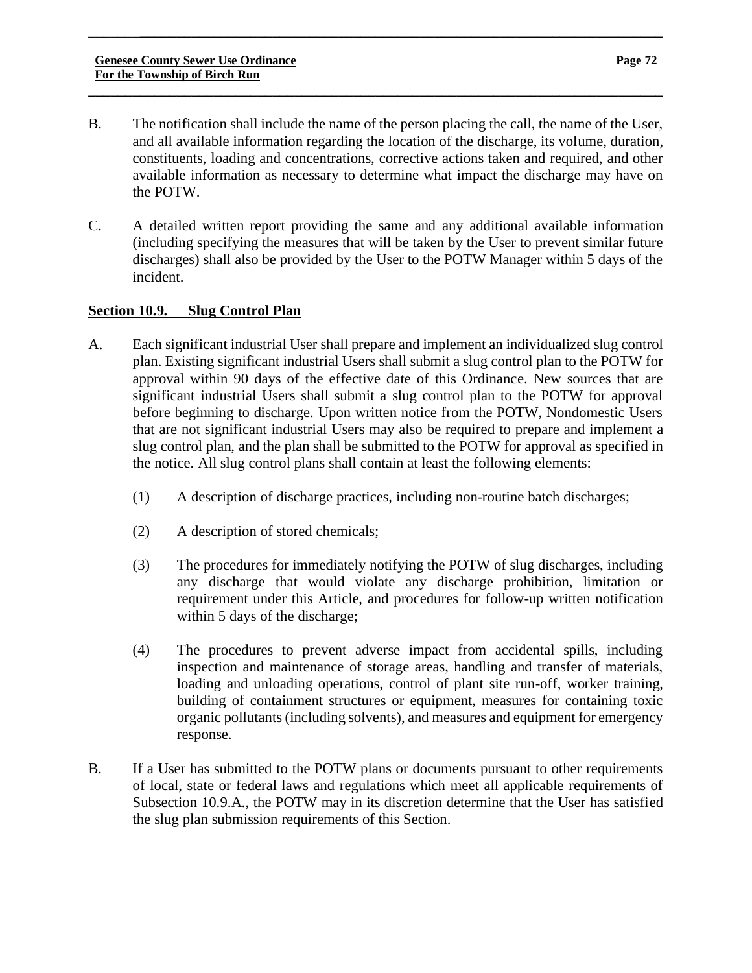B. The notification shall include the name of the person placing the call, the name of the User, and all available information regarding the location of the discharge, its volume, duration, constituents, loading and concentrations, corrective actions taken and required, and other available information as necessary to determine what impact the discharge may have on the POTW.

\_\_\_\_\_\_\_**\_\_\_\_\_\_\_\_\_\_\_\_\_\_\_\_\_\_\_\_\_\_\_\_\_\_\_\_\_\_\_\_\_\_\_\_\_\_\_\_\_\_\_\_\_\_\_\_\_\_\_\_\_\_\_\_\_\_\_\_\_\_\_\_\_\_\_\_\_\_\_**

**\_\_\_\_\_\_\_\_\_\_\_\_\_\_\_\_\_\_\_\_\_\_\_\_\_\_\_\_\_\_\_\_\_\_\_\_\_\_\_\_\_\_\_\_\_\_\_\_\_\_\_\_\_\_\_\_\_\_\_\_\_\_\_\_\_\_\_\_\_\_\_\_\_\_\_\_\_\_**

C. A detailed written report providing the same and any additional available information (including specifying the measures that will be taken by the User to prevent similar future discharges) shall also be provided by the User to the POTW Manager within 5 days of the incident.

# **Section 10.9. Slug Control Plan**

- A. Each significant industrial User shall prepare and implement an individualized slug control plan. Existing significant industrial Users shall submit a slug control plan to the POTW for approval within 90 days of the effective date of this Ordinance. New sources that are significant industrial Users shall submit a slug control plan to the POTW for approval before beginning to discharge. Upon written notice from the POTW, Nondomestic Users that are not significant industrial Users may also be required to prepare and implement a slug control plan, and the plan shall be submitted to the POTW for approval as specified in the notice. All slug control plans shall contain at least the following elements:
	- (1) A description of discharge practices, including non-routine batch discharges;
	- (2) A description of stored chemicals;
	- (3) The procedures for immediately notifying the POTW of slug discharges, including any discharge that would violate any discharge prohibition, limitation or requirement under this Article, and procedures for follow-up written notification within 5 days of the discharge;
	- (4) The procedures to prevent adverse impact from accidental spills, including inspection and maintenance of storage areas, handling and transfer of materials, loading and unloading operations, control of plant site run-off, worker training, building of containment structures or equipment, measures for containing toxic organic pollutants (including solvents), and measures and equipment for emergency response.
- B. If a User has submitted to the POTW plans or documents pursuant to other requirements of local, state or federal laws and regulations which meet all applicable requirements of Subsection 10.9.A., the POTW may in its discretion determine that the User has satisfied the slug plan submission requirements of this Section.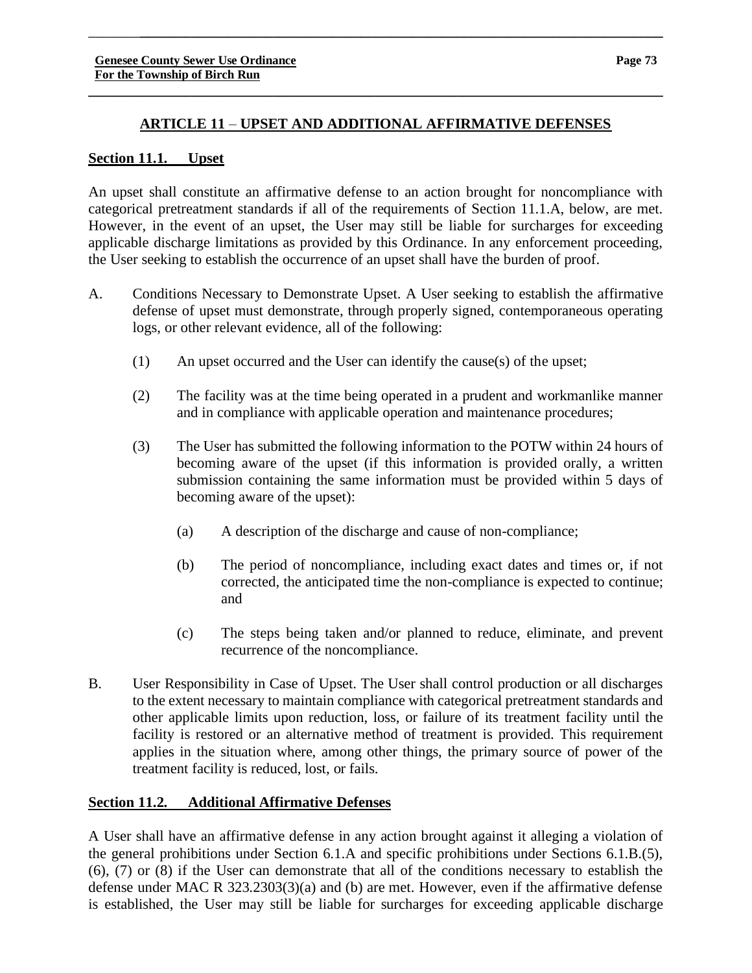**\_\_\_\_\_\_\_\_\_\_\_\_\_\_\_\_\_\_\_\_\_\_\_\_\_\_\_\_\_\_\_\_\_\_\_\_\_\_\_\_\_\_\_\_\_\_\_\_\_\_\_\_\_\_\_\_\_\_\_\_\_\_\_\_\_\_\_\_\_\_\_\_\_\_\_\_\_\_**

\_\_\_\_\_\_\_**\_\_\_\_\_\_\_\_\_\_\_\_\_\_\_\_\_\_\_\_\_\_\_\_\_\_\_\_\_\_\_\_\_\_\_\_\_\_\_\_\_\_\_\_\_\_\_\_\_\_\_\_\_\_\_\_\_\_\_\_\_\_\_\_\_\_\_\_\_\_\_**

# **Section 11.1. Upset**

An upset shall constitute an affirmative defense to an action brought for noncompliance with categorical pretreatment standards if all of the requirements of Section 11.1.A, below, are met. However, in the event of an upset, the User may still be liable for surcharges for exceeding applicable discharge limitations as provided by this Ordinance. In any enforcement proceeding, the User seeking to establish the occurrence of an upset shall have the burden of proof.

- A. Conditions Necessary to Demonstrate Upset. A User seeking to establish the affirmative defense of upset must demonstrate, through properly signed, contemporaneous operating logs, or other relevant evidence, all of the following:
	- (1) An upset occurred and the User can identify the cause(s) of the upset;
	- (2) The facility was at the time being operated in a prudent and workmanlike manner and in compliance with applicable operation and maintenance procedures;
	- (3) The User has submitted the following information to the POTW within 24 hours of becoming aware of the upset (if this information is provided orally, a written submission containing the same information must be provided within 5 days of becoming aware of the upset):
		- (a) A description of the discharge and cause of non-compliance;
		- (b) The period of noncompliance, including exact dates and times or, if not corrected, the anticipated time the non-compliance is expected to continue; and
		- (c) The steps being taken and/or planned to reduce, eliminate, and prevent recurrence of the noncompliance.
- B. User Responsibility in Case of Upset. The User shall control production or all discharges to the extent necessary to maintain compliance with categorical pretreatment standards and other applicable limits upon reduction, loss, or failure of its treatment facility until the facility is restored or an alternative method of treatment is provided. This requirement applies in the situation where, among other things, the primary source of power of the treatment facility is reduced, lost, or fails.

# **Section 11.2. Additional Affirmative Defenses**

A User shall have an affirmative defense in any action brought against it alleging a violation of the general prohibitions under Section 6.1.A and specific prohibitions under Sections 6.1.B.(5), (6), (7) or (8) if the User can demonstrate that all of the conditions necessary to establish the defense under MAC R 323.2303(3)(a) and (b) are met. However, even if the affirmative defense is established, the User may still be liable for surcharges for exceeding applicable discharge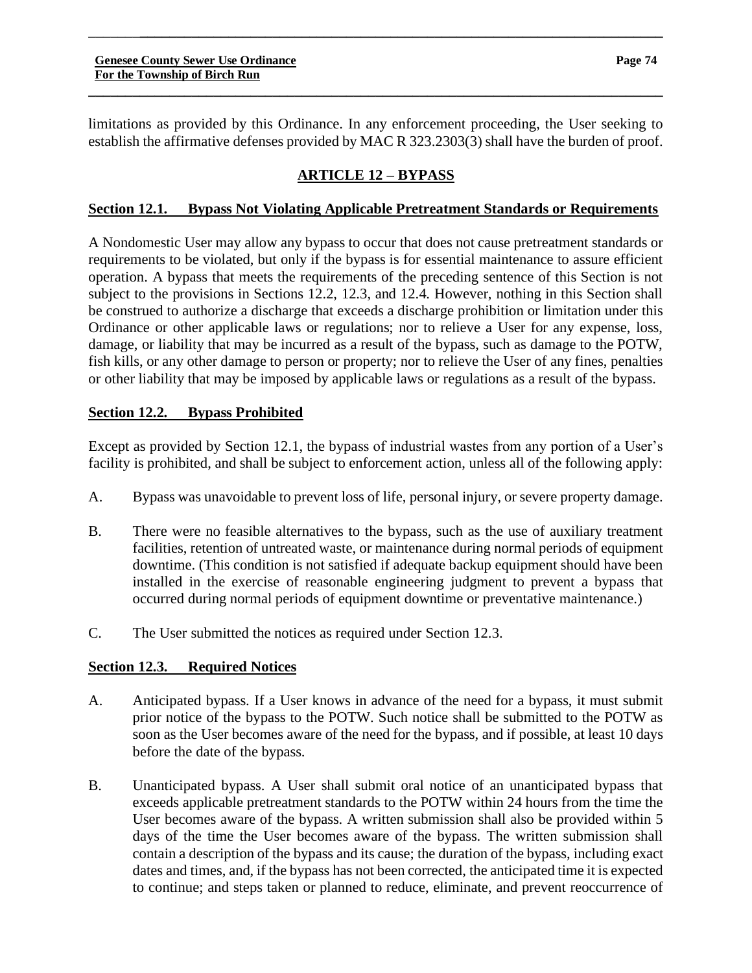limitations as provided by this Ordinance. In any enforcement proceeding, the User seeking to establish the affirmative defenses provided by MAC R 323.2303(3) shall have the burden of proof.

**\_\_\_\_\_\_\_\_\_\_\_\_\_\_\_\_\_\_\_\_\_\_\_\_\_\_\_\_\_\_\_\_\_\_\_\_\_\_\_\_\_\_\_\_\_\_\_\_\_\_\_\_\_\_\_\_\_\_\_\_\_\_\_\_\_\_\_\_\_\_\_\_\_\_\_\_\_\_**

\_\_\_\_\_\_\_**\_\_\_\_\_\_\_\_\_\_\_\_\_\_\_\_\_\_\_\_\_\_\_\_\_\_\_\_\_\_\_\_\_\_\_\_\_\_\_\_\_\_\_\_\_\_\_\_\_\_\_\_\_\_\_\_\_\_\_\_\_\_\_\_\_\_\_\_\_\_\_**

# **ARTICLE 12 – BYPASS**

# **Section 12.1. Bypass Not Violating Applicable Pretreatment Standards or Requirements**

A Nondomestic User may allow any bypass to occur that does not cause pretreatment standards or requirements to be violated, but only if the bypass is for essential maintenance to assure efficient operation. A bypass that meets the requirements of the preceding sentence of this Section is not subject to the provisions in Sections 12.2, 12.3, and 12.4. However, nothing in this Section shall be construed to authorize a discharge that exceeds a discharge prohibition or limitation under this Ordinance or other applicable laws or regulations; nor to relieve a User for any expense, loss, damage, or liability that may be incurred as a result of the bypass, such as damage to the POTW, fish kills, or any other damage to person or property; nor to relieve the User of any fines, penalties or other liability that may be imposed by applicable laws or regulations as a result of the bypass.

# **Section 12.2. Bypass Prohibited**

Except as provided by Section 12.1, the bypass of industrial wastes from any portion of a User's facility is prohibited, and shall be subject to enforcement action, unless all of the following apply:

- A. Bypass was unavoidable to prevent loss of life, personal injury, or severe property damage.
- B. There were no feasible alternatives to the bypass, such as the use of auxiliary treatment facilities, retention of untreated waste, or maintenance during normal periods of equipment downtime. (This condition is not satisfied if adequate backup equipment should have been installed in the exercise of reasonable engineering judgment to prevent a bypass that occurred during normal periods of equipment downtime or preventative maintenance.)
- C. The User submitted the notices as required under Section 12.3.

# **Section 12.3. Required Notices**

- A. Anticipated bypass. If a User knows in advance of the need for a bypass, it must submit prior notice of the bypass to the POTW. Such notice shall be submitted to the POTW as soon as the User becomes aware of the need for the bypass, and if possible, at least 10 days before the date of the bypass.
- B. Unanticipated bypass. A User shall submit oral notice of an unanticipated bypass that exceeds applicable pretreatment standards to the POTW within 24 hours from the time the User becomes aware of the bypass. A written submission shall also be provided within 5 days of the time the User becomes aware of the bypass. The written submission shall contain a description of the bypass and its cause; the duration of the bypass, including exact dates and times, and, if the bypass has not been corrected, the anticipated time it is expected to continue; and steps taken or planned to reduce, eliminate, and prevent reoccurrence of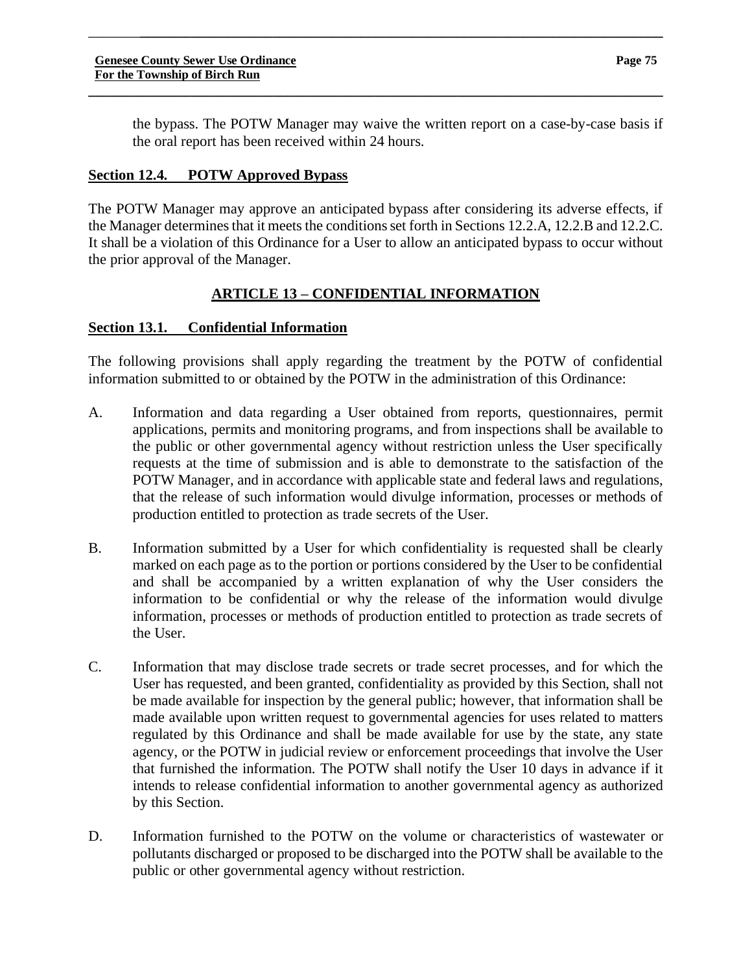the bypass. The POTW Manager may waive the written report on a case-by-case basis if the oral report has been received within 24 hours.

# **Section 12.4. POTW Approved Bypass**

The POTW Manager may approve an anticipated bypass after considering its adverse effects, if the Manager determines that it meets the conditions set forth in Sections 12.2.A, 12.2.B and 12.2.C. It shall be a violation of this Ordinance for a User to allow an anticipated bypass to occur without the prior approval of the Manager.

\_\_\_\_\_\_\_**\_\_\_\_\_\_\_\_\_\_\_\_\_\_\_\_\_\_\_\_\_\_\_\_\_\_\_\_\_\_\_\_\_\_\_\_\_\_\_\_\_\_\_\_\_\_\_\_\_\_\_\_\_\_\_\_\_\_\_\_\_\_\_\_\_\_\_\_\_\_\_**

**\_\_\_\_\_\_\_\_\_\_\_\_\_\_\_\_\_\_\_\_\_\_\_\_\_\_\_\_\_\_\_\_\_\_\_\_\_\_\_\_\_\_\_\_\_\_\_\_\_\_\_\_\_\_\_\_\_\_\_\_\_\_\_\_\_\_\_\_\_\_\_\_\_\_\_\_\_\_**

# **ARTICLE 13 – CONFIDENTIAL INFORMATION**

# **Section 13.1. Confidential Information**

The following provisions shall apply regarding the treatment by the POTW of confidential information submitted to or obtained by the POTW in the administration of this Ordinance:

- A. Information and data regarding a User obtained from reports, questionnaires, permit applications, permits and monitoring programs, and from inspections shall be available to the public or other governmental agency without restriction unless the User specifically requests at the time of submission and is able to demonstrate to the satisfaction of the POTW Manager, and in accordance with applicable state and federal laws and regulations, that the release of such information would divulge information, processes or methods of production entitled to protection as trade secrets of the User.
- B. Information submitted by a User for which confidentiality is requested shall be clearly marked on each page as to the portion or portions considered by the User to be confidential and shall be accompanied by a written explanation of why the User considers the information to be confidential or why the release of the information would divulge information, processes or methods of production entitled to protection as trade secrets of the User.
- C. Information that may disclose trade secrets or trade secret processes, and for which the User has requested, and been granted, confidentiality as provided by this Section, shall not be made available for inspection by the general public; however, that information shall be made available upon written request to governmental agencies for uses related to matters regulated by this Ordinance and shall be made available for use by the state, any state agency, or the POTW in judicial review or enforcement proceedings that involve the User that furnished the information. The POTW shall notify the User 10 days in advance if it intends to release confidential information to another governmental agency as authorized by this Section.
- D. Information furnished to the POTW on the volume or characteristics of wastewater or pollutants discharged or proposed to be discharged into the POTW shall be available to the public or other governmental agency without restriction.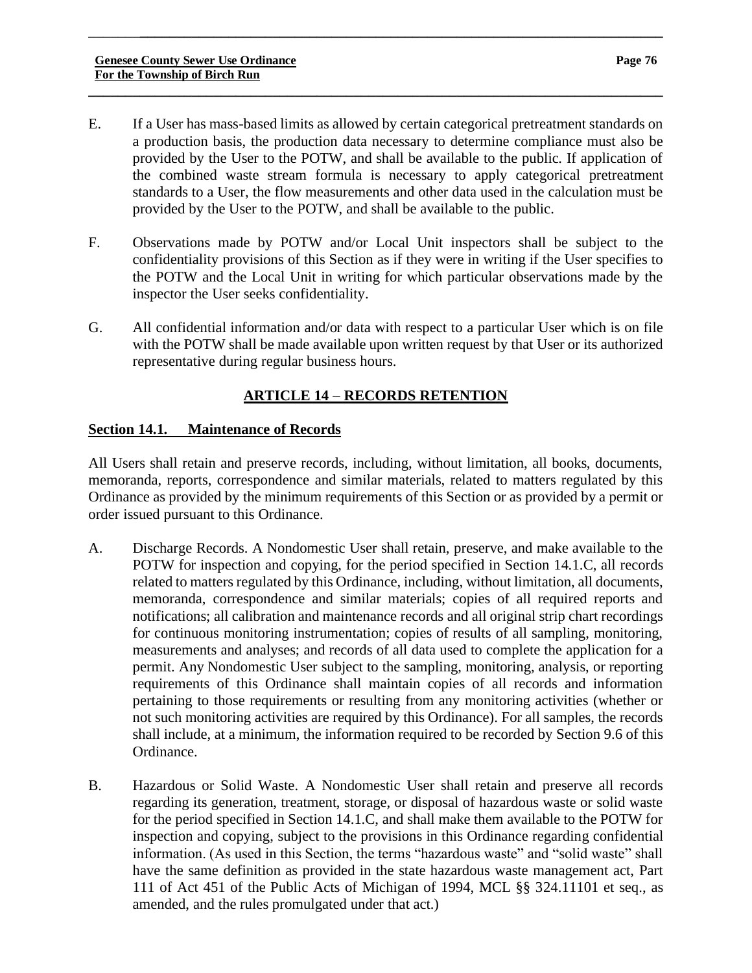E. If a User has mass-based limits as allowed by certain categorical pretreatment standards on a production basis, the production data necessary to determine compliance must also be provided by the User to the POTW, and shall be available to the public. If application of the combined waste stream formula is necessary to apply categorical pretreatment standards to a User, the flow measurements and other data used in the calculation must be provided by the User to the POTW, and shall be available to the public.

\_\_\_\_\_\_\_**\_\_\_\_\_\_\_\_\_\_\_\_\_\_\_\_\_\_\_\_\_\_\_\_\_\_\_\_\_\_\_\_\_\_\_\_\_\_\_\_\_\_\_\_\_\_\_\_\_\_\_\_\_\_\_\_\_\_\_\_\_\_\_\_\_\_\_\_\_\_\_**

**\_\_\_\_\_\_\_\_\_\_\_\_\_\_\_\_\_\_\_\_\_\_\_\_\_\_\_\_\_\_\_\_\_\_\_\_\_\_\_\_\_\_\_\_\_\_\_\_\_\_\_\_\_\_\_\_\_\_\_\_\_\_\_\_\_\_\_\_\_\_\_\_\_\_\_\_\_\_**

- F. Observations made by POTW and/or Local Unit inspectors shall be subject to the confidentiality provisions of this Section as if they were in writing if the User specifies to the POTW and the Local Unit in writing for which particular observations made by the inspector the User seeks confidentiality.
- G. All confidential information and/or data with respect to a particular User which is on file with the POTW shall be made available upon written request by that User or its authorized representative during regular business hours.

# **ARTICLE 14** – **RECORDS RETENTION**

# **Section 14.1. Maintenance of Records**

All Users shall retain and preserve records, including, without limitation, all books, documents, memoranda, reports, correspondence and similar materials, related to matters regulated by this Ordinance as provided by the minimum requirements of this Section or as provided by a permit or order issued pursuant to this Ordinance.

- A. Discharge Records. A Nondomestic User shall retain, preserve, and make available to the POTW for inspection and copying, for the period specified in Section 14.1.C, all records related to matters regulated by this Ordinance, including, without limitation, all documents, memoranda, correspondence and similar materials; copies of all required reports and notifications; all calibration and maintenance records and all original strip chart recordings for continuous monitoring instrumentation; copies of results of all sampling, monitoring, measurements and analyses; and records of all data used to complete the application for a permit. Any Nondomestic User subject to the sampling, monitoring, analysis, or reporting requirements of this Ordinance shall maintain copies of all records and information pertaining to those requirements or resulting from any monitoring activities (whether or not such monitoring activities are required by this Ordinance). For all samples, the records shall include, at a minimum, the information required to be recorded by Section 9.6 of this Ordinance.
- B. Hazardous or Solid Waste. A Nondomestic User shall retain and preserve all records regarding its generation, treatment, storage, or disposal of hazardous waste or solid waste for the period specified in Section 14.1.C, and shall make them available to the POTW for inspection and copying, subject to the provisions in this Ordinance regarding confidential information. (As used in this Section, the terms "hazardous waste" and "solid waste" shall have the same definition as provided in the state hazardous waste management act, Part 111 of Act 451 of the Public Acts of Michigan of 1994, MCL §§ 324.11101 et seq., as amended, and the rules promulgated under that act.)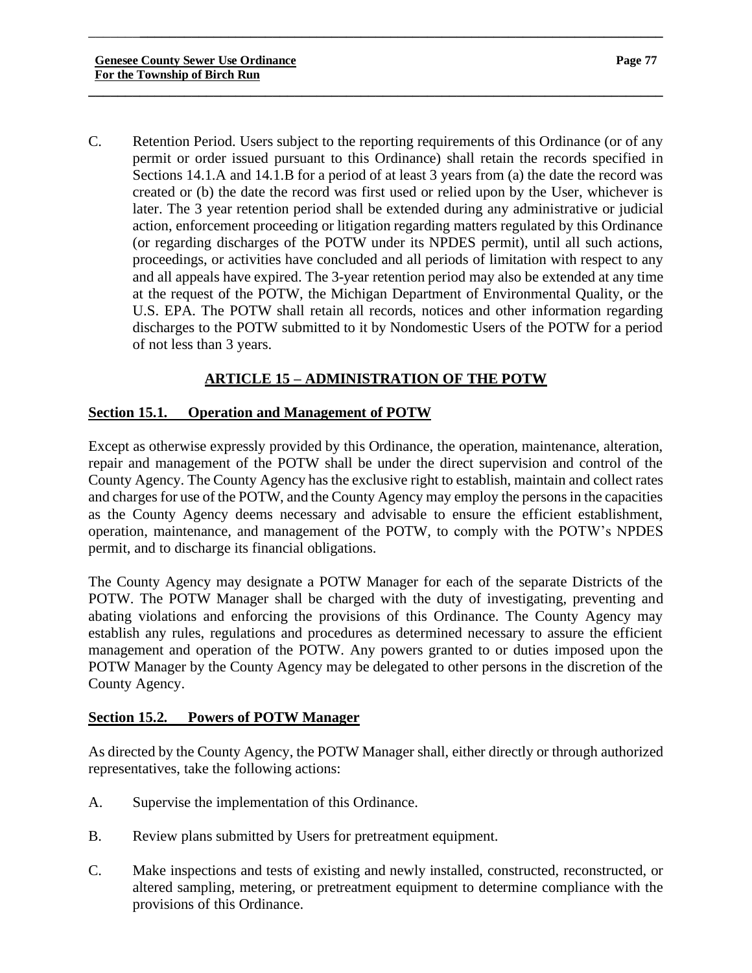C. Retention Period. Users subject to the reporting requirements of this Ordinance (or of any permit or order issued pursuant to this Ordinance) shall retain the records specified in Sections 14.1.A and 14.1.B for a period of at least 3 years from (a) the date the record was created or (b) the date the record was first used or relied upon by the User, whichever is later. The 3 year retention period shall be extended during any administrative or judicial action, enforcement proceeding or litigation regarding matters regulated by this Ordinance (or regarding discharges of the POTW under its NPDES permit), until all such actions, proceedings, or activities have concluded and all periods of limitation with respect to any and all appeals have expired. The 3-year retention period may also be extended at any time at the request of the POTW, the Michigan Department of Environmental Quality, or the U.S. EPA. The POTW shall retain all records, notices and other information regarding discharges to the POTW submitted to it by Nondomestic Users of the POTW for a period of not less than 3 years.

\_\_\_\_\_\_\_**\_\_\_\_\_\_\_\_\_\_\_\_\_\_\_\_\_\_\_\_\_\_\_\_\_\_\_\_\_\_\_\_\_\_\_\_\_\_\_\_\_\_\_\_\_\_\_\_\_\_\_\_\_\_\_\_\_\_\_\_\_\_\_\_\_\_\_\_\_\_\_**

**\_\_\_\_\_\_\_\_\_\_\_\_\_\_\_\_\_\_\_\_\_\_\_\_\_\_\_\_\_\_\_\_\_\_\_\_\_\_\_\_\_\_\_\_\_\_\_\_\_\_\_\_\_\_\_\_\_\_\_\_\_\_\_\_\_\_\_\_\_\_\_\_\_\_\_\_\_\_**

# **ARTICLE 15 – ADMINISTRATION OF THE POTW**

# **Section 15.1. Operation and Management of POTW**

Except as otherwise expressly provided by this Ordinance, the operation, maintenance, alteration, repair and management of the POTW shall be under the direct supervision and control of the County Agency. The County Agency has the exclusive right to establish, maintain and collect rates and charges for use of the POTW, and the County Agency may employ the persons in the capacities as the County Agency deems necessary and advisable to ensure the efficient establishment, operation, maintenance, and management of the POTW, to comply with the POTW's NPDES permit, and to discharge its financial obligations.

The County Agency may designate a POTW Manager for each of the separate Districts of the POTW. The POTW Manager shall be charged with the duty of investigating, preventing and abating violations and enforcing the provisions of this Ordinance. The County Agency may establish any rules, regulations and procedures as determined necessary to assure the efficient management and operation of the POTW. Any powers granted to or duties imposed upon the POTW Manager by the County Agency may be delegated to other persons in the discretion of the County Agency.

# **Section 15.2. Powers of POTW Manager**

As directed by the County Agency, the POTW Manager shall, either directly or through authorized representatives, take the following actions:

- A. Supervise the implementation of this Ordinance.
- B. Review plans submitted by Users for pretreatment equipment.
- C. Make inspections and tests of existing and newly installed, constructed, reconstructed, or altered sampling, metering, or pretreatment equipment to determine compliance with the provisions of this Ordinance.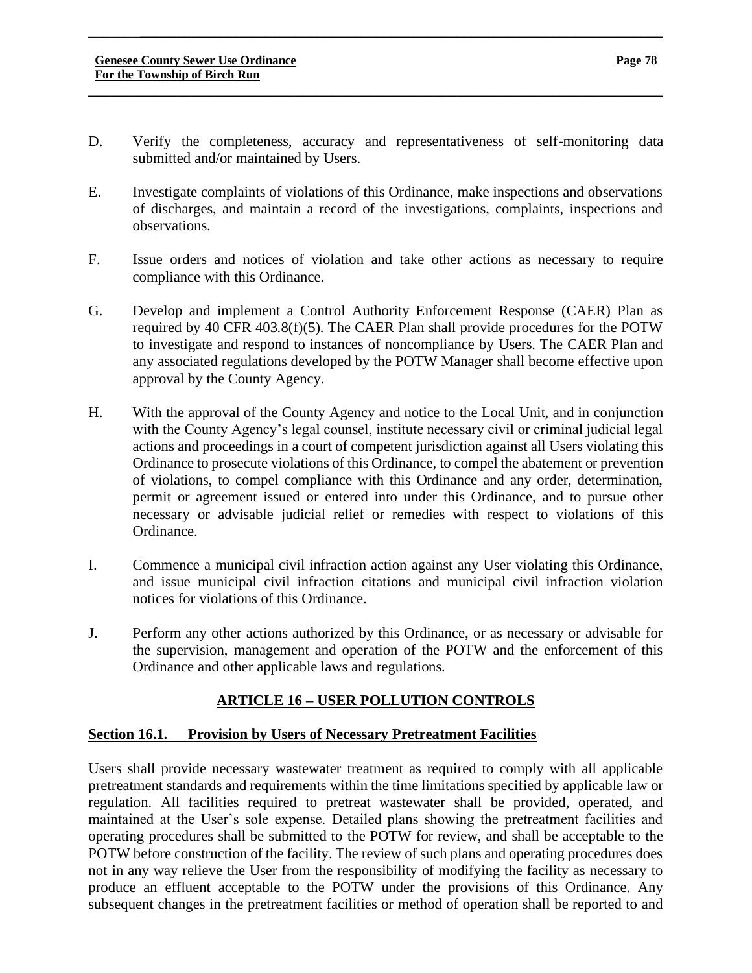D. Verify the completeness, accuracy and representativeness of self-monitoring data submitted and/or maintained by Users.

\_\_\_\_\_\_\_**\_\_\_\_\_\_\_\_\_\_\_\_\_\_\_\_\_\_\_\_\_\_\_\_\_\_\_\_\_\_\_\_\_\_\_\_\_\_\_\_\_\_\_\_\_\_\_\_\_\_\_\_\_\_\_\_\_\_\_\_\_\_\_\_\_\_\_\_\_\_\_**

**\_\_\_\_\_\_\_\_\_\_\_\_\_\_\_\_\_\_\_\_\_\_\_\_\_\_\_\_\_\_\_\_\_\_\_\_\_\_\_\_\_\_\_\_\_\_\_\_\_\_\_\_\_\_\_\_\_\_\_\_\_\_\_\_\_\_\_\_\_\_\_\_\_\_\_\_\_\_**

- E. Investigate complaints of violations of this Ordinance, make inspections and observations of discharges, and maintain a record of the investigations, complaints, inspections and observations.
- F. Issue orders and notices of violation and take other actions as necessary to require compliance with this Ordinance.
- G. Develop and implement a Control Authority Enforcement Response (CAER) Plan as required by 40 CFR 403.8(f)(5). The CAER Plan shall provide procedures for the POTW to investigate and respond to instances of noncompliance by Users. The CAER Plan and any associated regulations developed by the POTW Manager shall become effective upon approval by the County Agency.
- H. With the approval of the County Agency and notice to the Local Unit, and in conjunction with the County Agency's legal counsel, institute necessary civil or criminal judicial legal actions and proceedings in a court of competent jurisdiction against all Users violating this Ordinance to prosecute violations of this Ordinance, to compel the abatement or prevention of violations, to compel compliance with this Ordinance and any order, determination, permit or agreement issued or entered into under this Ordinance, and to pursue other necessary or advisable judicial relief or remedies with respect to violations of this Ordinance.
- I. Commence a municipal civil infraction action against any User violating this Ordinance, and issue municipal civil infraction citations and municipal civil infraction violation notices for violations of this Ordinance.
- J. Perform any other actions authorized by this Ordinance, or as necessary or advisable for the supervision, management and operation of the POTW and the enforcement of this Ordinance and other applicable laws and regulations.

# **ARTICLE 16 – USER POLLUTION CONTROLS**

# **Section 16.1. Provision by Users of Necessary Pretreatment Facilities**

Users shall provide necessary wastewater treatment as required to comply with all applicable pretreatment standards and requirements within the time limitations specified by applicable law or regulation. All facilities required to pretreat wastewater shall be provided, operated, and maintained at the User's sole expense. Detailed plans showing the pretreatment facilities and operating procedures shall be submitted to the POTW for review, and shall be acceptable to the POTW before construction of the facility. The review of such plans and operating procedures does not in any way relieve the User from the responsibility of modifying the facility as necessary to produce an effluent acceptable to the POTW under the provisions of this Ordinance. Any subsequent changes in the pretreatment facilities or method of operation shall be reported to and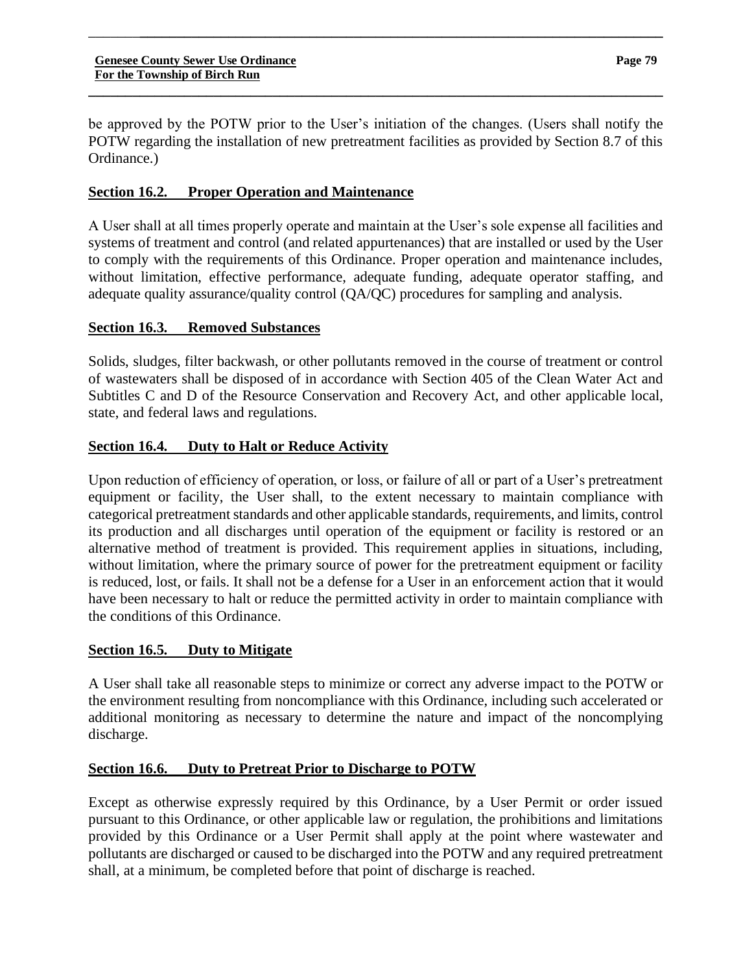be approved by the POTW prior to the User's initiation of the changes. (Users shall notify the POTW regarding the installation of new pretreatment facilities as provided by Section 8.7 of this Ordinance.)

**\_\_\_\_\_\_\_\_\_\_\_\_\_\_\_\_\_\_\_\_\_\_\_\_\_\_\_\_\_\_\_\_\_\_\_\_\_\_\_\_\_\_\_\_\_\_\_\_\_\_\_\_\_\_\_\_\_\_\_\_\_\_\_\_\_\_\_\_\_\_\_\_\_\_\_\_\_\_**

\_\_\_\_\_\_\_**\_\_\_\_\_\_\_\_\_\_\_\_\_\_\_\_\_\_\_\_\_\_\_\_\_\_\_\_\_\_\_\_\_\_\_\_\_\_\_\_\_\_\_\_\_\_\_\_\_\_\_\_\_\_\_\_\_\_\_\_\_\_\_\_\_\_\_\_\_\_\_**

# **Section 16.2. Proper Operation and Maintenance**

A User shall at all times properly operate and maintain at the User's sole expense all facilities and systems of treatment and control (and related appurtenances) that are installed or used by the User to comply with the requirements of this Ordinance. Proper operation and maintenance includes, without limitation, effective performance, adequate funding, adequate operator staffing, and adequate quality assurance/quality control (QA/QC) procedures for sampling and analysis.

# **Section 16.3. Removed Substances**

Solids, sludges, filter backwash, or other pollutants removed in the course of treatment or control of wastewaters shall be disposed of in accordance with Section 405 of the Clean Water Act and Subtitles C and D of the Resource Conservation and Recovery Act, and other applicable local, state, and federal laws and regulations.

# **Section 16.4. Duty to Halt or Reduce Activity**

Upon reduction of efficiency of operation, or loss, or failure of all or part of a User's pretreatment equipment or facility, the User shall, to the extent necessary to maintain compliance with categorical pretreatment standards and other applicable standards, requirements, and limits, control its production and all discharges until operation of the equipment or facility is restored or an alternative method of treatment is provided. This requirement applies in situations, including, without limitation, where the primary source of power for the pretreatment equipment or facility is reduced, lost, or fails. It shall not be a defense for a User in an enforcement action that it would have been necessary to halt or reduce the permitted activity in order to maintain compliance with the conditions of this Ordinance.

#### **Section 16.5. Duty to Mitigate**

A User shall take all reasonable steps to minimize or correct any adverse impact to the POTW or the environment resulting from noncompliance with this Ordinance, including such accelerated or additional monitoring as necessary to determine the nature and impact of the noncomplying discharge.

# **Section 16.6. Duty to Pretreat Prior to Discharge to POTW**

Except as otherwise expressly required by this Ordinance, by a User Permit or order issued pursuant to this Ordinance, or other applicable law or regulation, the prohibitions and limitations provided by this Ordinance or a User Permit shall apply at the point where wastewater and pollutants are discharged or caused to be discharged into the POTW and any required pretreatment shall, at a minimum, be completed before that point of discharge is reached.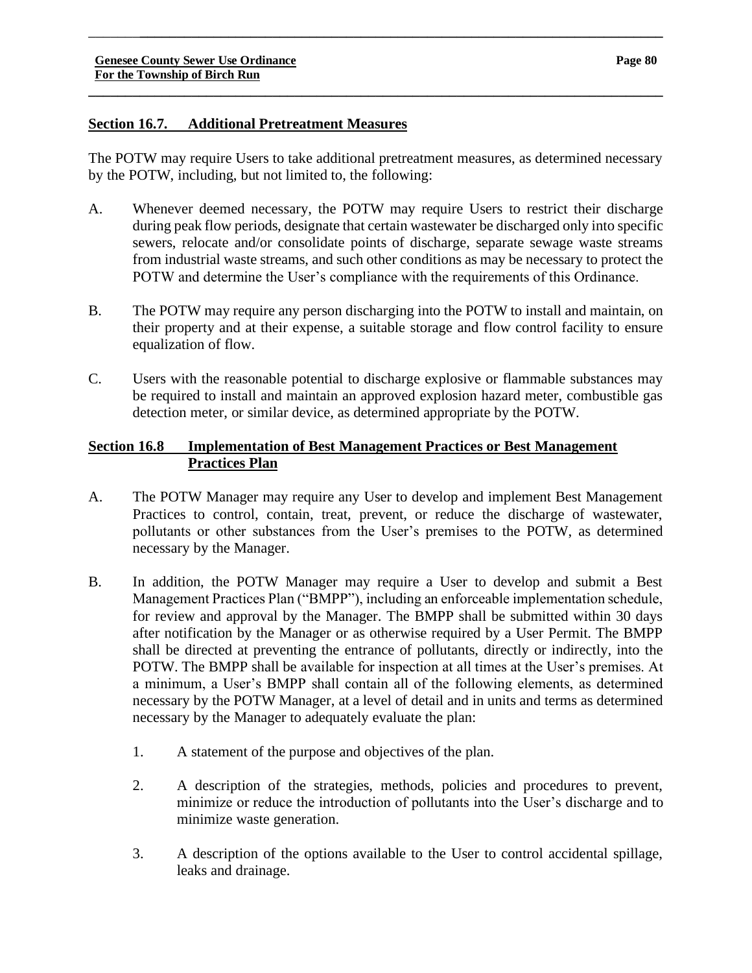# **Section 16.7. Additional Pretreatment Measures**

The POTW may require Users to take additional pretreatment measures, as determined necessary by the POTW, including, but not limited to, the following:

\_\_\_\_\_\_\_**\_\_\_\_\_\_\_\_\_\_\_\_\_\_\_\_\_\_\_\_\_\_\_\_\_\_\_\_\_\_\_\_\_\_\_\_\_\_\_\_\_\_\_\_\_\_\_\_\_\_\_\_\_\_\_\_\_\_\_\_\_\_\_\_\_\_\_\_\_\_\_**

**\_\_\_\_\_\_\_\_\_\_\_\_\_\_\_\_\_\_\_\_\_\_\_\_\_\_\_\_\_\_\_\_\_\_\_\_\_\_\_\_\_\_\_\_\_\_\_\_\_\_\_\_\_\_\_\_\_\_\_\_\_\_\_\_\_\_\_\_\_\_\_\_\_\_\_\_\_\_**

- A. Whenever deemed necessary, the POTW may require Users to restrict their discharge during peak flow periods, designate that certain wastewater be discharged only into specific sewers, relocate and/or consolidate points of discharge, separate sewage waste streams from industrial waste streams, and such other conditions as may be necessary to protect the POTW and determine the User's compliance with the requirements of this Ordinance.
- B. The POTW may require any person discharging into the POTW to install and maintain, on their property and at their expense, a suitable storage and flow control facility to ensure equalization of flow.
- C. Users with the reasonable potential to discharge explosive or flammable substances may be required to install and maintain an approved explosion hazard meter, combustible gas detection meter, or similar device, as determined appropriate by the POTW.

# **Section 16.8 Implementation of Best Management Practices or Best Management Practices Plan**

- A. The POTW Manager may require any User to develop and implement Best Management Practices to control, contain, treat, prevent, or reduce the discharge of wastewater, pollutants or other substances from the User's premises to the POTW, as determined necessary by the Manager.
- B. In addition, the POTW Manager may require a User to develop and submit a Best Management Practices Plan ("BMPP"), including an enforceable implementation schedule, for review and approval by the Manager. The BMPP shall be submitted within 30 days after notification by the Manager or as otherwise required by a User Permit. The BMPP shall be directed at preventing the entrance of pollutants, directly or indirectly, into the POTW. The BMPP shall be available for inspection at all times at the User's premises. At a minimum, a User's BMPP shall contain all of the following elements, as determined necessary by the POTW Manager, at a level of detail and in units and terms as determined necessary by the Manager to adequately evaluate the plan:
	- 1. A statement of the purpose and objectives of the plan.
	- 2. A description of the strategies, methods, policies and procedures to prevent, minimize or reduce the introduction of pollutants into the User's discharge and to minimize waste generation.
	- 3. A description of the options available to the User to control accidental spillage, leaks and drainage.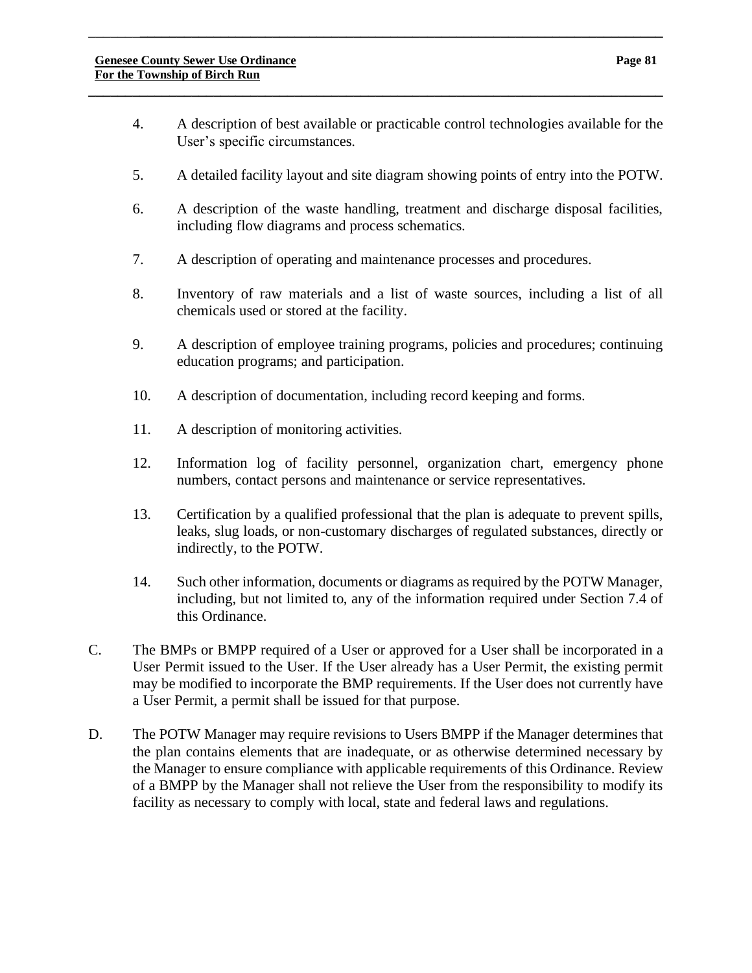4. A description of best available or practicable control technologies available for the User's specific circumstances.

\_\_\_\_\_\_\_**\_\_\_\_\_\_\_\_\_\_\_\_\_\_\_\_\_\_\_\_\_\_\_\_\_\_\_\_\_\_\_\_\_\_\_\_\_\_\_\_\_\_\_\_\_\_\_\_\_\_\_\_\_\_\_\_\_\_\_\_\_\_\_\_\_\_\_\_\_\_\_**

**\_\_\_\_\_\_\_\_\_\_\_\_\_\_\_\_\_\_\_\_\_\_\_\_\_\_\_\_\_\_\_\_\_\_\_\_\_\_\_\_\_\_\_\_\_\_\_\_\_\_\_\_\_\_\_\_\_\_\_\_\_\_\_\_\_\_\_\_\_\_\_\_\_\_\_\_\_\_**

- 5. A detailed facility layout and site diagram showing points of entry into the POTW.
- 6. A description of the waste handling, treatment and discharge disposal facilities, including flow diagrams and process schematics.
- 7. A description of operating and maintenance processes and procedures.
- 8. Inventory of raw materials and a list of waste sources, including a list of all chemicals used or stored at the facility.
- 9. A description of employee training programs, policies and procedures; continuing education programs; and participation.
- 10. A description of documentation, including record keeping and forms.
- 11. A description of monitoring activities.
- 12. Information log of facility personnel, organization chart, emergency phone numbers, contact persons and maintenance or service representatives.
- 13. Certification by a qualified professional that the plan is adequate to prevent spills, leaks, slug loads, or non-customary discharges of regulated substances, directly or indirectly, to the POTW.
- 14. Such other information, documents or diagrams as required by the POTW Manager, including, but not limited to, any of the information required under Section 7.4 of this Ordinance.
- C. The BMPs or BMPP required of a User or approved for a User shall be incorporated in a User Permit issued to the User. If the User already has a User Permit, the existing permit may be modified to incorporate the BMP requirements. If the User does not currently have a User Permit, a permit shall be issued for that purpose.
- D. The POTW Manager may require revisions to Users BMPP if the Manager determines that the plan contains elements that are inadequate, or as otherwise determined necessary by the Manager to ensure compliance with applicable requirements of this Ordinance. Review of a BMPP by the Manager shall not relieve the User from the responsibility to modify its facility as necessary to comply with local, state and federal laws and regulations.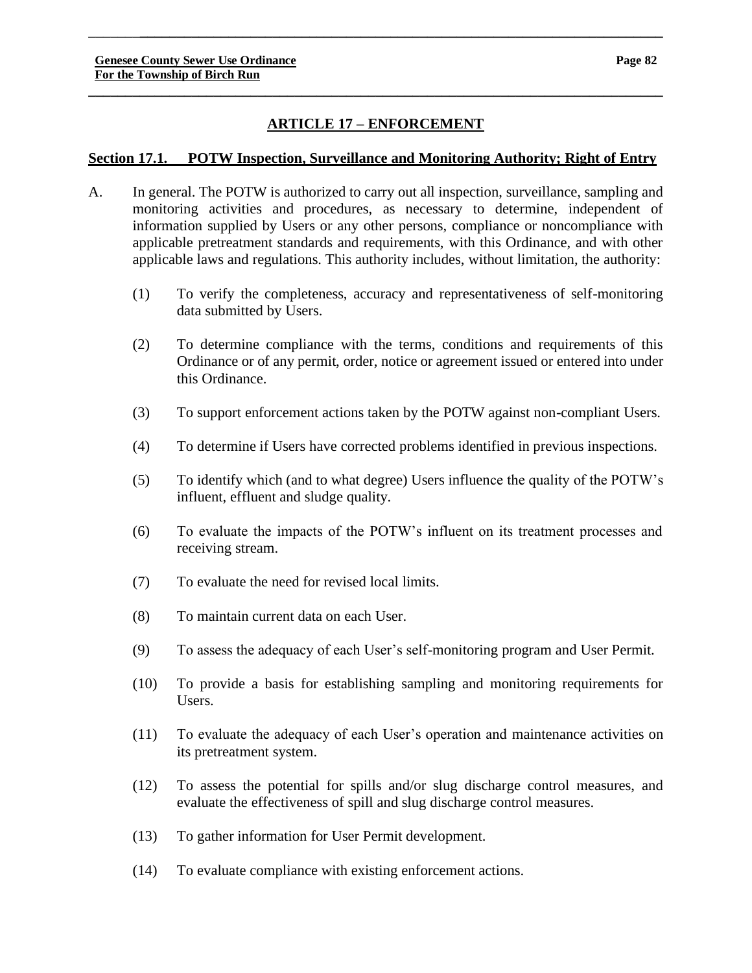# **ARTICLE 17 – ENFORCEMENT**

**\_\_\_\_\_\_\_\_\_\_\_\_\_\_\_\_\_\_\_\_\_\_\_\_\_\_\_\_\_\_\_\_\_\_\_\_\_\_\_\_\_\_\_\_\_\_\_\_\_\_\_\_\_\_\_\_\_\_\_\_\_\_\_\_\_\_\_\_\_\_\_\_\_\_\_\_\_\_**

\_\_\_\_\_\_\_**\_\_\_\_\_\_\_\_\_\_\_\_\_\_\_\_\_\_\_\_\_\_\_\_\_\_\_\_\_\_\_\_\_\_\_\_\_\_\_\_\_\_\_\_\_\_\_\_\_\_\_\_\_\_\_\_\_\_\_\_\_\_\_\_\_\_\_\_\_\_\_**

### **Section 17.1. POTW Inspection, Surveillance and Monitoring Authority; Right of Entry**

- A. In general. The POTW is authorized to carry out all inspection, surveillance, sampling and monitoring activities and procedures, as necessary to determine, independent of information supplied by Users or any other persons, compliance or noncompliance with applicable pretreatment standards and requirements, with this Ordinance, and with other applicable laws and regulations. This authority includes, without limitation, the authority:
	- (1) To verify the completeness, accuracy and representativeness of self-monitoring data submitted by Users.
	- (2) To determine compliance with the terms, conditions and requirements of this Ordinance or of any permit, order, notice or agreement issued or entered into under this Ordinance.
	- (3) To support enforcement actions taken by the POTW against non-compliant Users.
	- (4) To determine if Users have corrected problems identified in previous inspections.
	- (5) To identify which (and to what degree) Users influence the quality of the POTW's influent, effluent and sludge quality.
	- (6) To evaluate the impacts of the POTW's influent on its treatment processes and receiving stream.
	- (7) To evaluate the need for revised local limits.
	- (8) To maintain current data on each User.
	- (9) To assess the adequacy of each User's self-monitoring program and User Permit.
	- (10) To provide a basis for establishing sampling and monitoring requirements for Users.
	- (11) To evaluate the adequacy of each User's operation and maintenance activities on its pretreatment system.
	- (12) To assess the potential for spills and/or slug discharge control measures, and evaluate the effectiveness of spill and slug discharge control measures.
	- (13) To gather information for User Permit development.
	- (14) To evaluate compliance with existing enforcement actions.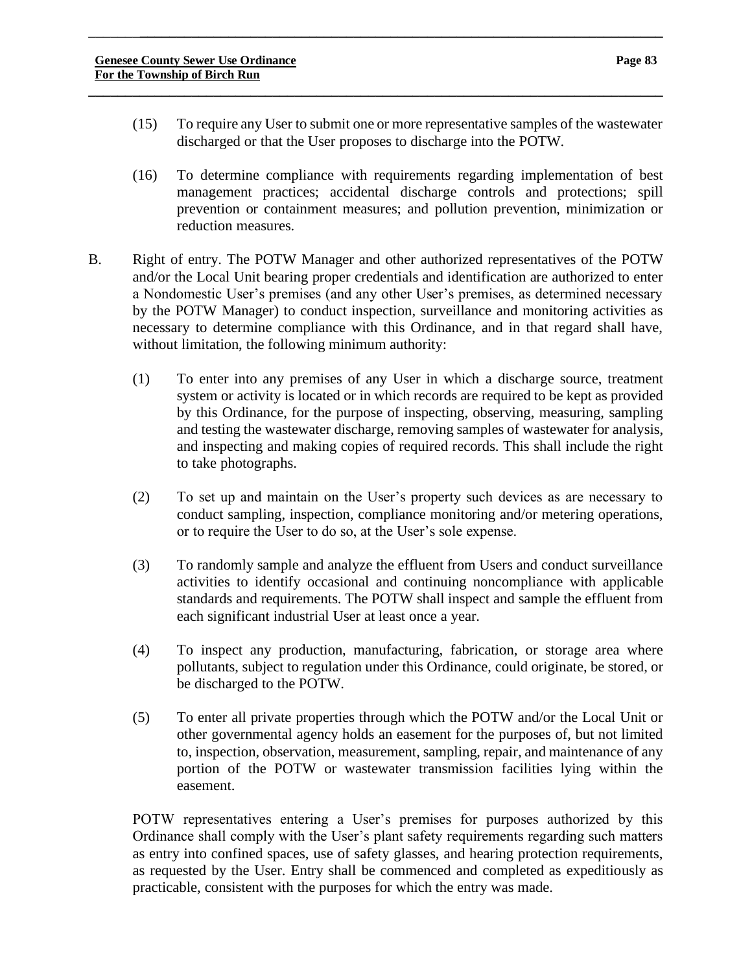(15) To require any User to submit one or more representative samples of the wastewater discharged or that the User proposes to discharge into the POTW.

\_\_\_\_\_\_\_**\_\_\_\_\_\_\_\_\_\_\_\_\_\_\_\_\_\_\_\_\_\_\_\_\_\_\_\_\_\_\_\_\_\_\_\_\_\_\_\_\_\_\_\_\_\_\_\_\_\_\_\_\_\_\_\_\_\_\_\_\_\_\_\_\_\_\_\_\_\_\_**

**\_\_\_\_\_\_\_\_\_\_\_\_\_\_\_\_\_\_\_\_\_\_\_\_\_\_\_\_\_\_\_\_\_\_\_\_\_\_\_\_\_\_\_\_\_\_\_\_\_\_\_\_\_\_\_\_\_\_\_\_\_\_\_\_\_\_\_\_\_\_\_\_\_\_\_\_\_\_**

- (16) To determine compliance with requirements regarding implementation of best management practices; accidental discharge controls and protections; spill prevention or containment measures; and pollution prevention, minimization or reduction measures.
- B. Right of entry. The POTW Manager and other authorized representatives of the POTW and/or the Local Unit bearing proper credentials and identification are authorized to enter a Nondomestic User's premises (and any other User's premises, as determined necessary by the POTW Manager) to conduct inspection, surveillance and monitoring activities as necessary to determine compliance with this Ordinance, and in that regard shall have, without limitation, the following minimum authority:
	- (1) To enter into any premises of any User in which a discharge source, treatment system or activity is located or in which records are required to be kept as provided by this Ordinance, for the purpose of inspecting, observing, measuring, sampling and testing the wastewater discharge, removing samples of wastewater for analysis, and inspecting and making copies of required records. This shall include the right to take photographs.
	- (2) To set up and maintain on the User's property such devices as are necessary to conduct sampling, inspection, compliance monitoring and/or metering operations, or to require the User to do so, at the User's sole expense.
	- (3) To randomly sample and analyze the effluent from Users and conduct surveillance activities to identify occasional and continuing noncompliance with applicable standards and requirements. The POTW shall inspect and sample the effluent from each significant industrial User at least once a year.
	- (4) To inspect any production, manufacturing, fabrication, or storage area where pollutants, subject to regulation under this Ordinance, could originate, be stored, or be discharged to the POTW.
	- (5) To enter all private properties through which the POTW and/or the Local Unit or other governmental agency holds an easement for the purposes of, but not limited to, inspection, observation, measurement, sampling, repair, and maintenance of any portion of the POTW or wastewater transmission facilities lying within the easement.

POTW representatives entering a User's premises for purposes authorized by this Ordinance shall comply with the User's plant safety requirements regarding such matters as entry into confined spaces, use of safety glasses, and hearing protection requirements, as requested by the User. Entry shall be commenced and completed as expeditiously as practicable, consistent with the purposes for which the entry was made.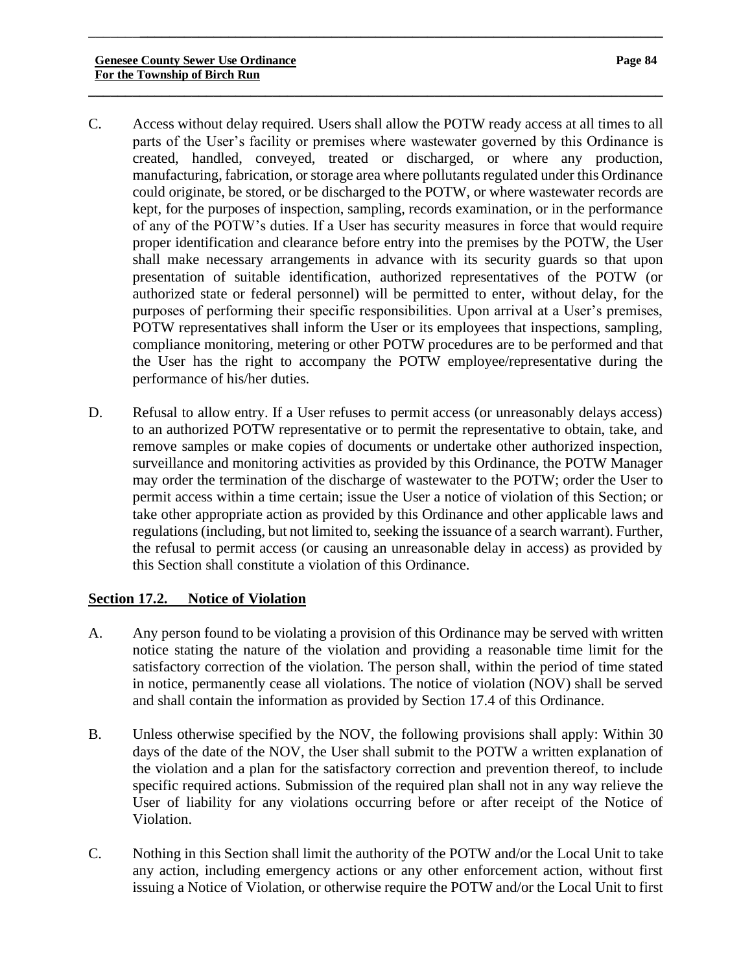C. Access without delay required. Users shall allow the POTW ready access at all times to all parts of the User's facility or premises where wastewater governed by this Ordinance is created, handled, conveyed, treated or discharged, or where any production, manufacturing, fabrication, or storage area where pollutants regulated under this Ordinance could originate, be stored, or be discharged to the POTW, or where wastewater records are kept, for the purposes of inspection, sampling, records examination, or in the performance of any of the POTW's duties. If a User has security measures in force that would require proper identification and clearance before entry into the premises by the POTW, the User shall make necessary arrangements in advance with its security guards so that upon presentation of suitable identification, authorized representatives of the POTW (or authorized state or federal personnel) will be permitted to enter, without delay, for the purposes of performing their specific responsibilities. Upon arrival at a User's premises, POTW representatives shall inform the User or its employees that inspections, sampling, compliance monitoring, metering or other POTW procedures are to be performed and that the User has the right to accompany the POTW employee/representative during the performance of his/her duties.

\_\_\_\_\_\_\_**\_\_\_\_\_\_\_\_\_\_\_\_\_\_\_\_\_\_\_\_\_\_\_\_\_\_\_\_\_\_\_\_\_\_\_\_\_\_\_\_\_\_\_\_\_\_\_\_\_\_\_\_\_\_\_\_\_\_\_\_\_\_\_\_\_\_\_\_\_\_\_**

**\_\_\_\_\_\_\_\_\_\_\_\_\_\_\_\_\_\_\_\_\_\_\_\_\_\_\_\_\_\_\_\_\_\_\_\_\_\_\_\_\_\_\_\_\_\_\_\_\_\_\_\_\_\_\_\_\_\_\_\_\_\_\_\_\_\_\_\_\_\_\_\_\_\_\_\_\_\_**

D. Refusal to allow entry. If a User refuses to permit access (or unreasonably delays access) to an authorized POTW representative or to permit the representative to obtain, take, and remove samples or make copies of documents or undertake other authorized inspection, surveillance and monitoring activities as provided by this Ordinance, the POTW Manager may order the termination of the discharge of wastewater to the POTW; order the User to permit access within a time certain; issue the User a notice of violation of this Section; or take other appropriate action as provided by this Ordinance and other applicable laws and regulations (including, but not limited to, seeking the issuance of a search warrant). Further, the refusal to permit access (or causing an unreasonable delay in access) as provided by this Section shall constitute a violation of this Ordinance.

# **Section 17.2. Notice of Violation**

- A. Any person found to be violating a provision of this Ordinance may be served with written notice stating the nature of the violation and providing a reasonable time limit for the satisfactory correction of the violation. The person shall, within the period of time stated in notice, permanently cease all violations. The notice of violation (NOV) shall be served and shall contain the information as provided by Section 17.4 of this Ordinance.
- B. Unless otherwise specified by the NOV, the following provisions shall apply: Within 30 days of the date of the NOV, the User shall submit to the POTW a written explanation of the violation and a plan for the satisfactory correction and prevention thereof, to include specific required actions. Submission of the required plan shall not in any way relieve the User of liability for any violations occurring before or after receipt of the Notice of Violation.
- C. Nothing in this Section shall limit the authority of the POTW and/or the Local Unit to take any action, including emergency actions or any other enforcement action, without first issuing a Notice of Violation, or otherwise require the POTW and/or the Local Unit to first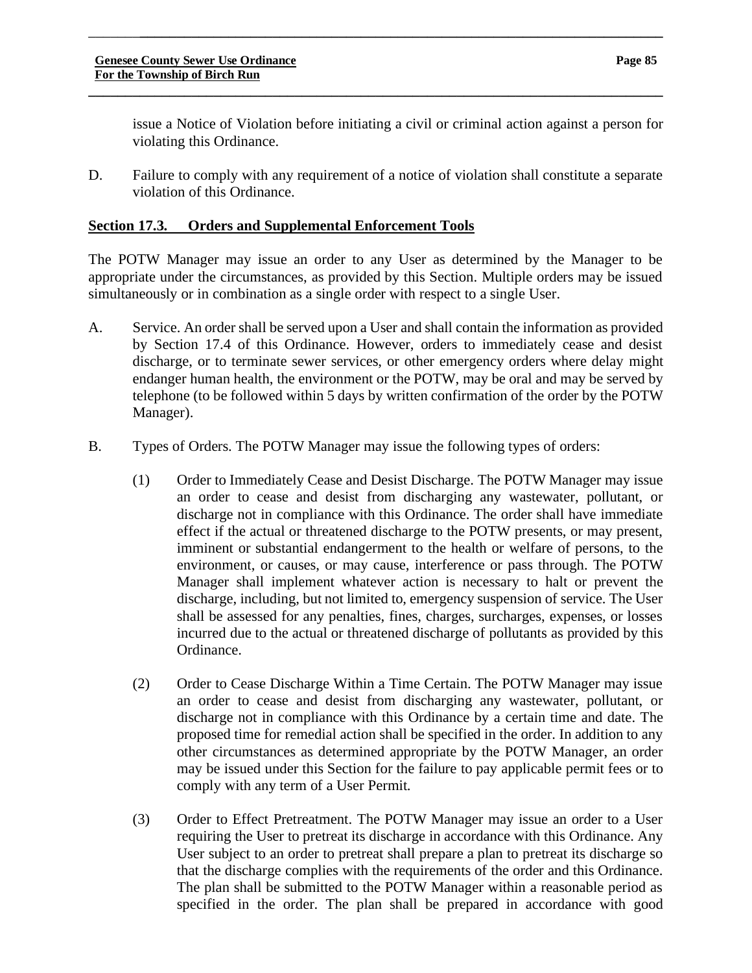issue a Notice of Violation before initiating a civil or criminal action against a person for violating this Ordinance.

D. Failure to comply with any requirement of a notice of violation shall constitute a separate violation of this Ordinance.

\_\_\_\_\_\_\_**\_\_\_\_\_\_\_\_\_\_\_\_\_\_\_\_\_\_\_\_\_\_\_\_\_\_\_\_\_\_\_\_\_\_\_\_\_\_\_\_\_\_\_\_\_\_\_\_\_\_\_\_\_\_\_\_\_\_\_\_\_\_\_\_\_\_\_\_\_\_\_**

**\_\_\_\_\_\_\_\_\_\_\_\_\_\_\_\_\_\_\_\_\_\_\_\_\_\_\_\_\_\_\_\_\_\_\_\_\_\_\_\_\_\_\_\_\_\_\_\_\_\_\_\_\_\_\_\_\_\_\_\_\_\_\_\_\_\_\_\_\_\_\_\_\_\_\_\_\_\_**

# **Section 17.3. Orders and Supplemental Enforcement Tools**

The POTW Manager may issue an order to any User as determined by the Manager to be appropriate under the circumstances, as provided by this Section. Multiple orders may be issued simultaneously or in combination as a single order with respect to a single User.

- A. Service. An order shall be served upon a User and shall contain the information as provided by Section 17.4 of this Ordinance. However, orders to immediately cease and desist discharge, or to terminate sewer services, or other emergency orders where delay might endanger human health, the environment or the POTW, may be oral and may be served by telephone (to be followed within 5 days by written confirmation of the order by the POTW Manager).
- B. Types of Orders. The POTW Manager may issue the following types of orders:
	- (1) Order to Immediately Cease and Desist Discharge. The POTW Manager may issue an order to cease and desist from discharging any wastewater, pollutant, or discharge not in compliance with this Ordinance. The order shall have immediate effect if the actual or threatened discharge to the POTW presents, or may present, imminent or substantial endangerment to the health or welfare of persons, to the environment, or causes, or may cause, interference or pass through. The POTW Manager shall implement whatever action is necessary to halt or prevent the discharge, including, but not limited to, emergency suspension of service. The User shall be assessed for any penalties, fines, charges, surcharges, expenses, or losses incurred due to the actual or threatened discharge of pollutants as provided by this Ordinance.
	- (2) Order to Cease Discharge Within a Time Certain. The POTW Manager may issue an order to cease and desist from discharging any wastewater, pollutant, or discharge not in compliance with this Ordinance by a certain time and date. The proposed time for remedial action shall be specified in the order. In addition to any other circumstances as determined appropriate by the POTW Manager, an order may be issued under this Section for the failure to pay applicable permit fees or to comply with any term of a User Permit.
	- (3) Order to Effect Pretreatment. The POTW Manager may issue an order to a User requiring the User to pretreat its discharge in accordance with this Ordinance. Any User subject to an order to pretreat shall prepare a plan to pretreat its discharge so that the discharge complies with the requirements of the order and this Ordinance. The plan shall be submitted to the POTW Manager within a reasonable period as specified in the order. The plan shall be prepared in accordance with good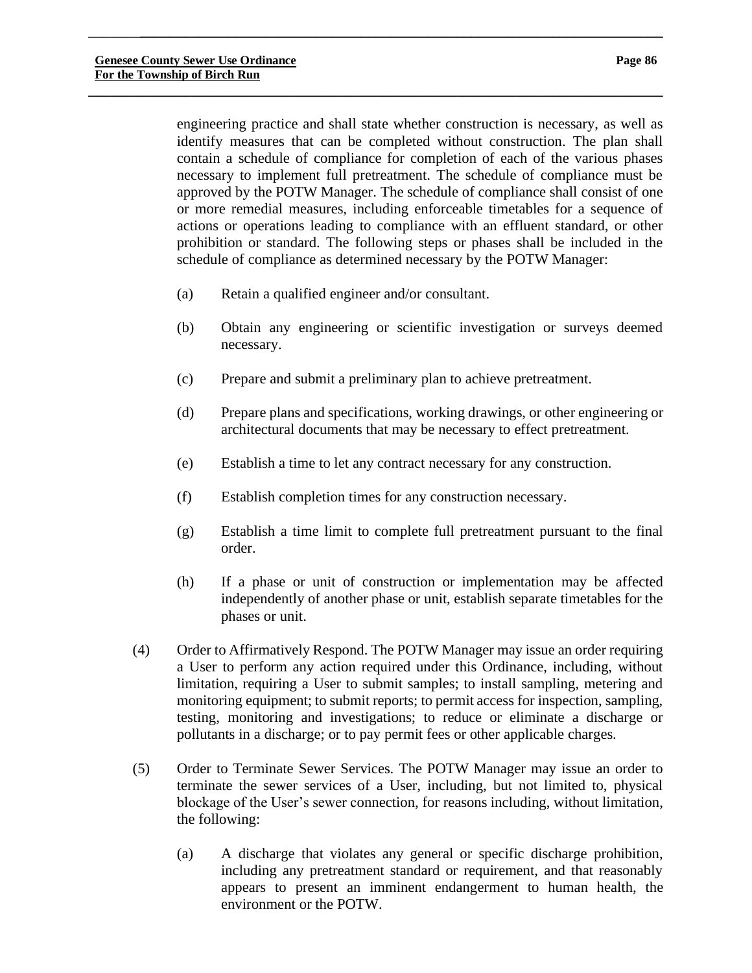engineering practice and shall state whether construction is necessary, as well as identify measures that can be completed without construction. The plan shall contain a schedule of compliance for completion of each of the various phases necessary to implement full pretreatment. The schedule of compliance must be approved by the POTW Manager. The schedule of compliance shall consist of one or more remedial measures, including enforceable timetables for a sequence of actions or operations leading to compliance with an effluent standard, or other prohibition or standard. The following steps or phases shall be included in the schedule of compliance as determined necessary by the POTW Manager:

- (a) Retain a qualified engineer and/or consultant.
- (b) Obtain any engineering or scientific investigation or surveys deemed necessary.
- (c) Prepare and submit a preliminary plan to achieve pretreatment.

\_\_\_\_\_\_\_**\_\_\_\_\_\_\_\_\_\_\_\_\_\_\_\_\_\_\_\_\_\_\_\_\_\_\_\_\_\_\_\_\_\_\_\_\_\_\_\_\_\_\_\_\_\_\_\_\_\_\_\_\_\_\_\_\_\_\_\_\_\_\_\_\_\_\_\_\_\_\_**

**\_\_\_\_\_\_\_\_\_\_\_\_\_\_\_\_\_\_\_\_\_\_\_\_\_\_\_\_\_\_\_\_\_\_\_\_\_\_\_\_\_\_\_\_\_\_\_\_\_\_\_\_\_\_\_\_\_\_\_\_\_\_\_\_\_\_\_\_\_\_\_\_\_\_\_\_\_\_**

- (d) Prepare plans and specifications, working drawings, or other engineering or architectural documents that may be necessary to effect pretreatment.
- (e) Establish a time to let any contract necessary for any construction.
- (f) Establish completion times for any construction necessary.
- (g) Establish a time limit to complete full pretreatment pursuant to the final order.
- (h) If a phase or unit of construction or implementation may be affected independently of another phase or unit, establish separate timetables for the phases or unit.
- (4) Order to Affirmatively Respond. The POTW Manager may issue an order requiring a User to perform any action required under this Ordinance, including, without limitation, requiring a User to submit samples; to install sampling, metering and monitoring equipment; to submit reports; to permit access for inspection, sampling, testing, monitoring and investigations; to reduce or eliminate a discharge or pollutants in a discharge; or to pay permit fees or other applicable charges.
- (5) Order to Terminate Sewer Services. The POTW Manager may issue an order to terminate the sewer services of a User, including, but not limited to, physical blockage of the User's sewer connection, for reasons including, without limitation, the following:
	- (a) A discharge that violates any general or specific discharge prohibition, including any pretreatment standard or requirement, and that reasonably appears to present an imminent endangerment to human health, the environment or the POTW.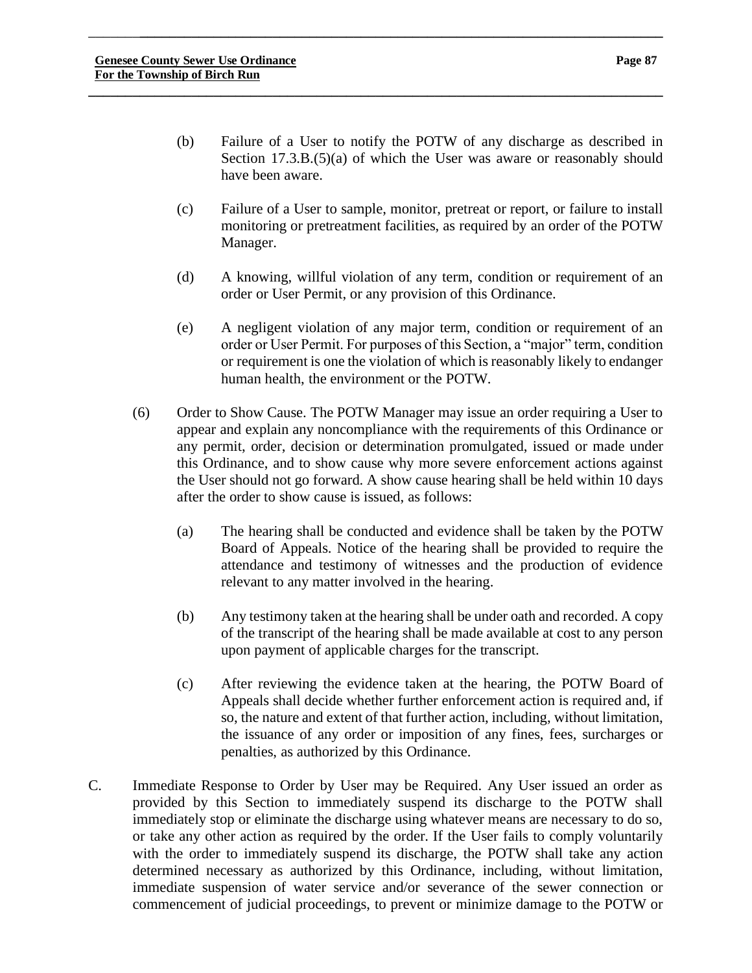\_\_\_\_\_\_\_**\_\_\_\_\_\_\_\_\_\_\_\_\_\_\_\_\_\_\_\_\_\_\_\_\_\_\_\_\_\_\_\_\_\_\_\_\_\_\_\_\_\_\_\_\_\_\_\_\_\_\_\_\_\_\_\_\_\_\_\_\_\_\_\_\_\_\_\_\_\_\_**

**\_\_\_\_\_\_\_\_\_\_\_\_\_\_\_\_\_\_\_\_\_\_\_\_\_\_\_\_\_\_\_\_\_\_\_\_\_\_\_\_\_\_\_\_\_\_\_\_\_\_\_\_\_\_\_\_\_\_\_\_\_\_\_\_\_\_\_\_\_\_\_\_\_\_\_\_\_\_**

- (c) Failure of a User to sample, monitor, pretreat or report, or failure to install monitoring or pretreatment facilities, as required by an order of the POTW Manager.
- (d) A knowing, willful violation of any term, condition or requirement of an order or User Permit, or any provision of this Ordinance.
- (e) A negligent violation of any major term, condition or requirement of an order or User Permit. For purposes of this Section, a "major" term, condition or requirement is one the violation of which is reasonably likely to endanger human health, the environment or the POTW.
- (6) Order to Show Cause. The POTW Manager may issue an order requiring a User to appear and explain any noncompliance with the requirements of this Ordinance or any permit, order, decision or determination promulgated, issued or made under this Ordinance, and to show cause why more severe enforcement actions against the User should not go forward. A show cause hearing shall be held within 10 days after the order to show cause is issued, as follows:
	- (a) The hearing shall be conducted and evidence shall be taken by the POTW Board of Appeals. Notice of the hearing shall be provided to require the attendance and testimony of witnesses and the production of evidence relevant to any matter involved in the hearing.
	- (b) Any testimony taken at the hearing shall be under oath and recorded. A copy of the transcript of the hearing shall be made available at cost to any person upon payment of applicable charges for the transcript.
	- (c) After reviewing the evidence taken at the hearing, the POTW Board of Appeals shall decide whether further enforcement action is required and, if so, the nature and extent of that further action, including, without limitation, the issuance of any order or imposition of any fines, fees, surcharges or penalties, as authorized by this Ordinance.
- C. Immediate Response to Order by User may be Required. Any User issued an order as provided by this Section to immediately suspend its discharge to the POTW shall immediately stop or eliminate the discharge using whatever means are necessary to do so, or take any other action as required by the order. If the User fails to comply voluntarily with the order to immediately suspend its discharge, the POTW shall take any action determined necessary as authorized by this Ordinance, including, without limitation, immediate suspension of water service and/or severance of the sewer connection or commencement of judicial proceedings, to prevent or minimize damage to the POTW or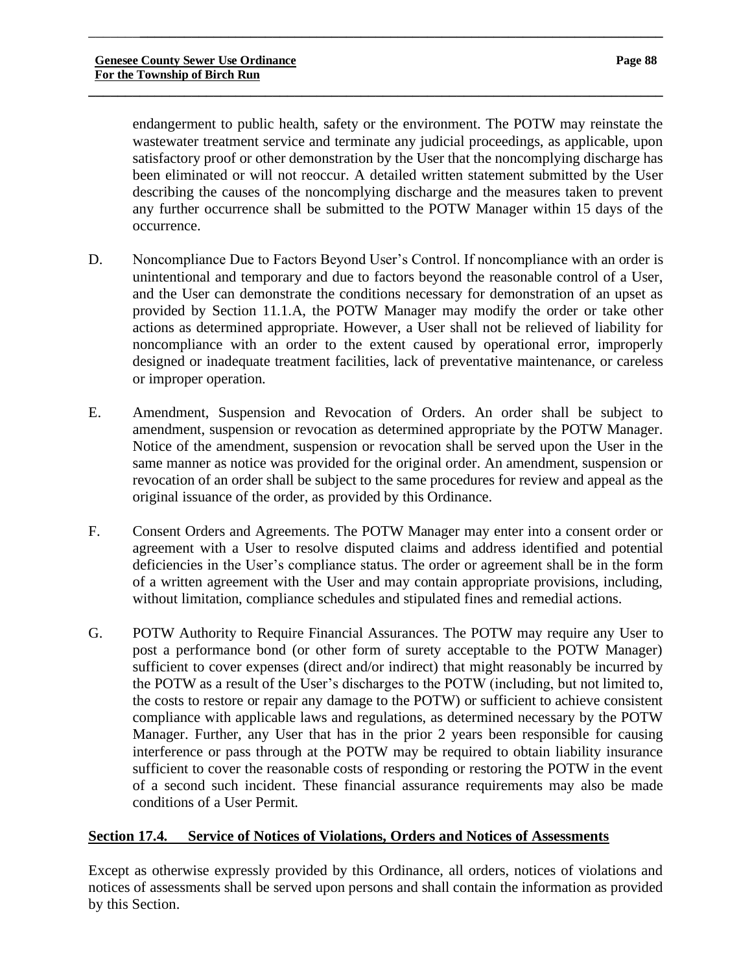endangerment to public health, safety or the environment. The POTW may reinstate the wastewater treatment service and terminate any judicial proceedings, as applicable, upon satisfactory proof or other demonstration by the User that the noncomplying discharge has been eliminated or will not reoccur. A detailed written statement submitted by the User describing the causes of the noncomplying discharge and the measures taken to prevent any further occurrence shall be submitted to the POTW Manager within 15 days of the occurrence.

\_\_\_\_\_\_\_**\_\_\_\_\_\_\_\_\_\_\_\_\_\_\_\_\_\_\_\_\_\_\_\_\_\_\_\_\_\_\_\_\_\_\_\_\_\_\_\_\_\_\_\_\_\_\_\_\_\_\_\_\_\_\_\_\_\_\_\_\_\_\_\_\_\_\_\_\_\_\_**

**\_\_\_\_\_\_\_\_\_\_\_\_\_\_\_\_\_\_\_\_\_\_\_\_\_\_\_\_\_\_\_\_\_\_\_\_\_\_\_\_\_\_\_\_\_\_\_\_\_\_\_\_\_\_\_\_\_\_\_\_\_\_\_\_\_\_\_\_\_\_\_\_\_\_\_\_\_\_**

- D. Noncompliance Due to Factors Beyond User's Control. If noncompliance with an order is unintentional and temporary and due to factors beyond the reasonable control of a User, and the User can demonstrate the conditions necessary for demonstration of an upset as provided by Section 11.1.A, the POTW Manager may modify the order or take other actions as determined appropriate. However, a User shall not be relieved of liability for noncompliance with an order to the extent caused by operational error, improperly designed or inadequate treatment facilities, lack of preventative maintenance, or careless or improper operation.
- E. Amendment, Suspension and Revocation of Orders. An order shall be subject to amendment, suspension or revocation as determined appropriate by the POTW Manager. Notice of the amendment, suspension or revocation shall be served upon the User in the same manner as notice was provided for the original order. An amendment, suspension or revocation of an order shall be subject to the same procedures for review and appeal as the original issuance of the order, as provided by this Ordinance.
- F. Consent Orders and Agreements. The POTW Manager may enter into a consent order or agreement with a User to resolve disputed claims and address identified and potential deficiencies in the User's compliance status. The order or agreement shall be in the form of a written agreement with the User and may contain appropriate provisions, including, without limitation, compliance schedules and stipulated fines and remedial actions.
- G. POTW Authority to Require Financial Assurances. The POTW may require any User to post a performance bond (or other form of surety acceptable to the POTW Manager) sufficient to cover expenses (direct and/or indirect) that might reasonably be incurred by the POTW as a result of the User's discharges to the POTW (including, but not limited to, the costs to restore or repair any damage to the POTW) or sufficient to achieve consistent compliance with applicable laws and regulations, as determined necessary by the POTW Manager. Further, any User that has in the prior 2 years been responsible for causing interference or pass through at the POTW may be required to obtain liability insurance sufficient to cover the reasonable costs of responding or restoring the POTW in the event of a second such incident. These financial assurance requirements may also be made conditions of a User Permit.

# **Section 17.4. Service of Notices of Violations, Orders and Notices of Assessments**

Except as otherwise expressly provided by this Ordinance, all orders, notices of violations and notices of assessments shall be served upon persons and shall contain the information as provided by this Section.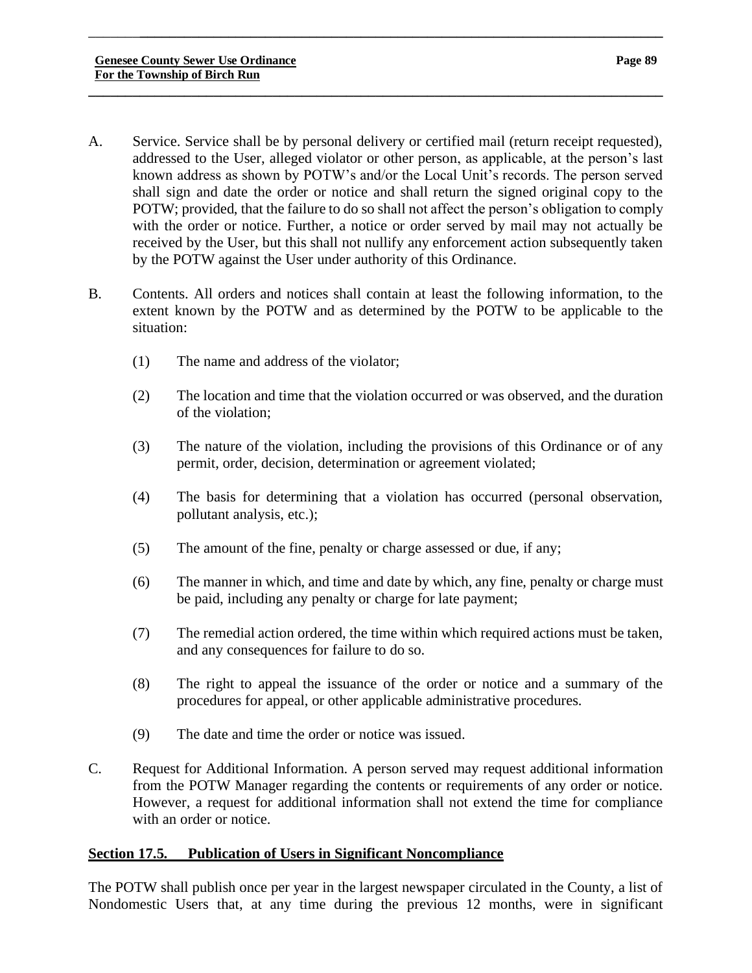A. Service. Service shall be by personal delivery or certified mail (return receipt requested), addressed to the User, alleged violator or other person, as applicable, at the person's last known address as shown by POTW's and/or the Local Unit's records. The person served shall sign and date the order or notice and shall return the signed original copy to the POTW; provided, that the failure to do so shall not affect the person's obligation to comply with the order or notice. Further, a notice or order served by mail may not actually be received by the User, but this shall not nullify any enforcement action subsequently taken by the POTW against the User under authority of this Ordinance.

\_\_\_\_\_\_\_**\_\_\_\_\_\_\_\_\_\_\_\_\_\_\_\_\_\_\_\_\_\_\_\_\_\_\_\_\_\_\_\_\_\_\_\_\_\_\_\_\_\_\_\_\_\_\_\_\_\_\_\_\_\_\_\_\_\_\_\_\_\_\_\_\_\_\_\_\_\_\_**

**\_\_\_\_\_\_\_\_\_\_\_\_\_\_\_\_\_\_\_\_\_\_\_\_\_\_\_\_\_\_\_\_\_\_\_\_\_\_\_\_\_\_\_\_\_\_\_\_\_\_\_\_\_\_\_\_\_\_\_\_\_\_\_\_\_\_\_\_\_\_\_\_\_\_\_\_\_\_**

- B. Contents. All orders and notices shall contain at least the following information, to the extent known by the POTW and as determined by the POTW to be applicable to the situation:
	- (1) The name and address of the violator;
	- (2) The location and time that the violation occurred or was observed, and the duration of the violation;
	- (3) The nature of the violation, including the provisions of this Ordinance or of any permit, order, decision, determination or agreement violated;
	- (4) The basis for determining that a violation has occurred (personal observation, pollutant analysis, etc.);
	- (5) The amount of the fine, penalty or charge assessed or due, if any;
	- (6) The manner in which, and time and date by which, any fine, penalty or charge must be paid, including any penalty or charge for late payment;
	- (7) The remedial action ordered, the time within which required actions must be taken, and any consequences for failure to do so.
	- (8) The right to appeal the issuance of the order or notice and a summary of the procedures for appeal, or other applicable administrative procedures.
	- (9) The date and time the order or notice was issued.
- C. Request for Additional Information. A person served may request additional information from the POTW Manager regarding the contents or requirements of any order or notice. However, a request for additional information shall not extend the time for compliance with an order or notice.

# **Section 17.5. Publication of Users in Significant Noncompliance**

The POTW shall publish once per year in the largest newspaper circulated in the County, a list of Nondomestic Users that, at any time during the previous 12 months, were in significant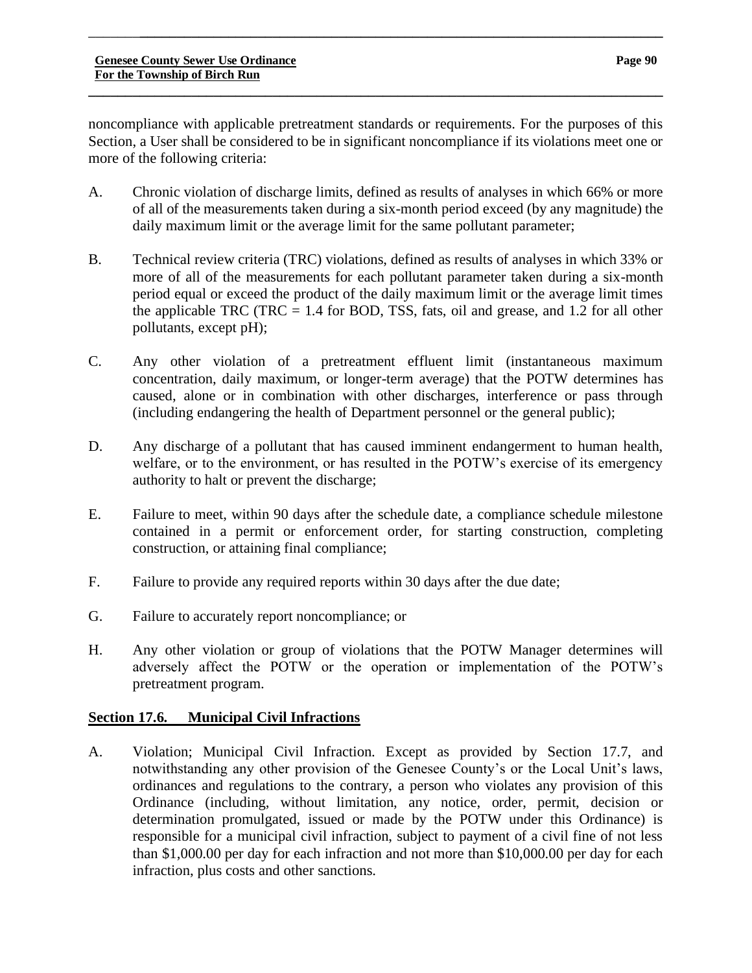noncompliance with applicable pretreatment standards or requirements. For the purposes of this Section, a User shall be considered to be in significant noncompliance if its violations meet one or more of the following criteria:

**\_\_\_\_\_\_\_\_\_\_\_\_\_\_\_\_\_\_\_\_\_\_\_\_\_\_\_\_\_\_\_\_\_\_\_\_\_\_\_\_\_\_\_\_\_\_\_\_\_\_\_\_\_\_\_\_\_\_\_\_\_\_\_\_\_\_\_\_\_\_\_\_\_\_\_\_\_\_**

\_\_\_\_\_\_\_**\_\_\_\_\_\_\_\_\_\_\_\_\_\_\_\_\_\_\_\_\_\_\_\_\_\_\_\_\_\_\_\_\_\_\_\_\_\_\_\_\_\_\_\_\_\_\_\_\_\_\_\_\_\_\_\_\_\_\_\_\_\_\_\_\_\_\_\_\_\_\_**

- A. Chronic violation of discharge limits, defined as results of analyses in which 66% or more of all of the measurements taken during a six-month period exceed (by any magnitude) the daily maximum limit or the average limit for the same pollutant parameter;
- B. Technical review criteria (TRC) violations, defined as results of analyses in which 33% or more of all of the measurements for each pollutant parameter taken during a six-month period equal or exceed the product of the daily maximum limit or the average limit times the applicable TRC (TRC  $= 1.4$  for BOD, TSS, fats, oil and grease, and 1.2 for all other pollutants, except pH);
- C. Any other violation of a pretreatment effluent limit (instantaneous maximum concentration, daily maximum, or longer-term average) that the POTW determines has caused, alone or in combination with other discharges, interference or pass through (including endangering the health of Department personnel or the general public);
- D. Any discharge of a pollutant that has caused imminent endangerment to human health, welfare, or to the environment, or has resulted in the POTW's exercise of its emergency authority to halt or prevent the discharge;
- E. Failure to meet, within 90 days after the schedule date, a compliance schedule milestone contained in a permit or enforcement order, for starting construction, completing construction, or attaining final compliance;
- F. Failure to provide any required reports within 30 days after the due date;
- G. Failure to accurately report noncompliance; or
- H. Any other violation or group of violations that the POTW Manager determines will adversely affect the POTW or the operation or implementation of the POTW's pretreatment program.

# **Section 17.6. Municipal Civil Infractions**

A. Violation; Municipal Civil Infraction. Except as provided by Section 17.7, and notwithstanding any other provision of the Genesee County's or the Local Unit's laws, ordinances and regulations to the contrary, a person who violates any provision of this Ordinance (including, without limitation, any notice, order, permit, decision or determination promulgated, issued or made by the POTW under this Ordinance) is responsible for a municipal civil infraction, subject to payment of a civil fine of not less than \$1,000.00 per day for each infraction and not more than \$10,000.00 per day for each infraction, plus costs and other sanctions.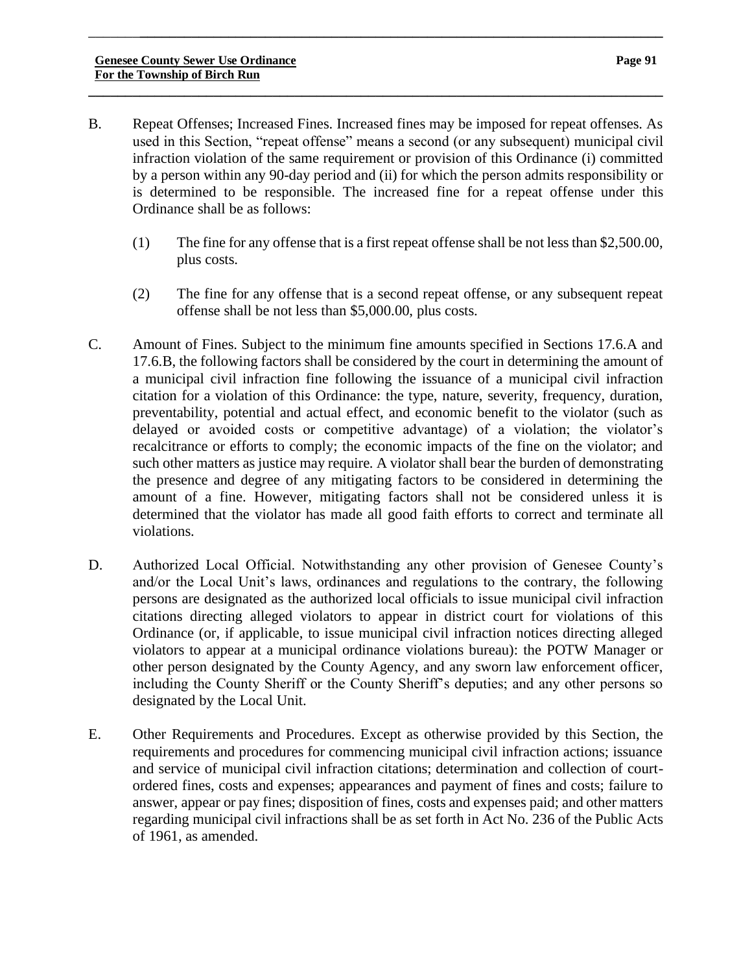B. Repeat Offenses; Increased Fines. Increased fines may be imposed for repeat offenses. As used in this Section, "repeat offense" means a second (or any subsequent) municipal civil infraction violation of the same requirement or provision of this Ordinance (i) committed by a person within any 90-day period and (ii) for which the person admits responsibility or is determined to be responsible. The increased fine for a repeat offense under this Ordinance shall be as follows:

\_\_\_\_\_\_\_**\_\_\_\_\_\_\_\_\_\_\_\_\_\_\_\_\_\_\_\_\_\_\_\_\_\_\_\_\_\_\_\_\_\_\_\_\_\_\_\_\_\_\_\_\_\_\_\_\_\_\_\_\_\_\_\_\_\_\_\_\_\_\_\_\_\_\_\_\_\_\_**

**\_\_\_\_\_\_\_\_\_\_\_\_\_\_\_\_\_\_\_\_\_\_\_\_\_\_\_\_\_\_\_\_\_\_\_\_\_\_\_\_\_\_\_\_\_\_\_\_\_\_\_\_\_\_\_\_\_\_\_\_\_\_\_\_\_\_\_\_\_\_\_\_\_\_\_\_\_\_**

- (1) The fine for any offense that is a first repeat offense shall be not less than \$2,500.00, plus costs.
- (2) The fine for any offense that is a second repeat offense, or any subsequent repeat offense shall be not less than \$5,000.00, plus costs.
- C. Amount of Fines. Subject to the minimum fine amounts specified in Sections 17.6.A and 17.6.B, the following factors shall be considered by the court in determining the amount of a municipal civil infraction fine following the issuance of a municipal civil infraction citation for a violation of this Ordinance: the type, nature, severity, frequency, duration, preventability, potential and actual effect, and economic benefit to the violator (such as delayed or avoided costs or competitive advantage) of a violation; the violator's recalcitrance or efforts to comply; the economic impacts of the fine on the violator; and such other matters as justice may require. A violator shall bear the burden of demonstrating the presence and degree of any mitigating factors to be considered in determining the amount of a fine. However, mitigating factors shall not be considered unless it is determined that the violator has made all good faith efforts to correct and terminate all violations.
- D. Authorized Local Official. Notwithstanding any other provision of Genesee County's and/or the Local Unit's laws, ordinances and regulations to the contrary, the following persons are designated as the authorized local officials to issue municipal civil infraction citations directing alleged violators to appear in district court for violations of this Ordinance (or, if applicable, to issue municipal civil infraction notices directing alleged violators to appear at a municipal ordinance violations bureau): the POTW Manager or other person designated by the County Agency, and any sworn law enforcement officer, including the County Sheriff or the County Sheriff's deputies; and any other persons so designated by the Local Unit.
- E. Other Requirements and Procedures. Except as otherwise provided by this Section, the requirements and procedures for commencing municipal civil infraction actions; issuance and service of municipal civil infraction citations; determination and collection of courtordered fines, costs and expenses; appearances and payment of fines and costs; failure to answer, appear or pay fines; disposition of fines, costs and expenses paid; and other matters regarding municipal civil infractions shall be as set forth in Act No. 236 of the Public Acts of 1961, as amended.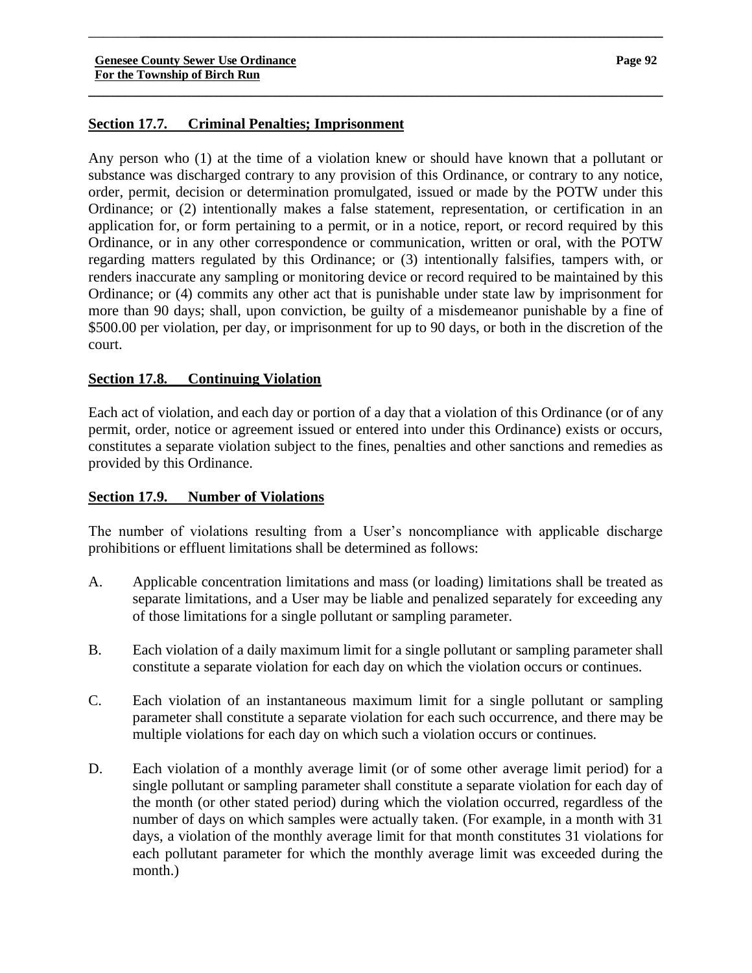# **Section 17.7. Criminal Penalties; Imprisonment**

Any person who (1) at the time of a violation knew or should have known that a pollutant or substance was discharged contrary to any provision of this Ordinance, or contrary to any notice, order, permit, decision or determination promulgated, issued or made by the POTW under this Ordinance; or (2) intentionally makes a false statement, representation, or certification in an application for, or form pertaining to a permit, or in a notice, report, or record required by this Ordinance, or in any other correspondence or communication, written or oral, with the POTW regarding matters regulated by this Ordinance; or (3) intentionally falsifies, tampers with, or renders inaccurate any sampling or monitoring device or record required to be maintained by this Ordinance; or (4) commits any other act that is punishable under state law by imprisonment for more than 90 days; shall, upon conviction, be guilty of a misdemeanor punishable by a fine of \$500.00 per violation, per day, or imprisonment for up to 90 days, or both in the discretion of the court.

\_\_\_\_\_\_\_**\_\_\_\_\_\_\_\_\_\_\_\_\_\_\_\_\_\_\_\_\_\_\_\_\_\_\_\_\_\_\_\_\_\_\_\_\_\_\_\_\_\_\_\_\_\_\_\_\_\_\_\_\_\_\_\_\_\_\_\_\_\_\_\_\_\_\_\_\_\_\_**

**\_\_\_\_\_\_\_\_\_\_\_\_\_\_\_\_\_\_\_\_\_\_\_\_\_\_\_\_\_\_\_\_\_\_\_\_\_\_\_\_\_\_\_\_\_\_\_\_\_\_\_\_\_\_\_\_\_\_\_\_\_\_\_\_\_\_\_\_\_\_\_\_\_\_\_\_\_\_**

# **Section 17.8. Continuing Violation**

Each act of violation, and each day or portion of a day that a violation of this Ordinance (or of any permit, order, notice or agreement issued or entered into under this Ordinance) exists or occurs, constitutes a separate violation subject to the fines, penalties and other sanctions and remedies as provided by this Ordinance.

# **Section 17.9. Number of Violations**

The number of violations resulting from a User's noncompliance with applicable discharge prohibitions or effluent limitations shall be determined as follows:

- A. Applicable concentration limitations and mass (or loading) limitations shall be treated as separate limitations, and a User may be liable and penalized separately for exceeding any of those limitations for a single pollutant or sampling parameter.
- B. Each violation of a daily maximum limit for a single pollutant or sampling parameter shall constitute a separate violation for each day on which the violation occurs or continues.
- C. Each violation of an instantaneous maximum limit for a single pollutant or sampling parameter shall constitute a separate violation for each such occurrence, and there may be multiple violations for each day on which such a violation occurs or continues.
- D. Each violation of a monthly average limit (or of some other average limit period) for a single pollutant or sampling parameter shall constitute a separate violation for each day of the month (or other stated period) during which the violation occurred, regardless of the number of days on which samples were actually taken. (For example, in a month with 31 days, a violation of the monthly average limit for that month constitutes 31 violations for each pollutant parameter for which the monthly average limit was exceeded during the month.)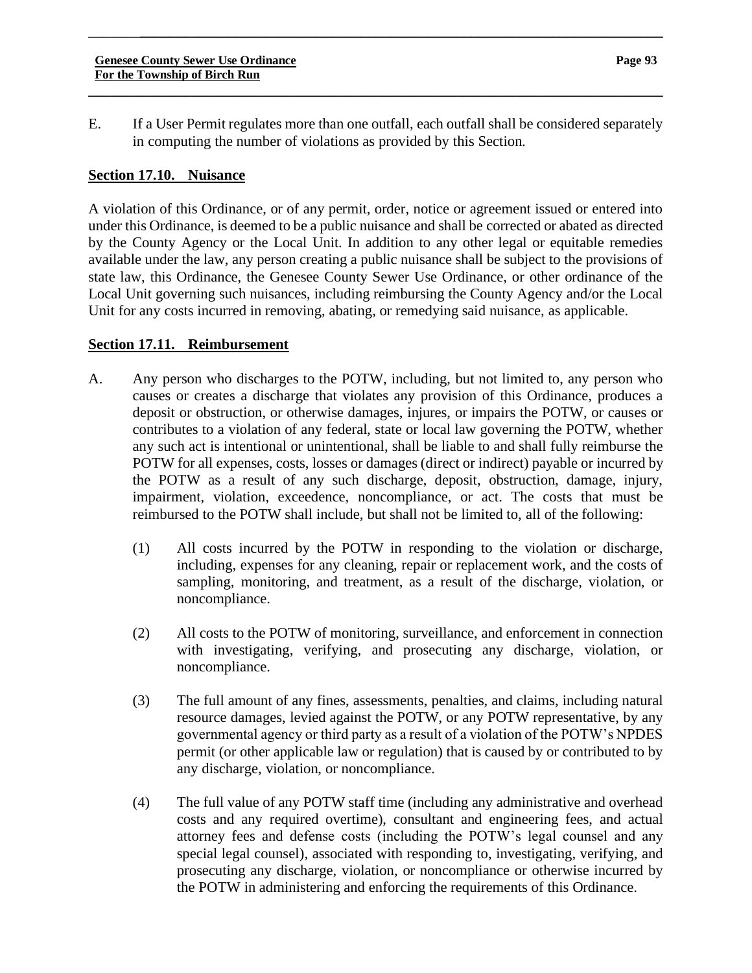E. If a User Permit regulates more than one outfall, each outfall shall be considered separately in computing the number of violations as provided by this Section.

**\_\_\_\_\_\_\_\_\_\_\_\_\_\_\_\_\_\_\_\_\_\_\_\_\_\_\_\_\_\_\_\_\_\_\_\_\_\_\_\_\_\_\_\_\_\_\_\_\_\_\_\_\_\_\_\_\_\_\_\_\_\_\_\_\_\_\_\_\_\_\_\_\_\_\_\_\_\_**

\_\_\_\_\_\_\_**\_\_\_\_\_\_\_\_\_\_\_\_\_\_\_\_\_\_\_\_\_\_\_\_\_\_\_\_\_\_\_\_\_\_\_\_\_\_\_\_\_\_\_\_\_\_\_\_\_\_\_\_\_\_\_\_\_\_\_\_\_\_\_\_\_\_\_\_\_\_\_**

# **Section 17.10. Nuisance**

A violation of this Ordinance, or of any permit, order, notice or agreement issued or entered into under this Ordinance, is deemed to be a public nuisance and shall be corrected or abated as directed by the County Agency or the Local Unit. In addition to any other legal or equitable remedies available under the law, any person creating a public nuisance shall be subject to the provisions of state law, this Ordinance, the Genesee County Sewer Use Ordinance, or other ordinance of the Local Unit governing such nuisances, including reimbursing the County Agency and/or the Local Unit for any costs incurred in removing, abating, or remedying said nuisance, as applicable.

#### **Section 17.11. Reimbursement**

- A. Any person who discharges to the POTW, including, but not limited to, any person who causes or creates a discharge that violates any provision of this Ordinance, produces a deposit or obstruction, or otherwise damages, injures, or impairs the POTW, or causes or contributes to a violation of any federal, state or local law governing the POTW, whether any such act is intentional or unintentional, shall be liable to and shall fully reimburse the POTW for all expenses, costs, losses or damages (direct or indirect) payable or incurred by the POTW as a result of any such discharge, deposit, obstruction, damage, injury, impairment, violation, exceedence, noncompliance, or act. The costs that must be reimbursed to the POTW shall include, but shall not be limited to, all of the following:
	- (1) All costs incurred by the POTW in responding to the violation or discharge, including, expenses for any cleaning, repair or replacement work, and the costs of sampling, monitoring, and treatment, as a result of the discharge, violation, or noncompliance.
	- (2) All costs to the POTW of monitoring, surveillance, and enforcement in connection with investigating, verifying, and prosecuting any discharge, violation, or noncompliance.
	- (3) The full amount of any fines, assessments, penalties, and claims, including natural resource damages, levied against the POTW, or any POTW representative, by any governmental agency or third party as a result of a violation of the POTW's NPDES permit (or other applicable law or regulation) that is caused by or contributed to by any discharge, violation, or noncompliance.
	- (4) The full value of any POTW staff time (including any administrative and overhead costs and any required overtime), consultant and engineering fees, and actual attorney fees and defense costs (including the POTW's legal counsel and any special legal counsel), associated with responding to, investigating, verifying, and prosecuting any discharge, violation, or noncompliance or otherwise incurred by the POTW in administering and enforcing the requirements of this Ordinance.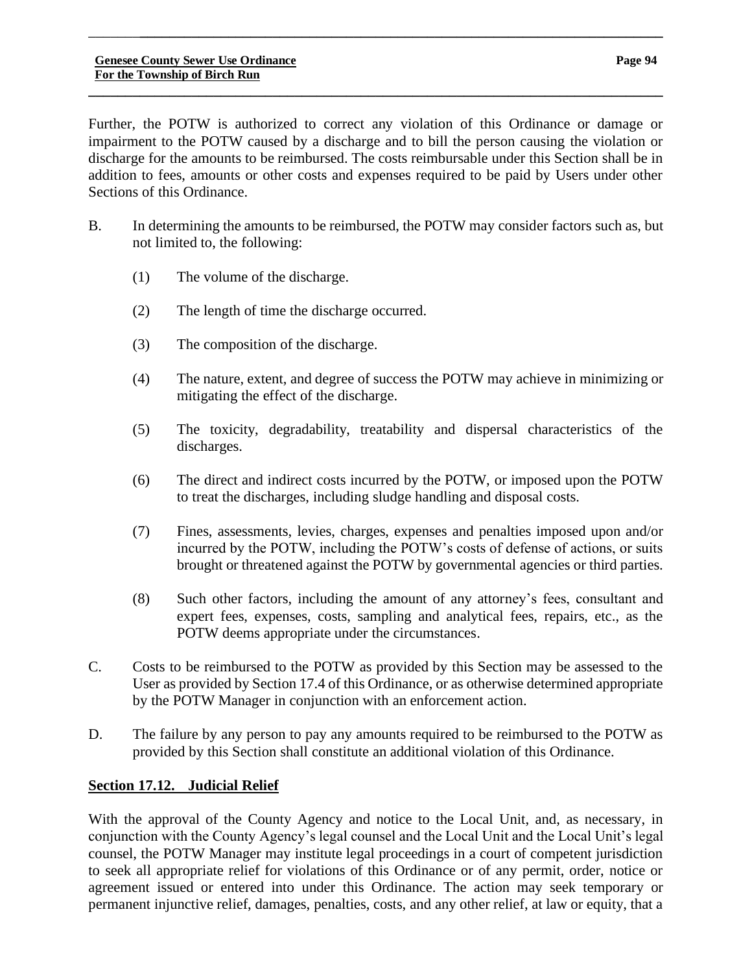Sections of this Ordinance.

\_\_\_\_\_\_\_**\_\_\_\_\_\_\_\_\_\_\_\_\_\_\_\_\_\_\_\_\_\_\_\_\_\_\_\_\_\_\_\_\_\_\_\_\_\_\_\_\_\_\_\_\_\_\_\_\_\_\_\_\_\_\_\_\_\_\_\_\_\_\_\_\_\_\_\_\_\_\_**

- B. In determining the amounts to be reimbursed, the POTW may consider factors such as, but not limited to, the following:
	- (1) The volume of the discharge.
	- (2) The length of time the discharge occurred.
	- (3) The composition of the discharge.
	- (4) The nature, extent, and degree of success the POTW may achieve in minimizing or mitigating the effect of the discharge.
	- (5) The toxicity, degradability, treatability and dispersal characteristics of the discharges.
	- (6) The direct and indirect costs incurred by the POTW, or imposed upon the POTW to treat the discharges, including sludge handling and disposal costs.
	- (7) Fines, assessments, levies, charges, expenses and penalties imposed upon and/or incurred by the POTW, including the POTW's costs of defense of actions, or suits brought or threatened against the POTW by governmental agencies or third parties.
	- (8) Such other factors, including the amount of any attorney's fees, consultant and expert fees, expenses, costs, sampling and analytical fees, repairs, etc., as the POTW deems appropriate under the circumstances.
- C. Costs to be reimbursed to the POTW as provided by this Section may be assessed to the User as provided by Section 17.4 of this Ordinance, or as otherwise determined appropriate by the POTW Manager in conjunction with an enforcement action.
- D. The failure by any person to pay any amounts required to be reimbursed to the POTW as provided by this Section shall constitute an additional violation of this Ordinance.

# **Section 17.12. Judicial Relief**

With the approval of the County Agency and notice to the Local Unit, and, as necessary, in conjunction with the County Agency's legal counsel and the Local Unit and the Local Unit's legal counsel, the POTW Manager may institute legal proceedings in a court of competent jurisdiction to seek all appropriate relief for violations of this Ordinance or of any permit, order, notice or agreement issued or entered into under this Ordinance. The action may seek temporary or permanent injunctive relief, damages, penalties, costs, and any other relief, at law or equity, that a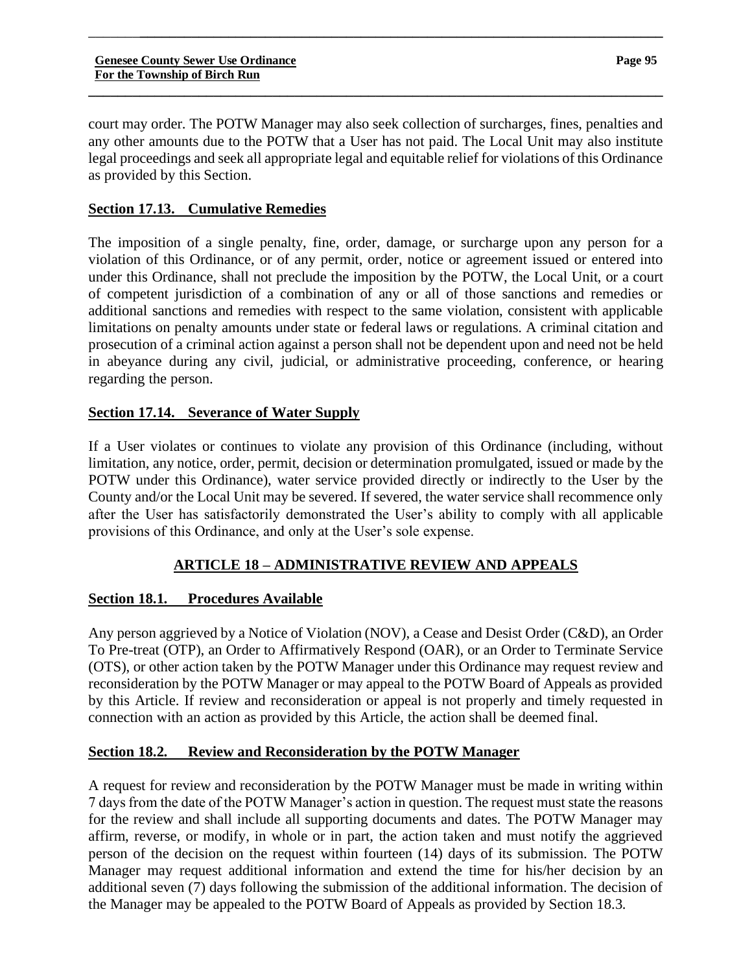court may order. The POTW Manager may also seek collection of surcharges, fines, penalties and any other amounts due to the POTW that a User has not paid. The Local Unit may also institute legal proceedings and seek all appropriate legal and equitable relief for violations of this Ordinance as provided by this Section.

\_\_\_\_\_\_\_**\_\_\_\_\_\_\_\_\_\_\_\_\_\_\_\_\_\_\_\_\_\_\_\_\_\_\_\_\_\_\_\_\_\_\_\_\_\_\_\_\_\_\_\_\_\_\_\_\_\_\_\_\_\_\_\_\_\_\_\_\_\_\_\_\_\_\_\_\_\_\_**

**\_\_\_\_\_\_\_\_\_\_\_\_\_\_\_\_\_\_\_\_\_\_\_\_\_\_\_\_\_\_\_\_\_\_\_\_\_\_\_\_\_\_\_\_\_\_\_\_\_\_\_\_\_\_\_\_\_\_\_\_\_\_\_\_\_\_\_\_\_\_\_\_\_\_\_\_\_\_**

# **Section 17.13. Cumulative Remedies**

The imposition of a single penalty, fine, order, damage, or surcharge upon any person for a violation of this Ordinance, or of any permit, order, notice or agreement issued or entered into under this Ordinance, shall not preclude the imposition by the POTW, the Local Unit, or a court of competent jurisdiction of a combination of any or all of those sanctions and remedies or additional sanctions and remedies with respect to the same violation, consistent with applicable limitations on penalty amounts under state or federal laws or regulations. A criminal citation and prosecution of a criminal action against a person shall not be dependent upon and need not be held in abeyance during any civil, judicial, or administrative proceeding, conference, or hearing regarding the person.

# **Section 17.14. Severance of Water Supply**

If a User violates or continues to violate any provision of this Ordinance (including, without limitation, any notice, order, permit, decision or determination promulgated, issued or made by the POTW under this Ordinance), water service provided directly or indirectly to the User by the County and/or the Local Unit may be severed. If severed, the water service shall recommence only after the User has satisfactorily demonstrated the User's ability to comply with all applicable provisions of this Ordinance, and only at the User's sole expense.

# **ARTICLE 18 – ADMINISTRATIVE REVIEW AND APPEALS**

# **Section 18.1. Procedures Available**

Any person aggrieved by a Notice of Violation (NOV), a Cease and Desist Order (C&D), an Order To Pre-treat (OTP), an Order to Affirmatively Respond (OAR), or an Order to Terminate Service (OTS), or other action taken by the POTW Manager under this Ordinance may request review and reconsideration by the POTW Manager or may appeal to the POTW Board of Appeals as provided by this Article. If review and reconsideration or appeal is not properly and timely requested in connection with an action as provided by this Article, the action shall be deemed final.

# **Section 18.2. Review and Reconsideration by the POTW Manager**

A request for review and reconsideration by the POTW Manager must be made in writing within 7 days from the date of the POTW Manager's action in question. The request must state the reasons for the review and shall include all supporting documents and dates. The POTW Manager may affirm, reverse, or modify, in whole or in part, the action taken and must notify the aggrieved person of the decision on the request within fourteen (14) days of its submission. The POTW Manager may request additional information and extend the time for his/her decision by an additional seven (7) days following the submission of the additional information. The decision of the Manager may be appealed to the POTW Board of Appeals as provided by Section 18.3.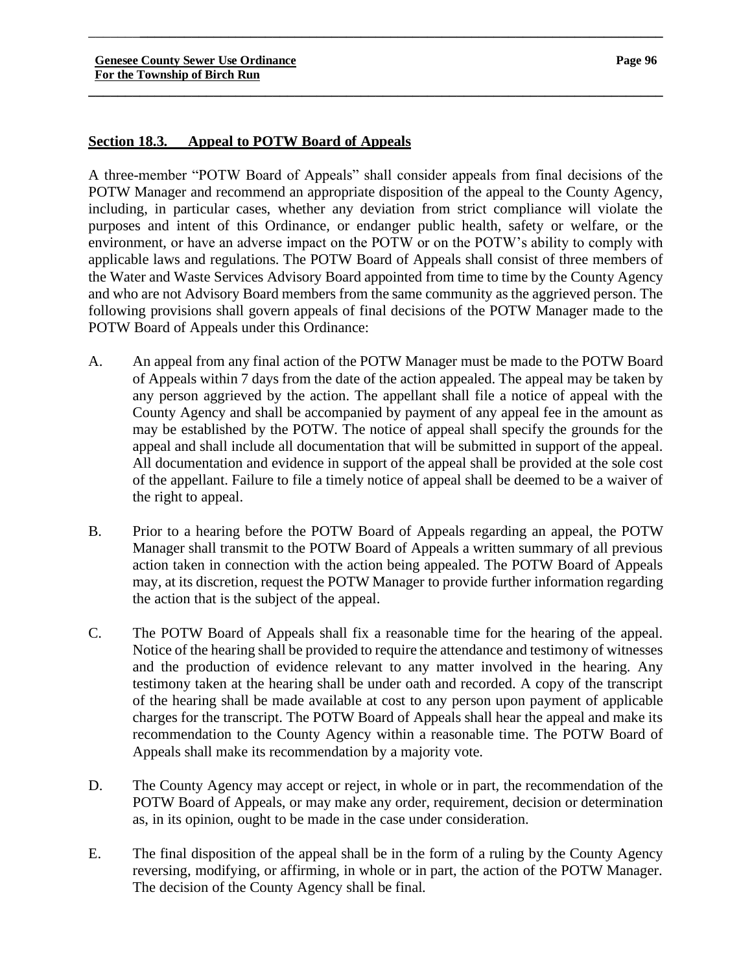# **Section 18.3. Appeal to POTW Board of Appeals**

A three-member "POTW Board of Appeals" shall consider appeals from final decisions of the POTW Manager and recommend an appropriate disposition of the appeal to the County Agency, including, in particular cases, whether any deviation from strict compliance will violate the purposes and intent of this Ordinance, or endanger public health, safety or welfare, or the environment, or have an adverse impact on the POTW or on the POTW's ability to comply with applicable laws and regulations. The POTW Board of Appeals shall consist of three members of the Water and Waste Services Advisory Board appointed from time to time by the County Agency and who are not Advisory Board members from the same community as the aggrieved person. The following provisions shall govern appeals of final decisions of the POTW Manager made to the POTW Board of Appeals under this Ordinance:

\_\_\_\_\_\_\_**\_\_\_\_\_\_\_\_\_\_\_\_\_\_\_\_\_\_\_\_\_\_\_\_\_\_\_\_\_\_\_\_\_\_\_\_\_\_\_\_\_\_\_\_\_\_\_\_\_\_\_\_\_\_\_\_\_\_\_\_\_\_\_\_\_\_\_\_\_\_\_**

**\_\_\_\_\_\_\_\_\_\_\_\_\_\_\_\_\_\_\_\_\_\_\_\_\_\_\_\_\_\_\_\_\_\_\_\_\_\_\_\_\_\_\_\_\_\_\_\_\_\_\_\_\_\_\_\_\_\_\_\_\_\_\_\_\_\_\_\_\_\_\_\_\_\_\_\_\_\_**

- A. An appeal from any final action of the POTW Manager must be made to the POTW Board of Appeals within 7 days from the date of the action appealed. The appeal may be taken by any person aggrieved by the action. The appellant shall file a notice of appeal with the County Agency and shall be accompanied by payment of any appeal fee in the amount as may be established by the POTW. The notice of appeal shall specify the grounds for the appeal and shall include all documentation that will be submitted in support of the appeal. All documentation and evidence in support of the appeal shall be provided at the sole cost of the appellant. Failure to file a timely notice of appeal shall be deemed to be a waiver of the right to appeal.
- B. Prior to a hearing before the POTW Board of Appeals regarding an appeal, the POTW Manager shall transmit to the POTW Board of Appeals a written summary of all previous action taken in connection with the action being appealed. The POTW Board of Appeals may, at its discretion, request the POTW Manager to provide further information regarding the action that is the subject of the appeal.
- C. The POTW Board of Appeals shall fix a reasonable time for the hearing of the appeal. Notice of the hearing shall be provided to require the attendance and testimony of witnesses and the production of evidence relevant to any matter involved in the hearing. Any testimony taken at the hearing shall be under oath and recorded. A copy of the transcript of the hearing shall be made available at cost to any person upon payment of applicable charges for the transcript. The POTW Board of Appeals shall hear the appeal and make its recommendation to the County Agency within a reasonable time. The POTW Board of Appeals shall make its recommendation by a majority vote.
- D. The County Agency may accept or reject, in whole or in part, the recommendation of the POTW Board of Appeals, or may make any order, requirement, decision or determination as, in its opinion, ought to be made in the case under consideration.
- E. The final disposition of the appeal shall be in the form of a ruling by the County Agency reversing, modifying, or affirming, in whole or in part, the action of the POTW Manager. The decision of the County Agency shall be final.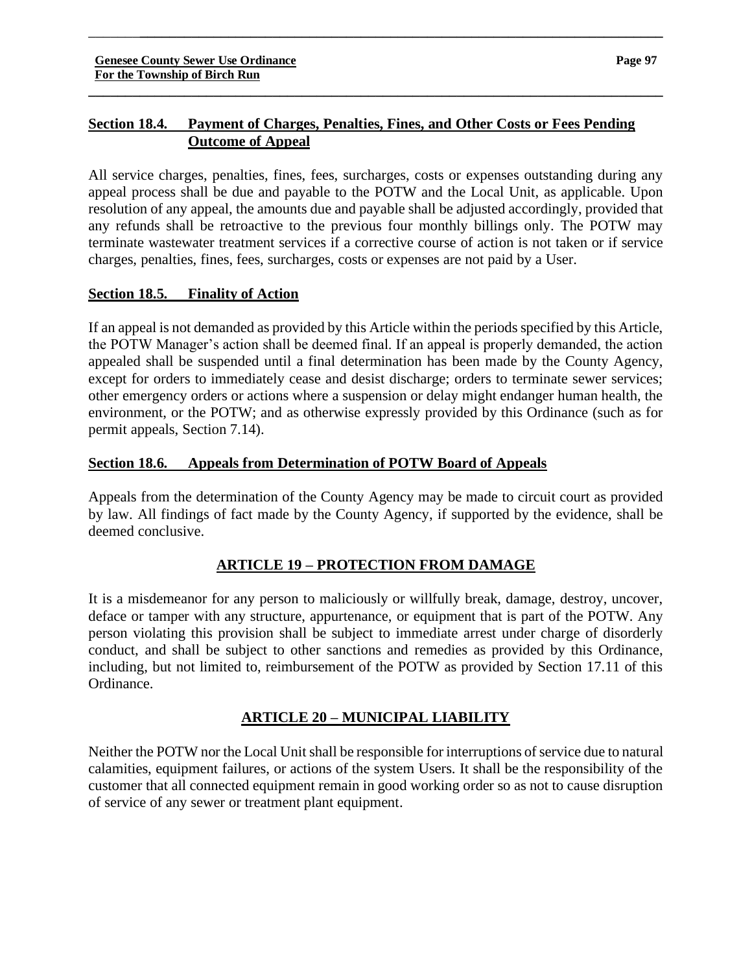# **Section 18.4. Payment of Charges, Penalties, Fines, and Other Costs or Fees Pending Outcome of Appeal**

\_\_\_\_\_\_\_**\_\_\_\_\_\_\_\_\_\_\_\_\_\_\_\_\_\_\_\_\_\_\_\_\_\_\_\_\_\_\_\_\_\_\_\_\_\_\_\_\_\_\_\_\_\_\_\_\_\_\_\_\_\_\_\_\_\_\_\_\_\_\_\_\_\_\_\_\_\_\_**

**\_\_\_\_\_\_\_\_\_\_\_\_\_\_\_\_\_\_\_\_\_\_\_\_\_\_\_\_\_\_\_\_\_\_\_\_\_\_\_\_\_\_\_\_\_\_\_\_\_\_\_\_\_\_\_\_\_\_\_\_\_\_\_\_\_\_\_\_\_\_\_\_\_\_\_\_\_\_**

All service charges, penalties, fines, fees, surcharges, costs or expenses outstanding during any appeal process shall be due and payable to the POTW and the Local Unit, as applicable. Upon resolution of any appeal, the amounts due and payable shall be adjusted accordingly, provided that any refunds shall be retroactive to the previous four monthly billings only. The POTW may terminate wastewater treatment services if a corrective course of action is not taken or if service charges, penalties, fines, fees, surcharges, costs or expenses are not paid by a User.

# **Section 18.5. Finality of Action**

If an appeal is not demanded as provided by this Article within the periods specified by this Article, the POTW Manager's action shall be deemed final. If an appeal is properly demanded, the action appealed shall be suspended until a final determination has been made by the County Agency, except for orders to immediately cease and desist discharge; orders to terminate sewer services; other emergency orders or actions where a suspension or delay might endanger human health, the environment, or the POTW; and as otherwise expressly provided by this Ordinance (such as for permit appeals, Section 7.14).

# **Section 18.6. Appeals from Determination of POTW Board of Appeals**

Appeals from the determination of the County Agency may be made to circuit court as provided by law. All findings of fact made by the County Agency, if supported by the evidence, shall be deemed conclusive.

# **ARTICLE 19 – PROTECTION FROM DAMAGE**

It is a misdemeanor for any person to maliciously or willfully break, damage, destroy, uncover, deface or tamper with any structure, appurtenance, or equipment that is part of the POTW. Any person violating this provision shall be subject to immediate arrest under charge of disorderly conduct, and shall be subject to other sanctions and remedies as provided by this Ordinance, including, but not limited to, reimbursement of the POTW as provided by Section 17.11 of this Ordinance.

# **ARTICLE 20 – MUNICIPAL LIABILITY**

Neither the POTW nor the Local Unit shall be responsible for interruptions of service due to natural calamities, equipment failures, or actions of the system Users. It shall be the responsibility of the customer that all connected equipment remain in good working order so as not to cause disruption of service of any sewer or treatment plant equipment.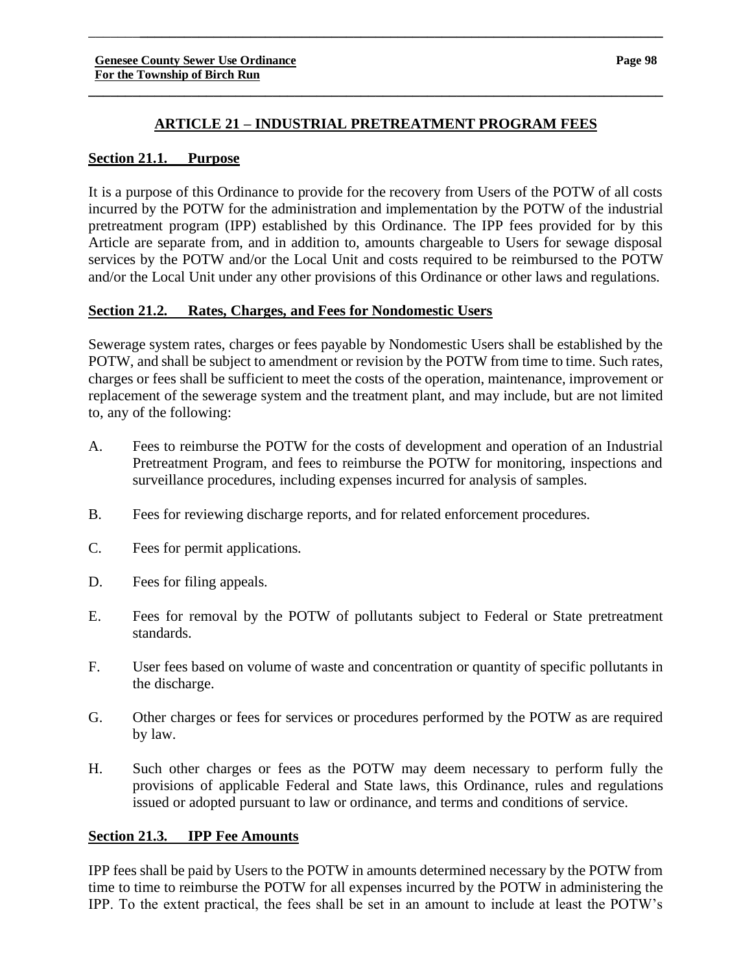# **ARTICLE 21 – INDUSTRIAL PRETREATMENT PROGRAM FEES**

**\_\_\_\_\_\_\_\_\_\_\_\_\_\_\_\_\_\_\_\_\_\_\_\_\_\_\_\_\_\_\_\_\_\_\_\_\_\_\_\_\_\_\_\_\_\_\_\_\_\_\_\_\_\_\_\_\_\_\_\_\_\_\_\_\_\_\_\_\_\_\_\_\_\_\_\_\_\_**

\_\_\_\_\_\_\_**\_\_\_\_\_\_\_\_\_\_\_\_\_\_\_\_\_\_\_\_\_\_\_\_\_\_\_\_\_\_\_\_\_\_\_\_\_\_\_\_\_\_\_\_\_\_\_\_\_\_\_\_\_\_\_\_\_\_\_\_\_\_\_\_\_\_\_\_\_\_\_**

### **Section 21.1. Purpose**

It is a purpose of this Ordinance to provide for the recovery from Users of the POTW of all costs incurred by the POTW for the administration and implementation by the POTW of the industrial pretreatment program (IPP) established by this Ordinance. The IPP fees provided for by this Article are separate from, and in addition to, amounts chargeable to Users for sewage disposal services by the POTW and/or the Local Unit and costs required to be reimbursed to the POTW and/or the Local Unit under any other provisions of this Ordinance or other laws and regulations.

#### **Section 21.2. Rates, Charges, and Fees for Nondomestic Users**

Sewerage system rates, charges or fees payable by Nondomestic Users shall be established by the POTW, and shall be subject to amendment or revision by the POTW from time to time. Such rates, charges or fees shall be sufficient to meet the costs of the operation, maintenance, improvement or replacement of the sewerage system and the treatment plant, and may include, but are not limited to, any of the following:

- A. Fees to reimburse the POTW for the costs of development and operation of an Industrial Pretreatment Program, and fees to reimburse the POTW for monitoring, inspections and surveillance procedures, including expenses incurred for analysis of samples.
- B. Fees for reviewing discharge reports, and for related enforcement procedures.
- C. Fees for permit applications.
- D. Fees for filing appeals.
- E. Fees for removal by the POTW of pollutants subject to Federal or State pretreatment standards.
- F. User fees based on volume of waste and concentration or quantity of specific pollutants in the discharge.
- G. Other charges or fees for services or procedures performed by the POTW as are required by law.
- H. Such other charges or fees as the POTW may deem necessary to perform fully the provisions of applicable Federal and State laws, this Ordinance, rules and regulations issued or adopted pursuant to law or ordinance, and terms and conditions of service.

#### **Section 21.3. IPP Fee Amounts**

IPP fees shall be paid by Users to the POTW in amounts determined necessary by the POTW from time to time to reimburse the POTW for all expenses incurred by the POTW in administering the IPP. To the extent practical, the fees shall be set in an amount to include at least the POTW's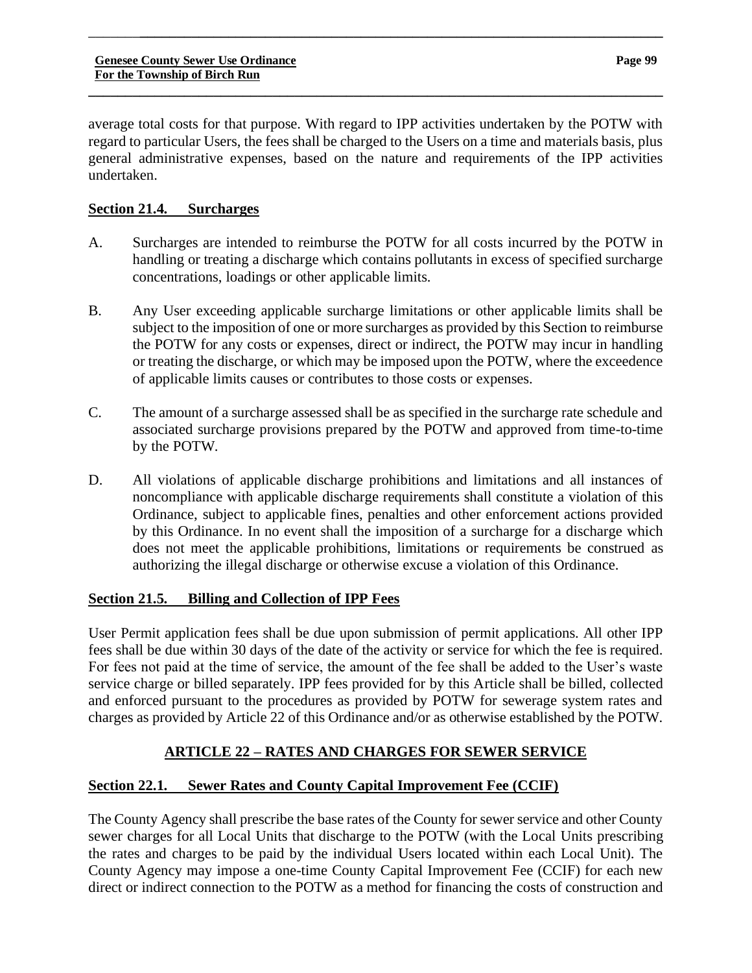average total costs for that purpose. With regard to IPP activities undertaken by the POTW with regard to particular Users, the fees shall be charged to the Users on a time and materials basis, plus general administrative expenses, based on the nature and requirements of the IPP activities undertaken.

\_\_\_\_\_\_\_**\_\_\_\_\_\_\_\_\_\_\_\_\_\_\_\_\_\_\_\_\_\_\_\_\_\_\_\_\_\_\_\_\_\_\_\_\_\_\_\_\_\_\_\_\_\_\_\_\_\_\_\_\_\_\_\_\_\_\_\_\_\_\_\_\_\_\_\_\_\_\_**

**\_\_\_\_\_\_\_\_\_\_\_\_\_\_\_\_\_\_\_\_\_\_\_\_\_\_\_\_\_\_\_\_\_\_\_\_\_\_\_\_\_\_\_\_\_\_\_\_\_\_\_\_\_\_\_\_\_\_\_\_\_\_\_\_\_\_\_\_\_\_\_\_\_\_\_\_\_\_**

# **Section 21.4. Surcharges**

- A. Surcharges are intended to reimburse the POTW for all costs incurred by the POTW in handling or treating a discharge which contains pollutants in excess of specified surcharge concentrations, loadings or other applicable limits.
- B. Any User exceeding applicable surcharge limitations or other applicable limits shall be subject to the imposition of one or more surcharges as provided by this Section to reimburse the POTW for any costs or expenses, direct or indirect, the POTW may incur in handling or treating the discharge, or which may be imposed upon the POTW, where the exceedence of applicable limits causes or contributes to those costs or expenses.
- C. The amount of a surcharge assessed shall be as specified in the surcharge rate schedule and associated surcharge provisions prepared by the POTW and approved from time-to-time by the POTW.
- D. All violations of applicable discharge prohibitions and limitations and all instances of noncompliance with applicable discharge requirements shall constitute a violation of this Ordinance, subject to applicable fines, penalties and other enforcement actions provided by this Ordinance. In no event shall the imposition of a surcharge for a discharge which does not meet the applicable prohibitions, limitations or requirements be construed as authorizing the illegal discharge or otherwise excuse a violation of this Ordinance.

# **Section 21.5. Billing and Collection of IPP Fees**

User Permit application fees shall be due upon submission of permit applications. All other IPP fees shall be due within 30 days of the date of the activity or service for which the fee is required. For fees not paid at the time of service, the amount of the fee shall be added to the User's waste service charge or billed separately. IPP fees provided for by this Article shall be billed, collected and enforced pursuant to the procedures as provided by POTW for sewerage system rates and charges as provided by Article 22 of this Ordinance and/or as otherwise established by the POTW.

# **ARTICLE 22 – RATES AND CHARGES FOR SEWER SERVICE**

# **Section 22.1. Sewer Rates and County Capital Improvement Fee (CCIF)**

The County Agency shall prescribe the base rates of the County for sewer service and other County sewer charges for all Local Units that discharge to the POTW (with the Local Units prescribing the rates and charges to be paid by the individual Users located within each Local Unit). The County Agency may impose a one-time County Capital Improvement Fee (CCIF) for each new direct or indirect connection to the POTW as a method for financing the costs of construction and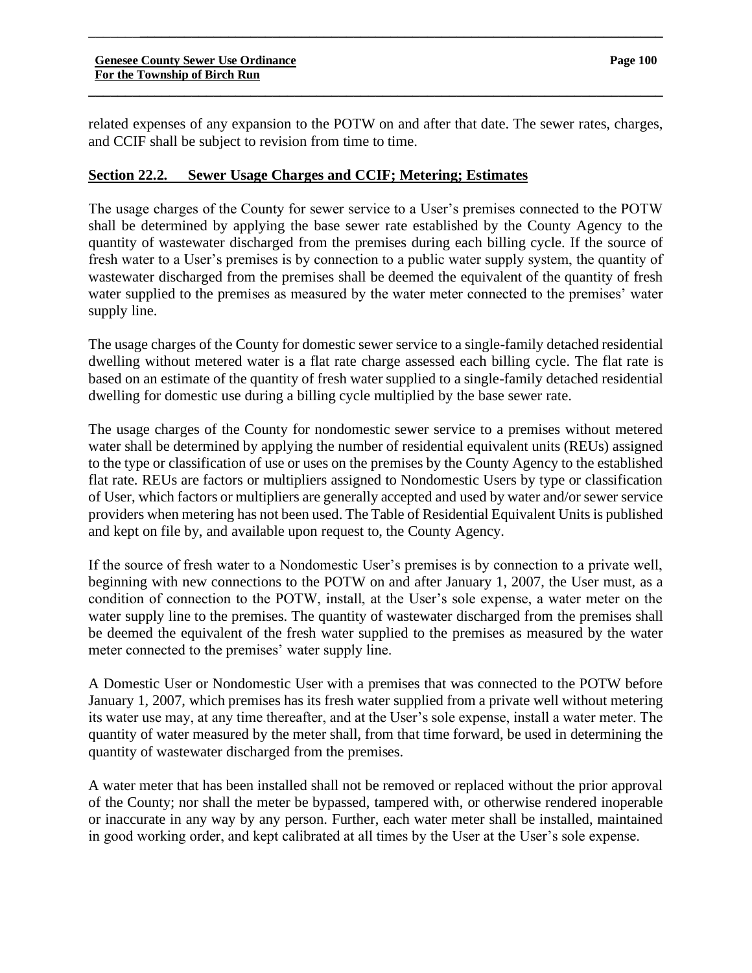related expenses of any expansion to the POTW on and after that date. The sewer rates, charges, and CCIF shall be subject to revision from time to time.

**\_\_\_\_\_\_\_\_\_\_\_\_\_\_\_\_\_\_\_\_\_\_\_\_\_\_\_\_\_\_\_\_\_\_\_\_\_\_\_\_\_\_\_\_\_\_\_\_\_\_\_\_\_\_\_\_\_\_\_\_\_\_\_\_\_\_\_\_\_\_\_\_\_\_\_\_\_\_**

\_\_\_\_\_\_\_**\_\_\_\_\_\_\_\_\_\_\_\_\_\_\_\_\_\_\_\_\_\_\_\_\_\_\_\_\_\_\_\_\_\_\_\_\_\_\_\_\_\_\_\_\_\_\_\_\_\_\_\_\_\_\_\_\_\_\_\_\_\_\_\_\_\_\_\_\_\_\_**

#### **Section 22.2. Sewer Usage Charges and CCIF; Metering; Estimates**

The usage charges of the County for sewer service to a User's premises connected to the POTW shall be determined by applying the base sewer rate established by the County Agency to the quantity of wastewater discharged from the premises during each billing cycle. If the source of fresh water to a User's premises is by connection to a public water supply system, the quantity of wastewater discharged from the premises shall be deemed the equivalent of the quantity of fresh water supplied to the premises as measured by the water meter connected to the premises' water supply line.

The usage charges of the County for domestic sewer service to a single-family detached residential dwelling without metered water is a flat rate charge assessed each billing cycle. The flat rate is based on an estimate of the quantity of fresh water supplied to a single-family detached residential dwelling for domestic use during a billing cycle multiplied by the base sewer rate.

The usage charges of the County for nondomestic sewer service to a premises without metered water shall be determined by applying the number of residential equivalent units (REUs) assigned to the type or classification of use or uses on the premises by the County Agency to the established flat rate. REUs are factors or multipliers assigned to Nondomestic Users by type or classification of User, which factors or multipliers are generally accepted and used by water and/or sewer service providers when metering has not been used. The Table of Residential Equivalent Units is published and kept on file by, and available upon request to, the County Agency.

If the source of fresh water to a Nondomestic User's premises is by connection to a private well, beginning with new connections to the POTW on and after January 1, 2007, the User must, as a condition of connection to the POTW, install, at the User's sole expense, a water meter on the water supply line to the premises. The quantity of wastewater discharged from the premises shall be deemed the equivalent of the fresh water supplied to the premises as measured by the water meter connected to the premises' water supply line.

A Domestic User or Nondomestic User with a premises that was connected to the POTW before January 1, 2007, which premises has its fresh water supplied from a private well without metering its water use may, at any time thereafter, and at the User's sole expense, install a water meter. The quantity of water measured by the meter shall, from that time forward, be used in determining the quantity of wastewater discharged from the premises.

A water meter that has been installed shall not be removed or replaced without the prior approval of the County; nor shall the meter be bypassed, tampered with, or otherwise rendered inoperable or inaccurate in any way by any person. Further, each water meter shall be installed, maintained in good working order, and kept calibrated at all times by the User at the User's sole expense.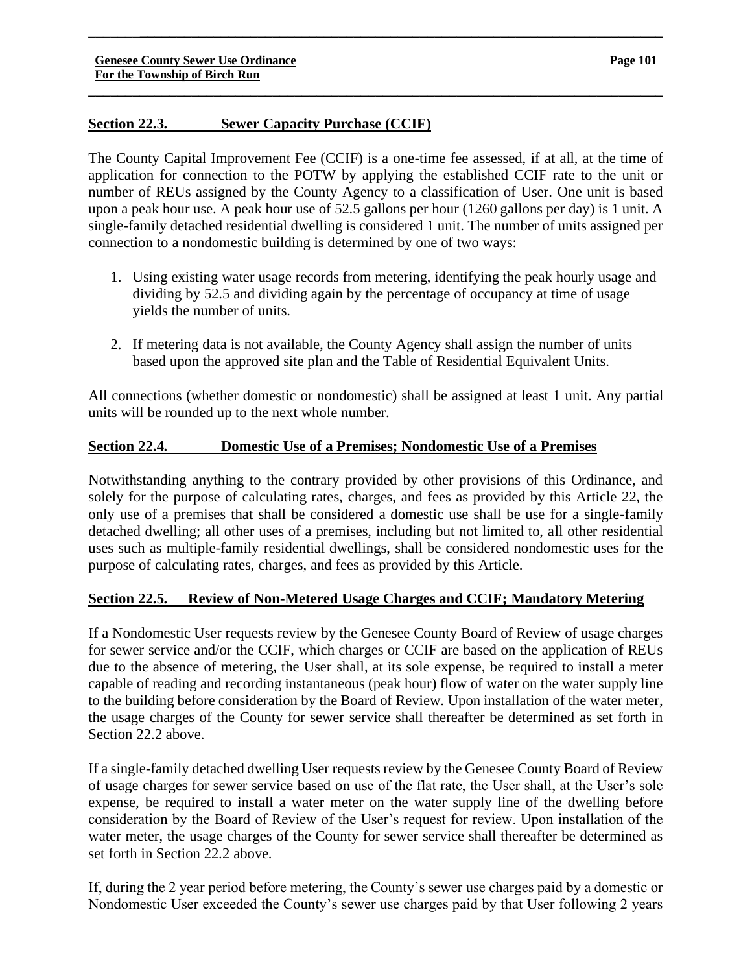# **Section 22.3. Sewer Capacity Purchase (CCIF)**

The County Capital Improvement Fee (CCIF) is a one-time fee assessed, if at all, at the time of application for connection to the POTW by applying the established CCIF rate to the unit or number of REUs assigned by the County Agency to a classification of User. One unit is based upon a peak hour use. A peak hour use of 52.5 gallons per hour (1260 gallons per day) is 1 unit. A single-family detached residential dwelling is considered 1 unit. The number of units assigned per connection to a nondomestic building is determined by one of two ways:

\_\_\_\_\_\_\_**\_\_\_\_\_\_\_\_\_\_\_\_\_\_\_\_\_\_\_\_\_\_\_\_\_\_\_\_\_\_\_\_\_\_\_\_\_\_\_\_\_\_\_\_\_\_\_\_\_\_\_\_\_\_\_\_\_\_\_\_\_\_\_\_\_\_\_\_\_\_\_**

**\_\_\_\_\_\_\_\_\_\_\_\_\_\_\_\_\_\_\_\_\_\_\_\_\_\_\_\_\_\_\_\_\_\_\_\_\_\_\_\_\_\_\_\_\_\_\_\_\_\_\_\_\_\_\_\_\_\_\_\_\_\_\_\_\_\_\_\_\_\_\_\_\_\_\_\_\_\_**

- 1. Using existing water usage records from metering, identifying the peak hourly usage and dividing by 52.5 and dividing again by the percentage of occupancy at time of usage yields the number of units.
- 2. If metering data is not available, the County Agency shall assign the number of units based upon the approved site plan and the Table of Residential Equivalent Units.

All connections (whether domestic or nondomestic) shall be assigned at least 1 unit. Any partial units will be rounded up to the next whole number.

# **Section 22.4. Domestic Use of a Premises; Nondomestic Use of a Premises**

Notwithstanding anything to the contrary provided by other provisions of this Ordinance, and solely for the purpose of calculating rates, charges, and fees as provided by this Article 22, the only use of a premises that shall be considered a domestic use shall be use for a single-family detached dwelling; all other uses of a premises, including but not limited to, all other residential uses such as multiple-family residential dwellings, shall be considered nondomestic uses for the purpose of calculating rates, charges, and fees as provided by this Article.

# **Section 22.5. Review of Non-Metered Usage Charges and CCIF; Mandatory Metering**

If a Nondomestic User requests review by the Genesee County Board of Review of usage charges for sewer service and/or the CCIF, which charges or CCIF are based on the application of REUs due to the absence of metering, the User shall, at its sole expense, be required to install a meter capable of reading and recording instantaneous (peak hour) flow of water on the water supply line to the building before consideration by the Board of Review. Upon installation of the water meter, the usage charges of the County for sewer service shall thereafter be determined as set forth in Section 22.2 above.

If a single-family detached dwelling User requests review by the Genesee County Board of Review of usage charges for sewer service based on use of the flat rate, the User shall, at the User's sole expense, be required to install a water meter on the water supply line of the dwelling before consideration by the Board of Review of the User's request for review. Upon installation of the water meter, the usage charges of the County for sewer service shall thereafter be determined as set forth in Section 22.2 above.

If, during the 2 year period before metering, the County's sewer use charges paid by a domestic or Nondomestic User exceeded the County's sewer use charges paid by that User following 2 years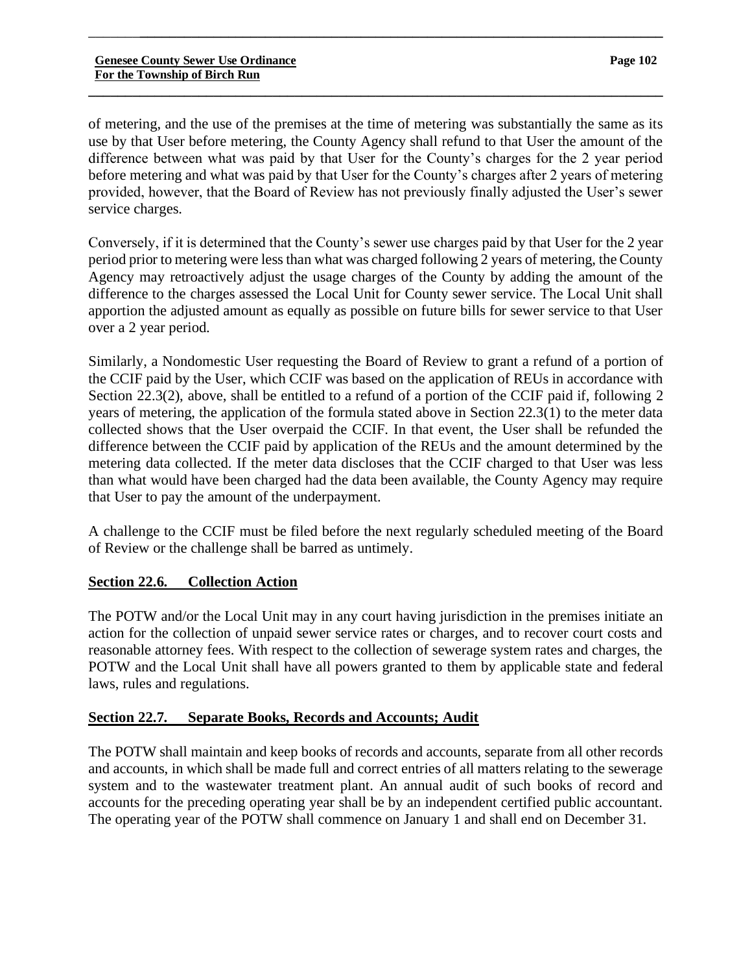of metering, and the use of the premises at the time of metering was substantially the same as its use by that User before metering, the County Agency shall refund to that User the amount of the difference between what was paid by that User for the County's charges for the 2 year period before metering and what was paid by that User for the County's charges after 2 years of metering provided, however, that the Board of Review has not previously finally adjusted the User's sewer service charges.

\_\_\_\_\_\_\_**\_\_\_\_\_\_\_\_\_\_\_\_\_\_\_\_\_\_\_\_\_\_\_\_\_\_\_\_\_\_\_\_\_\_\_\_\_\_\_\_\_\_\_\_\_\_\_\_\_\_\_\_\_\_\_\_\_\_\_\_\_\_\_\_\_\_\_\_\_\_\_**

**\_\_\_\_\_\_\_\_\_\_\_\_\_\_\_\_\_\_\_\_\_\_\_\_\_\_\_\_\_\_\_\_\_\_\_\_\_\_\_\_\_\_\_\_\_\_\_\_\_\_\_\_\_\_\_\_\_\_\_\_\_\_\_\_\_\_\_\_\_\_\_\_\_\_\_\_\_\_**

Conversely, if it is determined that the County's sewer use charges paid by that User for the 2 year period prior to metering were less than what was charged following 2 years of metering, the County Agency may retroactively adjust the usage charges of the County by adding the amount of the difference to the charges assessed the Local Unit for County sewer service. The Local Unit shall apportion the adjusted amount as equally as possible on future bills for sewer service to that User over a 2 year period.

Similarly, a Nondomestic User requesting the Board of Review to grant a refund of a portion of the CCIF paid by the User, which CCIF was based on the application of REUs in accordance with Section 22.3(2), above, shall be entitled to a refund of a portion of the CCIF paid if, following 2 years of metering, the application of the formula stated above in Section 22.3(1) to the meter data collected shows that the User overpaid the CCIF. In that event, the User shall be refunded the difference between the CCIF paid by application of the REUs and the amount determined by the metering data collected. If the meter data discloses that the CCIF charged to that User was less than what would have been charged had the data been available, the County Agency may require that User to pay the amount of the underpayment.

A challenge to the CCIF must be filed before the next regularly scheduled meeting of the Board of Review or the challenge shall be barred as untimely.

# **Section 22.6. Collection Action**

The POTW and/or the Local Unit may in any court having jurisdiction in the premises initiate an action for the collection of unpaid sewer service rates or charges, and to recover court costs and reasonable attorney fees. With respect to the collection of sewerage system rates and charges, the POTW and the Local Unit shall have all powers granted to them by applicable state and federal laws, rules and regulations.

# **Section 22.7. Separate Books, Records and Accounts; Audit**

The POTW shall maintain and keep books of records and accounts, separate from all other records and accounts, in which shall be made full and correct entries of all matters relating to the sewerage system and to the wastewater treatment plant. An annual audit of such books of record and accounts for the preceding operating year shall be by an independent certified public accountant. The operating year of the POTW shall commence on January 1 and shall end on December 31.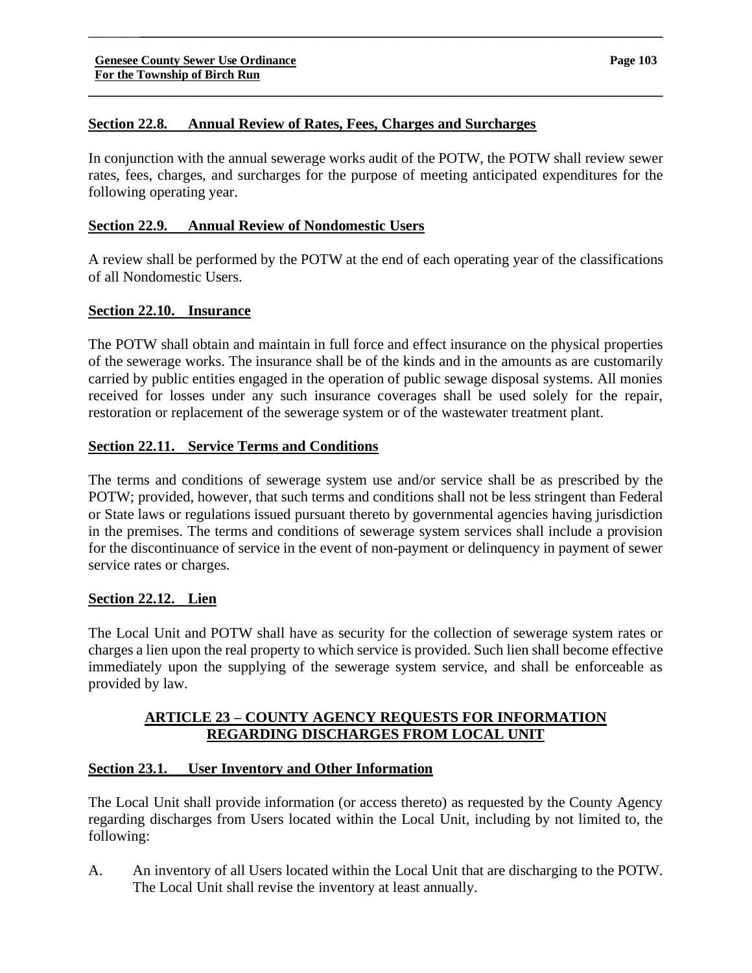# **Section 22.8. Annual Review of Rates, Fees, Charges and Surcharges**

In conjunction with the annual sewerage works audit of the POTW, the POTW shall review sewer rates, fees, charges, and surcharges for the purpose of meeting anticipated expenditures for the following operating year.

\_\_\_\_\_\_\_**\_\_\_\_\_\_\_\_\_\_\_\_\_\_\_\_\_\_\_\_\_\_\_\_\_\_\_\_\_\_\_\_\_\_\_\_\_\_\_\_\_\_\_\_\_\_\_\_\_\_\_\_\_\_\_\_\_\_\_\_\_\_\_\_\_\_\_\_\_\_\_**

**\_\_\_\_\_\_\_\_\_\_\_\_\_\_\_\_\_\_\_\_\_\_\_\_\_\_\_\_\_\_\_\_\_\_\_\_\_\_\_\_\_\_\_\_\_\_\_\_\_\_\_\_\_\_\_\_\_\_\_\_\_\_\_\_\_\_\_\_\_\_\_\_\_\_\_\_\_\_**

# **Section 22.9. Annual Review of Nondomestic Users**

A review shall be performed by the POTW at the end of each operating year of the classifications of all Nondomestic Users.

# **Section 22.10. Insurance**

The POTW shall obtain and maintain in full force and effect insurance on the physical properties of the sewerage works. The insurance shall be of the kinds and in the amounts as are customarily carried by public entities engaged in the operation of public sewage disposal systems. All monies received for losses under any such insurance coverages shall be used solely for the repair, restoration or replacement of the sewerage system or of the wastewater treatment plant.

# **Section 22.11. Service Terms and Conditions**

The terms and conditions of sewerage system use and/or service shall be as prescribed by the POTW; provided, however, that such terms and conditions shall not be less stringent than Federal or State laws or regulations issued pursuant thereto by governmental agencies having jurisdiction in the premises. The terms and conditions of sewerage system services shall include a provision for the discontinuance of service in the event of non-payment or delinquency in payment of sewer service rates or charges.

# **Section 22.12. Lien**

The Local Unit and POTW shall have as security for the collection of sewerage system rates or charges a lien upon the real property to which service is provided. Such lien shall become effective immediately upon the supplying of the sewerage system service, and shall be enforceable as provided by law.

# **ARTICLE 23 – COUNTY AGENCY REQUESTS FOR INFORMATION REGARDING DISCHARGES FROM LOCAL UNIT**

# **Section 23.1. User Inventory and Other Information**

The Local Unit shall provide information (or access thereto) as requested by the County Agency regarding discharges from Users located within the Local Unit, including by not limited to, the following:

A. An inventory of all Users located within the Local Unit that are discharging to the POTW. The Local Unit shall revise the inventory at least annually.